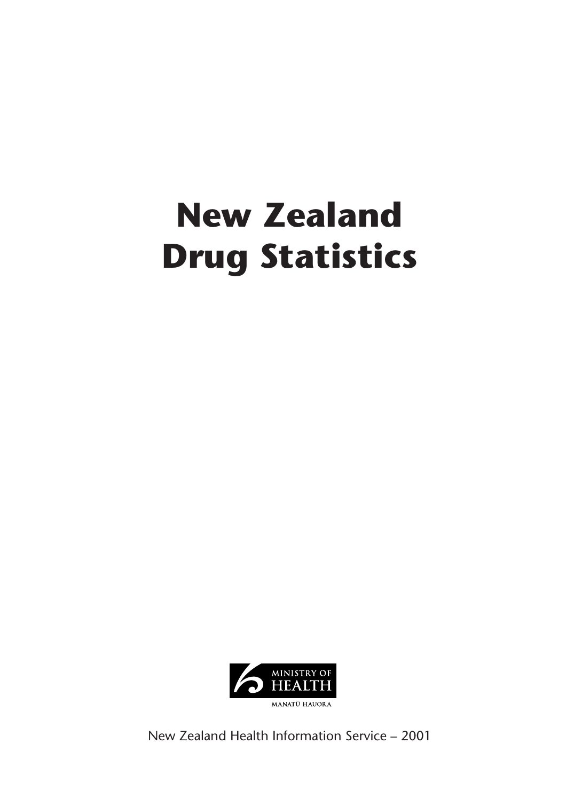# **New Zealand Drug Statistics**



New Zealand Health Information Service – 2001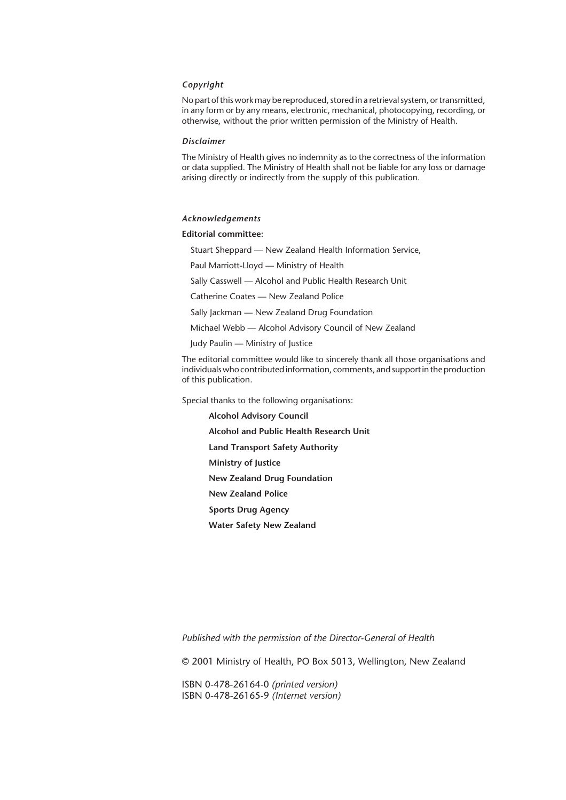#### *Copyright*

No part of this work may be reproduced, stored in a retrieval system, or transmitted, in any form or by any means, electronic, mechanical, photocopying, recording, or otherwise, without the prior written permission of the Ministry of Health.

#### *Disclaimer*

The Ministry of Health gives no indemnity as to the correctness of the information or data supplied. The Ministry of Health shall not be liable for any loss or damage arising directly or indirectly from the supply of this publication.

#### *Acknowledgements*

#### **Editorial committee:**

Stuart Sheppard — New Zealand Health Information Service,

Paul Marriott-Lloyd — Ministry of Health

Sally Casswell — Alcohol and Public Health Research Unit

Catherine Coates — New Zealand Police

Sally Jackman - New Zealand Drug Foundation

Michael Webb — Alcohol Advisory Council of New Zealand

Judy Paulin — Ministry of Justice

The editorial committee would like to sincerely thank all those organisations and individuals who contributed information, comments, and support in the production of this publication.

Special thanks to the following organisations:

**Alcohol Advisory Council Alcohol and Public Health Research Unit Land Transport Safety Authority Ministry of Justice New Zealand Drug Foundation New Zealand Police Sports Drug Agency Water Safety New Zealand**

*Published with the permission of the Director-General of Health*

© 2001 Ministry of Health, PO Box 5013, Wellington, New Zealand

ISBN 0-478-26164-0 *(printed version)* ISBN 0-478-26165-9 *(Internet version)*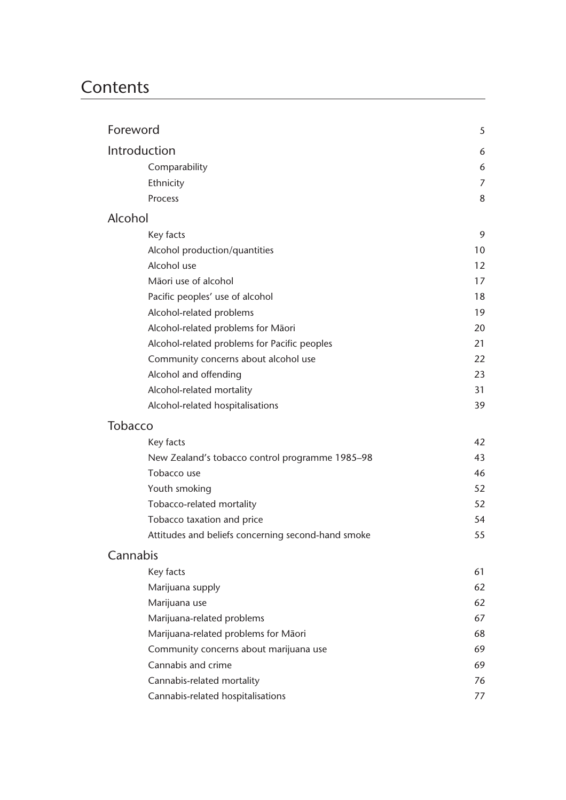# **Contents**

| Foreword                                           | 5  |
|----------------------------------------------------|----|
| Introduction                                       | 6  |
| Comparability                                      | 6  |
| Ethnicity                                          | 7  |
| Process                                            | 8  |
| Alcohol                                            |    |
| Key facts                                          | 9  |
| Alcohol production/quantities                      | 10 |
| Alcohol use                                        | 12 |
| Māori use of alcohol                               | 17 |
| Pacific peoples' use of alcohol                    | 18 |
| Alcohol-related problems                           | 19 |
| Alcohol-related problems for Māori                 | 20 |
| Alcohol-related problems for Pacific peoples       | 21 |
| Community concerns about alcohol use               | 22 |
| Alcohol and offending                              | 23 |
| Alcohol-related mortality                          | 31 |
| Alcohol-related hospitalisations                   | 39 |
| <b>Tobacco</b>                                     |    |
| Key facts                                          | 42 |
| New Zealand's tobacco control programme 1985-98    | 43 |
| Tobacco use                                        | 46 |
| Youth smoking                                      | 52 |
| Tobacco-related mortality                          | 52 |
| Tobacco taxation and price                         | 54 |
| Attitudes and beliefs concerning second-hand smoke | 55 |
| Cannabis                                           |    |
| Key facts                                          | 61 |
| Marijuana supply                                   | 62 |
| Marijuana use                                      | 62 |
| Marijuana-related problems                         | 67 |
| Marijuana-related problems for Māori               | 68 |
| Community concerns about marijuana use             | 69 |
| Cannabis and crime                                 | 69 |
| Cannabis-related mortality                         | 76 |
| Cannabis-related hospitalisations                  | 77 |
|                                                    |    |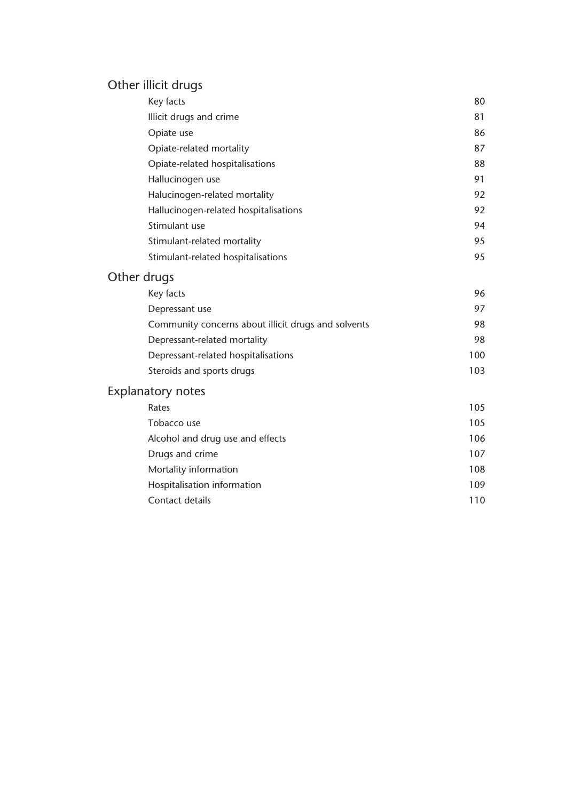# Other illicit drugs

| Key facts                             | 80 |
|---------------------------------------|----|
| Illicit drugs and crime               | 81 |
| Opiate use                            | 86 |
| Opiate-related mortality              | 87 |
| Opiate-related hospitalisations       | 88 |
| Hallucinogen use                      | 91 |
| Halucinogen-related mortality         | 92 |
| Hallucinogen-related hospitalisations | 92 |
| Stimulant use                         | 94 |
| Stimulant-related mortality           | 95 |
| Stimulant-related hospitalisations    | 95 |

# Other drugs

| Key facts                                           | 96  |
|-----------------------------------------------------|-----|
| Depressant use                                      | 97  |
| Community concerns about illicit drugs and solvents | 98  |
| Depressant-related mortality                        | 98  |
| Depressant-related hospitalisations                 | 100 |
| Steroids and sports drugs                           | 103 |

# Explanatory notes

| Rates                            | 105 |
|----------------------------------|-----|
| Tobacco use                      | 105 |
| Alcohol and drug use and effects | 106 |
| Drugs and crime                  | 107 |
| Mortality information            | 108 |
| Hospitalisation information      | 109 |
| Contact details                  | 110 |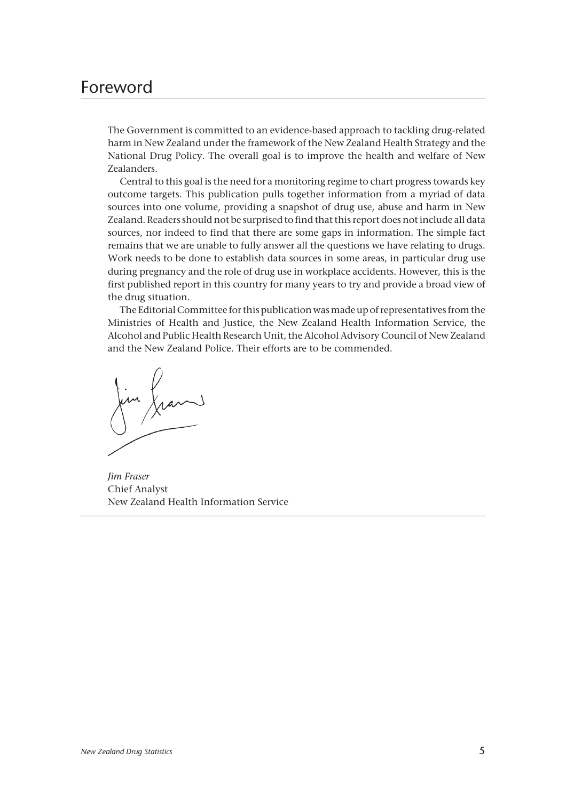# Foreword

The Government is committed to an evidence-based approach to tackling drug-related harm in New Zealand under the framework of the New Zealand Health Strategy and the National Drug Policy. The overall goal is to improve the health and welfare of New Zealanders.

Central to this goal is the need for a monitoring regime to chart progress towards key outcome targets. This publication pulls together information from a myriad of data sources into one volume, providing a snapshot of drug use, abuse and harm in New Zealand. Readers should not be surprised to find that this report does not include all data sources, nor indeed to find that there are some gaps in information. The simple fact remains that we are unable to fully answer all the questions we have relating to drugs. Work needs to be done to establish data sources in some areas, in particular drug use during pregnancy and the role of drug use in workplace accidents. However, this is the first published report in this country for many years to try and provide a broad view of the drug situation.

The Editorial Committee for this publication was made up of representatives from the Ministries of Health and Justice, the New Zealand Health Information Service, the Alcohol and Public Health Research Unit, the Alcohol Advisory Council of New Zealand and the New Zealand Police. Their efforts are to be commended.

*Jim Fraser* Chief Analyst New Zealand Health Information Service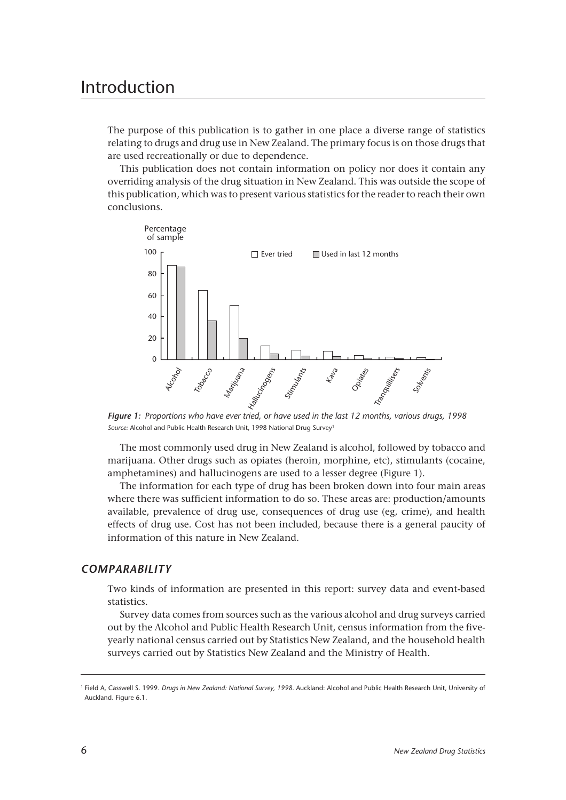# Introduction

The purpose of this publication is to gather in one place a diverse range of statistics relating to drugs and drug use in New Zealand. The primary focus is on those drugs that are used recreationally or due to dependence.

This publication does not contain information on policy nor does it contain any overriding analysis of the drug situation in New Zealand. This was outside the scope of this publication, which was to present various statistics for the reader to reach their own conclusions.



*Figure 1: Proportions who have ever tried, or have used in the last 12 months, various drugs, 1998* Source: Alcohol and Public Health Research Unit, 1998 National Drug Survey<sup>1</sup>

The most commonly used drug in New Zealand is alcohol, followed by tobacco and marijuana. Other drugs such as opiates (heroin, morphine, etc), stimulants (cocaine, amphetamines) and hallucinogens are used to a lesser degree (Figure 1).

The information for each type of drug has been broken down into four main areas where there was sufficient information to do so. These areas are: production/amounts available, prevalence of drug use, consequences of drug use (eg, crime), and health effects of drug use. Cost has not been included, because there is a general paucity of information of this nature in New Zealand.

# *COMPARABILITY*

Two kinds of information are presented in this report: survey data and event-based statistics.

Survey data comes from sources such as the various alcohol and drug surveys carried out by the Alcohol and Public Health Research Unit, census information from the fiveyearly national census carried out by Statistics New Zealand, and the household health surveys carried out by Statistics New Zealand and the Ministry of Health.

<sup>1</sup> Field A, Casswell S. 1999. *Drugs in New Zealand: National Survey, 1998*. Auckland: Alcohol and Public Health Research Unit, University of Auckland. Figure 6.1.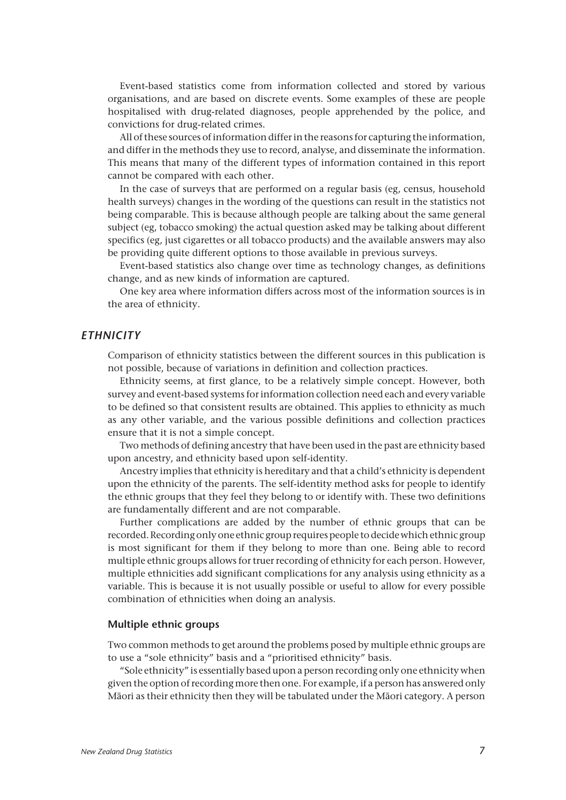Event-based statistics come from information collected and stored by various organisations, and are based on discrete events. Some examples of these are people hospitalised with drug-related diagnoses, people apprehended by the police, and convictions for drug-related crimes.

All of these sources of information differ in the reasons for capturing the information, and differ in the methods they use to record, analyse, and disseminate the information. This means that many of the different types of information contained in this report cannot be compared with each other.

In the case of surveys that are performed on a regular basis (eg, census, household health surveys) changes in the wording of the questions can result in the statistics not being comparable. This is because although people are talking about the same general subject (eg, tobacco smoking) the actual question asked may be talking about different specifics (eg, just cigarettes or all tobacco products) and the available answers may also be providing quite different options to those available in previous surveys.

Event-based statistics also change over time as technology changes, as definitions change, and as new kinds of information are captured.

One key area where information differs across most of the information sources is in the area of ethnicity.

## *ETHNICITY*

Comparison of ethnicity statistics between the different sources in this publication is not possible, because of variations in definition and collection practices.

Ethnicity seems, at first glance, to be a relatively simple concept. However, both survey and event-based systems for information collection need each and every variable to be defined so that consistent results are obtained. This applies to ethnicity as much as any other variable, and the various possible definitions and collection practices ensure that it is not a simple concept.

Two methods of defining ancestry that have been used in the past are ethnicity based upon ancestry, and ethnicity based upon self-identity.

Ancestry implies that ethnicity is hereditary and that a child's ethnicity is dependent upon the ethnicity of the parents. The self-identity method asks for people to identify the ethnic groups that they feel they belong to or identify with. These two definitions are fundamentally different and are not comparable.

Further complications are added by the number of ethnic groups that can be recorded. Recording only one ethnic group requires people to decide which ethnic group is most significant for them if they belong to more than one. Being able to record multiple ethnic groups allows for truer recording of ethnicity for each person. However, multiple ethnicities add significant complications for any analysis using ethnicity as a variable. This is because it is not usually possible or useful to allow for every possible combination of ethnicities when doing an analysis.

#### **Multiple ethnic groups**

Two common methods to get around the problems posed by multiple ethnic groups are to use a "sole ethnicity" basis and a "prioritised ethnicity" basis.

"Sole ethnicity" is essentially based upon a person recording only one ethnicity when given the option of recording more then one. For example, if a person has answered only Mâori as their ethnicity then they will be tabulated under the Mâori category. A person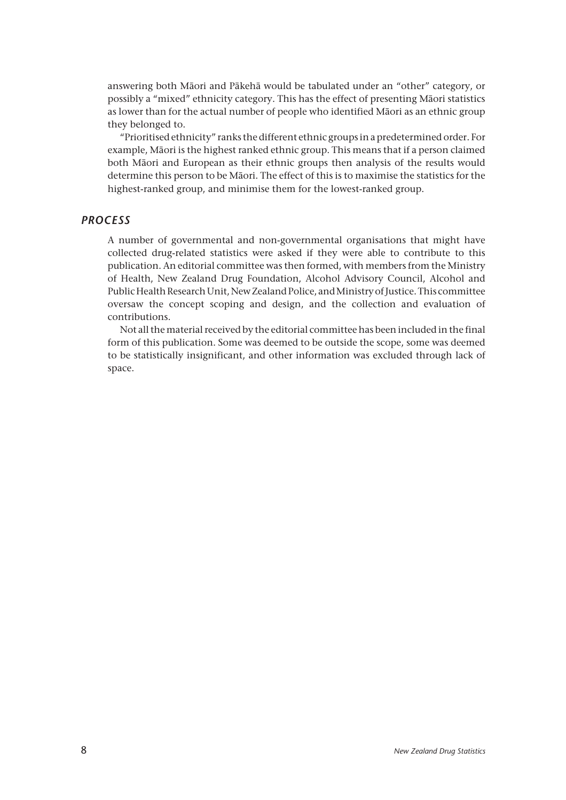answering both Mâori and Pâkehâ would be tabulated under an "other" category, or possibly a "mixed" ethnicity category. This has the effect of presenting Mâori statistics as lower than for the actual number of people who identified Mâori as an ethnic group they belonged to.

"Prioritised ethnicity" ranks the different ethnic groups in a predetermined order. For example, Mâori is the highest ranked ethnic group. This means that if a person claimed both Mâori and European as their ethnic groups then analysis of the results would determine this person to be Mâori. The effect of this is to maximise the statistics for the highest-ranked group, and minimise them for the lowest-ranked group.

## *PROCESS*

A number of governmental and non-governmental organisations that might have collected drug-related statistics were asked if they were able to contribute to this publication. An editorial committee was then formed, with members from the Ministry of Health, New Zealand Drug Foundation, Alcohol Advisory Council, Alcohol and Public Health Research Unit, New Zealand Police, and Ministry of Justice. This committee oversaw the concept scoping and design, and the collection and evaluation of contributions.

Not all the material received by the editorial committee has been included in the final form of this publication. Some was deemed to be outside the scope, some was deemed to be statistically insignificant, and other information was excluded through lack of space.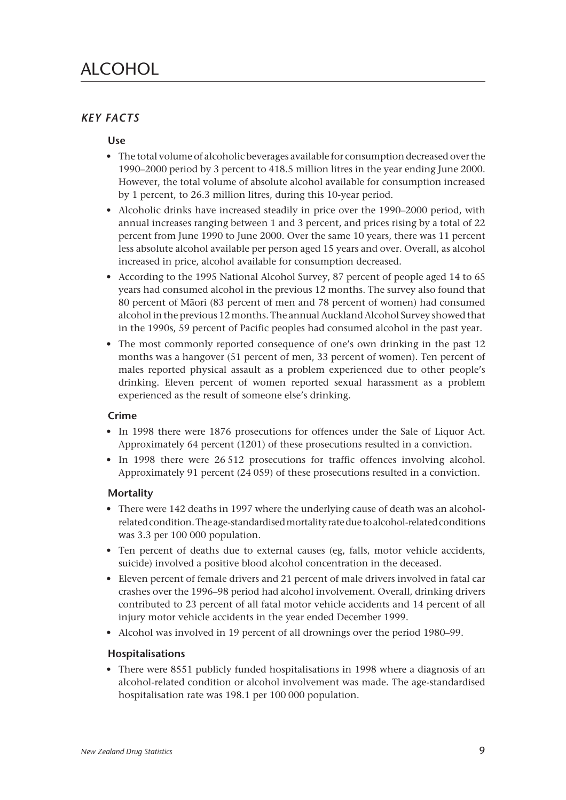# *KEY FACTS*

# **Use**

- The total volume of alcoholic beverages available for consumption decreased over the 1990–2000 period by 3 percent to 418.5 million litres in the year ending June 2000. However, the total volume of absolute alcohol available for consumption increased by 1 percent, to 26.3 million litres, during this 10-year period.
- Alcoholic drinks have increased steadily in price over the 1990–2000 period, with annual increases ranging between 1 and 3 percent, and prices rising by a total of 22 percent from June 1990 to June 2000. Over the same 10 years, there was 11 percent less absolute alcohol available per person aged 15 years and over. Overall, as alcohol increased in price, alcohol available for consumption decreased.
- According to the 1995 National Alcohol Survey, 87 percent of people aged 14 to 65 years had consumed alcohol in the previous 12 months. The survey also found that 80 percent of Mâori (83 percent of men and 78 percent of women) had consumed alcohol in the previous 12 months. The annual Auckland Alcohol Survey showed that in the 1990s, 59 percent of Pacific peoples had consumed alcohol in the past year.
- The most commonly reported consequence of one's own drinking in the past 12 months was a hangover (51 percent of men, 33 percent of women). Ten percent of males reported physical assault as a problem experienced due to other people's drinking. Eleven percent of women reported sexual harassment as a problem experienced as the result of someone else's drinking.

# **Crime**

- In 1998 there were 1876 prosecutions for offences under the Sale of Liquor Act. Approximately 64 percent (1201) of these prosecutions resulted in a conviction.
- In 1998 there were 26 512 prosecutions for traffic offences involving alcohol. Approximately 91 percent (24 059) of these prosecutions resulted in a conviction.

# **Mortality**

- There were 142 deaths in 1997 where the underlying cause of death was an alcoholrelated condition. The age-standardised mortality rate due to alcohol-related conditions was 3.3 per 100 000 population.
- Ten percent of deaths due to external causes (eg, falls, motor vehicle accidents, suicide) involved a positive blood alcohol concentration in the deceased.
- Eleven percent of female drivers and 21 percent of male drivers involved in fatal car crashes over the 1996–98 period had alcohol involvement. Overall, drinking drivers contributed to 23 percent of all fatal motor vehicle accidents and 14 percent of all injury motor vehicle accidents in the year ended December 1999.
- Alcohol was involved in 19 percent of all drownings over the period 1980–99.

# **Hospitalisations**

• There were 8551 publicly funded hospitalisations in 1998 where a diagnosis of an alcohol-related condition or alcohol involvement was made. The age-standardised hospitalisation rate was 198.1 per 100 000 population.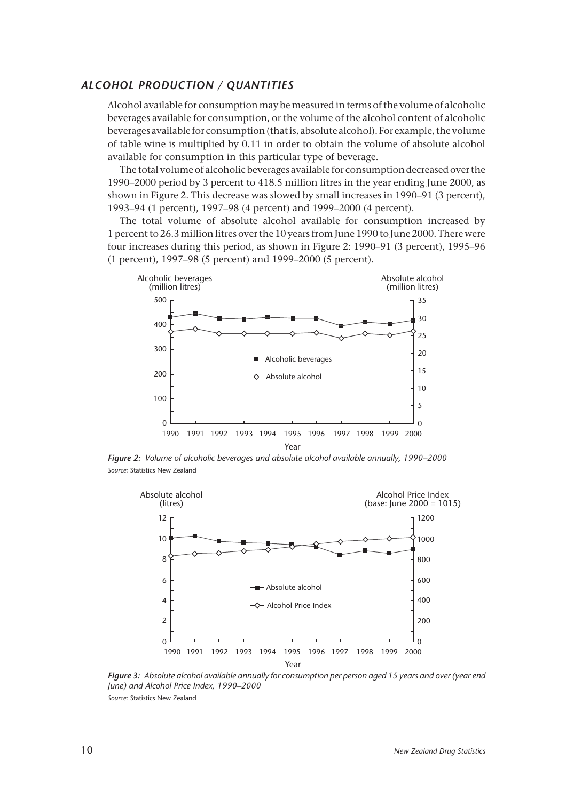#### *ALCOHOL PRODUCTION / QUANTITIES*

Alcohol available for consumption may be measured in terms of the volume of alcoholic beverages available for consumption, or the volume of the alcohol content of alcoholic beverages available for consumption (that is, absolute alcohol). For example, the volume of table wine is multiplied by 0.11 in order to obtain the volume of absolute alcohol available for consumption in this particular type of beverage.

The total volume of alcoholic beverages available for consumption decreased over the 1990–2000 period by 3 percent to 418.5 million litres in the year ending June 2000, as shown in Figure 2. This decrease was slowed by small increases in 1990–91 (3 percent), 1993–94 (1 percent), 1997–98 (4 percent) and 1999–2000 (4 percent).

The total volume of absolute alcohol available for consumption increased by 1 percent to 26.3 million litres over the 10 years from June 1990 to June 2000. There were four increases during this period, as shown in Figure 2: 1990–91 (3 percent), 1995–96 (1 percent), 1997–98 (5 percent) and 1999–2000 (5 percent).



*Figure 2: Volume of alcoholic beverages and absolute alcohol available annually, 1990–2000 Source:* Statistics New Zealand



*Figure 3: Absolute alcohol available annually for consumption per person aged 15 years and over (year end June) and Alcohol Price Index, 1990–2000 Source:* Statistics New Zealand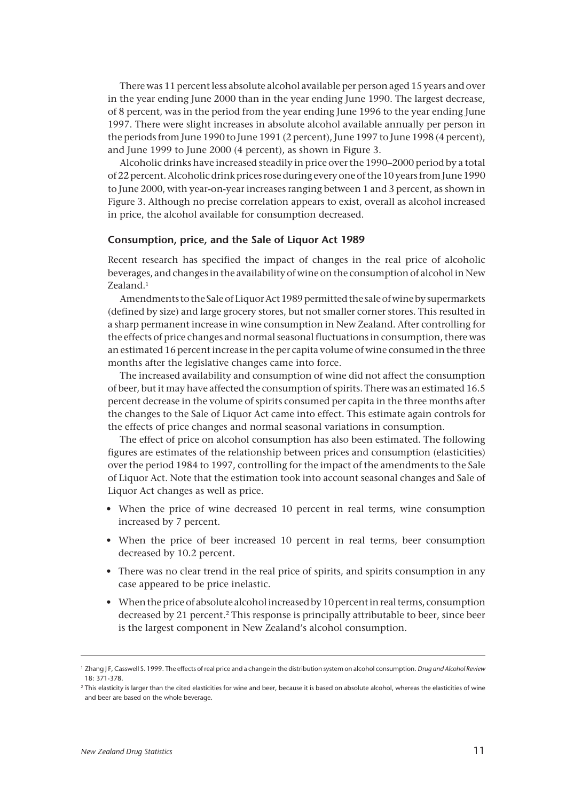There was 11 percent less absolute alcohol available per person aged 15 years and over in the year ending June 2000 than in the year ending June 1990. The largest decrease, of 8 percent, was in the period from the year ending June 1996 to the year ending June 1997. There were slight increases in absolute alcohol available annually per person in the periods from June 1990 to June 1991 (2 percent), June 1997 to June 1998 (4 percent), and June 1999 to June 2000 (4 percent), as shown in Figure 3.

Alcoholic drinks have increased steadily in price over the 1990–2000 period by a total of 22 percent. Alcoholic drink prices rose during every one of the 10 years from June 1990 to June 2000, with year-on-year increases ranging between 1 and 3 percent, as shown in Figure 3. Although no precise correlation appears to exist, overall as alcohol increased in price, the alcohol available for consumption decreased.

#### **Consumption, price, and the Sale of Liquor Act 1989**

Recent research has specified the impact of changes in the real price of alcoholic beverages, and changes in the availability of wine on the consumption of alcohol in New Zealand.<sup>1</sup>

Amendments to the Sale of Liquor Act 1989 permitted the sale of wine by supermarkets (defined by size) and large grocery stores, but not smaller corner stores. This resulted in a sharp permanent increase in wine consumption in New Zealand. After controlling for the effects of price changes and normal seasonal fluctuations in consumption, there was an estimated 16 percent increase in the per capita volume of wine consumed in the three months after the legislative changes came into force.

The increased availability and consumption of wine did not affect the consumption of beer, but it may have affected the consumption of spirits. There was an estimated 16.5 percent decrease in the volume of spirits consumed per capita in the three months after the changes to the Sale of Liquor Act came into effect. This estimate again controls for the effects of price changes and normal seasonal variations in consumption.

The effect of price on alcohol consumption has also been estimated. The following figures are estimates of the relationship between prices and consumption (elasticities) over the period 1984 to 1997, controlling for the impact of the amendments to the Sale of Liquor Act. Note that the estimation took into account seasonal changes and Sale of Liquor Act changes as well as price.

- When the price of wine decreased 10 percent in real terms, wine consumption increased by 7 percent.
- When the price of beer increased 10 percent in real terms, beer consumption decreased by 10.2 percent.
- There was no clear trend in the real price of spirits, and spirits consumption in any case appeared to be price inelastic.
- When the price of absolute alcohol increased by 10 percent in real terms, consumption decreased by 21 percent.<sup>2</sup> This response is principally attributable to beer, since beer is the largest component in New Zealand's alcohol consumption.

<sup>1</sup> Zhang J F, Casswell S. 1999. The effects of real price and a change in the distribution system on alcohol consumption. *Drug and Alcohol Review* 18: 371-378.

<sup>&</sup>lt;sup>2</sup> This elasticity is larger than the cited elasticities for wine and beer, because it is based on absolute alcohol, whereas the elasticities of wine and beer are based on the whole beverage.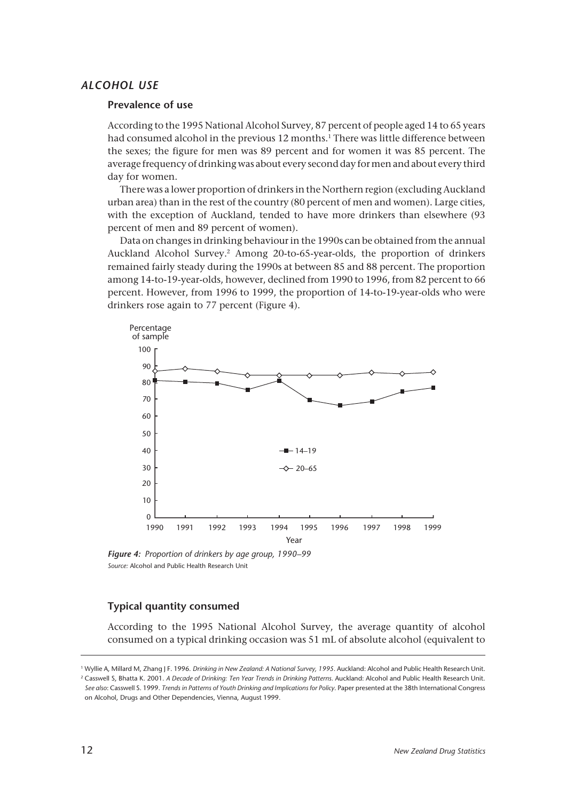## *ALCOHOL USE*

#### **Prevalence of use**

According to the 1995 National Alcohol Survey, 87 percent of people aged 14 to 65 years had consumed alcohol in the previous 12 months.<sup>1</sup> There was little difference between the sexes; the figure for men was 89 percent and for women it was 85 percent. The average frequency of drinking was about every second day for men and about every third day for women.

There was a lower proportion of drinkers in the Northern region (excluding Auckland urban area) than in the rest of the country (80 percent of men and women). Large cities, with the exception of Auckland, tended to have more drinkers than elsewhere (93 percent of men and 89 percent of women).

Data on changes in drinking behaviour in the 1990s can be obtained from the annual Auckland Alcohol Survey.2 Among 20-to-65-year-olds, the proportion of drinkers remained fairly steady during the 1990s at between 85 and 88 percent. The proportion among 14-to-19-year-olds, however, declined from 1990 to 1996, from 82 percent to 66 percent. However, from 1996 to 1999, the proportion of 14-to-19-year-olds who were drinkers rose again to 77 percent (Figure 4).



*Figure 4: Proportion of drinkers by age group, 1990–99 Source:* Alcohol and Public Health Research Unit

#### **Typical quantity consumed**

According to the 1995 National Alcohol Survey, the average quantity of alcohol consumed on a typical drinking occasion was 51 mL of absolute alcohol (equivalent to

<sup>&</sup>lt;sup>1</sup> Wyllie A, Millard M, Zhang J F. 1996. *Drinking in New Zealand: A National Survey*, 1995. Auckland: Alcohol and Public Health Research Unit. <sup>2</sup> Casswell S, Bhatta K. 2001. *A Decade of Drinking: Ten Year Trends in Drinking Patterns.* Auckland: Alcohol and Public Health Research Unit. *See also*: Casswell S. 1999. *Trends in Patterns of Youth Drinking and Implications for Policy*. Paper presented at the 38th International Congress on Alcohol, Drugs and Other Dependencies, Vienna, August 1999.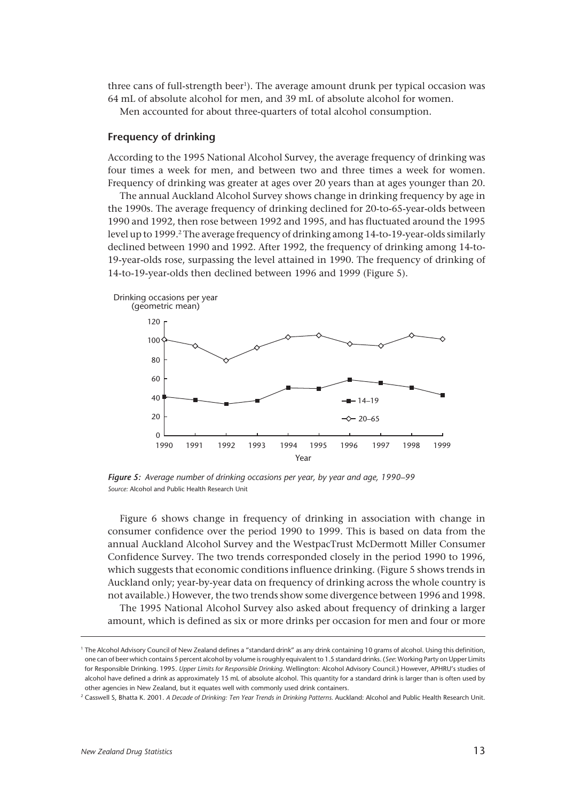three cans of full-strength beer<sup>1</sup>). The average amount drunk per typical occasion was 64 mL of absolute alcohol for men, and 39 mL of absolute alcohol for women.

Men accounted for about three-quarters of total alcohol consumption.

#### **Frequency of drinking**

According to the 1995 National Alcohol Survey, the average frequency of drinking was four times a week for men, and between two and three times a week for women. Frequency of drinking was greater at ages over 20 years than at ages younger than 20.

The annual Auckland Alcohol Survey shows change in drinking frequency by age in the 1990s. The average frequency of drinking declined for 20-to-65-year-olds between 1990 and 1992, then rose between 1992 and 1995, and has fluctuated around the 1995 level up to 1999.<sup>2</sup> The average frequency of drinking among 14-to-19-year-olds similarly declined between 1990 and 1992. After 1992, the frequency of drinking among 14-to-19-year-olds rose, surpassing the level attained in 1990. The frequency of drinking of 14-to-19-year-olds then declined between 1996 and 1999 (Figure 5).



*Figure 5: Average number of drinking occasions per year, by year and age, 1990–99 Source:* Alcohol and Public Health Research Unit

Figure 6 shows change in frequency of drinking in association with change in consumer confidence over the period 1990 to 1999. This is based on data from the annual Auckland Alcohol Survey and the WestpacTrust McDermott Miller Consumer Confidence Survey. The two trends corresponded closely in the period 1990 to 1996, which suggests that economic conditions influence drinking. (Figure 5 shows trends in Auckland only; year-by-year data on frequency of drinking across the whole country is not available.) However, the two trends show some divergence between 1996 and 1998.

The 1995 National Alcohol Survey also asked about frequency of drinking a larger amount, which is defined as six or more drinks per occasion for men and four or more

<sup>&</sup>lt;sup>1</sup> The Alcohol Advisory Council of New Zealand defines a "standard drink" as any drink containing 10 grams of alcohol. Using this definition, one can of beer which contains 5 percent alcohol by volume is roughly equivalent to 1.5 standard drinks. (*See*: Working Party on Upper Limits for Responsible Drinking. 1995. *Upper Limits for Responsible Drinking*. Wellington: Alcohol Advisory Council.) However, APHRU's studies of alcohol have defined a drink as approximately 15 mL of absolute alcohol. This quantity for a standard drink is larger than is often used by other agencies in New Zealand, but it equates well with commonly used drink containers.

<sup>2</sup> Casswell S, Bhatta K. 2001. *A Decade of Drinking: Ten Year Trends in Drinking Patterns.* Auckland: Alcohol and Public Health Research Unit.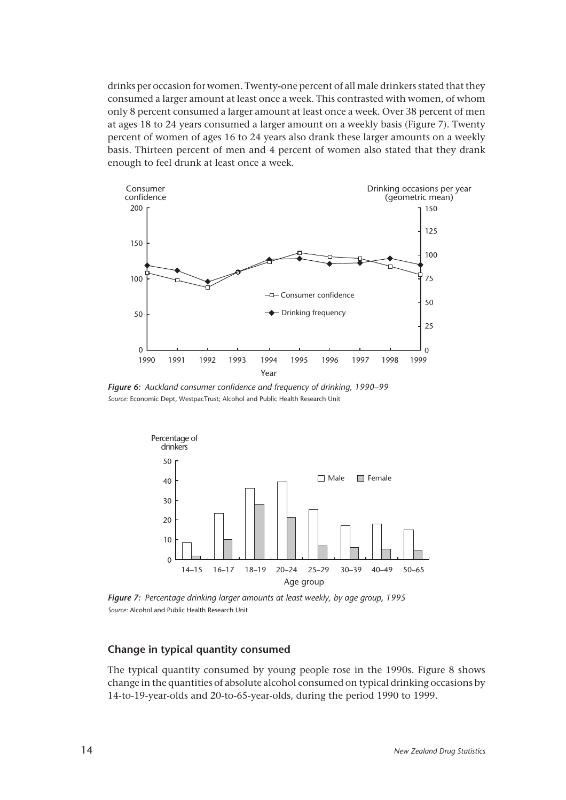drinks per occasion for women. Twenty-one percent of all male drinkers stated that they consumed a larger amount at least once a week. This contrasted with women, of whom only 8 percent consumed a larger amount at least once a week. Over 38 percent of men at ages 18 to 24 years consumed a larger amount on a weekly basis (Figure 7). Twenty percent of women of ages 16 to 24 years also drank these larger amounts on a weekly basis. Thirteen percent of men and 4 percent of women also stated that they drank enough to feel drunk at least once a week.



*Figure 6: Auckland consumer confidence and frequency of drinking, 1990–99 Source:* Economic Dept, WestpacTrust; Alcohol and Public Health Research Unit



*Figure 7: Percentage drinking larger amounts at least weekly, by age group, 1995 Source:* Alcohol and Public Health Research Unit

#### **Change in typical quantity consumed**

The typical quantity consumed by young people rose in the 1990s. Figure 8 shows change in the quantities of absolute alcohol consumed on typical drinking occasions by 14-to-19-year-olds and 20-to-65-year-olds, during the period 1990 to 1999.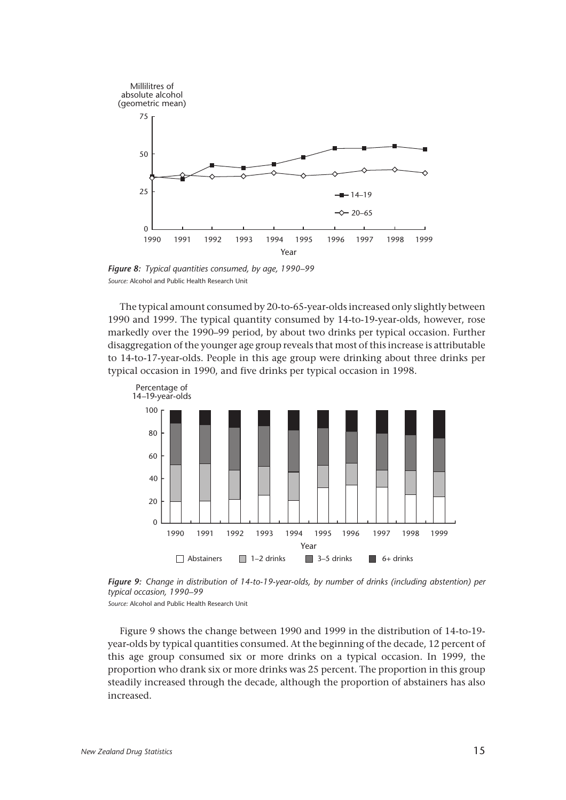

*Figure 8: Typical quantities consumed, by age, 1990–99 Source:* Alcohol and Public Health Research Unit

The typical amount consumed by 20-to-65-year-olds increased only slightly between 1990 and 1999. The typical quantity consumed by 14-to-19-year-olds, however, rose markedly over the 1990–99 period, by about two drinks per typical occasion. Further disaggregation of the younger age group reveals that most of this increase is attributable to 14-to-17-year-olds. People in this age group were drinking about three drinks per typical occasion in 1990, and five drinks per typical occasion in 1998.



*Figure 9: Change in distribution of 14-to-19-year-olds, by number of drinks (including abstention) per typical occasion, 1990–99*

*Source:* Alcohol and Public Health Research Unit

Figure 9 shows the change between 1990 and 1999 in the distribution of 14-to-19 year-olds by typical quantities consumed. At the beginning of the decade, 12 percent of this age group consumed six or more drinks on a typical occasion. In 1999, the proportion who drank six or more drinks was 25 percent. The proportion in this group steadily increased through the decade, although the proportion of abstainers has also increased.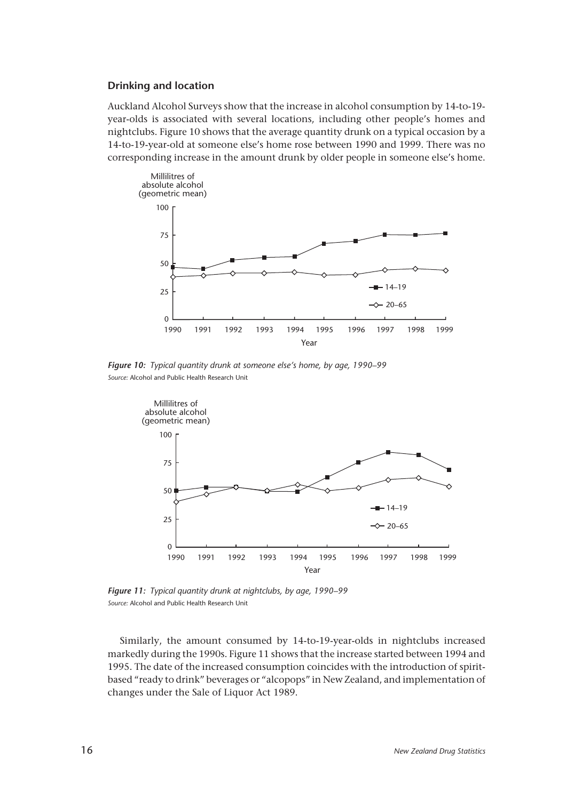#### **Drinking and location**

Auckland Alcohol Surveys show that the increase in alcohol consumption by 14-to-19 year-olds is associated with several locations, including other people's homes and nightclubs. Figure 10 shows that the average quantity drunk on a typical occasion by a 14-to-19-year-old at someone else's home rose between 1990 and 1999. There was no corresponding increase in the amount drunk by older people in someone else's home.



*Figure 10: Typical quantity drunk at someone else's home, by age, 1990–99 Source:* Alcohol and Public Health Research Unit



*Figure 11: Typical quantity drunk at nightclubs, by age, 1990–99 Source:* Alcohol and Public Health Research Unit

Similarly, the amount consumed by 14-to-19-year-olds in nightclubs increased markedly during the 1990s. Figure 11 shows that the increase started between 1994 and 1995. The date of the increased consumption coincides with the introduction of spiritbased "ready to drink" beverages or "alcopops" in New Zealand, and implementation of changes under the Sale of Liquor Act 1989.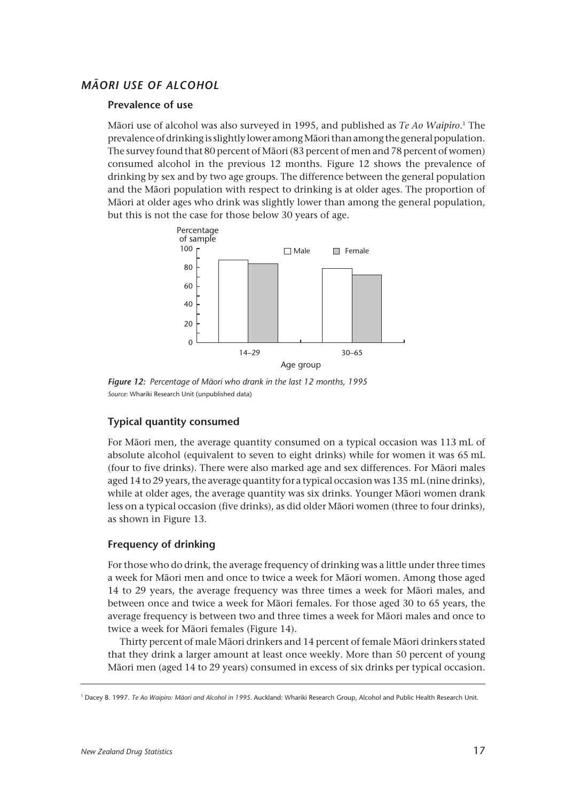# *MÂORI USE OF ALCOHOL*

#### **Prevalence of use**

Mâori use of alcohol was also surveyed in 1995, and published as *Te Ao Waipiro*. 1 The prevalence of drinking is slightly lower among Mâori than among the general population. The survey found that 80 percent of Mâori (83 percent of men and 78 percent of women) consumed alcohol in the previous 12 months. Figure 12 shows the prevalence of drinking by sex and by two age groups. The difference between the general population and the Mâori population with respect to drinking is at older ages. The proportion of Mâori at older ages who drink was slightly lower than among the general population, but this is not the case for those below 30 years of age.



*Figure 12: Percentage of Mâori who drank in the last 12 months, 1995 Source:* Whariki Research Unit (unpublished data)

# **Typical quantity consumed**

For Mâori men, the average quantity consumed on a typical occasion was 113 mL of absolute alcohol (equivalent to seven to eight drinks) while for women it was 65 mL (four to five drinks). There were also marked age and sex differences. For Mâori males aged 14 to 29 years, the average quantity for a typical occasion was 135 mL (nine drinks), while at older ages, the average quantity was six drinks. Younger Mâori women drank less on a typical occasion (five drinks), as did older Mâori women (three to four drinks), as shown in Figure 13.

#### **Frequency of drinking**

For those who do drink, the average frequency of drinking was a little under three times a week for Mâori men and once to twice a week for Mâori women. Among those aged 14 to 29 years, the average frequency was three times a week for Mâori males, and between once and twice a week for Mâori females. For those aged 30 to 65 years, the average frequency is between two and three times a week for Mâori males and once to twice a week for Mâori females (Figure 14).

Thirty percent of male Mâori drinkers and 14 percent of female Mâori drinkers stated that they drink a larger amount at least once weekly. More than 50 percent of young Mâori men (aged 14 to 29 years) consumed in excess of six drinks per typical occasion.

<sup>1</sup> Dacey B. 1997. *Te Ao Waipiro: Mâori and Alcohol in 1995*. Auckland: Whariki Research Group, Alcohol and Public Health Research Unit.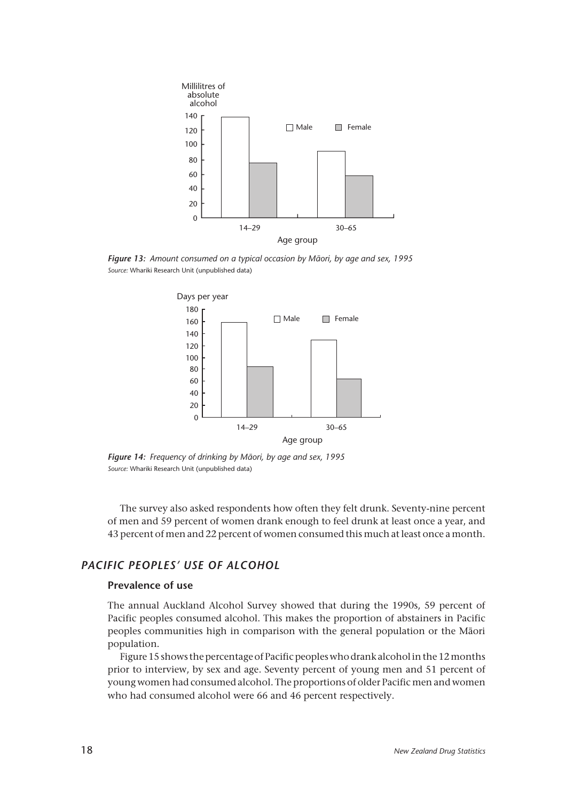

*Figure 13: Amount consumed on a typical occasion by Mâori, by age and sex, 1995 Source:* Whariki Research Unit (unpublished data)



*Figure 14: Frequency of drinking by Mâori, by age and sex, 1995 Source:* Whariki Research Unit (unpublished data)

The survey also asked respondents how often they felt drunk. Seventy-nine percent of men and 59 percent of women drank enough to feel drunk at least once a year, and 43 percent of men and 22 percent of women consumed this much at least once a month.

# *PACIFIC PEOPLES' USE OF ALCOHOL*

## **Prevalence of use**

The annual Auckland Alcohol Survey showed that during the 1990s, 59 percent of Pacific peoples consumed alcohol. This makes the proportion of abstainers in Pacific peoples communities high in comparison with the general population or the Mâori population.

Figure 15 shows the percentage of Pacific peoples who drank alcohol in the 12 months prior to interview, by sex and age. Seventy percent of young men and 51 percent of young women had consumed alcohol. The proportions of older Pacific men and women who had consumed alcohol were 66 and 46 percent respectively.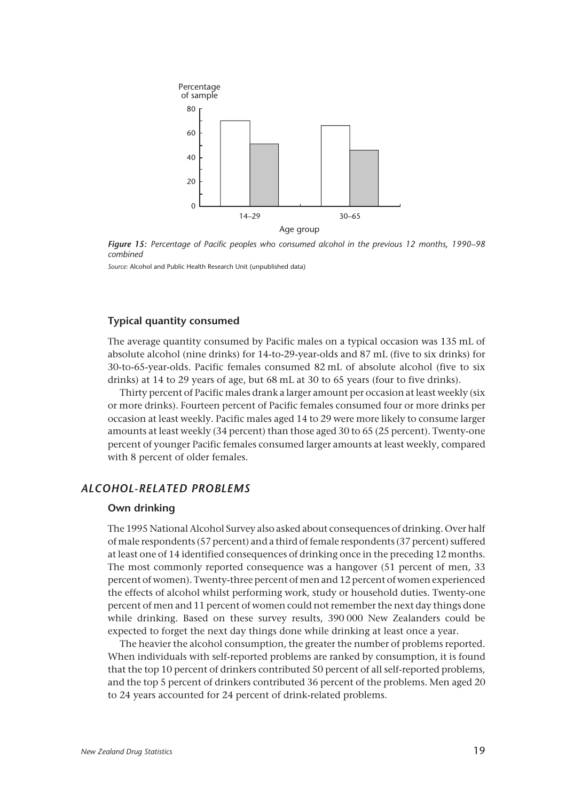

*Figure 15: Percentage of Pacific peoples who consumed alcohol in the previous 12 months, 1990–98 combined*

*Source:* Alcohol and Public Health Research Unit (unpublished data)

### **Typical quantity consumed**

The average quantity consumed by Pacific males on a typical occasion was 135 mL of absolute alcohol (nine drinks) for 14-to-29-year-olds and 87 mL (five to six drinks) for 30-to-65-year-olds. Pacific females consumed 82 mL of absolute alcohol (five to six drinks) at 14 to 29 years of age, but 68 mL at 30 to 65 years (four to five drinks).

Thirty percent of Pacific males drank a larger amount per occasion at least weekly (six or more drinks). Fourteen percent of Pacific females consumed four or more drinks per occasion at least weekly. Pacific males aged 14 to 29 were more likely to consume larger amounts at least weekly (34 percent) than those aged 30 to 65 (25 percent). Twenty-one percent of younger Pacific females consumed larger amounts at least weekly, compared with 8 percent of older females.

# *ALCOHOL-RELATED PROBLEMS*

#### **Own drinking**

The 1995 National Alcohol Survey also asked about consequences of drinking. Over half of male respondents (57 percent) and a third of female respondents (37 percent) suffered at least one of 14 identified consequences of drinking once in the preceding 12 months. The most commonly reported consequence was a hangover (51 percent of men, 33 percent of women). Twenty-three percent of men and 12 percent of women experienced the effects of alcohol whilst performing work, study or household duties. Twenty-one percent of men and 11 percent of women could not remember the next day things done while drinking. Based on these survey results, 390 000 New Zealanders could be expected to forget the next day things done while drinking at least once a year.

The heavier the alcohol consumption, the greater the number of problems reported. When individuals with self-reported problems are ranked by consumption, it is found that the top 10 percent of drinkers contributed 50 percent of all self-reported problems, and the top 5 percent of drinkers contributed 36 percent of the problems. Men aged 20 to 24 years accounted for 24 percent of drink-related problems.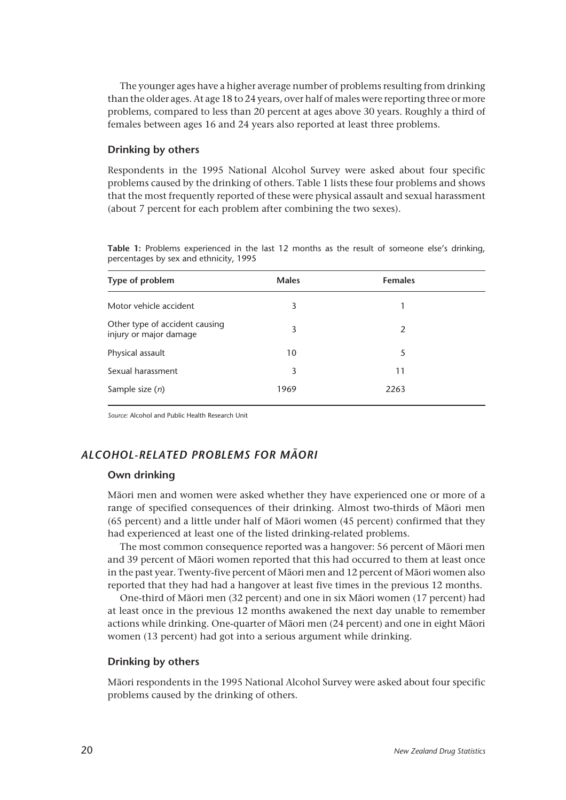The younger ages have a higher average number of problems resulting from drinking than the older ages. At age 18 to 24 years, over half of males were reporting three or more problems, compared to less than 20 percent at ages above 30 years. Roughly a third of females between ages 16 and 24 years also reported at least three problems.

### **Drinking by others**

Respondents in the 1995 National Alcohol Survey were asked about four specific problems caused by the drinking of others. Table 1 lists these four problems and shows that the most frequently reported of these were physical assault and sexual harassment (about 7 percent for each problem after combining the two sexes).

**Table 1:** Problems experienced in the last 12 months as the result of someone else's drinking, percentages by sex and ethnicity, 1995

| Type of problem                                          | <b>Males</b> | <b>Females</b> |  |
|----------------------------------------------------------|--------------|----------------|--|
| Motor vehicle accident                                   | 3            |                |  |
| Other type of accident causing<br>injury or major damage | 3            | 2              |  |
| Physical assault                                         | 10           | 5              |  |
| Sexual harassment                                        | 3            | 11             |  |
| Sample size $(n)$                                        | 1969         | 2263           |  |

*Source:* Alcohol and Public Health Research Unit

# *ALCOHOL-RELATED PROBLEMS FOR MÂORI*

# **Own drinking**

Mâori men and women were asked whether they have experienced one or more of a range of specified consequences of their drinking. Almost two-thirds of Mâori men (65 percent) and a little under half of Mâori women (45 percent) confirmed that they had experienced at least one of the listed drinking-related problems.

The most common consequence reported was a hangover: 56 percent of Mâori men and 39 percent of Mâori women reported that this had occurred to them at least once in the past year. Twenty-five percent of Mâori men and 12 percent of Mâori women also reported that they had had a hangover at least five times in the previous 12 months.

One-third of Mâori men (32 percent) and one in six Mâori women (17 percent) had at least once in the previous 12 months awakened the next day unable to remember actions while drinking. One-quarter of Mâori men (24 percent) and one in eight Mâori women (13 percent) had got into a serious argument while drinking.

# **Drinking by others**

Mâori respondents in the 1995 National Alcohol Survey were asked about four specific problems caused by the drinking of others.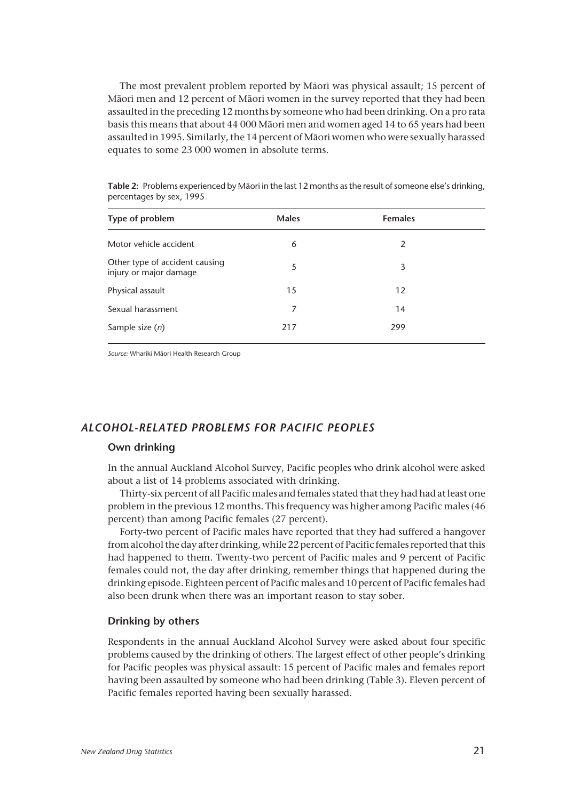The most prevalent problem reported by Mâori was physical assault; 15 percent of Mâori men and 12 percent of Mâori women in the survey reported that they had been assaulted in the preceding 12 months by someone who had been drinking. On a pro rata basis this means that about 44 000 Mâori men and women aged 14 to 65 years had been assaulted in 1995. Similarly, the 14 percent of Mâori women who were sexually harassed equates to some 23 000 women in absolute terms.

**Table 2:** Problems experienced by Mâori in the last 12 months as the result of someone else's drinking, percentages by sex, 1995

*Source:* Whariki Mâori Health Research Group

## *ALCOHOL-RELATED PROBLEMS FOR PACIFIC PEOPLES*

#### **Own drinking**

In the annual Auckland Alcohol Survey, Pacific peoples who drink alcohol were asked about a list of 14 problems associated with drinking.

Thirty-six percent of all Pacific males and females stated that they had had at least one problem in the previous 12 months. This frequency was higher among Pacific males (46 percent) than among Pacific females (27 percent).

Forty-two percent of Pacific males have reported that they had suffered a hangover from alcohol the day after drinking, while 22 percent of Pacific females reported that this had happened to them. Twenty-two percent of Pacific males and 9 percent of Pacific females could not, the day after drinking, remember things that happened during the drinking episode. Eighteen percent of Pacific males and 10 percent of Pacific females had also been drunk when there was an important reason to stay sober.

#### **Drinking by others**

Respondents in the annual Auckland Alcohol Survey were asked about four specific problems caused by the drinking of others. The largest effect of other people's drinking for Pacific peoples was physical assault: 15 percent of Pacific males and females report having been assaulted by someone who had been drinking (Table 3). Eleven percent of Pacific females reported having been sexually harassed.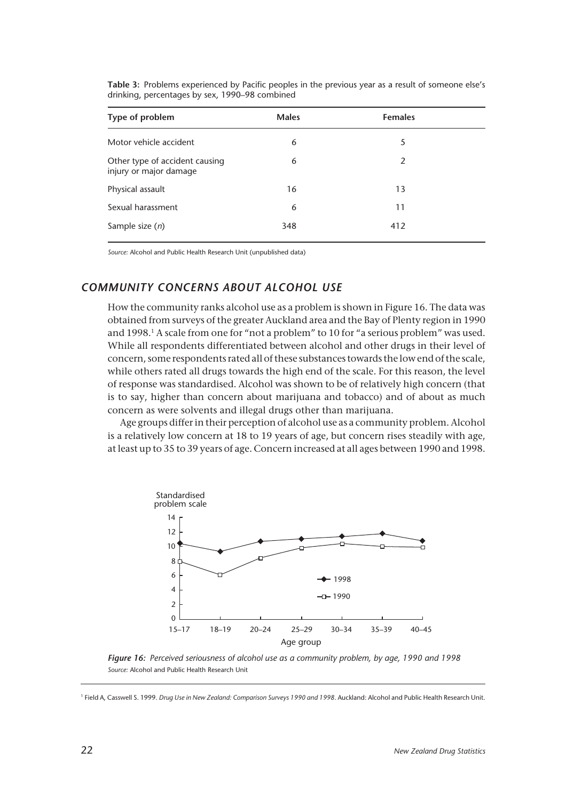| Type of problem                                          | <b>Males</b> | <b>Females</b> |  |
|----------------------------------------------------------|--------------|----------------|--|
| Motor vehicle accident                                   | 6            | 5              |  |
| Other type of accident causing<br>injury or major damage | 6            | 2              |  |
| Physical assault                                         | 16           | 13             |  |
| Sexual harassment                                        | 6            | 11             |  |
| Sample size $(n)$                                        | 348          | 412            |  |

**Table 3:** Problems experienced by Pacific peoples in the previous year as a result of someone else's drinking, percentages by sex, 1990–98 combined

*Source:* Alcohol and Public Health Research Unit (unpublished data)

# *COMMUNITY CONCERNS ABOUT ALCOHOL USE*

How the community ranks alcohol use as a problem is shown in Figure 16. The data was obtained from surveys of the greater Auckland area and the Bay of Plenty region in 1990 and 1998.<sup>1</sup> A scale from one for "not a problem" to 10 for "a serious problem" was used. While all respondents differentiated between alcohol and other drugs in their level of concern, some respondents rated all of these substances towards the low end of the scale, while others rated all drugs towards the high end of the scale. For this reason, the level of response was standardised. Alcohol was shown to be of relatively high concern (that is to say, higher than concern about marijuana and tobacco) and of about as much concern as were solvents and illegal drugs other than marijuana.

Age groups differ in their perception of alcohol use as a community problem. Alcohol is a relatively low concern at 18 to 19 years of age, but concern rises steadily with age, at least up to 35 to 39 years of age. Concern increased at all ages between 1990 and 1998.



*Figure 16: Perceived seriousness of alcohol use as a community problem, by age, 1990 and 1998 Source:* Alcohol and Public Health Research Unit

<sup>1</sup> Field A, Casswell S. 1999. *Drug Use in New Zealand: Comparison Surveys 1990 and 1998*. Auckland: Alcohol and Public Health Research Unit.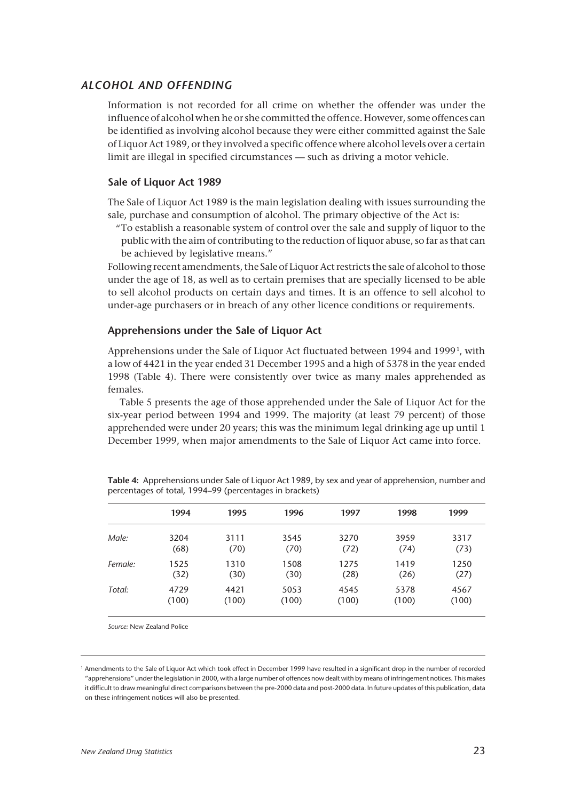#### *ALCOHOL AND OFFENDING*

Information is not recorded for all crime on whether the offender was under the influence of alcohol when he or she committed the offence. However, some offences can be identified as involving alcohol because they were either committed against the Sale of Liquor Act 1989, or they involved a specific offence where alcohol levels over a certain limit are illegal in specified circumstances — such as driving a motor vehicle.

### **Sale of Liquor Act 1989**

The Sale of Liquor Act 1989 is the main legislation dealing with issues surrounding the sale, purchase and consumption of alcohol. The primary objective of the Act is:

To establish a reasonable system of control over the sale and supply of liquor to the " public with the aim of contributing to the reduction of liquor abuse, so far as that can be achieved by legislative means."

Following recent amendments, the Sale of Liquor Act restricts the sale of alcohol to those under the age of 18, as well as to certain premises that are specially licensed to be able to sell alcohol products on certain days and times. It is an offence to sell alcohol to under-age purchasers or in breach of any other licence conditions or requirements.

#### **Apprehensions under the Sale of Liquor Act**

Apprehensions under the Sale of Liquor Act fluctuated between 1994 and 1999<sup>1</sup>, with a low of 4421 in the year ended 31 December 1995 and a high of 5378 in the year ended 1998 (Table 4). There were consistently over twice as many males apprehended as females.

Table 5 presents the age of those apprehended under the Sale of Liquor Act for the six-year period between 1994 and 1999. The majority (at least 79 percent) of those apprehended were under 20 years; this was the minimum legal drinking age up until 1 December 1999, when major amendments to the Sale of Liquor Act came into force.

|         | 1994  | 1995  | 1996  | 1997  | 1998  | 1999  |
|---------|-------|-------|-------|-------|-------|-------|
| Male:   | 3204  | 3111  | 3545  | 3270  | 3959  | 3317  |
|         | (68)  | (70)  | (70)  | (72)  | (74)  | (73)  |
| Female: | 1525  | 1310  | 1508  | 1275  | 1419  | 1250  |
|         | (32)  | (30)  | (30)  | (28)  | (26)  | (27)  |
| Total:  | 4729  | 4421  | 5053  | 4545  | 5378  | 4567  |
|         | (100) | (100) | (100) | (100) | (100) | (100) |

**Table 4:** Apprehensions under Sale of Liquor Act 1989, by sex and year of apprehension, number and percentages of total, 1994–99 (percentages in brackets)

*Source:* New Zealand Police

<sup>&</sup>lt;sup>1</sup> Amendments to the Sale of Liquor Act which took effect in December 1999 have resulted in a significant drop in the number of recorded "apprehensions" under the legislation in 2000, with a large number of offences now dealt with by means of infringement notices. This makes it difficult to draw meaningful direct comparisons between the pre-2000 data and post-2000 data. In future updates of this publication, data on these infringement notices will also be presented.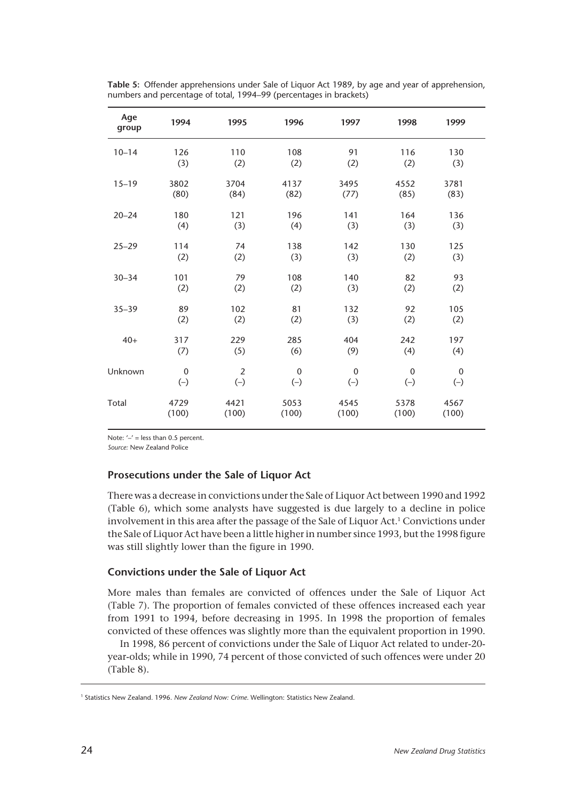| Age<br>group | 1994             | 1995           | 1996        | 1997        | 1998        | 1999             |
|--------------|------------------|----------------|-------------|-------------|-------------|------------------|
| $10 - 14$    | 126              | 110            | 108         | 91          | 116         | 130              |
|              | (3)              | (2)            | (2)         | (2)         | (2)         | (3)              |
| $15 - 19$    | 3802             | 3704           | 4137        | 3495        | 4552        | 3781             |
|              | (80)             | (84)           | (82)        | (77)        | (85)        | (83)             |
| $20 - 24$    | 180              | 121            | 196         | 141         | 164         | 136              |
|              | (4)              | (3)            | (4)         | (3)         | (3)         | (3)              |
| $25 - 29$    | 114              | 74             | 138         | 142         | 130         | 125              |
|              | (2)              | (2)            | (3)         | (3)         | (2)         | (3)              |
| $30 - 34$    | 101              | 79             | 108         | 140         | 82          | 93               |
|              | (2)              | (2)            | (2)         | (3)         | (2)         | (2)              |
| $35 - 39$    | 89               | 102            | 81          | 132         | 92          | 105              |
|              | (2)              | (2)            | (2)         | (3)         | (2)         | (2)              |
| $40+$        | 317              | 229            | 285         | 404         | 242         | 197              |
|              | (7)              | (5)            | (6)         | (9)         | (4)         | (4)              |
| Unknown      | $\boldsymbol{0}$ | $\overline{2}$ | $\mathbf 0$ | $\mathbf 0$ | $\mathbf 0$ | $\boldsymbol{0}$ |
|              | $(-)$            | $(-)$          | $(-)$       | $(-)$       | $(-)$       | $(-)$            |
| Total        | 4729             | 4421           | 5053        | 4545        | 5378        | 4567             |
|              | (100)            | (100)          | (100)       | (100)       | (100)       | (100)            |

**Table 5:** Offender apprehensions under Sale of Liquor Act 1989, by age and year of apprehension, numbers and percentage of total, 1994–99 (percentages in brackets)

Note:  $-1$  = less than 0.5 percent.

*Source:* New Zealand Police

# **Prosecutions under the Sale of Liquor Act**

There was a decrease in convictions under the Sale of Liquor Act between 1990 and 1992 (Table 6), which some analysts have suggested is due largely to a decline in police involvement in this area after the passage of the Sale of Liquor Act.<sup>1</sup> Convictions under the Sale of Liquor Act have been a little higher in number since 1993, but the 1998 figure was still slightly lower than the figure in 1990.

# **Convictions under the Sale of Liquor Act**

More males than females are convicted of offences under the Sale of Liquor Act (Table 7). The proportion of females convicted of these offences increased each year from 1991 to 1994, before decreasing in 1995. In 1998 the proportion of females convicted of these offences was slightly more than the equivalent proportion in 1990.

In 1998, 86 percent of convictions under the Sale of Liquor Act related to under-20 year-olds; while in 1990, 74 percent of those convicted of such offences were under 20 (Table 8).

<sup>&</sup>lt;sup>1</sup> Statistics New Zealand. 1996. *New Zealand Now: Crime*. Wellington: Statistics New Zealand.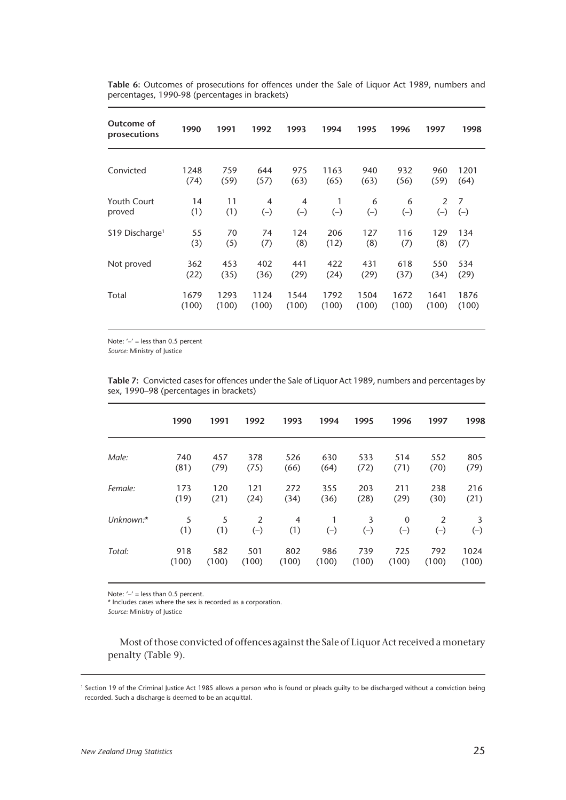| Outcome of<br>prosecutions   | 1990  | 1991  | 1992  | 1993  | 1994  | 1995  | 1996  | 1997  | 1998  |
|------------------------------|-------|-------|-------|-------|-------|-------|-------|-------|-------|
| Convicted                    | 1248  | 759   | 644   | 975   | 1163  | 940   | 932   | 960   | 1201  |
|                              | (74)  | (59)  | (57)  | (63)  | (65)  | (63)  | (56)  | (59)  | (64)  |
| <b>Youth Court</b>           | 14    | 11    | 4     | 4     | 1     | 6     | 6     | 2     | 7     |
| proved                       | (1)   | (1)   | $(-)$ | $(-)$ | $(-)$ | $(-)$ | $(-)$ | $(-)$ | $(-)$ |
| $$19$ Discharge <sup>1</sup> | 55    | 70    | 74    | 124   | 206   | 127   | 116   | 129   | 134   |
|                              | (3)   | (5)   | (7)   | (8)   | (12)  | (8)   | (7)   | (8)   | (7)   |
| Not proved                   | 362   | 453   | 402   | 441   | 422   | 431   | 618   | 550   | 534   |
|                              | (22)  | (35)  | (36)  | (29)  | (24)  | (29)  | (37)  | (34)  | (29)  |
| Total                        | 1679  | 1293  | 1124  | 1544  | 1792  | 1504  | 1672  | 1641  | 1876  |
|                              | (100) | (100) | (100) | (100) | (100) | (100) | (100) | (100) | (100) |

**Table 6:** Outcomes of prosecutions for offences under the Sale of Liquor Act 1989, numbers and percentages, 1990-98 (percentages in brackets)

Note:  $\prime - \prime$  = less than 0.5 percent

*Source:* Ministry of Justice

|           | 1990     | 1991     | 1992                    | 1993     | 1994  | 1995       | 1996              | 1997                    | 1998       |
|-----------|----------|----------|-------------------------|----------|-------|------------|-------------------|-------------------------|------------|
| Male:     | 740      | 457      | 378                     | 526      | 630   | 533        | 514               | 552                     | 805        |
|           | (81)     | (79)     | (75)                    | (66)     | (64)  | (72)       | (71)              | (70)                    | (79)       |
| Female:   | 173      | 120      | 121                     | 272      | 355   | 203        | 211               | 238                     | 216        |
|           | (19)     | (21)     | (24)                    | (34)     | (36)  | (28)       | (29)              | (30)                    | (21)       |
| Unknown:* | 5<br>(1) | 5<br>(1) | $\overline{2}$<br>$(-)$ | 4<br>(1) | $(-)$ | 3<br>$(-)$ | $\Omega$<br>$(-)$ | $\overline{2}$<br>$(-)$ | 3<br>$(-)$ |
| Total:    | 918      | 582      | 501                     | 802      | 986   | 739        | 725               | 792                     | 1024       |
|           | (100)    | (100)    | (100)                   | (100)    | (100) | (100)      | (100)             | (100)                   | (100)      |

**Table 7:** Convicted cases for offences under the Sale of Liquor Act 1989, numbers and percentages by sex, 1990–98 (percentages in brackets)

Note:  $'$  –' = less than 0.5 percent.

\* Includes cases where the sex is recorded as a corporation.

*Source:* Ministry of Justice

Most of those convicted of offences against the Sale of Liquor Act received a monetary penalty (Table 9).

<sup>1</sup> Section 19 of the Criminal Justice Act 1985 allows a person who is found or pleads guilty to be discharged without a conviction being recorded. Such a discharge is deemed to be an acquittal.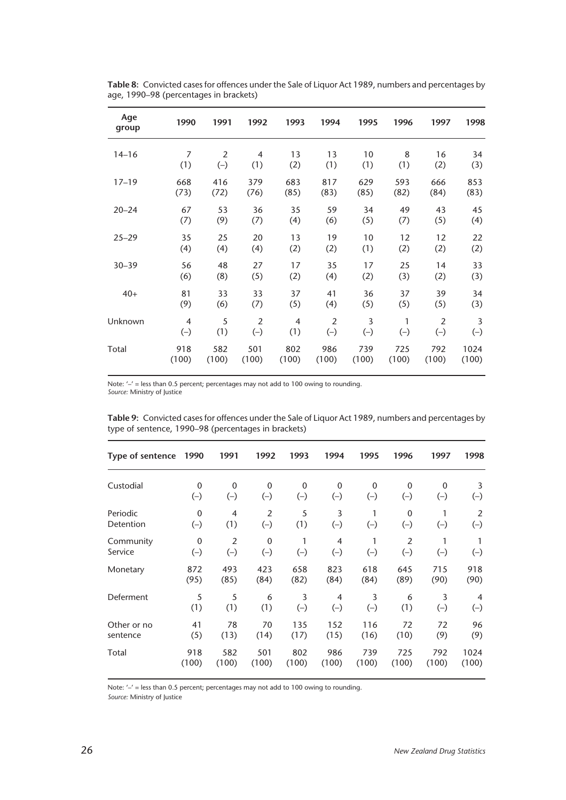| Age<br>group | 1990           | 1991           | 1992           | 1993           | 1994           | 1995  | 1996  | 1997  | 1998           |
|--------------|----------------|----------------|----------------|----------------|----------------|-------|-------|-------|----------------|
| $14 - 16$    | 7              | $\overline{2}$ | 4              | 13             | 13             | 10    | 8     | 16    | 34             |
|              | (1)            | $(-)$          | (1)            | (2)            | (1)            | (1)   | (1)   | (2)   | (3)            |
| $17 - 19$    | 668            | 416            | 379            | 683            | 817            | 629   | 593   | 666   | 853            |
|              | (73)           | (72)           | (76)           | (85)           | (83)           | (85)  | (82)  | (84)  | (83)           |
| $20 - 24$    | 67             | 53             | 36             | 35             | 59             | 34    | 49    | 43    | 45             |
|              | (7)            | (9)            | (7)            | (4)            | (6)            | (5)   | (7)   | (5)   | (4)            |
| $25 - 29$    | 35             | 25             | 20             | 13             | 19             | 10    | 12    | 12    | 22             |
|              | (4)            | (4)            | (4)            | (2)            | (2)            | (1)   | (2)   | (2)   | (2)            |
| $30 - 39$    | 56             | 48             | 27             | 17             | 35             | 17    | 25    | 14    | 33             |
|              | (6)            | (8)            | (5)            | (2)            | (4)            | (2)   | (3)   | (2)   | (3)            |
| $40+$        | 81             | 33             | 33             | 37             | 41             | 36    | 37    | 39    | 34             |
|              | (9)            | (6)            | (7)            | (5)            | (4)            | (5)   | (5)   | (5)   | (3)            |
| Unknown      | $\overline{4}$ | 5              | $\overline{2}$ | $\overline{4}$ | $\overline{2}$ | 3     | 1     | 2     | $\overline{3}$ |
|              | $(-)$          | (1)            | $(-)$          | (1)            | $(-)$          | $(-)$ | $(-)$ | $(-)$ | $(-)$          |
| Total        | 918            | 582            | 501            | 802            | 986            | 739   | 725   | 792   | 1024           |
|              | (100)          | (100)          | (100)          | (100)          | (100)          | (100) | (100) | (100) | (100)          |

**Table 8:** Convicted cases for offences under the Sale of Liquor Act 1989, numbers and percentages by age, 1990–98 (percentages in brackets)

Note: '–' = less than 0.5 percent; percentages may not add to 100 owing to rounding. *Source:* Ministry of Justice

| Table 9: Convicted cases for offences under the Sale of Liquor Act 1989, numbers and percentages by |  |
|-----------------------------------------------------------------------------------------------------|--|
| type of sentence, 1990–98 (percentages in brackets)                                                 |  |

| Type of sentence | 1990         | 1991           | 1992           | 1993  | 1994             | 1995        | 1996           | 1997        | 1998           |
|------------------|--------------|----------------|----------------|-------|------------------|-------------|----------------|-------------|----------------|
| Custodial        | $\mathbf 0$  | 0              | 0              | 0     | $\boldsymbol{0}$ | $\mathbf 0$ | $\mathbf 0$    | $\mathbf 0$ | 3              |
|                  | $(-)$        | $(-)$          | $(-)$          | $(-)$ | $(-)$            | $(-)$       | $(-)$          | $(-)$       | $(-)$          |
| Periodic         | $\mathbf{0}$ | 4              | $\overline{2}$ | 5     | 3                | 1           | $\mathbf{0}$   | 1           | 2              |
| Detention        | $(-)$        | (1)            | $(-)$          | (1)   | $(-)$            | $(-)$       | $(-)$          | $(-)$       | $(-)$          |
| Community        | $\mathbf{0}$ | $\overline{2}$ | $\mathbf 0$    | 1     | $\overline{4}$   | 1           | $\overline{2}$ | 1           | 1              |
| Service          | $(-)$        | $(-)$          | $(-)$          | $(-)$ | $(-)$            | $(-)$       | $(-)$          | $(-)$       | $(-)$          |
| Monetary         | 872          | 493            | 423            | 658   | 823              | 618         | 645            | 715         | 918            |
|                  | (95)         | (85)           | (84)           | (82)  | (84)             | (84)        | (89)           | (90)        | (90)           |
| Deferment        | 5            | 5              | 6              | 3     | 4                | 3           | 6              | 3           | $\overline{4}$ |
|                  | (1)          | (1)            | (1)            | $(-)$ | $(-)$            | $(-)$       | (1)            | $(-)$       | $(-)$          |
| Other or no      | 41           | 78             | 70             | 135   | 152              | 116         | 72             | 72          | 96             |
| sentence         | (5)          | (13)           | (14)           | (17)  | (15)             | (16)        | (10)           | (9)         | (9)            |
| Total            | 918          | 582            | 501            | 802   | 986              | 739         | 725            | 792         | 1024           |
|                  | (100)        | (100)          | (100)          | (100) | (100)            | (100)       | (100)          | (100)       | (100)          |

Note: '-' = less than 0.5 percent; percentages may not add to 100 owing to rounding.

*Source:* Ministry of Justice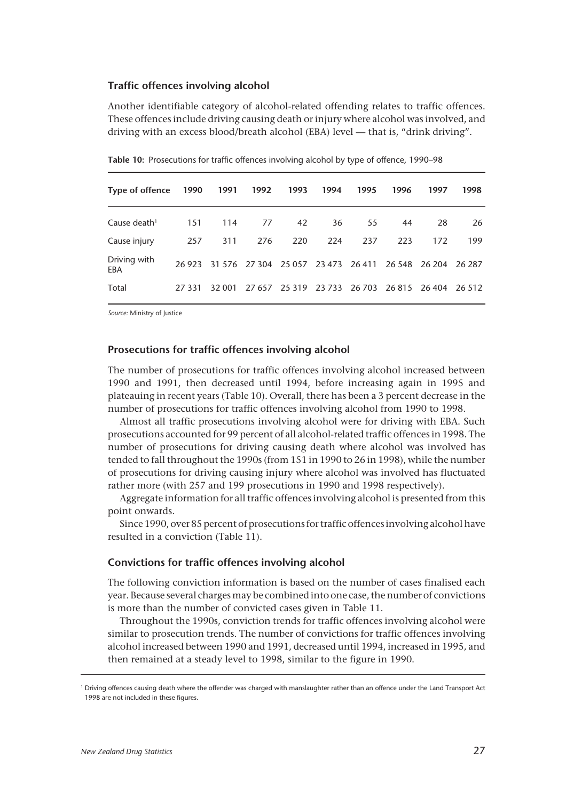#### **Traffic offences involving alcohol**

Another identifiable category of alcohol-related offending relates to traffic offences. These offences include driving causing death or injury where alcohol was involved, and driving with an excess blood/breath alcohol (EBA) level — that is, "drink driving".

| Type of offence     | 1990    | 1991   | 1992                                                    | 1993 | 1994 | 1995 | 1996 | 1997                                             | 1998 |
|---------------------|---------|--------|---------------------------------------------------------|------|------|------|------|--------------------------------------------------|------|
| Cause death $1$     | 151     | 114    | 77                                                      | 42   | 36   | 55   | 44   | 28                                               | 26   |
| Cause injury        | 257     | 311    | 276                                                     | 220  | 224  | 237  | 223  | 172                                              | 199  |
| Driving with<br>EBA | 26923   |        | 31 576 27 304 25 057 23 473 26 411 26 548 26 204 26 287 |      |      |      |      |                                                  |      |
| Total               | 27 3 31 | 32 001 |                                                         |      |      |      |      | 27 657 25 319 23 733 26 703 26 815 26 404 26 512 |      |

**Table 10:** Prosecutions for traffic offences involving alcohol by type of offence, 1990–98

*Source:* Ministry of Justice

#### **Prosecutions for traffic offences involving alcohol**

The number of prosecutions for traffic offences involving alcohol increased between 1990 and 1991, then decreased until 1994, before increasing again in 1995 and plateauing in recent years (Table 10). Overall, there has been a 3 percent decrease in the number of prosecutions for traffic offences involving alcohol from 1990 to 1998.

Almost all traffic prosecutions involving alcohol were for driving with EBA. Such prosecutions accounted for 99 percent of all alcohol-related traffic offences in 1998. The number of prosecutions for driving causing death where alcohol was involved has tended to fall throughout the 1990s (from 151 in 1990 to 26 in 1998), while the number of prosecutions for driving causing injury where alcohol was involved has fluctuated rather more (with 257 and 199 prosecutions in 1990 and 1998 respectively).

Aggregate information for all traffic offences involving alcohol is presented from this point onwards.

Since 1990, over 85 percent of prosecutions for traffic offences involving alcohol have resulted in a conviction (Table 11).

#### **Convictions for traffic offences involving alcohol**

The following conviction information is based on the number of cases finalised each year. Because several charges may be combined into one case, the number of convictions is more than the number of convicted cases given in Table 11.

Throughout the 1990s, conviction trends for traffic offences involving alcohol were similar to prosecution trends. The number of convictions for traffic offences involving alcohol increased between 1990 and 1991, decreased until 1994, increased in 1995, and then remained at a steady level to 1998, similar to the figure in 1990.

<sup>1</sup> Driving offences causing death where the offender was charged with manslaughter rather than an offence under the Land Transport Act 1998 are not included in these figures.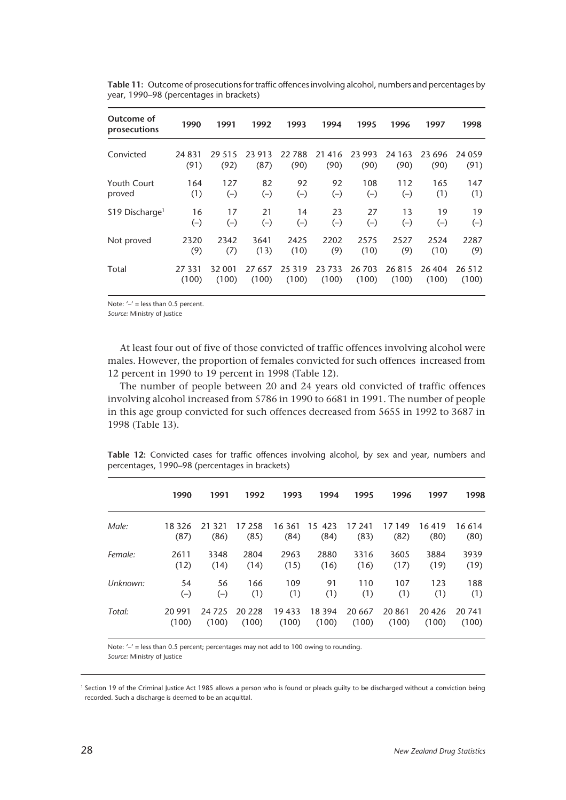| Outcome of<br>prosecutions   | 1990            | 1991             | 1992              | 1993          | 1994              | 1995           | 1996             | 1997           | 1998            |
|------------------------------|-----------------|------------------|-------------------|---------------|-------------------|----------------|------------------|----------------|-----------------|
| Convicted                    | 24 8 31<br>(91) | 29 5 1 5<br>(92) | 23<br>913<br>(87) | 22788<br>(90) | 21<br>416<br>(90) | 23 993<br>(90) | 24 1 6 3<br>(90) | 23 696<br>(90) | 24 0 59<br>(91) |
| Youth Court                  | 164             | 127              | 82                | 92            | 92                | 108            | 112              | 165            | 147             |
| proved                       | (1)             | $(-)$            | $(-)$             | $(-)$         | $(-)$             | $(-)$          | $(-)$            | (1)            | (1)             |
| $$19$ Discharge <sup>1</sup> | 16              | 17               | 21                | 14            | 23                | 27             | 13               | 19             | 19              |
|                              | $(-)$           | $(-)$            | $(-)$             | $(-)$         | $(-)$             | $(-)$          | $(-)$            | $(-)$          | $(-)$           |
| Not proved                   | 2320            | 2342             | 3641              | 2425          | 2202              | 2575           | 2527             | 2524           | 2287            |
|                              | (9)             | (7)              | (13)              | (10)          | (9)               | (10)           | (9)              | (10)           | (9)             |
| Total                        | 27 331          | 32 001           | 27 657            | 25 3 19       | 23733             | 26 703         | 26815            | 26 404         | 26 5 12         |
|                              | (100)           | (100)            | (100)             | (100)         | (100)             | (100)          | (100)            | (100)          | (100)           |

**Table 11:** Outcome of prosecutions for traffic offences involving alcohol, numbers and percentages by year, 1990–98 (percentages in brackets)

Note:  $'$  – less than 0.5 percent.

*Source:* Ministry of Justice

At least four out of five of those convicted of traffic offences involving alcohol were males. However, the proportion of females convicted for such offences increased from 12 percent in 1990 to 19 percent in 1998 (Table 12).

The number of people between 20 and 24 years old convicted of traffic offences involving alcohol increased from 5786 in 1990 to 6681 in 1991. The number of people in this age group convicted for such offences decreased from 5655 in 1992 to 3687 in 1998 (Table 13).

|          | 1990            | 1991           | 1992           | 1993           | 1994              | 1995           | 1996          | 1997          | 1998            |
|----------|-----------------|----------------|----------------|----------------|-------------------|----------------|---------------|---------------|-----------------|
|          |                 |                |                |                |                   |                |               |               |                 |
| Male:    | 18 3 26<br>(87) | 21 321<br>(86) | 17 258<br>(85) | 16 361<br>(84) | 423<br>15<br>(84) | 17 241<br>(83) | 17149<br>(82) | 16419<br>(80) | 16 6 14<br>(80) |
| Female:  | 2611            | 3348           | 2804           | 2963           | 2880              | 3316           | 3605          | 3884          | 3939            |
|          | (12)            | (14)           | (14)           | (15)           | (16)              | (16)           | (17)          | (19)          | (19)            |
| Unknown: | 54              | 56             | 166            | 109            | 91                | 110            | 107           | 123           | 188             |
|          | $(-)$           | $(-)$          | (1)            | (1)            | (1)               | (1)            | (1)           | (1)           | (1)             |
| Total:   | 20 991          | 24 7 25        | 20 228         | 19433          | 18 3 94           | 20 667         | 20861         | 20426         | 20 741          |
|          | (100)           | (100)          | (100)          | (100)          | (100)             | (100)          | (100)         | (100)         | (100)           |

**Table 12:** Convicted cases for traffic offences involving alcohol, by sex and year, numbers and percentages, 1990–98 (percentages in brackets)

Note: '–' = less than 0.5 percent; percentages may not add to 100 owing to rounding.

*Source:* Ministry of Justice

<sup>1</sup> Section 19 of the Criminal Justice Act 1985 allows a person who is found or pleads guilty to be discharged without a conviction being recorded. Such a discharge is deemed to be an acquittal.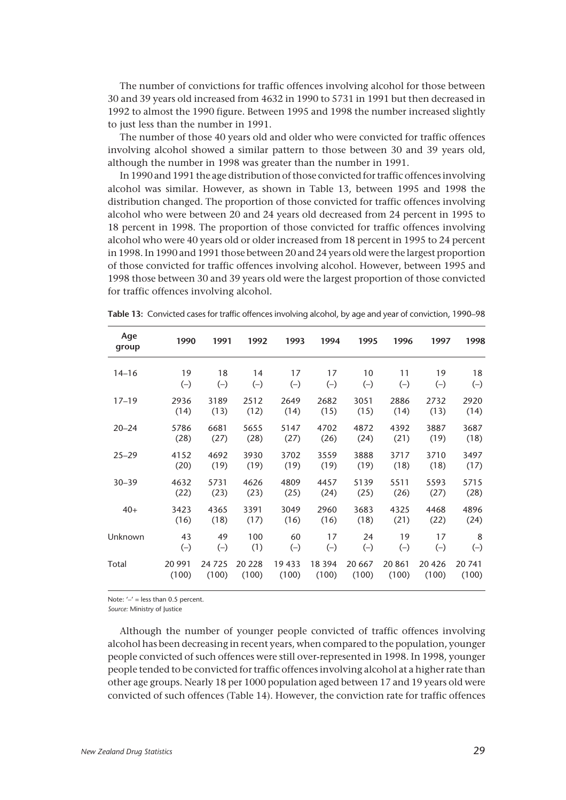The number of convictions for traffic offences involving alcohol for those between 30 and 39 years old increased from 4632 in 1990 to 5731 in 1991 but then decreased in 1992 to almost the 1990 figure. Between 1995 and 1998 the number increased slightly to just less than the number in 1991.

The number of those 40 years old and older who were convicted for traffic offences involving alcohol showed a similar pattern to those between 30 and 39 years old, although the number in 1998 was greater than the number in 1991.

In 1990 and 1991 the age distribution of those convicted for traffic offences involving alcohol was similar. However, as shown in Table 13, between 1995 and 1998 the distribution changed. The proportion of those convicted for traffic offences involving alcohol who were between 20 and 24 years old decreased from 24 percent in 1995 to 18 percent in 1998. The proportion of those convicted for traffic offences involving alcohol who were 40 years old or older increased from 18 percent in 1995 to 24 percent in 1998. In 1990 and 1991 those between 20 and 24 years old were the largest proportion of those convicted for traffic offences involving alcohol. However, between 1995 and 1998 those between 30 and 39 years old were the largest proportion of those convicted for traffic offences involving alcohol.

| Age<br>group | 1990   | 1991  | 1992   | 1993  | 1994     | 1995    | 1996   | 1997  | 1998  |
|--------------|--------|-------|--------|-------|----------|---------|--------|-------|-------|
| $14 - 16$    | 19     | 18    | 14     | 17    | 17       | 10      | 11     | 19    | 18    |
|              | $(-)$  | $(-)$ | $(-)$  | $(-)$ | $(-)$    | $(-)$   | $(-)$  | $(-)$ | $(-)$ |
| $17 - 19$    | 2936   | 3189  | 2512   | 2649  | 2682     | 3051    | 2886   | 2732  | 2920  |
|              | (14)   | (13)  | (12)   | (14)  | (15)     | (15)    | (14)   | (13)  | (14)  |
| $20 - 24$    | 5786   | 6681  | 5655   | 5147  | 4702     | 4872    | 4392   | 3887  | 3687  |
|              | (28)   | (27)  | (28)   | (27)  | (26)     | (24)    | (21)   | (19)  | (18)  |
| $25 - 29$    | 4152   | 4692  | 3930   | 3702  | 3559     | 3888    | 3717   | 3710  | 3497  |
|              | (20)   | (19)  | (19)   | (19)  | (19)     | (19)    | (18)   | (18)  | (17)  |
| $30 - 39$    | 4632   | 5731  | 4626   | 4809  | 4457     | 5139    | 5511   | 5593  | 5715  |
|              | (22)   | (23)  | (23)   | (25)  | (24)     | (25)    | (26)   | (27)  | (28)  |
| $40+$        | 3423   | 4365  | 3391   | 3049  | 2960     | 3683    | 4325   | 4468  | 4896  |
|              | (16)   | (18)  | (17)   | (16)  | (16)     | (18)    | (21)   | (22)  | (24)  |
| Unknown      | 43     | 49    | 100    | 60    | 17       | 24      | 19     | 17    | 8     |
|              | $(-)$  | $(-)$ | (1)    | $(-)$ | $(-)$    | $(-)$   | $(-)$  | $(-)$ | $(-)$ |
| Total        | 20 991 | 24725 | 20 228 | 19433 | 18 3 9 4 | 20 6 67 | 20 861 | 20426 | 20741 |
|              | (100)  | (100) | (100)  | (100) | (100)    | (100)   | (100)  | (100) | (100) |

**Table 13:** Convicted cases for traffic offences involving alcohol, by age and year of conviction, 1990–98

Note:  $-1$  = less than 0.5 percent.

*Source:* Ministry of Justice

Although the number of younger people convicted of traffic offences involving alcohol has been decreasing in recent years, when compared to the population, younger people convicted of such offences were still over-represented in 1998. In 1998, younger people tended to be convicted for traffic offences involving alcohol at a higher rate than other age groups. Nearly 18 per 1000 population aged between 17 and 19 years old were convicted of such offences (Table 14). However, the conviction rate for traffic offences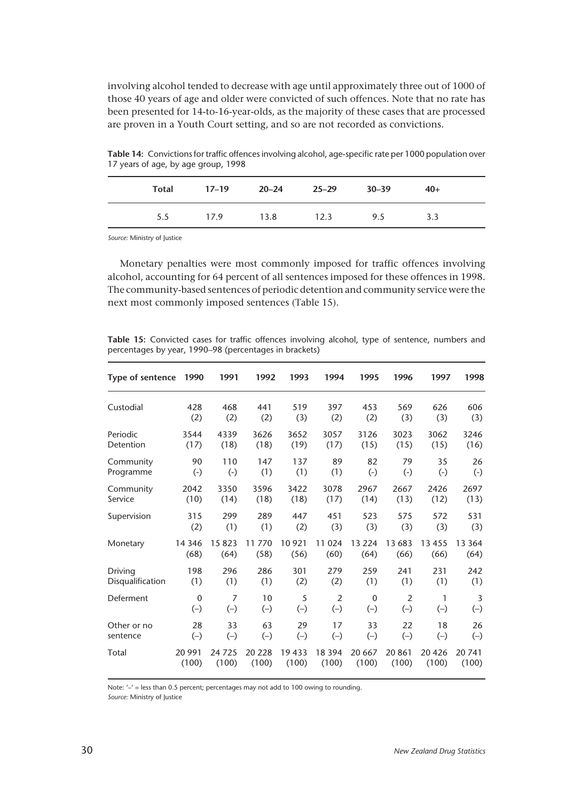involving alcohol tended to decrease with age until approximately three out of 1000 of those 40 years of age and older were convicted of such offences. Note that no rate has been presented for 14-to-16-year-olds, as the majority of these cases that are processed are proven in a Youth Court setting, and so are not recorded as convictions.

| Total | $17-19$ 20-24 |      | 25–29 30–39 |     | $40+$ |
|-------|---------------|------|-------------|-----|-------|
| 5.5   | 17.9          | 13.8 | 12.3        | 9.5 | 3.3   |

**Table 14:** Convictions for traffic offences involving alcohol, age-specific rate per 1000 population over 17 years of age, by age group, 1998

*Source:* Ministry of Justice

Monetary penalties were most commonly imposed for traffic offences involving alcohol, accounting for 64 percent of all sentences imposed for these offences in 1998. The community-based sentences of periodic detention and community service were the next most commonly imposed sentences (Table 15).

**Table 15:** Convicted cases for traffic offences involving alcohol, type of sentence, numbers and percentages by year, 1990–98 (percentages in brackets)

| Type of sentence | 1990        | 1991           | 1992    | 1993  | 1994           | 1995        | 1996           | 1997      | 1998           |
|------------------|-------------|----------------|---------|-------|----------------|-------------|----------------|-----------|----------------|
| Custodial        | 428         | 468            | 441     | 519   | 397            | 453         | 569            | 626       | 606            |
|                  | (2)         | (2)            | (2)     | (3)   | (2)            | (2)         | (3)            | (3)       | (3)            |
| Periodic         | 3544        | 4339           | 3626    | 3652  | 3057           | 3126        | 3023           | 3062      | 3246           |
| Detention        | (17)        | (18)           | (18)    | (19)  | (17)           | (15)        | (15)           | (15)      | (16)           |
| Community        | 90          | 110            | 147     | 137   | 89             | 82          | 79             | 35        | 26             |
| Programme        | $(\cdot)$   | $(\cdot)$      | (1)     | (1)   | (1)            | $(\cdot)$   | $(\cdot)$      | $(\cdot)$ | $(\cdot)$      |
| Community        | 2042        | 3350           | 3596    | 3422  | 3078           | 2967        | 2667           | 2426      | 2697           |
| Service          | (10)        | (14)           | (18)    | (18)  | (17)           | (14)        | (13)           | (12)      | (13)           |
| Supervision      | 315         | 299            | 289     | 447   | 451            | 523         | 575            | 572       | 531            |
|                  | (2)         | (1)            | (1)     | (2)   | (3)            | (3)         | (3)            | (3)       | (3)            |
| Monetary         | 14 3 46     | 15823          | 11 770  | 10921 | 11 0 24        | 13 2 24     | 13 683         | 13455     | 13 3 64        |
|                  | (68)        | (64)           | (58)    | (56)  | (60)           | (64)        | (66)           | (66)      | (64)           |
| Driving          | 198         | 296            | 286     | 301   | 279            | 259         | 241            | 231       | 242            |
| Disqualification | (1)         | (1)            | (1)     | (2)   | (2)            | (1)         | (1)            | (1)       | (1)            |
| Deferment        | $\mathbf 0$ | $\overline{7}$ | 10      | 5     | $\overline{2}$ | $\mathbf 0$ | $\overline{2}$ | 1         | $\overline{3}$ |
|                  | $(-)$       | $(-)$          | $(-)$   | $(-)$ | $(-)$          | $(-)$       | $(-)$          | $(-)$     | $(-)$          |
| Other or no      | 28          | 33             | 63      | 29    | 17             | 33          | 22             | 18        | 26             |
| sentence         | $(-)$       | $(-)$          | $(-)$   | $(-)$ | $(-)$          | $(-)$       | $(-)$          | $(-)$     | $(-)$          |
| Total            | 20 991      | 24 7 25        | 20 2 28 | 19433 | 18 3 94        | 20 667      | 20 861         | 20426     | 20 741         |
|                  | (100)       | (100)          | (100)   | (100) | (100)          | (100)       | (100)          | (100)     | (100)          |

Note: '-' = less than 0.5 percent; percentages may not add to 100 owing to rounding.

*Source:* Ministry of Justice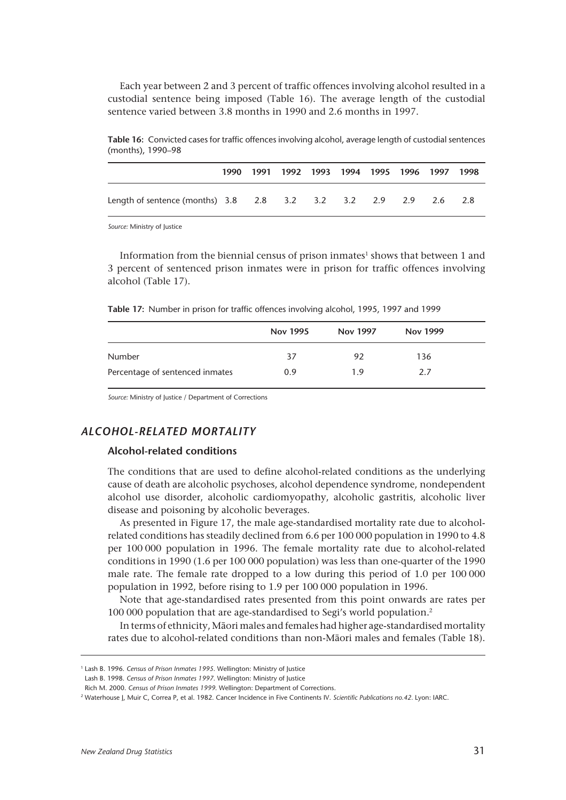Each year between 2 and 3 percent of traffic offences involving alcohol resulted in a custodial sentence being imposed (Table 16). The average length of the custodial sentence varied between 3.8 months in 1990 and 2.6 months in 1997.

|                                                                 |  | 1990 1991 1992 1993 1994 1995 1996 1997 1998 |  |  |  |
|-----------------------------------------------------------------|--|----------------------------------------------|--|--|--|
| Length of sentence (months) 3.8 2.8 3.2 3.2 3.2 2.9 2.9 2.6 2.8 |  |                                              |  |  |  |

**Table 16:** Convicted cases for traffic offences involving alcohol, average length of custodial sentences (months), 1990–98

*Source:* Ministry of Justice

Information from the biennial census of prison inmates $^1$  shows that between 1 and 3 percent of sentenced prison inmates were in prison for traffic offences involving alcohol (Table 17).

**Table 17:** Number in prison for traffic offences involving alcohol, 1995, 1997 and 1999

|                                 | <b>Nov 1995</b> | <b>Nov 1997</b> | <b>Nov 1999</b> |  |
|---------------------------------|-----------------|-----------------|-----------------|--|
| <b>Number</b>                   | 37              | 92              | 136             |  |
| Percentage of sentenced inmates | 0.9             | 19              | 2.7             |  |

*Source:* Ministry of Justice / Department of Corrections

# *ALCOHOL-RELATED MORTALITY*

#### **Alcohol-related conditions**

The conditions that are used to define alcohol-related conditions as the underlying cause of death are alcoholic psychoses, alcohol dependence syndrome, nondependent alcohol use disorder, alcoholic cardiomyopathy, alcoholic gastritis, alcoholic liver disease and poisoning by alcoholic beverages.

As presented in Figure 17, the male age-standardised mortality rate due to alcoholrelated conditions has steadily declined from 6.6 per 100 000 population in 1990 to 4.8 per 100 000 population in 1996. The female mortality rate due to alcohol-related conditions in 1990 (1.6 per 100 000 population) was less than one-quarter of the 1990 male rate. The female rate dropped to a low during this period of 1.0 per 100 000 population in 1992, before rising to 1.9 per 100 000 population in 1996.

Note that age-standardised rates presented from this point onwards are rates per 100 000 population that are age-standardised to Segi's world population.2

In terms of ethnicity, Mâori males and females had higher age-standardised mortality rates due to alcohol-related conditions than non-Mâori males and females (Table 18).

<sup>1</sup> Lash B. 1996. *Census of Prison Inmates 1995*. Wellington: Ministry of Justice

Lash B. 1998. *Census of Prison Inmates 1997*. Wellington: Ministry of Justice

Rich M. 2000. *Census of Prison Inmates 1999*. Wellington: Department of Corrections.

<sup>2</sup> Waterhouse J, Muir C, Correa P, et al. 1982. Cancer Incidence in Five Continents IV. *Scientific Publications no.42.* Lyon: IARC.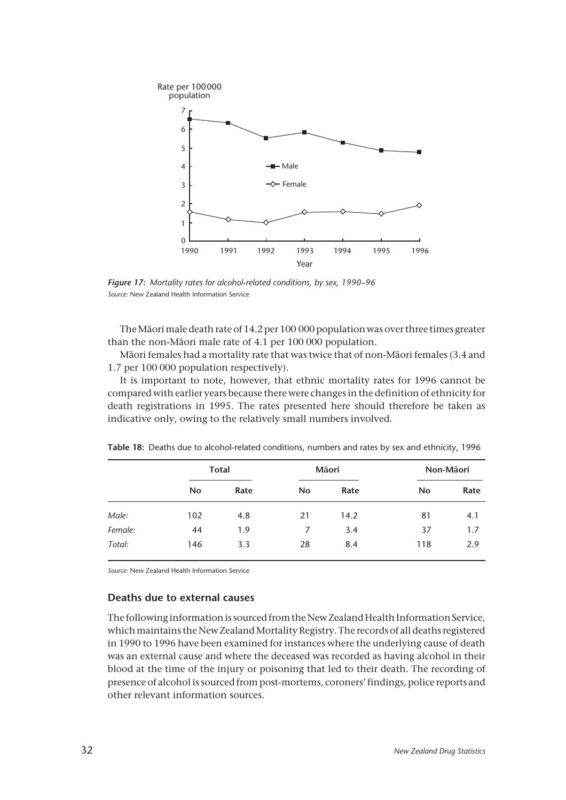

*Figure 17: Mortality rates for alcohol-related conditions, by sex, 1990–96 Source:* New Zealand Health Information Service

The Mâori male death rate of 14.2 per 100 000 population was over three times greater than the non-Mâori male rate of 4.1 per 100 000 population.

Mâori females had a mortality rate that was twice that of non-Mâori females (3.4 and 1.7 per 100 000 population respectively).

It is important to note, however, that ethnic mortality rates for 1996 cannot be compared with earlier years because there were changes in the definition of ethnicity for death registrations in 1995. The rates presented here should therefore be taken as indicative only, owing to the relatively small numbers involved.

|         |           | <b>Total</b> |           | Māori | Non-Māori |      |  |
|---------|-----------|--------------|-----------|-------|-----------|------|--|
|         | <b>No</b> | Rate         | <b>No</b> | Rate  | No        | Rate |  |
| Male:   | 102       | 4.8          | 21        | 14.2  | 81        | 4.1  |  |
| Female: | 44        | 1.9          | 7         | 3.4   | 37        | 1.7  |  |
| Total:  | 146       | 3.3          | 28        | 8.4   | 118       | 2.9  |  |

**Table 18:** Deaths due to alcohol-related conditions, numbers and rates by sex and ethnicity, 1996

*Source:* New Zealand Health Information Service

#### **Deaths due to external causes**

The following information is sourced from the New Zealand Health Information Service, which maintains the New Zealand Mortality Registry. The records of all deaths registered in 1990 to 1996 have been examined for instances where the underlying cause of death was an external cause and where the deceased was recorded as having alcohol in their blood at the time of the injury or poisoning that led to their death. The recording of presence of alcohol is sourced from post-mortems, coroners' findings, police reports and other relevant information sources.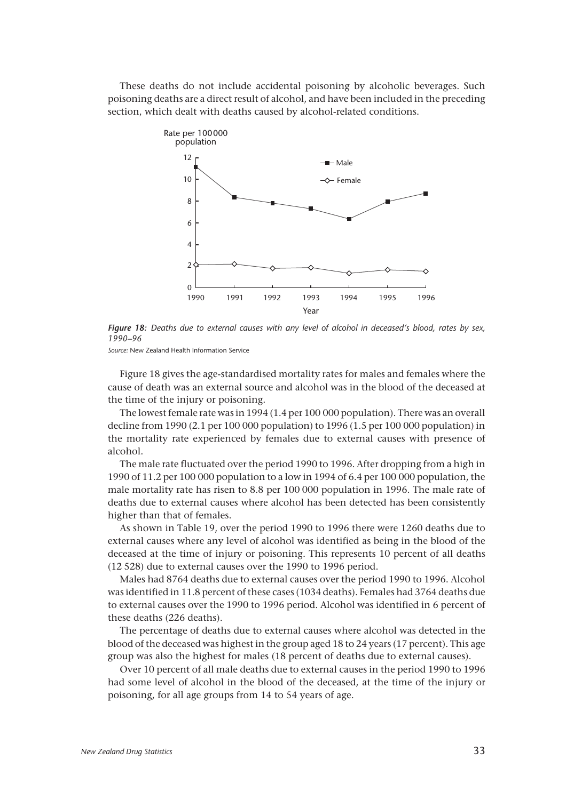These deaths do not include accidental poisoning by alcoholic beverages. Such poisoning deaths are a direct result of alcohol, and have been included in the preceding section, which dealt with deaths caused by alcohol-related conditions.



*Figure 18: Deaths due to external causes with any level of alcohol in deceased's blood, rates by sex, 1990–96*

*Source:* New Zealand Health Information Service

Figure 18 gives the age-standardised mortality rates for males and females where the cause of death was an external source and alcohol was in the blood of the deceased at the time of the injury or poisoning.

The lowest female rate was in 1994 (1.4 per 100 000 population). There was an overall decline from 1990 (2.1 per 100 000 population) to 1996 (1.5 per 100 000 population) in the mortality rate experienced by females due to external causes with presence of alcohol.

The male rate fluctuated over the period 1990 to 1996. After dropping from a high in 1990 of 11.2 per 100 000 population to a low in 1994 of 6.4 per 100 000 population, the male mortality rate has risen to 8.8 per 100 000 population in 1996. The male rate of deaths due to external causes where alcohol has been detected has been consistently higher than that of females.

As shown in Table 19, over the period 1990 to 1996 there were 1260 deaths due to external causes where any level of alcohol was identified as being in the blood of the deceased at the time of injury or poisoning. This represents 10 percent of all deaths (12 528) due to external causes over the 1990 to 1996 period.

Males had 8764 deaths due to external causes over the period 1990 to 1996. Alcohol was identified in 11.8 percent of these cases (1034 deaths). Females had 3764 deaths due to external causes over the 1990 to 1996 period. Alcohol was identified in 6 percent of these deaths (226 deaths).

The percentage of deaths due to external causes where alcohol was detected in the blood of the deceased was highest in the group aged 18 to 24 years (17 percent). This age group was also the highest for males (18 percent of deaths due to external causes).

Over 10 percent of all male deaths due to external causes in the period 1990 to 1996 had some level of alcohol in the blood of the deceased, at the time of the injury or poisoning, for all age groups from 14 to 54 years of age.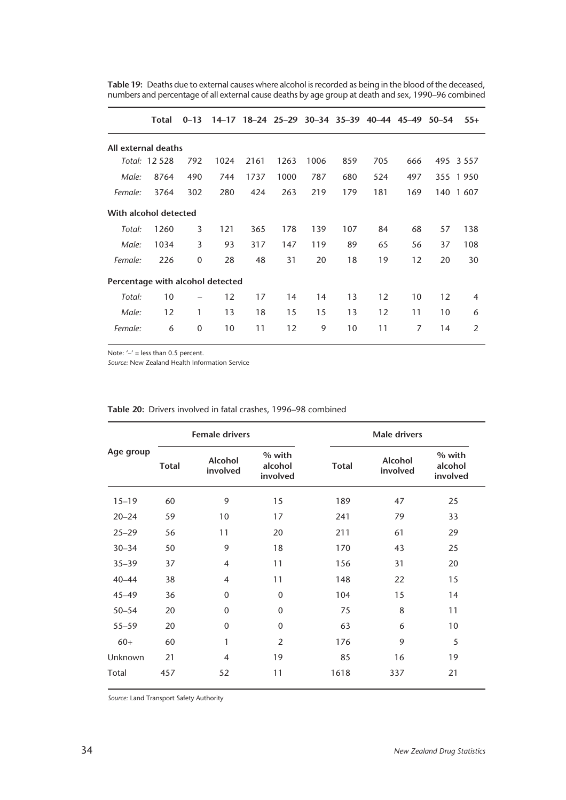|                                  | Total         | $0 - 13$ |      |      |      | 14-17 18-24 25-29 30-34 35-39 40-44 45-49 50-54 |     |     |     |     | $55+$    |
|----------------------------------|---------------|----------|------|------|------|-------------------------------------------------|-----|-----|-----|-----|----------|
| All external deaths              |               |          |      |      |      |                                                 |     |     |     |     |          |
|                                  | Total: 12 528 | 792      | 1024 | 2161 | 1263 | 1006                                            | 859 | 705 | 666 | 495 | 3 5 5 7  |
| Male:                            | 8764          | 490      | 744  | 1737 | 1000 | 787                                             | 680 | 524 | 497 |     | 355 1950 |
| Female:                          | 3764          | 302      | 280  | 424  | 263  | 219                                             | 179 | 181 | 169 | 140 | 1607     |
| With alcohol detected            |               |          |      |      |      |                                                 |     |     |     |     |          |
| Total:                           | 1260          | 3        | 121  | 365  | 178  | 139                                             | 107 | 84  | 68  | 57  | 138      |
| Male:                            | 1034          | 3        | 93   | 317  | 147  | 119                                             | 89  | 65  | 56  | 37  | 108      |
| Female:                          | 226           | 0        | 28   | 48   | 31   | 20                                              | 18  | 19  | 12  | 20  | 30       |
| Percentage with alcohol detected |               |          |      |      |      |                                                 |     |     |     |     |          |
| Total:                           | 10            |          | 12   | 17   | 14   | 14                                              | 13  | 12  | 10  | 12  | 4        |
| Male:                            | 12            | 1        | 13   | 18   | 15   | 15                                              | 13  | 12  | 11  | 10  | 6        |
| Female:                          | 6             | 0        | 10   | 11   | 12   | 9                                               | 10  | 11  | 7   | 14  | 2        |

**Table 19:** Deaths due to external causes where alcohol is recorded as being in the blood of the deceased, numbers and percentage of all external cause deaths by age group at death and sex, 1990–96 combined

Note: '-' = less than 0.5 percent.

*Source:* New Zealand Health Information Service

|           | <b>Female drivers</b> |                            |                               | <b>Male drivers</b> |                            |                               |  |
|-----------|-----------------------|----------------------------|-------------------------------|---------------------|----------------------------|-------------------------------|--|
| Age group | <b>Total</b>          | <b>Alcohol</b><br>involved | % with<br>alcohol<br>involved | <b>Total</b>        | <b>Alcohol</b><br>involved | % with<br>alcohol<br>involved |  |
| $15 - 19$ | 60                    | 9                          | 15                            | 189                 | 47                         | 25                            |  |
| $20 - 24$ | 59                    | 10                         | 17                            | 241                 | 79                         | 33                            |  |
| $25 - 29$ | 56                    | 11                         | 20                            | 211                 | 61                         | 29                            |  |
| $30 - 34$ | 50                    | 9                          | 18                            | 170                 | 43                         | 25                            |  |
| $35 - 39$ | 37                    | $\overline{4}$             | 11                            | 156                 | 31                         | 20                            |  |
| $40 - 44$ | 38                    | $\overline{4}$             | 11                            | 148                 | 22                         | 15                            |  |
| $45 - 49$ | 36                    | $\mathbf{0}$               | $\mathbf 0$                   | 104                 | 15                         | 14                            |  |
| $50 - 54$ | 20                    | $\mathbf 0$                | $\mathbf 0$                   | 75                  | 8                          | 11                            |  |
| $55 - 59$ | 20                    | $\mathbf{0}$               | $\mathbf{0}$                  | 63                  | 6                          | 10                            |  |
| $60+$     | 60                    | 1                          | $\overline{2}$                | 176                 | 9                          | 5                             |  |
| Unknown   | 21                    | $\overline{4}$             | 19                            | 85                  | 16                         | 19                            |  |
| Total     | 457                   | 52                         | 11                            | 1618                | 337                        | 21                            |  |

**Table 20:** Drivers involved in fatal crashes, 1996–98 combined

*Source:* Land Transport Safety Authority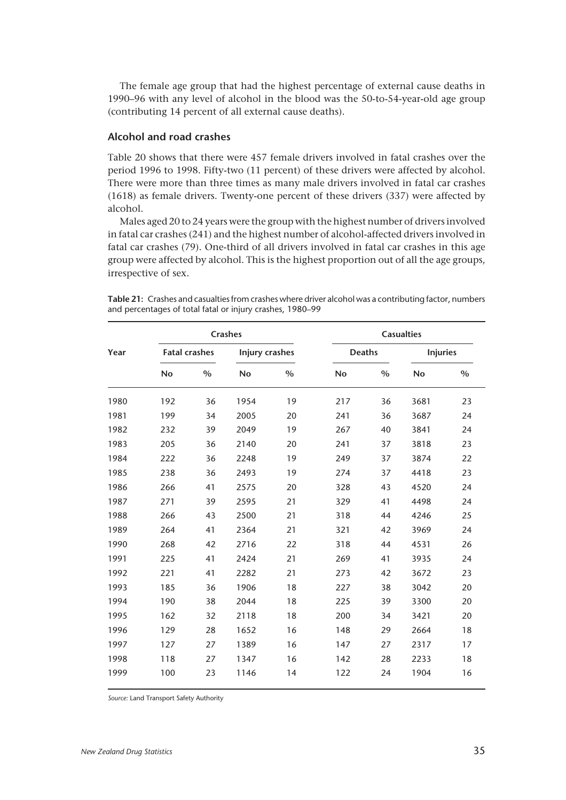The female age group that had the highest percentage of external cause deaths in 1990–96 with any level of alcohol in the blood was the 50-to-54-year-old age group (contributing 14 percent of all external cause deaths).

# **Alcohol and road crashes**

Table 20 shows that there were 457 female drivers involved in fatal crashes over the period 1996 to 1998. Fifty-two (11 percent) of these drivers were affected by alcohol. There were more than three times as many male drivers involved in fatal car crashes (1618) as female drivers. Twenty-one percent of these drivers (337) were affected by alcohol.

Males aged 20 to 24 years were the group with the highest number of drivers involved in fatal car crashes (241) and the highest number of alcohol-affected drivers involved in fatal car crashes (79). One-third of all drivers involved in fatal car crashes in this age group were affected by alcohol. This is the highest proportion out of all the age groups, irrespective of sex.

| Table 21: Crashes and casualties from crashes where driver alcohol was a contributing factor, numbers |  |  |
|-------------------------------------------------------------------------------------------------------|--|--|
| and percentages of total fatal or injury crashes, 1980–99                                             |  |  |

| Year | <b>Crashes</b> |                      |           |                       | <b>Casualties</b> |               |           |                 |  |
|------|----------------|----------------------|-----------|-----------------------|-------------------|---------------|-----------|-----------------|--|
|      |                | <b>Fatal crashes</b> |           | <b>Injury crashes</b> |                   | <b>Deaths</b> |           | <b>Injuries</b> |  |
|      | <b>No</b>      | $\%$                 | <b>No</b> | $\frac{0}{0}$         | <b>No</b>         | $\%$          | <b>No</b> | $\%$            |  |
| 1980 | 192            | 36                   | 1954      | 19                    | 217               | 36            | 3681      | 23              |  |
| 1981 | 199            | 34                   | 2005      | 20                    | 241               | 36            | 3687      | 24              |  |
| 1982 | 232            | 39                   | 2049      | 19                    | 267               | 40            | 3841      | 24              |  |
| 1983 | 205            | 36                   | 2140      | 20                    | 241               | 37            | 3818      | 23              |  |
| 1984 | 222            | 36                   | 2248      | 19                    | 249               | 37            | 3874      | 22              |  |
| 1985 | 238            | 36                   | 2493      | 19                    | 274               | 37            | 4418      | 23              |  |
| 1986 | 266            | 41                   | 2575      | 20                    | 328               | 43            | 4520      | 24              |  |
| 1987 | 271            | 39                   | 2595      | 21                    | 329               | 41            | 4498      | 24              |  |
| 1988 | 266            | 43                   | 2500      | 21                    | 318               | 44            | 4246      | 25              |  |
| 1989 | 264            | 41                   | 2364      | 21                    | 321               | 42            | 3969      | 24              |  |
| 1990 | 268            | 42                   | 2716      | 22                    | 318               | 44            | 4531      | 26              |  |
| 1991 | 225            | 41                   | 2424      | 21                    | 269               | 41            | 3935      | 24              |  |
| 1992 | 221            | 41                   | 2282      | 21                    | 273               | 42            | 3672      | 23              |  |
| 1993 | 185            | 36                   | 1906      | 18                    | 227               | 38            | 3042      | 20              |  |
| 1994 | 190            | 38                   | 2044      | 18                    | 225               | 39            | 3300      | 20              |  |
| 1995 | 162            | 32                   | 2118      | 18                    | 200               | 34            | 3421      | 20              |  |
| 1996 | 129            | 28                   | 1652      | 16                    | 148               | 29            | 2664      | 18              |  |
| 1997 | 127            | 27                   | 1389      | 16                    | 147               | 27            | 2317      | 17              |  |
| 1998 | 118            | 27                   | 1347      | 16                    | 142               | 28            | 2233      | 18              |  |
| 1999 | 100            | 23                   | 1146      | 14                    | 122               | 24            | 1904      | 16              |  |

*Source:* Land Transport Safety Authority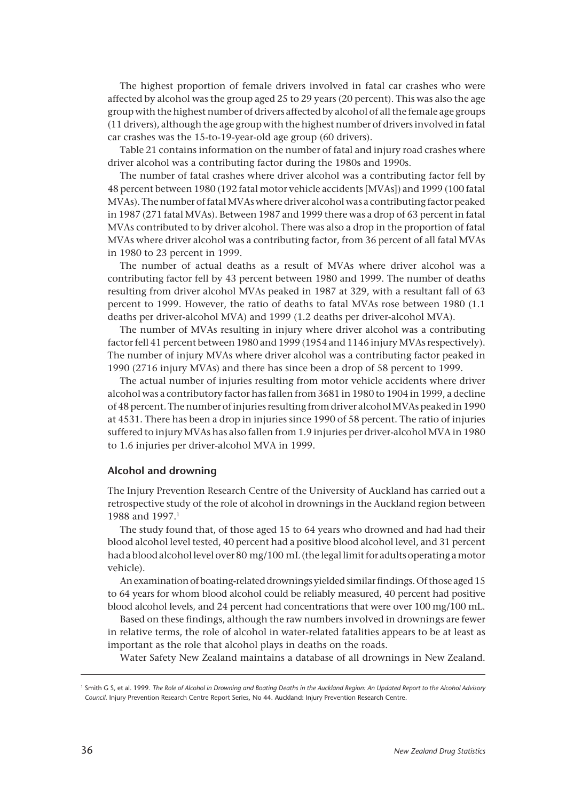The highest proportion of female drivers involved in fatal car crashes who were affected by alcohol was the group aged 25 to 29 years (20 percent). This was also the age group with the highest number of drivers affected by alcohol of all the female age groups (11 drivers), although the age group with the highest number of drivers involved in fatal car crashes was the 15-to-19-year-old age group (60 drivers).

Table 21 contains information on the number of fatal and injury road crashes where driver alcohol was a contributing factor during the 1980s and 1990s.

The number of fatal crashes where driver alcohol was a contributing factor fell by 48 percent between 1980 (192 fatal motor vehicle accidents [MVAs]) and 1999 (100 fatal MVAs). The number of fatal MVAs where driver alcohol was a contributing factor peaked in 1987 (271 fatal MVAs). Between 1987 and 1999 there was a drop of 63 percent in fatal MVAs contributed to by driver alcohol. There was also a drop in the proportion of fatal MVAs where driver alcohol was a contributing factor, from 36 percent of all fatal MVAs in 1980 to 23 percent in 1999.

The number of actual deaths as a result of MVAs where driver alcohol was a contributing factor fell by 43 percent between 1980 and 1999. The number of deaths resulting from driver alcohol MVAs peaked in 1987 at 329, with a resultant fall of 63 percent to 1999. However, the ratio of deaths to fatal MVAs rose between 1980 (1.1 deaths per driver-alcohol MVA) and 1999 (1.2 deaths per driver-alcohol MVA).

The number of MVAs resulting in injury where driver alcohol was a contributing factor fell 41 percent between 1980 and 1999 (1954 and 1146 injury MVAs respectively). The number of injury MVAs where driver alcohol was a contributing factor peaked in 1990 (2716 injury MVAs) and there has since been a drop of 58 percent to 1999.

The actual number of injuries resulting from motor vehicle accidents where driver alcohol was a contributory factor has fallen from 3681 in 1980 to 1904 in 1999, a decline of 48 percent. The number of injuries resulting from driver alcohol MVAs peaked in 1990 at 4531. There has been a drop in injuries since 1990 of 58 percent. The ratio of injuries suffered to injury MVAs has also fallen from 1.9 injuries per driver-alcohol MVA in 1980 to 1.6 injuries per driver-alcohol MVA in 1999.

#### **Alcohol and drowning**

The Injury Prevention Research Centre of the University of Auckland has carried out a retrospective study of the role of alcohol in drownings in the Auckland region between 1988 and 1997.1

The study found that, of those aged 15 to 64 years who drowned and had had their blood alcohol level tested, 40 percent had a positive blood alcohol level, and 31 percent had a blood alcohol level over 80 mg/100 mL (the legal limit for adults operating a motor vehicle).

An examination of boating-related drownings yielded similar findings. Of those aged 15 to 64 years for whom blood alcohol could be reliably measured, 40 percent had positive blood alcohol levels, and 24 percent had concentrations that were over 100 mg/100 mL.

Based on these findings, although the raw numbers involved in drownings are fewer in relative terms, the role of alcohol in water-related fatalities appears to be at least as important as the role that alcohol plays in deaths on the roads.

Water Safety New Zealand maintains a database of all drownings in New Zealand.

<sup>1</sup> Smith G S, et al. 1999. *The Role of Alcohol in Drowning and Boating Deaths in the Auckland Region: An Updated Report to the Alcohol Advisory Council*. Injury Prevention Research Centre Report Series, No 44. Auckland: Injury Prevention Research Centre.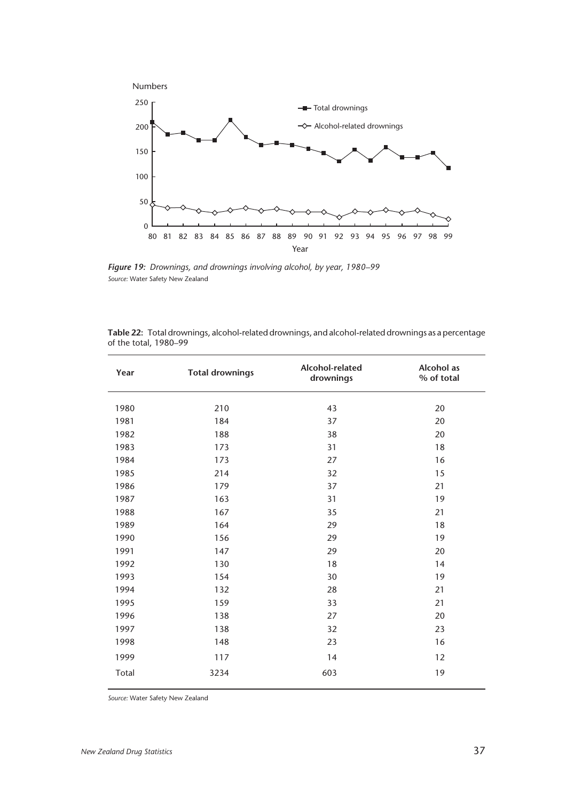

*Figure 19: Drownings, and drownings involving alcohol, by year, 1980–99 Source:* Water Safety New Zealand

| Year  | <b>Total drownings</b> | Alcohol-related<br>drownings | Alcohol as<br>% of total |
|-------|------------------------|------------------------------|--------------------------|
| 1980  | 210                    | 43                           | 20                       |
| 1981  | 184                    | 37                           | 20                       |
| 1982  | 188                    | 38                           | 20                       |
| 1983  | 173                    | 31                           | 18                       |
| 1984  | 173                    | 27                           | 16                       |
| 1985  | 214                    | 32                           | 15                       |
| 1986  | 179                    | 37                           | 21                       |
| 1987  | 163                    | 31                           | 19                       |
| 1988  | 167                    | 35                           | 21                       |
| 1989  | 164                    | 29                           | 18                       |
| 1990  | 156                    | 29                           | 19                       |
| 1991  | 147                    | 29                           | 20                       |
| 1992  | 130                    | 18                           | 14                       |
| 1993  | 154                    | 30                           | 19                       |
| 1994  | 132                    | 28                           | 21                       |
| 1995  | 159                    | 33                           | 21                       |
| 1996  | 138                    | 27                           | 20                       |
| 1997  | 138                    | 32                           | 23                       |
| 1998  | 148                    | 23                           | 16                       |
| 1999  | 117                    | 14                           | 12                       |
| Total | 3234                   | 603                          | 19                       |

| Table 22: Total drownings, alcohol-related drownings, and alcohol-related drownings as a percentage |  |  |  |
|-----------------------------------------------------------------------------------------------------|--|--|--|
| of the total, 1980–99                                                                               |  |  |  |

*Source:* Water Safety New Zealand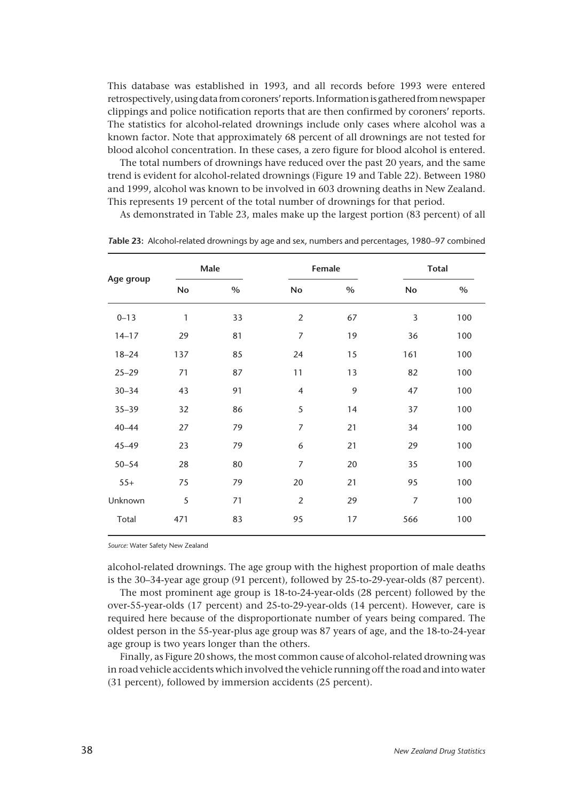This database was established in 1993, and all records before 1993 were entered retrospectively, using data from coroners' reports. Information is gathered from newspaper clippings and police notification reports that are then confirmed by coroners' reports. The statistics for alcohol-related drownings include only cases where alcohol was a known factor. Note that approximately 68 percent of all drownings are not tested for blood alcohol concentration. In these cases, a zero figure for blood alcohol is entered.

The total numbers of drownings have reduced over the past 20 years, and the same trend is evident for alcohol-related drownings (Figure 19 and Table 22). Between 1980 and 1999, alcohol was known to be involved in 603 drowning deaths in New Zealand. This represents 19 percent of the total number of drownings for that period.

As demonstrated in Table 23, males make up the largest portion (83 percent) of all

|     |      |                          |      |                | <b>Total</b> |
|-----|------|--------------------------|------|----------------|--------------|
| No  | $\%$ | No                       | $\%$ | No             | $\%$         |
| 1   | 33   | $\overline{2}$           | 67   | 3              | 100          |
| 29  | 81   | $\boldsymbol{7}$         | 19   | 36             | 100          |
| 137 | 85   | 24                       | 15   | 161            | 100          |
| 71  | 87   | 11                       | 13   | 82             | 100          |
| 43  | 91   | $\overline{\mathcal{A}}$ | 9    | 47             | 100          |
| 32  | 86   | 5                        | 14   | 37             | 100          |
| 27  | 79   | $\overline{7}$           | 21   | 34             | 100          |
| 23  | 79   | 6                        | 21   | 29             | 100          |
| 28  | 80   | $\overline{7}$           | 20   | 35             | 100          |
| 75  | 79   | 20                       | 21   | 95             | 100          |
| 5   | 71   | $\overline{2}$           | 29   | $\overline{7}$ | 100          |
| 471 | 83   | 95                       | 17   | 566            | 100          |
|     |      | Male                     |      | Female         |              |

*T***able 23:** Alcohol-related drownings by age and sex, numbers and percentages, 1980–97 combined

*Source:* Water Safety New Zealand

alcohol-related drownings. The age group with the highest proportion of male deaths is the 30–34-year age group (91 percent), followed by 25-to-29-year-olds (87 percent).

The most prominent age group is 18-to-24-year-olds (28 percent) followed by the over-55-year-olds (17 percent) and 25-to-29-year-olds (14 percent). However, care is required here because of the disproportionate number of years being compared. The oldest person in the 55-year-plus age group was 87 years of age, and the 18-to-24-year age group is two years longer than the others.

Finally, as Figure 20 shows, the most common cause of alcohol-related drowning was in road vehicle accidents which involved the vehicle running off the road and into water (31 percent), followed by immersion accidents (25 percent).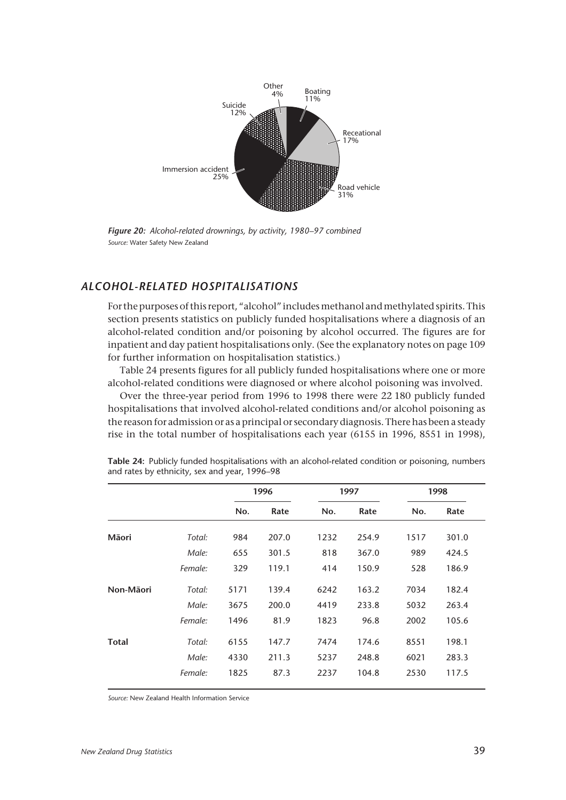

*Figure 20: Alcohol-related drownings, by activity, 1980–97 combined Source:* Water Safety New Zealand

# *ALCOHOL-RELATED HOSPITALISATIONS*

For the purposes of this report, "alcohol" includes methanol and methylated spirits. This section presents statistics on publicly funded hospitalisations where a diagnosis of an alcohol-related condition and/or poisoning by alcohol occurred. The figures are for inpatient and day patient hospitalisations only. (See the explanatory notes on page 109 for further information on hospitalisation statistics.)

Table 24 presents figures for all publicly funded hospitalisations where one or more alcohol-related conditions were diagnosed or where alcohol poisoning was involved.

Over the three-year period from 1996 to 1998 there were 22 180 publicly funded hospitalisations that involved alcohol-related conditions and/or alcohol poisoning as the reason for admission or as a principal or secondary diagnosis. There has been a steady rise in the total number of hospitalisations each year (6155 in 1996, 8551 in 1998),

|         |      |       |      |       | 1998 |       |
|---------|------|-------|------|-------|------|-------|
|         | No.  | Rate  | No.  | Rate  | No.  | Rate  |
| Total:  | 984  | 207.0 | 1232 | 254.9 | 1517 | 301.0 |
| Male:   | 655  | 301.5 | 818  | 367.0 | 989  | 424.5 |
| Female: | 329  | 119.1 | 414  | 150.9 | 528  | 186.9 |
| Total:  | 5171 | 139.4 | 6242 | 163.2 | 7034 | 182.4 |
| Male:   | 3675 | 200.0 | 4419 | 233.8 | 5032 | 263.4 |
| Female: | 1496 | 81.9  | 1823 | 96.8  | 2002 | 105.6 |
| Total:  | 6155 | 147.7 | 7474 | 174.6 | 8551 | 198.1 |
| Male:   | 4330 | 211.3 | 5237 | 248.8 | 6021 | 283.3 |
| Female: | 1825 | 87.3  | 2237 | 104.8 | 2530 | 117.5 |
|         |      |       | 1996 |       | 1997 |       |

**Table 24:** Publicly funded hospitalisations with an alcohol-related condition or poisoning, numbers and rates by ethnicity, sex and year, 1996–98

*Source:* New Zealand Health Information Service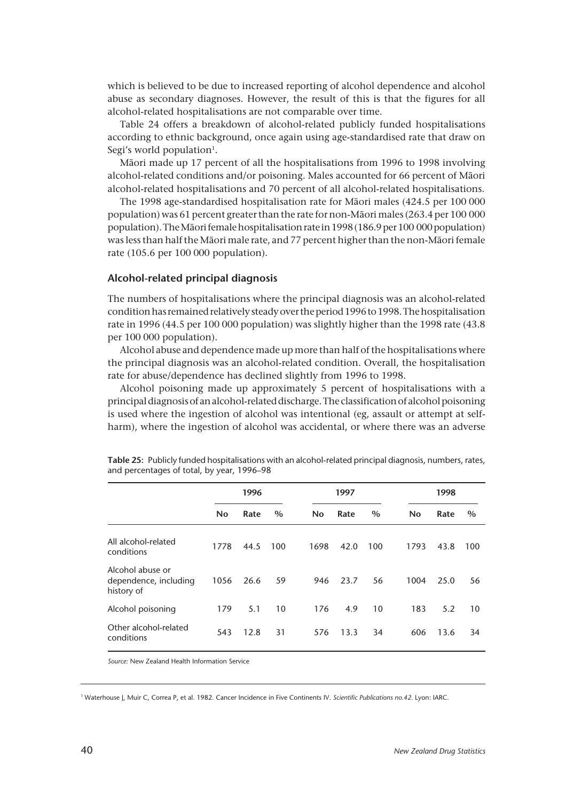which is believed to be due to increased reporting of alcohol dependence and alcohol abuse as secondary diagnoses. However, the result of this is that the figures for all alcohol-related hospitalisations are not comparable over time.

Table 24 offers a breakdown of alcohol-related publicly funded hospitalisations according to ethnic background, once again using age-standardised rate that draw on Segi's world population<sup>1</sup>.

Mâori made up 17 percent of all the hospitalisations from 1996 to 1998 involving alcohol-related conditions and/or poisoning. Males accounted for 66 percent of Mâori alcohol-related hospitalisations and 70 percent of all alcohol-related hospitalisations.

The 1998 age-standardised hospitalisation rate for Mâori males (424.5 per 100 000 population) was 61 percent greater than the rate for non-Mâori males (263.4 per 100 000 population). The Mâori female hospitalisation rate in 1998 (186.9 per 100 000 population) was less than half the Mâori male rate, and 77 percent higher than the non-Mâori female rate (105.6 per 100 000 population).

#### **Alcohol-related principal diagnosis**

The numbers of hospitalisations where the principal diagnosis was an alcohol-related condition has remained relatively steady over the period 1996 to 1998. The hospitalisation rate in 1996 (44.5 per 100 000 population) was slightly higher than the 1998 rate (43.8 per 100 000 population).

Alcohol abuse and dependence made up more than half of the hospitalisations where the principal diagnosis was an alcohol-related condition. Overall, the hospitalisation rate for abuse/dependence has declined slightly from 1996 to 1998.

Alcohol poisoning made up approximately 5 percent of hospitalisations with a principal diagnosis of an alcohol-related discharge. The classification of alcohol poisoning is used where the ingestion of alcohol was intentional (eg, assault or attempt at selfharm), where the ingestion of alcohol was accidental, or where there was an adverse

|                                                         |      | 1996 |      |           | 1997 |      |      | 1998 |      |  |
|---------------------------------------------------------|------|------|------|-----------|------|------|------|------|------|--|
|                                                         | No   | Rate | $\%$ | <b>No</b> | Rate | $\%$ | No   | Rate | $\%$ |  |
| All alcohol-related<br>conditions                       | 1778 | 44.5 | 100  | 1698      | 42.0 | 100  | 1793 | 43.8 | 100  |  |
| Alcohol abuse or<br>dependence, including<br>history of | 1056 | 26.6 | 59   | 946       | 23.7 | 56   | 1004 | 25.0 | 56   |  |
| Alcohol poisoning                                       | 179  | 5.1  | 10   | 176       | 4.9  | 10   | 183  | 5.2  | 10   |  |
| Other alcohol-related<br>conditions                     | 543  | 12.8 | 31   | 576       | 13.3 | 34   | 606  | 13.6 | 34   |  |

**Table 25:** Publicly funded hospitalisations with an alcohol-related principal diagnosis, numbers, rates, and percentages of total, by year, 1996–98

*Source:* New Zealand Health Information Service

<sup>1</sup> Waterhouse J, Muir C, Correa P, et al. 1982. Cancer Incidence in Five Continents IV. *Scientific Publications no.42.* Lyon: IARC.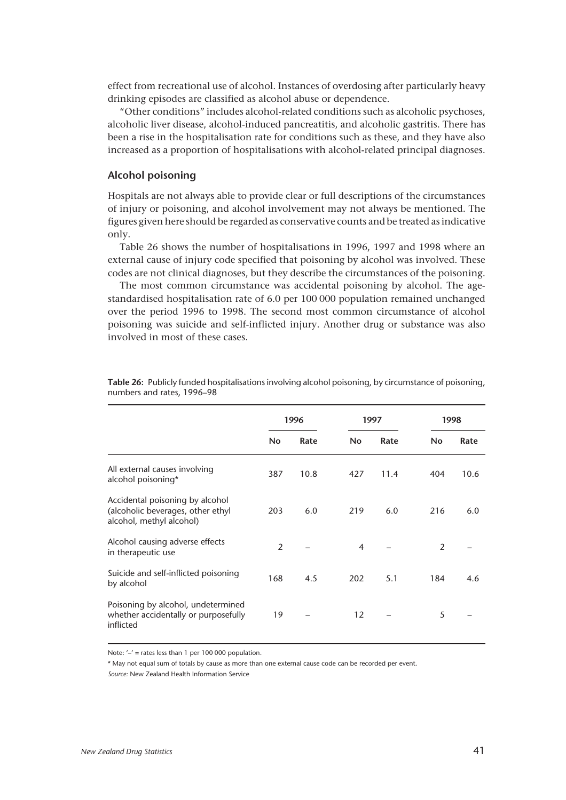effect from recreational use of alcohol. Instances of overdosing after particularly heavy drinking episodes are classified as alcohol abuse or dependence.

"Other conditions" includes alcohol-related conditions such as alcoholic psychoses, alcoholic liver disease, alcohol-induced pancreatitis, and alcoholic gastritis. There has been a rise in the hospitalisation rate for conditions such as these, and they have also increased as a proportion of hospitalisations with alcohol-related principal diagnoses.

#### **Alcohol poisoning**

Hospitals are not always able to provide clear or full descriptions of the circumstances of injury or poisoning, and alcohol involvement may not always be mentioned. The figures given here should be regarded as conservative counts and be treated as indicative only.

Table 26 shows the number of hospitalisations in 1996, 1997 and 1998 where an external cause of injury code specified that poisoning by alcohol was involved. These codes are not clinical diagnoses, but they describe the circumstances of the poisoning.

The most common circumstance was accidental poisoning by alcohol. The agestandardised hospitalisation rate of 6.0 per 100 000 population remained unchanged over the period 1996 to 1998. The second most common circumstance of alcohol poisoning was suicide and self-inflicted injury. Another drug or substance was also involved in most of these cases.

|                                                                                                  |                | 1996 |           | 1997 | 1998 |      |
|--------------------------------------------------------------------------------------------------|----------------|------|-----------|------|------|------|
|                                                                                                  | <b>No</b>      | Rate | <b>No</b> | Rate | No   | Rate |
| All external causes involving<br>alcohol poisoning*                                              | 387            | 10.8 | 427       | 11.4 | 404  | 10.6 |
| Accidental poisoning by alcohol<br>(alcoholic beverages, other ethyl<br>alcohol, methyl alcohol) | 203            | 6.0  | 219       | 6.0  | 216  | 6.0  |
| Alcohol causing adverse effects<br>in therapeutic use                                            | $\overline{2}$ |      | 4         |      | 2    |      |
| Suicide and self-inflicted poisoning<br>by alcohol                                               | 168            | 4.5  | 202       | 5.1  | 184  | 4.6  |
| Poisoning by alcohol, undetermined<br>whether accidentally or purposefully<br>inflicted          | 19             |      | 12        |      | 5    |      |

**Table 26:** Publicly funded hospitalisations involving alcohol poisoning, by circumstance of poisoning, numbers and rates, 1996–98

Note: '–' = rates less than 1 per 100 000 population.

\* May not equal sum of totals by cause as more than one external cause code can be recorded per event.

*Source:* New Zealand Health Information Service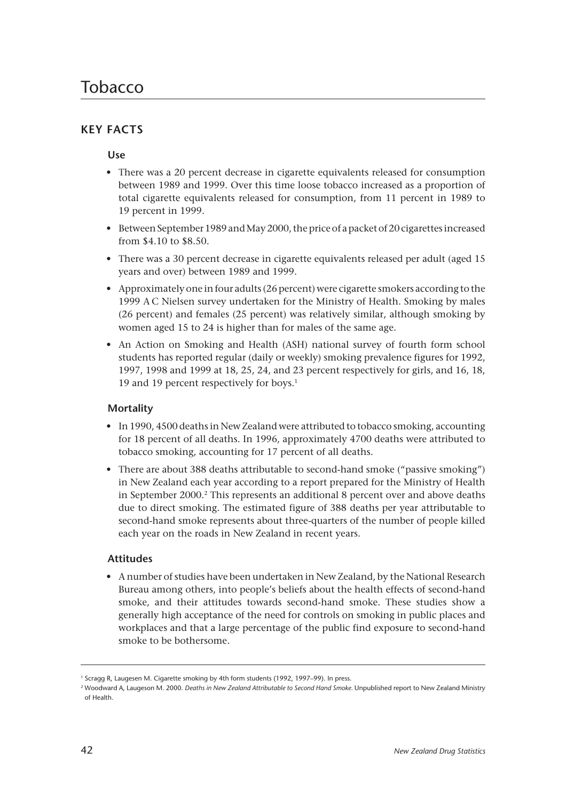# **KEY FACTS**

# **Use**

- There was a 20 percent decrease in cigarette equivalents released for consumption between 1989 and 1999. Over this time loose tobacco increased as a proportion of total cigarette equivalents released for consumption, from 11 percent in 1989 to 19 percent in 1999.
- Between September 1989 and May 2000, the price of a packet of 20 cigarettes increased from \$4.10 to \$8.50.
- There was a 30 percent decrease in cigarette equivalents released per adult (aged 15 years and over) between 1989 and 1999.
- Approximately one in four adults (26 percent) were cigarette smokers according to the 1999 A C Nielsen survey undertaken for the Ministry of Health. Smoking by males (26 percent) and females (25 percent) was relatively similar, although smoking by women aged 15 to 24 is higher than for males of the same age.
- An Action on Smoking and Health (ASH) national survey of fourth form school students has reported regular (daily or weekly) smoking prevalence figures for 1992, 1997, 1998 and 1999 at 18, 25, 24, and 23 percent respectively for girls, and 16, 18, 19 and 19 percent respectively for boys.<sup>1</sup>

# **Mortality**

- In 1990, 4500 deaths in New Zealand were attributed to tobacco smoking, accounting for 18 percent of all deaths. In 1996, approximately 4700 deaths were attributed to tobacco smoking, accounting for 17 percent of all deaths.
- There are about 388 deaths attributable to second-hand smoke ("passive smoking") in New Zealand each year according to a report prepared for the Ministry of Health in September 2000.2 This represents an additional 8 percent over and above deaths due to direct smoking. The estimated figure of 388 deaths per year attributable to second-hand smoke represents about three-quarters of the number of people killed each year on the roads in New Zealand in recent years.

# **Attitudes**

• A number of studies have been undertaken in New Zealand, by the National Research Bureau among others, into people's beliefs about the health effects of second-hand smoke, and their attitudes towards second-hand smoke. These studies show a generally high acceptance of the need for controls on smoking in public places and workplaces and that a large percentage of the public find exposure to second-hand smoke to be bothersome.

<sup>&</sup>lt;sup>1</sup> Scragg R, Laugesen M. Cigarette smoking by 4th form students (1992, 1997–99). In press.

<sup>2</sup> Woodward A, Laugeson M. 2000. *Deaths in New Zealand Attributable to Second Hand Smoke.* Unpublished report to New Zealand Ministry of Health.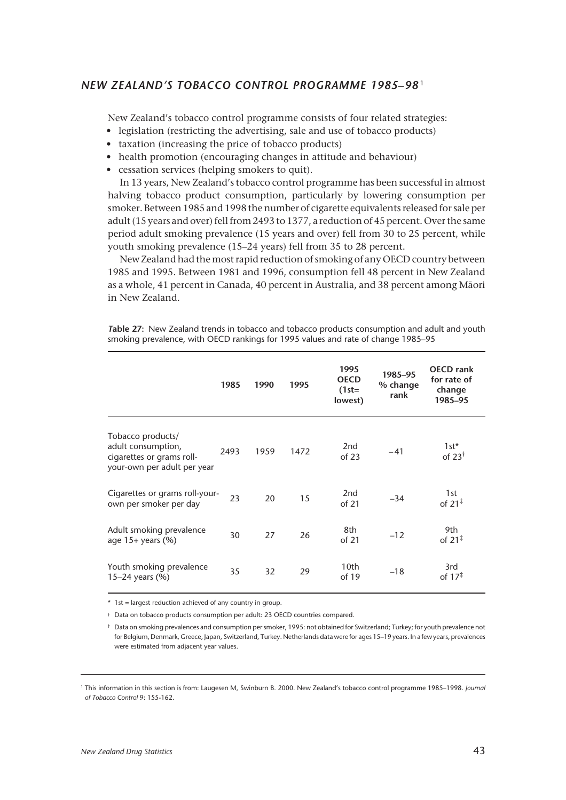# *NEW ZEALAND'S TOBACCO CONTROL PROGRAMME 1985–98* <sup>1</sup>

New Zealand's tobacco control programme consists of four related strategies:

- legislation (restricting the advertising, sale and use of tobacco products)
- taxation (increasing the price of tobacco products)
- health promotion (encouraging changes in attitude and behaviour)
- cessation services (helping smokers to quit).

In 13 years, New Zealand's tobacco control programme has been successful in almost halving tobacco product consumption, particularly by lowering consumption per smoker. Between 1985 and 1998 the number of cigarette equivalents released for sale per adult (15 years and over) fell from 2493 to 1377, a reduction of 45 percent. Over the same period adult smoking prevalence (15 years and over) fell from 30 to 25 percent, while youth smoking prevalence (15–24 years) fell from 35 to 28 percent.

New Zealand had the most rapid reduction of smoking of any OECD country between 1985 and 1995. Between 1981 and 1996, consumption fell 48 percent in New Zealand as a whole, 41 percent in Canada, 40 percent in Australia, and 38 percent among Mâori in New Zealand.

*T***able 27:** New Zealand trends in tobacco and tobacco products consumption and adult and youth smoking prevalence, with OECD rankings for 1995 values and rate of change 1985–95

|                                                                                                     | 1985 | 1990 | 1995 | 1995<br><b>OECD</b><br>$(1st=$<br>lowest) | 1985-95<br>% change<br>rank | <b>OECD</b> rank<br>for rate of<br>change<br>1985-95 |
|-----------------------------------------------------------------------------------------------------|------|------|------|-------------------------------------------|-----------------------------|------------------------------------------------------|
| Tobacco products/<br>adult consumption,<br>cigarettes or grams roll-<br>your-own per adult per year | 2493 | 1959 | 1472 | 2 <sub>nd</sub><br>of 23                  | $-41$                       | $1st*$<br>of 23 $†$                                  |
| Cigarettes or grams roll-your-<br>own per smoker per day                                            | 23   | 20   | 15   | 2 <sub>nd</sub><br>of 21                  | $-34$                       | 1st<br>of $21^{\ddagger}$                            |
| Adult smoking prevalence<br>age $15+$ years (%)                                                     | 30   | 27   | 26   | 8th<br>of 21                              | $-12$                       | 9th<br>of $21^{\ddagger}$                            |
| Youth smoking prevalence<br>15–24 years $(\% )$                                                     | 35   | 32   | 29   | 10th<br>of $19$                           | $-18$                       | 3rd<br>of $17^{\ddagger}$                            |

\* 1st = largest reduction achieved of any country in group.

† Data on tobacco products consumption per adult: 23 OECD countries compared.

‡ Data on smoking prevalences and consumption per smoker, 1995: not obtained for Switzerland; Turkey; for youth prevalence not for Belgium, Denmark, Greece, Japan, Switzerland, Turkey. Netherlands data were for ages 15–19 years. In a few years, prevalences were estimated from adjacent year values.

<sup>1</sup> This information in this section is from: Laugesen M, Swinburn B. 2000. New Zealand's tobacco control programme 1985–1998. *Journal of Tobacco Control* 9: 155-162.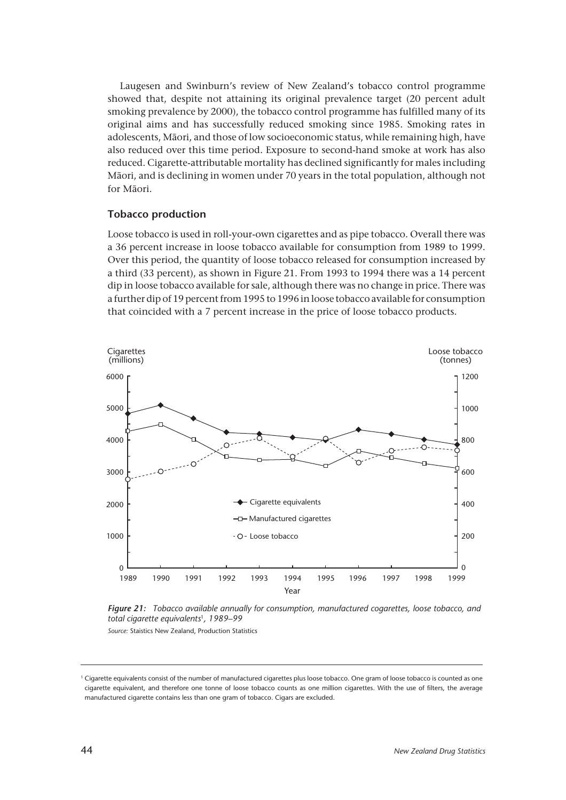Laugesen and Swinburn's review of New Zealand's tobacco control programme showed that, despite not attaining its original prevalence target (20 percent adult smoking prevalence by 2000), the tobacco control programme has fulfilled many of its original aims and has successfully reduced smoking since 1985. Smoking rates in adolescents, Mâori, and those of low socioeconomic status, while remaining high, have also reduced over this time period. Exposure to second-hand smoke at work has also reduced. Cigarette-attributable mortality has declined significantly for males including Mâori, and is declining in women under 70 years in the total population, although not for Mâori.

## **Tobacco production**

Loose tobacco is used in roll-your-own cigarettes and as pipe tobacco. Overall there was a 36 percent increase in loose tobacco available for consumption from 1989 to 1999. Over this period, the quantity of loose tobacco released for consumption increased by a third (33 percent), as shown in Figure 21. From 1993 to 1994 there was a 14 percent dip in loose tobacco available for sale, although there was no change in price. There was a further dip of 19 percent from 1995 to 1996 in loose tobacco available for consumption that coincided with a 7 percent increase in the price of loose tobacco products.





*Source:* Staistics New Zealand, Production Statistics

<sup>1</sup> Cigarette equivalents consist of the number of manufactured cigarettes plus loose tobacco. One gram of loose tobacco is counted as one cigarette equivalent, and therefore one tonne of loose tobacco counts as one million cigarettes. With the use of filters, the average manufactured cigarette contains less than one gram of tobacco. Cigars are excluded.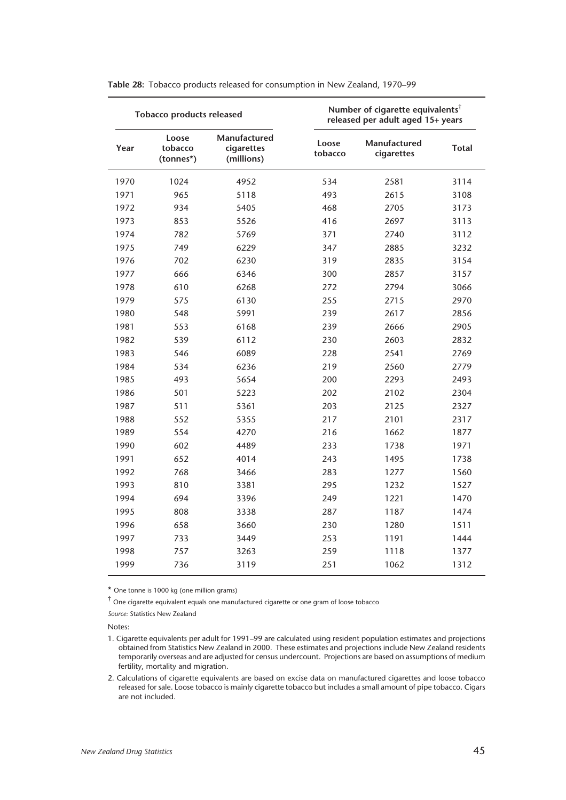|      | <b>Tobacco products released</b> |                                          |                  | Number of cigarette equivalents <sup>†</sup><br>released per adult aged 15+ years |              |
|------|----------------------------------|------------------------------------------|------------------|-----------------------------------------------------------------------------------|--------------|
| Year | Loose<br>tobacco<br>(tonnes*)    | Manufactured<br>cigarettes<br>(millions) | Loose<br>tobacco | Manufactured<br>cigarettes                                                        | <b>Total</b> |
| 1970 | 1024                             | 4952                                     | 534              | 2581                                                                              | 3114         |
| 1971 | 965                              | 5118                                     | 493              | 2615                                                                              | 3108         |
| 1972 | 934                              | 5405                                     | 468              | 2705                                                                              | 3173         |
| 1973 | 853                              | 5526                                     | 416              | 2697                                                                              | 3113         |
| 1974 | 782                              | 5769                                     | 371              | 2740                                                                              | 3112         |
| 1975 | 749                              | 6229                                     | 347              | 2885                                                                              | 3232         |
| 1976 | 702                              | 6230                                     | 319              | 2835                                                                              | 3154         |
| 1977 | 666                              | 6346                                     | 300              | 2857                                                                              | 3157         |
| 1978 | 610                              | 6268                                     | 272              | 2794                                                                              | 3066         |
| 1979 | 575                              | 6130                                     | 255              | 2715                                                                              | 2970         |
| 1980 | 548                              | 5991                                     | 239              | 2617                                                                              | 2856         |
| 1981 | 553                              | 6168                                     | 239              | 2666                                                                              | 2905         |
| 1982 | 539                              | 6112                                     | 230              | 2603                                                                              | 2832         |
| 1983 | 546                              | 6089                                     | 228              | 2541                                                                              | 2769         |
| 1984 | 534                              | 6236                                     | 219              | 2560                                                                              | 2779         |
| 1985 | 493                              | 5654                                     | 200              | 2293                                                                              | 2493         |
| 1986 | 501                              | 5223                                     | 202              | 2102                                                                              | 2304         |
| 1987 | 511                              | 5361                                     | 203              | 2125                                                                              | 2327         |
| 1988 | 552                              | 5355                                     | 217              | 2101                                                                              | 2317         |
| 1989 | 554                              | 4270                                     | 216              | 1662                                                                              | 1877         |
| 1990 | 602                              | 4489                                     | 233              | 1738                                                                              | 1971         |
| 1991 | 652                              | 4014                                     | 243              | 1495                                                                              | 1738         |
| 1992 | 768                              | 3466                                     | 283              | 1277                                                                              | 1560         |
| 1993 | 810                              | 3381                                     | 295              | 1232                                                                              | 1527         |
| 1994 | 694                              | 3396                                     | 249              | 1221                                                                              | 1470         |
| 1995 | 808                              | 3338                                     | 287              | 1187                                                                              | 1474         |
| 1996 | 658                              | 3660                                     | 230              | 1280                                                                              | 1511         |
| 1997 | 733                              | 3449                                     | 253              | 1191                                                                              | 1444         |
| 1998 | 757                              | 3263                                     | 259              | 1118                                                                              | 1377         |
| 1999 | 736                              | 3119                                     | 251              | 1062                                                                              | 1312         |

**Table 28:** Tobacco products released for consumption in New Zealand, 1970–99

\* One tonne is 1000 kg (one million grams)

 $\dagger$  One cigarette equivalent equals one manufactured cigarette or one gram of loose tobacco

*Source:* Statistics New Zealand

Notes:

<sup>1.</sup> Cigarette equivalents per adult for 1991–99 are calculated using resident population estimates and projections obtained from Statistics New Zealand in 2000. These estimates and projections include New Zealand residents temporarily overseas and are adjusted for census undercount. Projections are based on assumptions of medium fertility, mortality and migration.

<sup>2.</sup> Calculations of cigarette equivalents are based on excise data on manufactured cigarettes and loose tobacco released for sale. Loose tobacco is mainly cigarette tobacco but includes a small amount of pipe tobacco. Cigars are not included.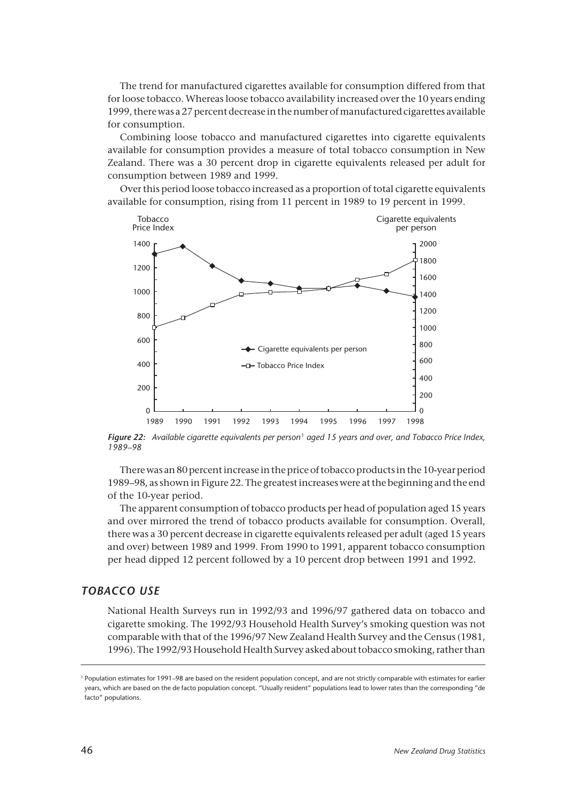The trend for manufactured cigarettes available for consumption differed from that for loose tobacco. Whereas loose tobacco availability increased over the 10 years ending 1999, there was a 27 percent decrease in the number of manufactured cigarettes available for consumption.

Combining loose tobacco and manufactured cigarettes into cigarette equivalents available for consumption provides a measure of total tobacco consumption in New Zealand. There was a 30 percent drop in cigarette equivalents released per adult for consumption between 1989 and 1999.

Over this period loose tobacco increased as a proportion of total cigarette equivalents available for consumption, rising from 11 percent in 1989 to 19 percent in 1999.



*Figure 22: Available cigarette equivalents per person* <sup>1</sup> *aged 15 years and over, and Tobacco Price Index, 1989–98*

There was an 80 percent increase in the price of tobacco products in the 10-year period 1989–98, as shown in Figure 22. The greatest increases were at the beginning and the end of the 10-year period.

The apparent consumption of tobacco products per head of population aged 15 years and over mirrored the trend of tobacco products available for consumption. Overall, there was a 30 percent decrease in cigarette equivalents released per adult (aged 15 years and over) between 1989 and 1999. From 1990 to 1991, apparent tobacco consumption per head dipped 12 percent followed by a 10 percent drop between 1991 and 1992.

# *TOBACCO USE*

National Health Surveys run in 1992/93 and 1996/97 gathered data on tobacco and cigarette smoking. The 1992/93 Household Health Survey's smoking question was not comparable with that of the 1996/97 New Zealand Health Survey and the Census (1981, 1996). The 1992/93 Household Health Survey asked about tobacco smoking, rather than

<sup>1</sup> Population estimates for 1991–98 are based on the resident population concept, and are not strictly comparable with estimates for earlier years, which are based on the de facto population concept. "Usually resident" populations lead to lower rates than the corresponding "de facto" populations.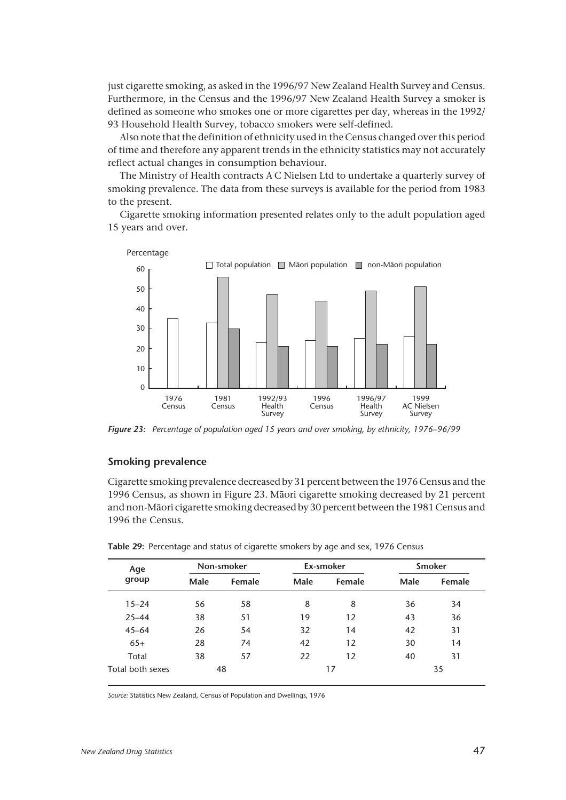just cigarette smoking, as asked in the 1996/97 New Zealand Health Survey and Census. Furthermore, in the Census and the 1996/97 New Zealand Health Survey a smoker is defined as someone who smokes one or more cigarettes per day, whereas in the 1992/ 93 Household Health Survey, tobacco smokers were self-defined.

Also note that the definition of ethnicity used in the Census changed over this period of time and therefore any apparent trends in the ethnicity statistics may not accurately reflect actual changes in consumption behaviour.

The Ministry of Health contracts A C Nielsen Ltd to undertake a quarterly survey of smoking prevalence. The data from these surveys is available for the period from 1983 to the present.

Cigarette smoking information presented relates only to the adult population aged 15 years and over.



*Figure 23: Percentage of population aged 15 years and over smoking, by ethnicity, 1976–96/99*

## **Smoking prevalence**

Cigarette smoking prevalence decreased by 31 percent between the 1976 Census and the 1996 Census, as shown in Figure 23. Mâori cigarette smoking decreased by 21 percent and non-Mâori cigarette smoking decreased by 30 percent between the 1981 Census and 1996 the Census.

| Age              | Non-smoker |        |      | Ex-smoker | <b>Smoker</b>                      |        |  |
|------------------|------------|--------|------|-----------|------------------------------------|--------|--|
| group            | Male       | Female | Male | Female    | Male<br>36<br>43<br>42<br>30<br>40 | Female |  |
| $15 - 24$        | 56         | 58     | 8    | 8         |                                    | 34     |  |
| $25 - 44$        | 38         | 51     | 19   | 12        |                                    | 36     |  |
| $45 - 64$        | 26         | 54     | 32   | 14        |                                    | 31     |  |
| $65+$            | 28         | 74     | 42   | 12        |                                    | 14     |  |
| Total            | 38         | 57     | 22   | 12        |                                    | 31     |  |
| Total both sexes |            | 48     |      | 17        |                                    | 35     |  |

**Table 29:** Percentage and status of cigarette smokers by age and sex, 1976 Census

*Source:* Statistics New Zealand, Census of Population and Dwellings, 1976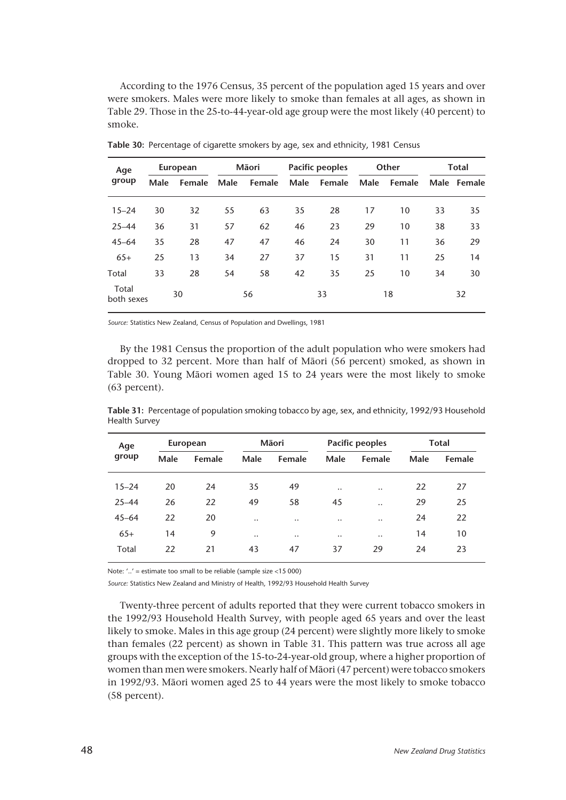According to the 1976 Census, 35 percent of the population aged 15 years and over were smokers. Males were more likely to smoke than females at all ages, as shown in Table 29. Those in the 25-to-44-year-old age group were the most likely (40 percent) to smoke.

| Age<br>group<br>$15 - 24$<br>$25 - 44$<br>$45 - 64$<br>$65+$<br>Total<br>Total |      | European |      | Māori  |      | <b>Pacific peoples</b> |      | Other  | Total |             |
|--------------------------------------------------------------------------------|------|----------|------|--------|------|------------------------|------|--------|-------|-------------|
|                                                                                | Male | Female   | Male | Female | Male | Female                 | Male | Female |       | Male Female |
|                                                                                | 30   | 32       | 55   | 63     | 35   | 28                     | 17   | 10     | 33    | 35          |
|                                                                                | 36   | 31       | 57   | 62     | 46   | 23                     | 29   | 10     | 38    | 33          |
|                                                                                | 35   | 28       | 47   | 47     | 46   | 24                     | 30   | 11     | 36    | 29          |
|                                                                                | 25   | 13       | 34   | 27     | 37   | 15                     | 31   | 11     | 25    | 14          |
|                                                                                | 33   | 28       | 54   | 58     | 42   | 35                     | 25   | 10     | 34    | 30          |
| both sexes                                                                     |      | 30       |      | 56     |      | 33                     |      | 18     |       | 32          |

**Table 30:** Percentage of cigarette smokers by age, sex and ethnicity, 1981 Census

*Source:* Statistics New Zealand, Census of Population and Dwellings, 1981

By the 1981 Census the proportion of the adult population who were smokers had dropped to 32 percent. More than half of Mâori (56 percent) smoked, as shown in Table 30. Young Mâori women aged 15 to 24 years were the most likely to smoke (63 percent).

| Age       |      | European |                      | Māori     |           | <b>Pacific peoples</b> | Total |        |
|-----------|------|----------|----------------------|-----------|-----------|------------------------|-------|--------|
| group     | Male | Female   | Male                 | Female    | Male      | Female                 | Male  | Female |
| $15 - 24$ | 20   | 24       | 35                   | 49        |           |                        | 22    | 27     |
|           |      |          |                      |           | $\ddotsc$ | $\ddotsc$              |       |        |
| $25 - 44$ | 26   | 22       | 49                   | 58        | 45        | $\ddotsc$              | 29    | 25     |
| $45 - 64$ | 22   | 20       | $\ddot{\phantom{0}}$ | $\ddotsc$ | $\ddotsc$ | $\ddotsc$              | 24    | 22     |
| $65+$     | 14   | 9        |                      | $\ddotsc$ | $\ddotsc$ | $\ddotsc$              | 14    | 10     |
| Total     | 22   | 21       | 43                   | 47        | 37        | 29                     | 24    | 23     |
|           |      |          |                      |           |           |                        |       |        |

**Table 31:** Percentage of population smoking tobacco by age, sex, and ethnicity, 1992/93 Household Health Survey

Note: '..' = estimate too small to be reliable (sample size <15 000)

*Source:* Statistics New Zealand and Ministry of Health, 1992/93 Household Health Survey

Twenty-three percent of adults reported that they were current tobacco smokers in the 1992/93 Household Health Survey, with people aged 65 years and over the least likely to smoke. Males in this age group (24 percent) were slightly more likely to smoke than females (22 percent) as shown in Table 31. This pattern was true across all age groups with the exception of the 15-to-24-year-old group, where a higher proportion of women than men were smokers. Nearly half of Mâori (47 percent) were tobacco smokers in 1992/93. Mâori women aged 25 to 44 years were the most likely to smoke tobacco (58 percent).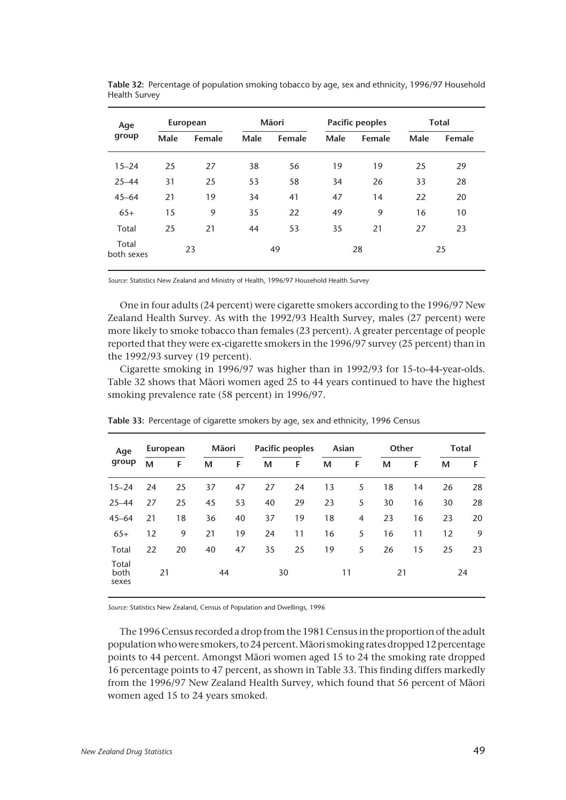| Age                 |      | European |      | Māori  |      | <b>Pacific peoples</b> | <b>Total</b> |        |
|---------------------|------|----------|------|--------|------|------------------------|--------------|--------|
| group               | Male | Female   | Male | Female | Male | Female                 | Male         | Female |
| $15 - 24$           | 25   | 27       | 38   | 56     | 19   | 19                     | 25           | 29     |
| $25 - 44$           | 31   | 25       | 53   | 58     | 34   | 26                     | 33           | 28     |
| $45 - 64$           | 21   | 19       | 34   | 41     | 47   | 14                     | 22           | 20     |
| $65+$               | 15   | 9        | 35   | 22     | 49   | 9                      | 16           | 10     |
| Total               | 25   | 21       | 44   | 53     | 35   | 21                     | 27           | 23     |
| Total<br>both sexes |      | 23       | 49   |        | 28   |                        | 25           |        |

**Table 32:** Percentage of population smoking tobacco by age, sex and ethnicity, 1996/97 Household Health Survey

*Source:* Statistics New Zealand and Ministry of Health, 1996/97 Household Health Survey

One in four adults (24 percent) were cigarette smokers according to the 1996/97 New Zealand Health Survey. As with the 1992/93 Health Survey, males (27 percent) were more likely to smoke tobacco than females (23 percent). A greater percentage of people reported that they were ex-cigarette smokers in the 1996/97 survey (25 percent) than in the 1992/93 survey (19 percent).

Cigarette smoking in 1996/97 was higher than in 1992/93 for 15-to-44-year-olds. Table 32 shows that Mâori women aged 25 to 44 years continued to have the highest smoking prevalence rate (58 percent) in 1996/97.

| Age                    |    | European | Māori |    |    | Pacific peoples | Asian |    | Other |    | Total |    |
|------------------------|----|----------|-------|----|----|-----------------|-------|----|-------|----|-------|----|
| group                  | м  | F        | М     | F  | М  | F               | M     | F  | M     | F  | М     | F. |
| $15 - 24$              | 24 | 25       | 37    | 47 | 27 | 24              | 13    | 5  | 18    | 14 | 26    | 28 |
| $25 - 44$              | 27 | 25       | 45    | 53 | 40 | 29              | 23    | 5  | 30    | 16 | 30    | 28 |
| $45 - 64$              | 21 | 18       | 36    | 40 | 37 | 19              | 18    | 4  | 23    | 16 | 23    | 20 |
| $65+$                  | 12 | 9        | 21    | 19 | 24 | 11              | 16    | 5  | 16    | 11 | 12    | 9  |
| Total                  | 22 | 20       | 40    | 47 | 35 | 25              | 19    | 5  | 26    | 15 | 25    | 23 |
| Total<br>both<br>sexes | 21 |          | 44    |    |    | 30              |       | 11 | 21    |    |       | 24 |

**Table 33:** Percentage of cigarette smokers by age, sex and ethnicity, 1996 Census

*Source:* Statistics New Zealand, Census of Population and Dwellings, 1996

The 1996 Census recorded a drop from the 1981 Census in the proportion of the adult population who were smokers, to 24 percent. Mâori smoking rates dropped 12 percentage points to 44 percent. Amongst Mâori women aged 15 to 24 the smoking rate dropped 16 percentage points to 47 percent, as shown in Table 33. This finding differs markedly from the 1996/97 New Zealand Health Survey, which found that 56 percent of Mâori women aged 15 to 24 years smoked.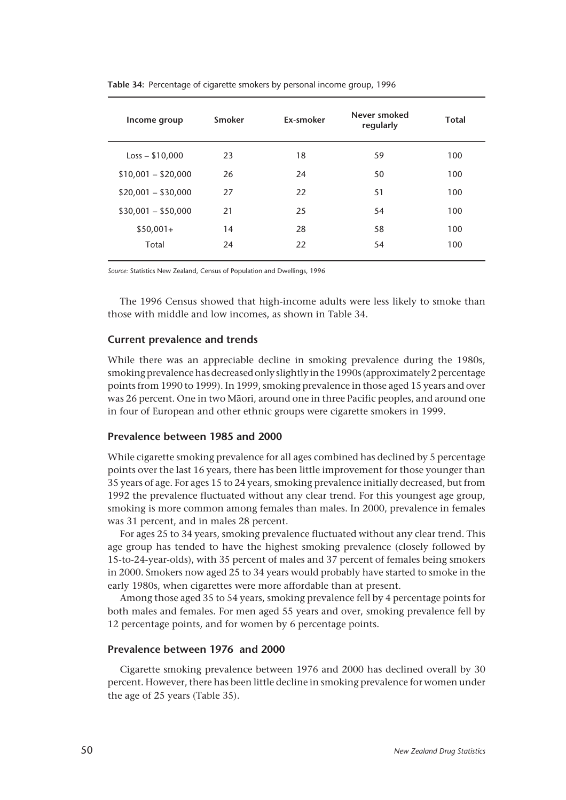| Income group        | Smoker | Ex-smoker | Never smoked<br>regularly | <b>Total</b> |
|---------------------|--------|-----------|---------------------------|--------------|
| $Loss - $10,000$    | 23     | 18        | 59                        | 100          |
| $$10,001 - $20,000$ | 26     | 24        | 50                        | 100          |
| $$20,001 - $30,000$ | 27     | 22        | 51                        | 100          |
| $$30,001 - $50,000$ | 21     | 25        | 54                        | 100          |
| $$50,001+$          | 14     | 28        | 58                        | 100          |
| Total               | 24     | 22        | 54                        | 100          |
|                     |        |           |                           |              |

**Table 34:** Percentage of cigarette smokers by personal income group, 1996

*Source:* Statistics New Zealand, Census of Population and Dwellings, 1996

The 1996 Census showed that high-income adults were less likely to smoke than those with middle and low incomes, as shown in Table 34.

# **Current prevalence and trends**

While there was an appreciable decline in smoking prevalence during the 1980s, smoking prevalence has decreased only slightly in the 1990s (approximately 2 percentage points from 1990 to 1999). In 1999, smoking prevalence in those aged 15 years and over was 26 percent. One in two Mâori, around one in three Pacific peoples, and around one in four of European and other ethnic groups were cigarette smokers in 1999.

## **Prevalence between 1985 and 2000**

While cigarette smoking prevalence for all ages combined has declined by 5 percentage points over the last 16 years, there has been little improvement for those younger than 35 years of age. For ages 15 to 24 years, smoking prevalence initially decreased, but from 1992 the prevalence fluctuated without any clear trend. For this youngest age group, smoking is more common among females than males. In 2000, prevalence in females was 31 percent, and in males 28 percent.

For ages 25 to 34 years, smoking prevalence fluctuated without any clear trend. This age group has tended to have the highest smoking prevalence (closely followed by 15-to-24-year-olds), with 35 percent of males and 37 percent of females being smokers in 2000. Smokers now aged 25 to 34 years would probably have started to smoke in the early 1980s, when cigarettes were more affordable than at present.

Among those aged 35 to 54 years, smoking prevalence fell by 4 percentage points for both males and females. For men aged 55 years and over, smoking prevalence fell by 12 percentage points, and for women by 6 percentage points.

## **Prevalence between 1976 and 2000**

Cigarette smoking prevalence between 1976 and 2000 has declined overall by 30 percent. However, there has been little decline in smoking prevalence for women under the age of 25 years (Table 35).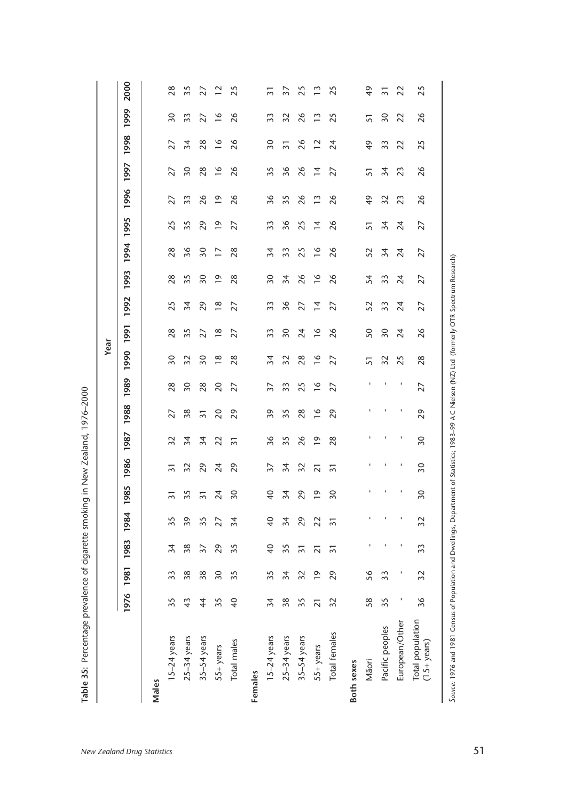|                                          |                 |                |                 |                |                                 |                 |                 |                |                 | Year            |                 |                 |                 |                 |                 |                |                 |                 |                 |      |
|------------------------------------------|-----------------|----------------|-----------------|----------------|---------------------------------|-----------------|-----------------|----------------|-----------------|-----------------|-----------------|-----------------|-----------------|-----------------|-----------------|----------------|-----------------|-----------------|-----------------|------|
|                                          | 1976            | 1981           | 1983            | 1984           | 985<br>$\overline{\phantom{0}}$ | 1986            | 1987            | 1988           | 1989            | 1990            | 1991            | 1992            | 1993            | 1994            | 1995            | 1996           | 1997            | 1998            | 1999            | 2000 |
| Males                                    |                 |                |                 |                |                                 |                 |                 |                |                 |                 |                 |                 |                 |                 |                 |                |                 |                 |                 |      |
| $15-24$ years                            | 35              | 33             | $\overline{34}$ | 35             | $\overline{5}$                  | $\overline{3}$  | $\overline{32}$ | 27             | 28              | $\overline{50}$ | 28              | 25              | 28              | 28              | 25              | 27             | 27              | 27              | $\overline{50}$ |      |
| $25-34$ years                            | 43              | 38             | 38              | 39             | 35                              | 32              | 34              | 38             | $\overline{50}$ | 32              | 35              | $\overline{5}$  | 35              | 36              | 35              | 33             | $\overline{50}$ | 34              | 33              |      |
| 35-54 years                              | $\overline{4}$  | 38             | $\overline{37}$ | 35             | $\overline{3}$                  | 29              | $\approx$       | $\overline{5}$ | 28              | $\overline{50}$ | 27              | $\overline{c}$  | 30              | $\overline{50}$ | 29              | 26             | 28              | 28              | 27              |      |
| 55+ years                                | 35              | $\sqrt{2}$     | 29              | 27             | 24                              | 24              | $\overline{c}$  | 20             | 20              | $\frac{8}{1}$   | $\frac{8}{1}$   | $\frac{8}{1}$   | $\overline{0}$  | $\overline{1}$  | $\overline{0}$  | $\overline{0}$ | $\frac{8}{1}$   | $\frac{6}{2}$   | $\frac{6}{2}$   |      |
| Total males                              | $\overline{40}$ | 35             | 35              | $\approx$      | $\overline{50}$                 | 29              | $\overline{5}$  | 29             | 27              | 28              | 27              | 27              | 28              | 28              | 27              | 26             | 26              | 26              | 26              |      |
| Females                                  |                 |                |                 |                |                                 |                 |                 |                |                 |                 |                 |                 |                 |                 |                 |                |                 |                 |                 |      |
| $15-24$ years                            | $\overline{5}$  | 35             | $\overline{4}$  | $\overline{4}$ | $\overline{4}$                  | $\overline{37}$ | 36              | 39             | $\overline{5}$  | $\overline{34}$ | 33              | 33              | $\overline{50}$ | 34              | 33              | 36             | 35              | $\overline{50}$ | 33              |      |
| $25-34$ years                            | 38              | 34             | 35              | 34             | $\overline{34}$                 | 34              | 35              | 35             | 33              | 32              | $\overline{50}$ | 36              | 34              | 33              | 36              | 35             | 36              | $\overline{3}$  | 32              |      |
| 35-54 years                              | 35              | 32             | $\overline{5}$  | 29             | 29                              | 32              | 26              | 28             | 25              | 28              | 24              | 27              | 26              | 25              | 25              | 26             | 26              | 26              | 26              |      |
| 55+ years                                | $\overline{2}1$ | $\overline{0}$ | $\overline{2}$  | 22             | $\overline{0}$                  | $\overline{2}$  | $\overline{0}$  | $\frac{8}{1}$  | $\frac{8}{1}$   | $\frac{6}{2}$   | $\frac{6}{1}$   | $\overline{4}$  | $\frac{6}{ }$   | $\frac{6}{2}$   | $\overline{4}$  | $\frac{3}{2}$  | $\overline{4}$  | $\overline{12}$ | $\frac{3}{2}$   |      |
| Total females                            | 32              | 29             | $\overline{5}$  | $\overline{3}$ | $\overline{50}$                 | $\overline{5}$  | 28              | 29             | 27              | 27              | 26              | 27              | 26              | 26              | 26              | 26             | 27              | 24              | 25              |      |
| Both sexes                               |                 |                |                 |                |                                 |                 |                 |                |                 |                 |                 |                 |                 |                 |                 |                |                 |                 |                 |      |
| Māori                                    | 58              | 56             | J.              |                | $\mathbf I$                     | 1               | $\mathbf{I}$    | J.             | $\mathbf{I}$    | 51              | 50              | 52              | 54              | 52              | 51              | $\frac{6}{7}$  | 51              | $\frac{6}{7}$   | 57              |      |
| Pacific peoples                          | 35              | 33             | $\mathbf{I}$    |                | $\blacksquare$                  | $\mathbf{I}$    | $\mathbf{I}$    | $\mathbf{I}$   | -1              | 32              | $\overline{50}$ | 33              | 33              | 34              | 34              | 32             | $\overline{3}4$ | 33              | $\overline{50}$ |      |
| European/Other                           | J,              | J,             | $\blacksquare$  | J              | $\mathbf I$                     | $\mathbf{I}$    | $\mathbf{I}$    | п              | л,              | 25              | 24              | $\overline{24}$ | 24              | $\overline{24}$ | $\overline{24}$ | 23             | 23              | 22              | 22              |      |
| Total population<br>$(15 + \gamma$ ears) | 36              | 32             | 33              | 32             | 30                              | $\overline{50}$ | $\overline{50}$ | 29             | 27              | 28              | 26              | 27              | 27              | 27              | 27              | 26             | 26              | 25              | 26              |      |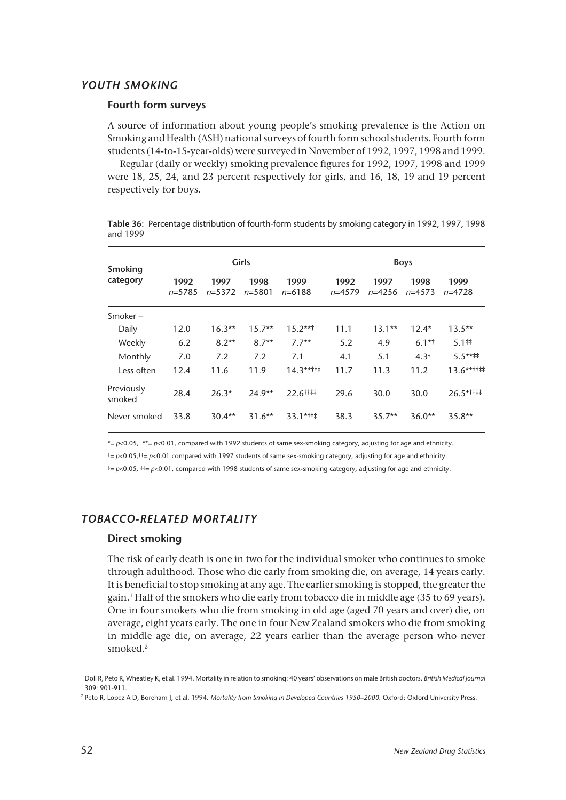# *YOUTH SMOKING*

## **Fourth form surveys**

A source of information about young people's smoking prevalence is the Action on Smoking and Health (ASH) national surveys of fourth form school students. Fourth form students (14-to-15-year-olds) were surveyed in November of 1992, 1997, 1998 and 1999.

Regular (daily or weekly) smoking prevalence figures for 1992, 1997, 1998 and 1999 were 18, 25, 24, and 23 percent respectively for girls, and 16, 18, 19 and 19 percent respectively for boys.

|          | Table 36: Percentage distribution of fourth-form students by smoking category in 1992, 1997, 1998 |  |
|----------|---------------------------------------------------------------------------------------------------|--|
| and 1999 |                                                                                                   |  |

| <b>Smoking</b>       |                  |                  | Girls              |                    |                  |                    | <b>Boys</b>      |                    |
|----------------------|------------------|------------------|--------------------|--------------------|------------------|--------------------|------------------|--------------------|
| category             | 1992<br>$n=5785$ | 1997<br>$n=5372$ | 1998<br>$n = 5801$ | 1999<br>$n = 6188$ | 1992<br>$n=4579$ | 1997<br>$n = 4256$ | 1998<br>$n=4573$ | 1999<br>$n = 4728$ |
| Smoker-              |                  |                  |                    |                    |                  |                    |                  |                    |
| Daily                | 12.0             | $16.3**$         | $15.7**$           | $15.2***$          | 11.1             | $13.1**$           | $12.4*$          | $13.5**$           |
| Weekly               | 6.2              | $8.2***$         | $8.7**$            | $7.7**$            | 5.2              | 4.9                | $6.1**$          | 5.1#               |
| Monthly              | 7.0              | 7.2              | 7.2                | 7.1                | 4.1              | 5.1                | $4.3^{\dagger}$  | $5.5***$           |
| Less often           | 12.4             | 11.6             | 11.9               | $14.3$ **††‡       | 11.7             | 11.3               | 11.2             | $13.6***$          |
| Previously<br>smoked | 28.4             | $26.3*$          | $24.9**$           | 22.6 1:            | 29.6             | 30.0               | 30.0             | $26.5$ *††‡‡       |
| Never smoked         | 33.8             | $30.4**$         | $31.6**$           | 33.1*††‡           | 38.3             | $35.7**$           | $36.0**$         | $35.8**$           |

\*= *p*<0.05, \*\*= *p*<0.01, compared with 1992 students of same sex-smoking category, adjusting for age and ethnicity.

†= *p*<0.05,††= *p*<0.01 compared with 1997 students of same sex-smoking category, adjusting for age and ethnicity.

‡= *p*<0.05, ‡‡= *p*<0.01, compared with 1998 students of same sex-smoking category, adjusting for age and ethnicity.

# *TOBACCO-RELATED MORTALITY*

## **Direct smoking**

The risk of early death is one in two for the individual smoker who continues to smoke through adulthood. Those who die early from smoking die, on average, 14 years early. It is beneficial to stop smoking at any age. The earlier smoking is stopped, the greater the gain.1 Half of the smokers who die early from tobacco die in middle age (35 to 69 years). One in four smokers who die from smoking in old age (aged 70 years and over) die, on average, eight years early. The one in four New Zealand smokers who die from smoking in middle age die, on average, 22 years earlier than the average person who never smoked.2

<sup>1</sup> Doll R, Peto R, Wheatley K, et al. 1994. Mortality in relation to smoking: 40 years' observations on male British doctors. *British Medical Journal* 309: 901-911.

<sup>&</sup>lt;sup>2</sup> Peto R, Lopez A D, Boreham J, et al. 1994. Mortality from Smoking in Developed Countries 1950–2000. Oxford: Oxford University Press.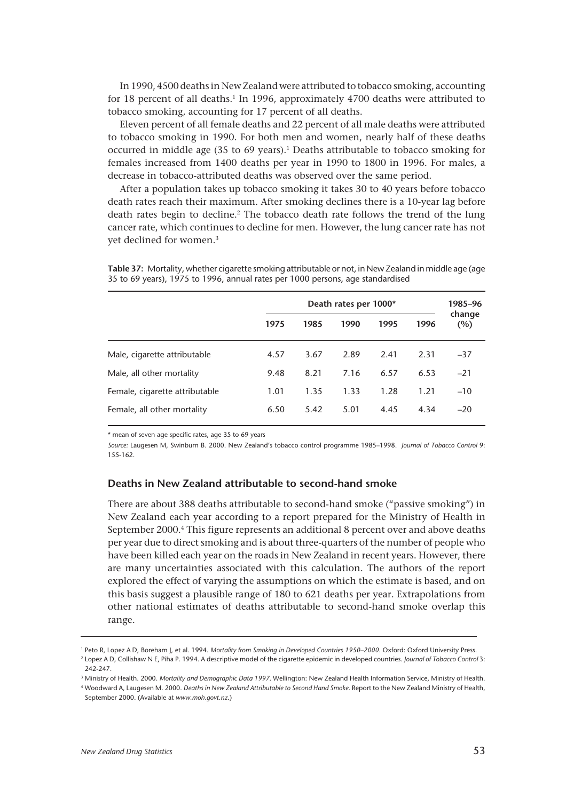In 1990, 4500 deaths in New Zealand were attributed to tobacco smoking, accounting for 18 percent of all deaths.<sup>1</sup> In 1996, approximately 4700 deaths were attributed to tobacco smoking, accounting for 17 percent of all deaths.

Eleven percent of all female deaths and 22 percent of all male deaths were attributed to tobacco smoking in 1990. For both men and women, nearly half of these deaths occurred in middle age (35 to 69 years).<sup>1</sup> Deaths attributable to tobacco smoking for females increased from 1400 deaths per year in 1990 to 1800 in 1996. For males, a decrease in tobacco-attributed deaths was observed over the same period.

After a population takes up tobacco smoking it takes 30 to 40 years before tobacco death rates reach their maximum. After smoking declines there is a 10-year lag before death rates begin to decline.<sup>2</sup> The tobacco death rate follows the trend of the lung cancer rate, which continues to decline for men. However, the lung cancer rate has not yet declined for women.3

**Table 37:** Mortality, whether cigarette smoking attributable or not, in New Zealand in middle age (age 35 to 69 years), 1975 to 1996, annual rates per 1000 persons, age standardised

|                                |      |      | Death rates per 1000* |      |      | 1985–96       |
|--------------------------------|------|------|-----------------------|------|------|---------------|
|                                | 1975 | 1985 | 1990                  | 1995 | 1996 | change<br>(%) |
| Male, cigarette attributable   | 4.57 | 3.67 | 2.89                  | 2.41 | 2.31 | $-37$         |
| Male, all other mortality      | 9.48 | 8.21 | 7.16                  | 6.57 | 6.53 | $-21$         |
| Female, cigarette attributable | 1.01 | 1.35 | 1.33                  | 1.28 | 1.21 | $-10$         |
| Female, all other mortality    | 6.50 | 5.42 | 5.01                  | 4.45 | 4.34 | $-20$         |

\* mean of seven age specific rates, age 35 to 69 years

*Source:* Laugesen M, Swinburn B. 2000. New Zealand's tobacco control programme 1985–1998. *Journal of Tobacco Control* 9: 155-162.

## **Deaths in New Zealand attributable to second-hand smoke**

There are about 388 deaths attributable to second-hand smoke ("passive smoking") in New Zealand each year according to a report prepared for the Ministry of Health in September 2000.4 This figure represents an additional 8 percent over and above deaths per year due to direct smoking and is about three-quarters of the number of people who have been killed each year on the roads in New Zealand in recent years. However, there are many uncertainties associated with this calculation. The authors of the report explored the effect of varying the assumptions on which the estimate is based, and on this basis suggest a plausible range of 180 to 621 deaths per year. Extrapolations from other national estimates of deaths attributable to second-hand smoke overlap this range.

<sup>1</sup> Peto R, Lopez A D, Boreham J, et al. 1994. *Mortality from Smoking in Developed Countries 1950–2000.* Oxford: Oxford University Press.

<sup>2</sup> Lopez A D, Collishaw N E, Piha P. 1994. A descriptive model of the cigarette epidemic in developed countries. *Journal of Tobacco Control* 3: 242-247.

<sup>3</sup> Ministry of Health. 2000. *Mortality and Demographic Data 1997*. Wellington: New Zealand Health Information Service, Ministry of Health. <sup>4</sup> Woodward A, Laugesen M. 2000. *Deaths in New Zealand Attributable to Second Hand Smoke*. Report to the New Zealand Ministry of Health,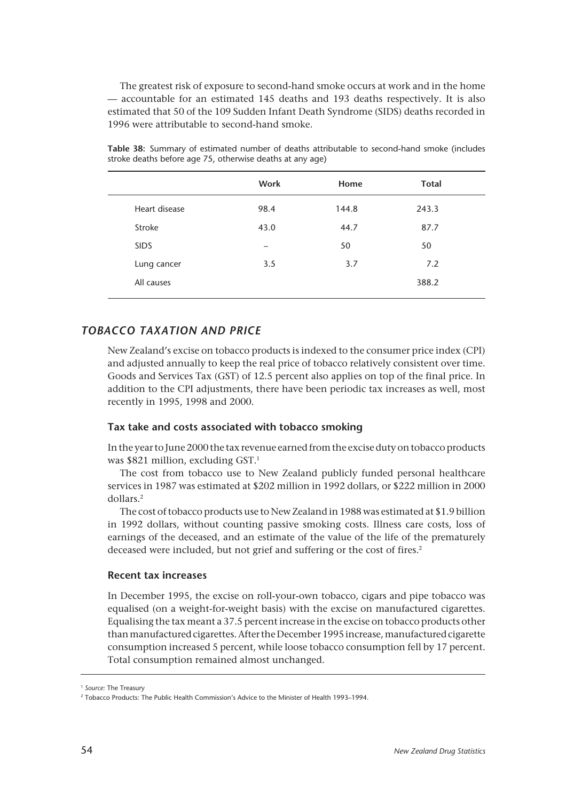The greatest risk of exposure to second-hand smoke occurs at work and in the home — accountable for an estimated 145 deaths and 193 deaths respectively. It is also estimated that 50 of the 109 Sudden Infant Death Syndrome (SIDS) deaths recorded in 1996 were attributable to second-hand smoke.

|               | Work | Home  | <b>Total</b> |
|---------------|------|-------|--------------|
| Heart disease | 98.4 | 144.8 | 243.3        |
| Stroke        | 43.0 | 44.7  | 87.7         |
| <b>SIDS</b>   |      | 50    | 50           |
| Lung cancer   | 3.5  | 3.7   | 7.2          |
| All causes    |      |       | 388.2        |
|               |      |       |              |

**Table 38:** Summary of estimated number of deaths attributable to second-hand smoke (includes stroke deaths before age 75, otherwise deaths at any age)

# *TOBACCO TAXATION AND PRICE*

New Zealand's excise on tobacco products is indexed to the consumer price index (CPI) and adjusted annually to keep the real price of tobacco relatively consistent over time. Goods and Services Tax (GST) of 12.5 percent also applies on top of the final price. In addition to the CPI adjustments, there have been periodic tax increases as well, most recently in 1995, 1998 and 2000.

# **Tax take and costs associated with tobacco smoking**

In the year to June 2000 the tax revenue earned from the excise duty on tobacco products was \$821 million, excluding GST.<sup>1</sup>

The cost from tobacco use to New Zealand publicly funded personal healthcare services in 1987 was estimated at \$202 million in 1992 dollars, or \$222 million in 2000 dollars.2

The cost of tobacco products use to New Zealand in 1988 was estimated at \$1.9 billion in 1992 dollars, without counting passive smoking costs. Illness care costs, loss of earnings of the deceased, and an estimate of the value of the life of the prematurely deceased were included, but not grief and suffering or the cost of fires.<sup>2</sup>

## **Recent tax increases**

In December 1995, the excise on roll-your-own tobacco, cigars and pipe tobacco was equalised (on a weight-for-weight basis) with the excise on manufactured cigarettes. Equalising the tax meant a 37.5 percent increase in the excise on tobacco products other than manufactured cigarettes. After the December 1995 increase, manufactured cigarette consumption increased 5 percent, while loose tobacco consumption fell by 17 percent. Total consumption remained almost unchanged.

<sup>1</sup> *Source:* The Treasury

<sup>2</sup> Tobacco Products: The Public Health Commission's Advice to the Minister of Health 1993–1994.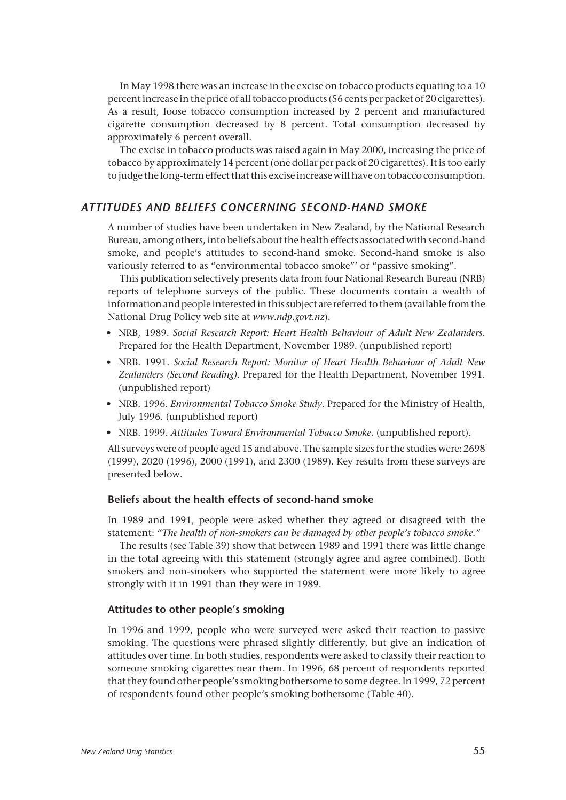In May 1998 there was an increase in the excise on tobacco products equating to a 10 percent increase in the price of all tobacco products (56 cents per packet of 20 cigarettes). As a result, loose tobacco consumption increased by 2 percent and manufactured cigarette consumption decreased by 8 percent. Total consumption decreased by approximately 6 percent overall.

The excise in tobacco products was raised again in May 2000, increasing the price of tobacco by approximately 14 percent (one dollar per pack of 20 cigarettes). It is too early to judge the long-term effect that this excise increase will have on tobacco consumption.

# *ATTITUDES AND BELIEFS CONCERNING SECOND-HAND SMOKE*

A number of studies have been undertaken in New Zealand, by the National Research Bureau, among others, into beliefs about the health effects associated with second-hand smoke, and people's attitudes to second-hand smoke. Second-hand smoke is also variously referred to as "environmental tobacco smoke"' or "passive smoking".

This publication selectively presents data from four National Research Bureau (NRB) reports of telephone surveys of the public. These documents contain a wealth of information and people interested in this subject are referred to them (available from the National Drug Policy web site at *www.ndp.govt.nz*).

- NRB, 1989. *Social Research Report: Heart Health Behaviour of Adult New Zealanders*. Prepared for the Health Department, November 1989. (unpublished report)
- NRB. 1991. *Social Research Report: Monitor of Heart Health Behaviour of Adult New Zealanders (Second Reading)*. Prepared for the Health Department, November 1991. (unpublished report)
- NRB. 1996. *Environmental Tobacco Smoke Study*. Prepared for the Ministry of Health, July 1996. (unpublished report)
- NRB. 1999. *Attitudes Toward Environmental Tobacco Smoke*. (unpublished report).

All surveys were of people aged 15 and above. The sample sizes for the studies were: 2698 (1999), 2020 (1996), 2000 (1991), and 2300 (1989). Key results from these surveys are presented below.

#### **Beliefs about the health effects of second-hand smoke**

In 1989 and 1991, people were asked whether they agreed or disagreed with the statement: *"The health of non-smokers can be damaged by other people's tobacco smoke."*

The results (see Table 39) show that between 1989 and 1991 there was little change in the total agreeing with this statement (strongly agree and agree combined). Both smokers and non-smokers who supported the statement were more likely to agree strongly with it in 1991 than they were in 1989.

#### **Attitudes to other people's smoking**

In 1996 and 1999, people who were surveyed were asked their reaction to passive smoking. The questions were phrased slightly differently, but give an indication of attitudes over time. In both studies, respondents were asked to classify their reaction to someone smoking cigarettes near them. In 1996, 68 percent of respondents reported that they found other people's smoking bothersome to some degree. In 1999, 72 percent of respondents found other people's smoking bothersome (Table 40).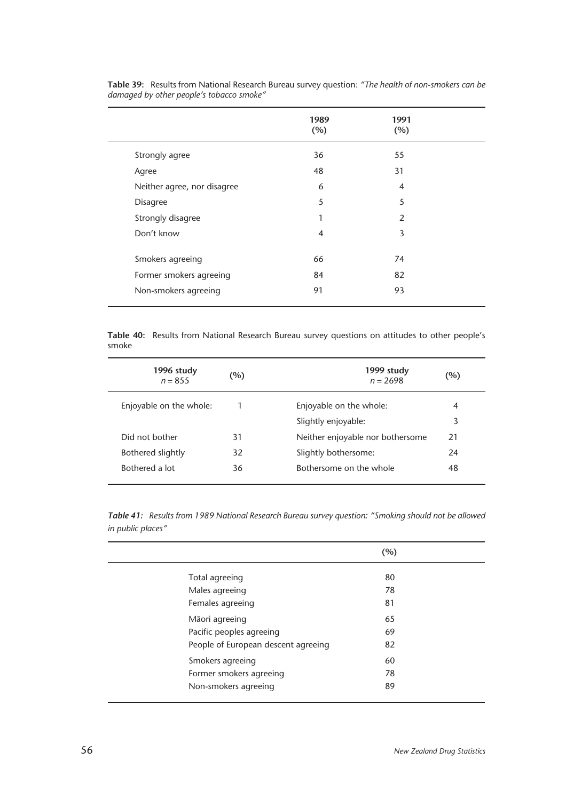|                             | 1989<br>(%)    | 1991<br>(%)    |  |
|-----------------------------|----------------|----------------|--|
| Strongly agree              | 36             | 55             |  |
| Agree                       | 48             | 31             |  |
| Neither agree, nor disagree | 6              | $\overline{4}$ |  |
| <b>Disagree</b>             | 5              | 5              |  |
| Strongly disagree           | 1              | $\overline{2}$ |  |
| Don't know                  | $\overline{4}$ | 3              |  |
|                             |                |                |  |
| Smokers agreeing            | 66             | 74             |  |
| Former smokers agreeing     | 84             | 82             |  |
| Non-smokers agreeing        | 91             | 93             |  |
|                             |                |                |  |

**Table 39:** Results from National Research Bureau survey question: *"The health of non-smokers can be damaged by other people's tobacco smoke"*

**Table 40:** Results from National Research Bureau survey questions on attitudes to other people's smoke

| 1996 study<br>$n = 855$ | $(\%)$ | 1999 study<br>$n = 2698$         | (%) |
|-------------------------|--------|----------------------------------|-----|
| Enjoyable on the whole: |        | Enjoyable on the whole:          | 4   |
|                         |        | Slightly enjoyable:              | 3   |
| Did not bother          | 31     | Neither enjoyable nor bothersome | 21  |
| Bothered slightly       | 32     | Slightly bothersome:             | 24  |
| Bothered a lot          | 36     | Bothersome on the whole          | 48  |

*Table 41: Results from 1989 National Research Bureau survey question: "Smoking should not be allowed in public places"*

|                                     | (%) |  |
|-------------------------------------|-----|--|
|                                     |     |  |
| Total agreeing                      | 80  |  |
| Males agreeing                      | 78  |  |
| Females agreeing                    | 81  |  |
| Māori agreeing                      | 65  |  |
| Pacific peoples agreeing            | 69  |  |
| People of European descent agreeing | 82  |  |
| Smokers agreeing                    | 60  |  |
| Former smokers agreeing             | 78  |  |
| Non-smokers agreeing                | 89  |  |
|                                     |     |  |

J.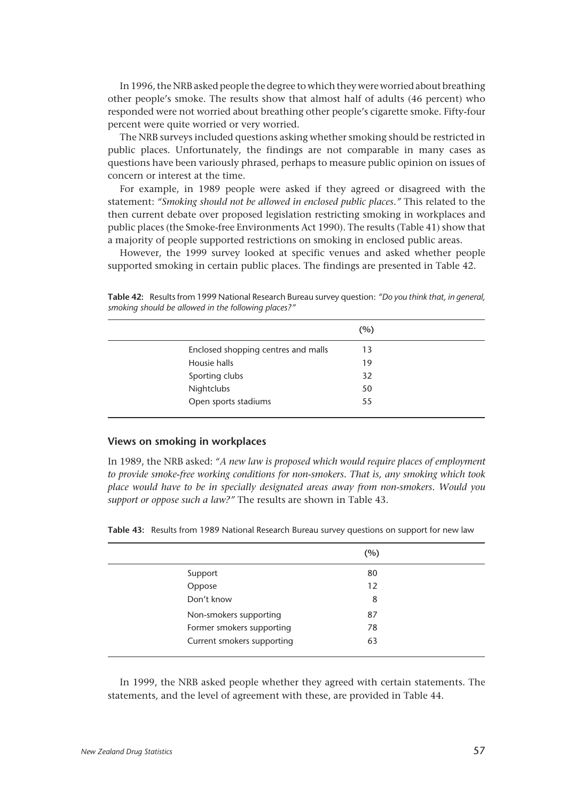In 1996, the NRB asked people the degree to which they were worried about breathing other people's smoke. The results show that almost half of adults (46 percent) who responded were not worried about breathing other people's cigarette smoke. Fifty-four percent were quite worried or very worried.

The NRB surveys included questions asking whether smoking should be restricted in public places. Unfortunately, the findings are not comparable in many cases as questions have been variously phrased, perhaps to measure public opinion on issues of concern or interest at the time.

For example, in 1989 people were asked if they agreed or disagreed with the statement: *"Smoking should not be allowed in enclosed public places."* This related to the then current debate over proposed legislation restricting smoking in workplaces and public places (the Smoke-free Environments Act 1990). The results (Table 41) show that a majority of people supported restrictions on smoking in enclosed public areas.

However, the 1999 survey looked at specific venues and asked whether people supported smoking in certain public places. The findings are presented in Table 42.

|                                     | (%) |
|-------------------------------------|-----|
| Enclosed shopping centres and malls | 13  |
| Housie halls                        | 19  |
| Sporting clubs                      | 32  |
| Nightclubs                          | 50  |
| Open sports stadiums                | 55  |

**Table 42:** Results from 1999 National Research Bureau survey question: *"Do you think that, in general, smoking should be allowed in the following places?"*

### **Views on smoking in workplaces**

In 1989, the NRB asked: *"A new law is proposed which would require places of employment to provide smoke-free working conditions for non-smokers. That is, any smoking which took place would have to be in specially designated areas away from non-smokers. Would you support or oppose such a law?"* The results are shown in Table 43.

**Table 43:** Results from 1989 National Research Bureau survey questions on support for new law

|                            | (%) |
|----------------------------|-----|
| Support                    | 80  |
| Oppose                     | 12  |
| Don't know                 | 8   |
| Non-smokers supporting     | 87  |
| Former smokers supporting  | 78  |
| Current smokers supporting | 63  |
|                            |     |

In 1999, the NRB asked people whether they agreed with certain statements. The statements, and the level of agreement with these, are provided in Table 44.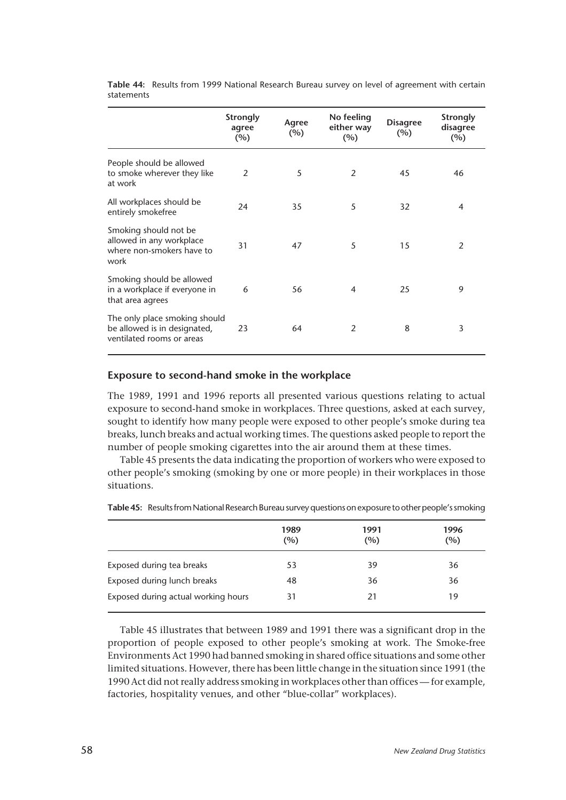|                                                                                            | <b>Strongly</b><br>agree<br>$(\%)$ | Agree<br>(%) | No feeling<br>either way<br>$(\%)$ | <b>Disagree</b><br>$(\%)$ | <b>Strongly</b><br>disagree<br>$(\%)$ |
|--------------------------------------------------------------------------------------------|------------------------------------|--------------|------------------------------------|---------------------------|---------------------------------------|
| People should be allowed<br>to smoke wherever they like<br>at work                         | 2                                  | 5            | 2                                  | 45                        | 46                                    |
| All workplaces should be<br>entirely smokefree                                             | 24                                 | 35           | 5                                  | 32                        | $\overline{4}$                        |
| Smoking should not be<br>allowed in any workplace<br>where non-smokers have to<br>work     | 31                                 | 47           | 5                                  | 15                        | 2                                     |
| Smoking should be allowed<br>in a workplace if everyone in<br>that area agrees             | 6                                  | 56           | $\overline{4}$                     | 25                        | 9                                     |
| The only place smoking should<br>be allowed is in designated,<br>ventilated rooms or areas | 23                                 | 64           | 2                                  | 8                         | 3                                     |

**Table 44:** Results from 1999 National Research Bureau survey on level of agreement with certain statements

# **Exposure to second-hand smoke in the workplace**

The 1989, 1991 and 1996 reports all presented various questions relating to actual exposure to second-hand smoke in workplaces. Three questions, asked at each survey, sought to identify how many people were exposed to other people's smoke during tea breaks, lunch breaks and actual working times. The questions asked people to report the number of people smoking cigarettes into the air around them at these times.

Table 45 presents the data indicating the proportion of workers who were exposed to other people's smoking (smoking by one or more people) in their workplaces in those situations.

|                                     | 1989<br>(%) | 1991<br>(%) | 1996<br>(%) |
|-------------------------------------|-------------|-------------|-------------|
| Exposed during tea breaks           | 53          | 39          | 36          |
| Exposed during lunch breaks         | 48          | 36          | 36          |
| Exposed during actual working hours | 31          | 21          | 19          |

**Table 45:** Results from National Research Bureau survey questions on exposure to other people's smoking

Table 45 illustrates that between 1989 and 1991 there was a significant drop in the proportion of people exposed to other people's smoking at work. The Smoke-free Environments Act 1990 had banned smoking in shared office situations and some other limited situations. However, there has been little change in the situation since 1991 (the 1990 Act did not really address smoking in workplaces other than offices — for example, factories, hospitality venues, and other "blue-collar" workplaces).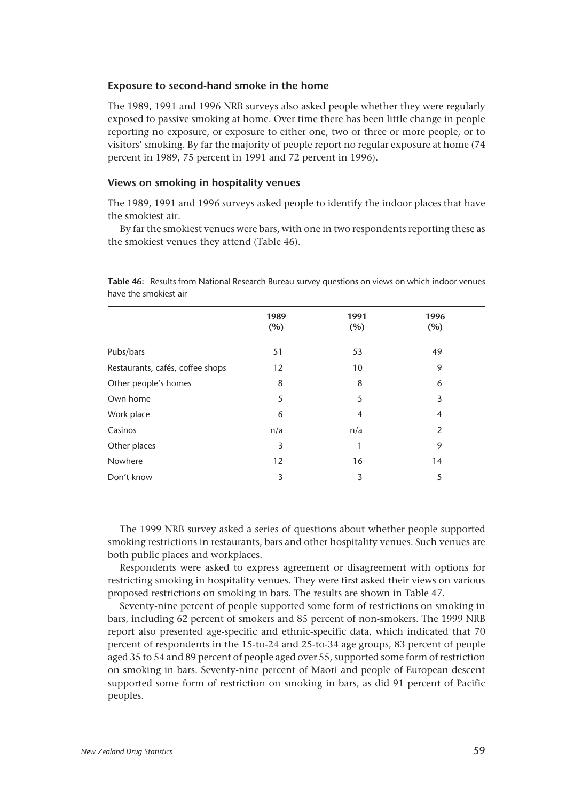## **Exposure to second-hand smoke in the home**

The 1989, 1991 and 1996 NRB surveys also asked people whether they were regularly exposed to passive smoking at home. Over time there has been little change in people reporting no exposure, or exposure to either one, two or three or more people, or to visitors' smoking. By far the majority of people report no regular exposure at home (74 percent in 1989, 75 percent in 1991 and 72 percent in 1996).

## **Views on smoking in hospitality venues**

The 1989, 1991 and 1996 surveys asked people to identify the indoor places that have the smokiest air.

By far the smokiest venues were bars, with one in two respondents reporting these as the smokiest venues they attend (Table 46).

|                                  | 1989<br>(%) | 1991<br>(%) | 1996<br>(%) |
|----------------------------------|-------------|-------------|-------------|
| Pubs/bars                        | 51          | 53          | 49          |
| Restaurants, cafés, coffee shops | 12          | 10          | 9           |
| Other people's homes             | 8           | 8           | 6           |
| Own home                         | 5           | 5           | 3           |
| Work place                       | 6           | 4           | 4           |
| Casinos                          | n/a         | n/a         | 2           |
| Other places                     | 3           | 1           | 9           |
| Nowhere                          | 12          | 16          | 14          |
| Don't know                       | 3           | 3           | 5           |
|                                  |             |             |             |

**Table 46:** Results from National Research Bureau survey questions on views on which indoor venues have the smokiest air

The 1999 NRB survey asked a series of questions about whether people supported smoking restrictions in restaurants, bars and other hospitality venues. Such venues are both public places and workplaces.

Respondents were asked to express agreement or disagreement with options for restricting smoking in hospitality venues. They were first asked their views on various proposed restrictions on smoking in bars. The results are shown in Table 47.

Seventy-nine percent of people supported some form of restrictions on smoking in bars, including 62 percent of smokers and 85 percent of non-smokers. The 1999 NRB report also presented age-specific and ethnic-specific data, which indicated that 70 percent of respondents in the 15-to-24 and 25-to-34 age groups, 83 percent of people aged 35 to 54 and 89 percent of people aged over 55, supported some form of restriction on smoking in bars. Seventy-nine percent of Mâori and people of European descent supported some form of restriction on smoking in bars, as did 91 percent of Pacific peoples.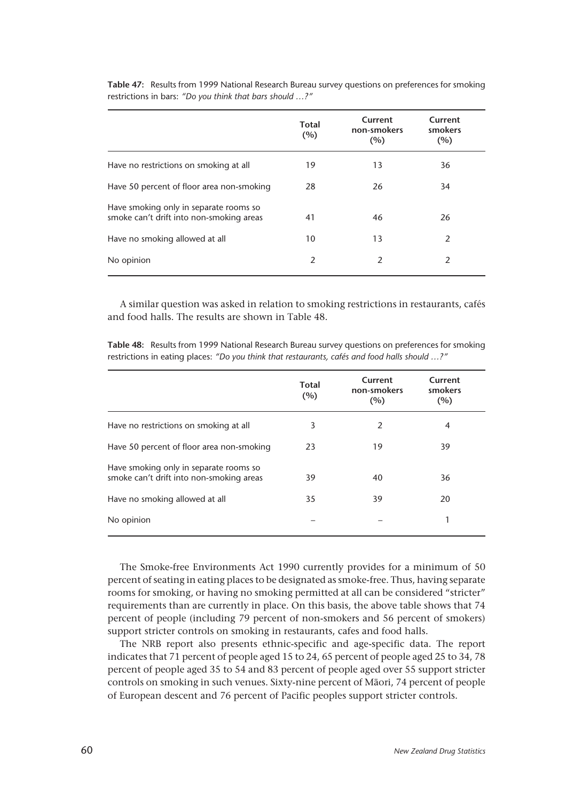|                                                                                    | <b>Total</b><br>(%) | Current<br>non-smokers<br>(%) | Current<br>smokers<br>(%) |
|------------------------------------------------------------------------------------|---------------------|-------------------------------|---------------------------|
| Have no restrictions on smoking at all                                             | 19                  | 13                            | 36                        |
| Have 50 percent of floor area non-smoking                                          | 28                  | 26                            | 34                        |
| Have smoking only in separate rooms so<br>smoke can't drift into non-smoking areas | 41                  | 46                            | 26                        |
| Have no smoking allowed at all                                                     | 10                  | 13                            | 2                         |
| No opinion                                                                         | $\overline{2}$      | 2                             | $\mathcal{P}$             |

**Table 47:** Results from 1999 National Research Bureau survey questions on preferences for smoking restrictions in bars: *"Do you think that bars should …?"*

A similar question was asked in relation to smoking restrictions in restaurants, cafés and food halls. The results are shown in Table 48.

**Table 48:** Results from 1999 National Research Bureau survey questions on preferences for smoking restrictions in eating places: *"Do you think that restaurants, cafés and food halls should …?"*

|                                                                                    | Total<br>(%) | Current<br>non-smokers<br>(%) | Current<br>smokers<br>(%) |
|------------------------------------------------------------------------------------|--------------|-------------------------------|---------------------------|
| Have no restrictions on smoking at all                                             | 3            | 2                             | 4                         |
| Have 50 percent of floor area non-smoking                                          | 23           | 19                            | 39                        |
| Have smoking only in separate rooms so<br>smoke can't drift into non-smoking areas | 39           | 40                            | 36                        |
| Have no smoking allowed at all                                                     | 35           | 39                            | 20                        |
| No opinion                                                                         |              |                               |                           |

The Smoke-free Environments Act 1990 currently provides for a minimum of 50 percent of seating in eating places to be designated as smoke-free. Thus, having separate rooms for smoking, or having no smoking permitted at all can be considered "stricter" requirements than are currently in place. On this basis, the above table shows that 74 percent of people (including 79 percent of non-smokers and 56 percent of smokers) support stricter controls on smoking in restaurants, cafes and food halls.

The NRB report also presents ethnic-specific and age-specific data. The report indicates that 71 percent of people aged 15 to 24, 65 percent of people aged 25 to 34, 78 percent of people aged 35 to 54 and 83 percent of people aged over 55 support stricter controls on smoking in such venues. Sixty-nine percent of Mâori, 74 percent of people of European descent and 76 percent of Pacific peoples support stricter controls.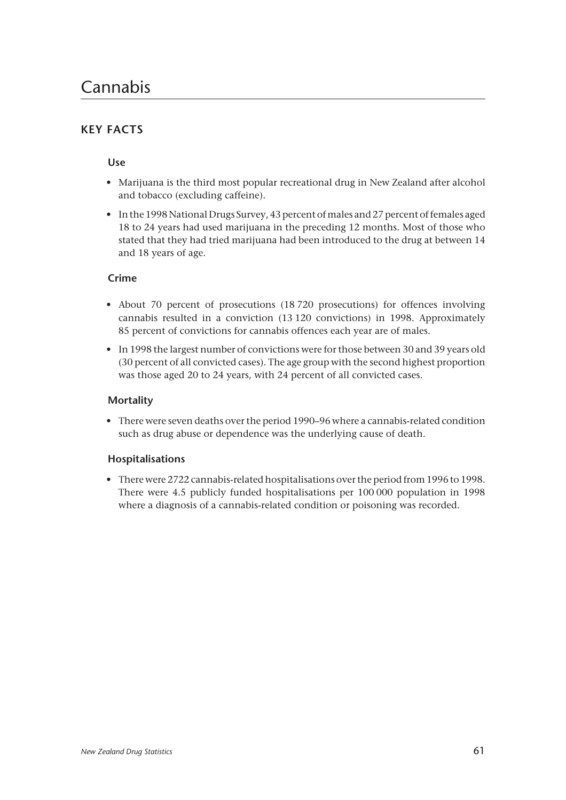# **KEY FACTS**

# **Use**

- Marijuana is the third most popular recreational drug in New Zealand after alcohol and tobacco (excluding caffeine).
- In the 1998 National Drugs Survey, 43 percent of males and 27 percent of females aged 18 to 24 years had used marijuana in the preceding 12 months. Most of those who stated that they had tried marijuana had been introduced to the drug at between 14 and 18 years of age.

# **Crime**

- About 70 percent of prosecutions (18 720 prosecutions) for offences involving cannabis resulted in a conviction (13 120 convictions) in 1998. Approximately 85 percent of convictions for cannabis offences each year are of males.
- In 1998 the largest number of convictions were for those between 30 and 39 years old (30 percent of all convicted cases). The age group with the second highest proportion was those aged 20 to 24 years, with 24 percent of all convicted cases.

# **Mortality**

• There were seven deaths over the period 1990–96 where a cannabis-related condition such as drug abuse or dependence was the underlying cause of death.

# **Hospitalisations**

• There were 2722 cannabis-related hospitalisations over the period from 1996 to 1998. There were 4.5 publicly funded hospitalisations per 100 000 population in 1998 where a diagnosis of a cannabis-related condition or poisoning was recorded.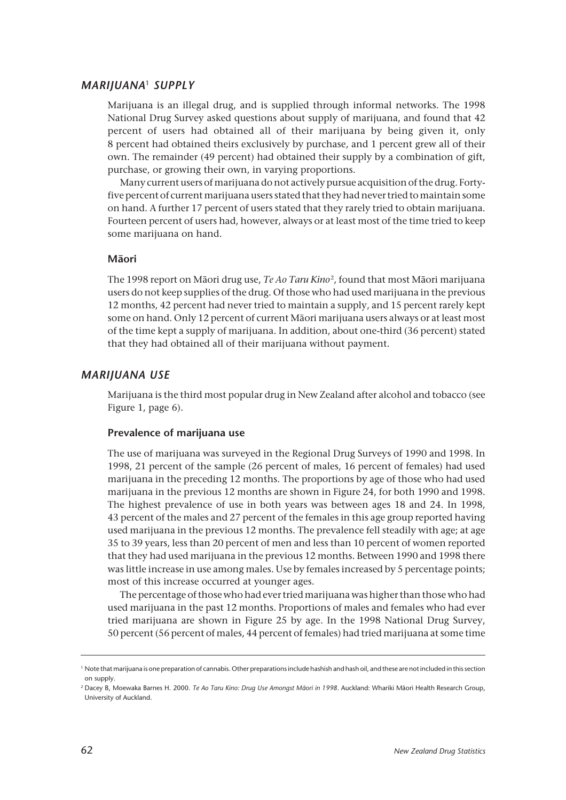## *MARIJUANA*<sup>1</sup> *SUPPLY*

Marijuana is an illegal drug, and is supplied through informal networks. The 1998 National Drug Survey asked questions about supply of marijuana, and found that 42 percent of users had obtained all of their marijuana by being given it, only 8 percent had obtained theirs exclusively by purchase, and 1 percent grew all of their own. The remainder (49 percent) had obtained their supply by a combination of gift, purchase, or growing their own, in varying proportions.

Many current users of marijuana do not actively pursue acquisition of the drug. Fortyfive percent of current marijuana users stated that they had never tried to maintain some on hand. A further 17 percent of users stated that they rarely tried to obtain marijuana. Fourteen percent of users had, however, always or at least most of the time tried to keep some marijuana on hand.

## **Mâori**

The 1998 report on Mâori drug use, *Te Ao Taru Kino*2, found that most Mâori marijuana users do not keep supplies of the drug. Of those who had used marijuana in the previous 12 months, 42 percent had never tried to maintain a supply, and 15 percent rarely kept some on hand. Only 12 percent of current Mâori marijuana users always or at least most of the time kept a supply of marijuana. In addition, about one-third (36 percent) stated that they had obtained all of their marijuana without payment.

## *MARIJUANA USE*

Marijuana is the third most popular drug in New Zealand after alcohol and tobacco (see Figure 1, page 6).

#### **Prevalence of marijuana use**

The use of marijuana was surveyed in the Regional Drug Surveys of 1990 and 1998. In 1998, 21 percent of the sample (26 percent of males, 16 percent of females) had used marijuana in the preceding 12 months. The proportions by age of those who had used marijuana in the previous 12 months are shown in Figure 24, for both 1990 and 1998. The highest prevalence of use in both years was between ages 18 and 24. In 1998, 43 percent of the males and 27 percent of the females in this age group reported having used marijuana in the previous 12 months. The prevalence fell steadily with age; at age 35 to 39 years, less than 20 percent of men and less than 10 percent of women reported that they had used marijuana in the previous 12 months. Between 1990 and 1998 there was little increase in use among males. Use by females increased by 5 percentage points; most of this increase occurred at younger ages.

The percentage of those who had ever tried marijuana was higher than those who had used marijuana in the past 12 months. Proportions of males and females who had ever tried marijuana are shown in Figure 25 by age. In the 1998 National Drug Survey, 50 percent (56 percent of males, 44 percent of females) had tried marijuana at some time

<sup>&</sup>lt;sup>1</sup> Note that marijuana is one preparation of cannabis. Other preparations include hashish and hash oil, and these are not included in this section on supply.

<sup>2</sup> Dacey B, Moewaka Barnes H. 2000. *Te Ao Taru Kino: Drug Use Amongst Mâori in 1998.* Auckland: Whariki Mâori Health Research Group, University of Auckland.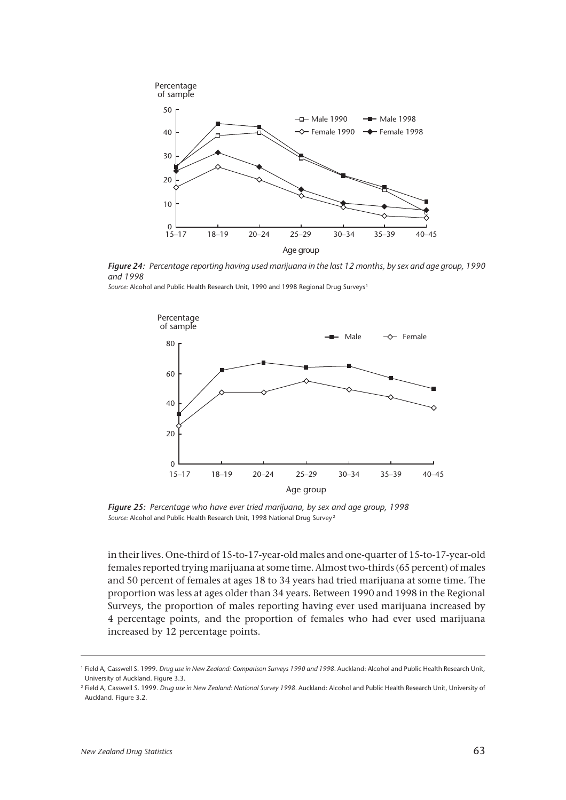

*Figure 24: Percentage reporting having used marijuana in the last 12 months, by sex and age group, 1990 and 1998*

*Source:* Alcohol and Public Health Research Unit, 1990 and 1998 Regional Drug Surveys <sup>1</sup>



*Figure 25: Percentage who have ever tried marijuana, by sex and age group, 1998 Source:* Alcohol and Public Health Research Unit, 1998 National Drug Survey <sup>2</sup>

in their lives. One-third of 15-to-17-year-old males and one-quarter of 15-to-17-year-old females reported trying marijuana at some time. Almost two-thirds (65 percent) of males and 50 percent of females at ages 18 to 34 years had tried marijuana at some time. The proportion was less at ages older than 34 years. Between 1990 and 1998 in the Regional Surveys, the proportion of males reporting having ever used marijuana increased by 4 percentage points, and the proportion of females who had ever used marijuana increased by 12 percentage points.

<sup>1</sup> Field A, Casswell S. 1999. *Drug use in New Zealand: Comparison Surveys 1990 and 1998.* Auckland: Alcohol and Public Health Research Unit, University of Auckland. Figure 3.3.

<sup>2</sup> Field A, Casswell S. 1999. *Drug use in New Zealand: National Survey 1998.* Auckland: Alcohol and Public Health Research Unit, University of Auckland. Figure 3.2.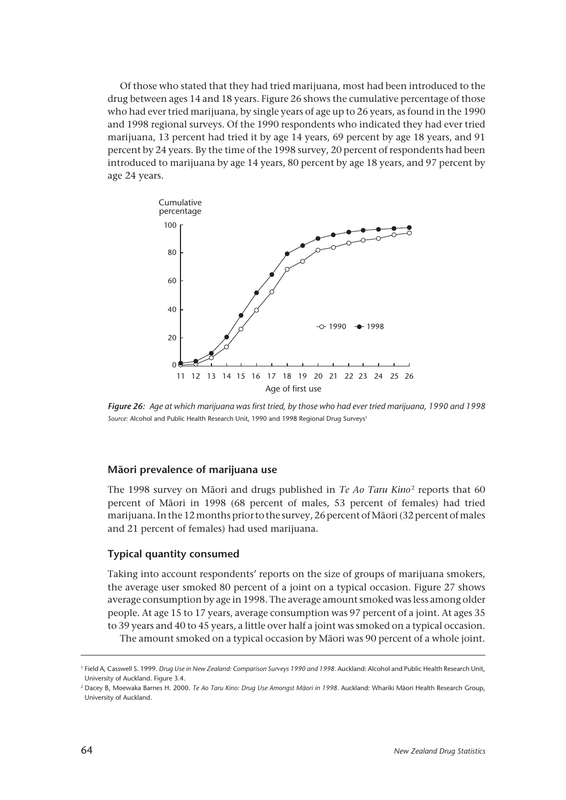Of those who stated that they had tried marijuana, most had been introduced to the drug between ages 14 and 18 years. Figure 26 shows the cumulative percentage of those who had ever tried marijuana, by single years of age up to 26 years, as found in the 1990 and 1998 regional surveys. Of the 1990 respondents who indicated they had ever tried marijuana, 13 percent had tried it by age 14 years, 69 percent by age 18 years, and 91 percent by 24 years. By the time of the 1998 survey, 20 percent of respondents had been introduced to marijuana by age 14 years, 80 percent by age 18 years, and 97 percent by age 24 years.



*Figure 26: Age at which marijuana was first tried, by those who had ever tried marijuana, 1990 and 1998* Source: Alcohol and Public Health Research Unit, 1990 and 1998 Regional Drug Surveys<sup>1</sup>

#### **Mâori prevalence of marijuana use**

The 1998 survey on Māori and drugs published in *Te Ao Taru Kino*<sup>2</sup> reports that 60 percent of Mâori in 1998 (68 percent of males, 53 percent of females) had tried marijuana. In the 12 months prior to the survey, 26 percent of Mâori (32 percent of males and 21 percent of females) had used marijuana.

## **Typical quantity consumed**

Taking into account respondents' reports on the size of groups of marijuana smokers, the average user smoked 80 percent of a joint on a typical occasion. Figure 27 shows average consumption by age in 1998. The average amount smoked was less among older people. At age 15 to 17 years, average consumption was 97 percent of a joint. At ages 35 to 39 years and 40 to 45 years, a little over half a joint was smoked on a typical occasion. The amount smoked on a typical occasion by Mâori was 90 percent of a whole joint.

<sup>1</sup> Field A, Casswell S. 1999. *Drug Use in New Zealand: Comparison Surveys 1990 and 1998.* Auckland: Alcohol and Public Health Research Unit, University of Auckland. Figure 3.4.

<sup>2</sup> Dacey B, Moewaka Barnes H. 2000. *Te Ao Taru Kino: Drug Use Amongst Mâori in 1998.* Auckland: Whariki Mâori Health Research Group, University of Auckland.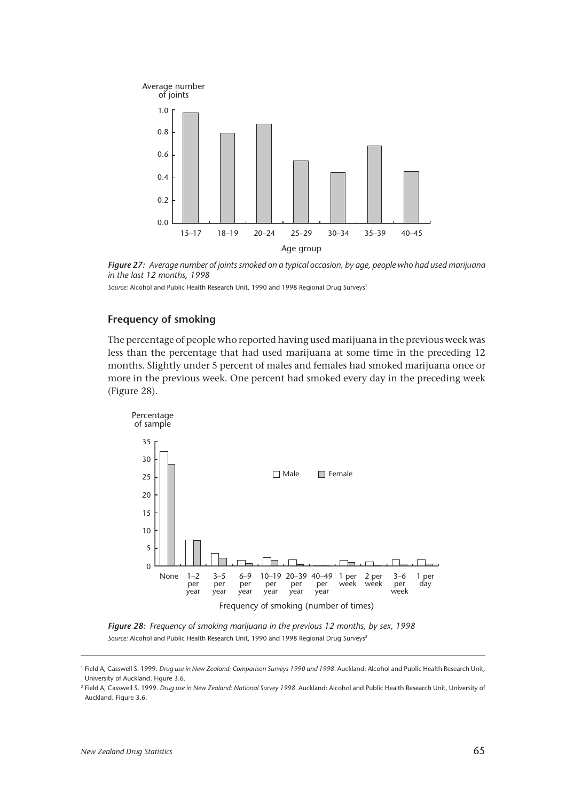

*Figure 27: Average number of joints smoked on a typical occasion, by age, people who had used marijuana in the last 12 months, 1998*

Source: Alcohol and Public Health Research Unit, 1990 and 1998 Regional Drug Surveys<sup>1</sup>

## **Frequency of smoking**

The percentage of people who reported having used marijuana in the previous week was less than the percentage that had used marijuana at some time in the preceding 12 months. Slightly under 5 percent of males and females had smoked marijuana once or more in the previous week. One percent had smoked every day in the preceding week (Figure 28).



*Figure 28: Frequency of smoking marijuana in the previous 12 months, by sex, 1998* Source: Alcohol and Public Health Research Unit, 1990 and 1998 Regional Drug Surveys<sup>2</sup>

<sup>1</sup> Field A, Casswell S. 1999. *Drug use in New Zealand: Comparison Surveys 1990 and 1998.* Auckland: Alcohol and Public Health Research Unit, University of Auckland. Figure 3.6.

<sup>2</sup> Field A, Casswell S. 1999. *Drug use in New Zealand: National Survey 1998.* Auckland: Alcohol and Public Health Research Unit, University of Auckland. Figure 3.6.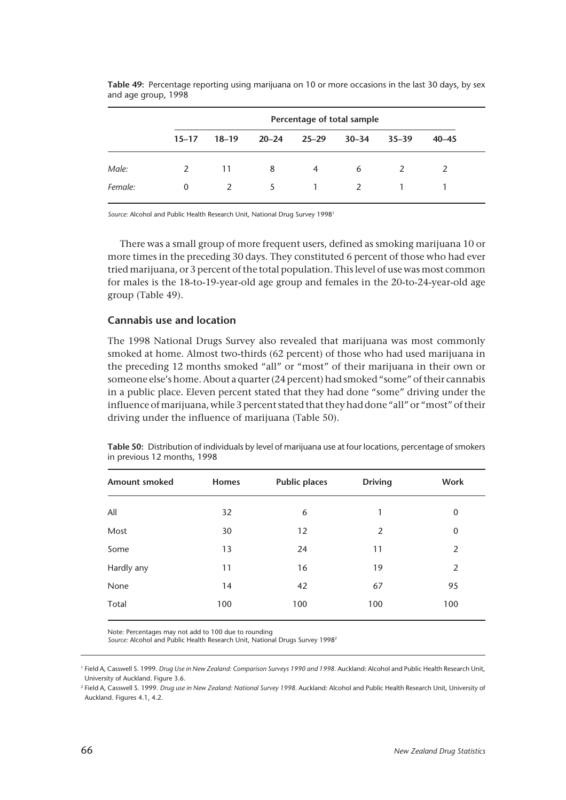|         |           | Percentage of total sample |           |                |               |               |           |  |  |  |
|---------|-----------|----------------------------|-----------|----------------|---------------|---------------|-----------|--|--|--|
|         | $15 - 17$ | $18 - 19$                  | $20 - 24$ | $25 - 29$      | $30 - 34$     | $35 - 39$     | $40 - 45$ |  |  |  |
| Male:   | 2         | 11                         | 8         | $\overline{4}$ | 6             | $\mathcal{L}$ | 2         |  |  |  |
| Female: | 0         | $\mathcal{P}$              | 5         | $\mathbf{1}$   | $\mathcal{L}$ |               |           |  |  |  |

**Table 49:** Percentage reporting using marijuana on 10 or more occasions in the last 30 days, by sex and age group, 1998

*Source:* Alcohol and Public Health Research Unit, National Drug Survey 19981

There was a small group of more frequent users, defined as smoking marijuana 10 or more times in the preceding 30 days. They constituted 6 percent of those who had ever tried marijuana, or 3 percent of the total population. This level of use was most common for males is the 18-to-19-year-old age group and females in the 20-to-24-year-old age group (Table 49).

## **Cannabis use and location**

The 1998 National Drugs Survey also revealed that marijuana was most commonly smoked at home. Almost two-thirds (62 percent) of those who had used marijuana in the preceding 12 months smoked "all" or "most" of their marijuana in their own or someone else's home. About a quarter (24 percent) had smoked "some" of their cannabis in a public place. Eleven percent stated that they had done "some" driving under the influence of marijuana, while 3 percent stated that they had done "all" or "most" of their driving under the influence of marijuana (Table 50).

| <b>Amount smoked</b> | <b>Homes</b> | <b>Public places</b> | <b>Driving</b> | <b>Work</b> |
|----------------------|--------------|----------------------|----------------|-------------|
| All                  | 32           | 6                    | 1              | $\mathbf 0$ |
| Most                 | 30           | 12                   | $\overline{2}$ | 0           |
| Some                 | 13           | 24                   | 11             | 2           |
| Hardly any           | 11           | 16                   | 19             | 2           |
| None                 | 14           | 42                   | 67             | 95          |
| Total                | 100          | 100                  | 100            | 100         |
|                      |              |                      |                |             |

**Table 50:** Distribution of individuals by level of marijuana use at four locations, percentage of smokers in previous 12 months, 1998

Note: Percentages may not add to 100 due to rounding

*Source:* Alcohol and Public Health Research Unit, National Drugs Survey 19982

<sup>2</sup> Field A, Casswell S. 1999. *Drug use in New Zealand: National Survey 1998.* Auckland: Alcohol and Public Health Research Unit, University of Auckland. Figures 4.1, 4.2.

<sup>1</sup> Field A, Casswell S. 1999. *Drug Use in New Zealand: Comparison Surveys 1990 and 1998.* Auckland: Alcohol and Public Health Research Unit, University of Auckland. Figure 3.6.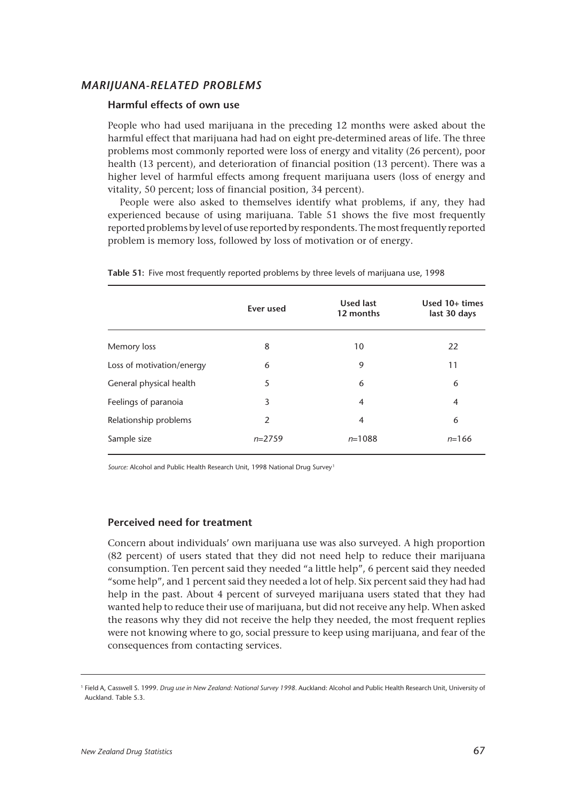# *MARIJUANA-RELATED PROBLEMS*

## **Harmful effects of own use**

People who had used marijuana in the preceding 12 months were asked about the harmful effect that marijuana had had on eight pre-determined areas of life. The three problems most commonly reported were loss of energy and vitality (26 percent), poor health (13 percent), and deterioration of financial position (13 percent). There was a higher level of harmful effects among frequent marijuana users (loss of energy and vitality, 50 percent; loss of financial position, 34 percent).

People were also asked to themselves identify what problems, if any, they had experienced because of using marijuana. Table 51 shows the five most frequently reported problems by level of use reported by respondents. The most frequently reported problem is memory loss, followed by loss of motivation or of energy.

|                           | Ever used      | <b>Used last</b><br>12 months | Used $10+$ times<br>last 30 days |
|---------------------------|----------------|-------------------------------|----------------------------------|
| Memory loss               | 8              | 10                            | 22                               |
| Loss of motivation/energy | 6              | 9                             | 11                               |
| General physical health   | 5              | 6                             | 6                                |
| Feelings of paranoia      | 3              | $\overline{4}$                | $\overline{4}$                   |
| Relationship problems     | $\overline{2}$ | $\overline{4}$                | 6                                |
| Sample size               | $n=2759$       | $n = 1088$                    | $n=166$                          |

**Table 51:** Five most frequently reported problems by three levels of marijuana use, 1998

*Source:* Alcohol and Public Health Research Unit, 1998 National Drug Survey <sup>1</sup>

#### **Perceived need for treatment**

Concern about individuals' own marijuana use was also surveyed. A high proportion (82 percent) of users stated that they did not need help to reduce their marijuana consumption. Ten percent said they needed "a little help", 6 percent said they needed "some help", and 1 percent said they needed a lot of help. Six percent said they had had help in the past. About 4 percent of surveyed marijuana users stated that they had wanted help to reduce their use of marijuana, but did not receive any help. When asked the reasons why they did not receive the help they needed, the most frequent replies were not knowing where to go, social pressure to keep using marijuana, and fear of the consequences from contacting services.

<sup>1</sup> Field A, Casswell S. 1999. *Drug use in New Zealand: National Survey 1998.* Auckland: Alcohol and Public Health Research Unit, University of Auckland. Table 5.3.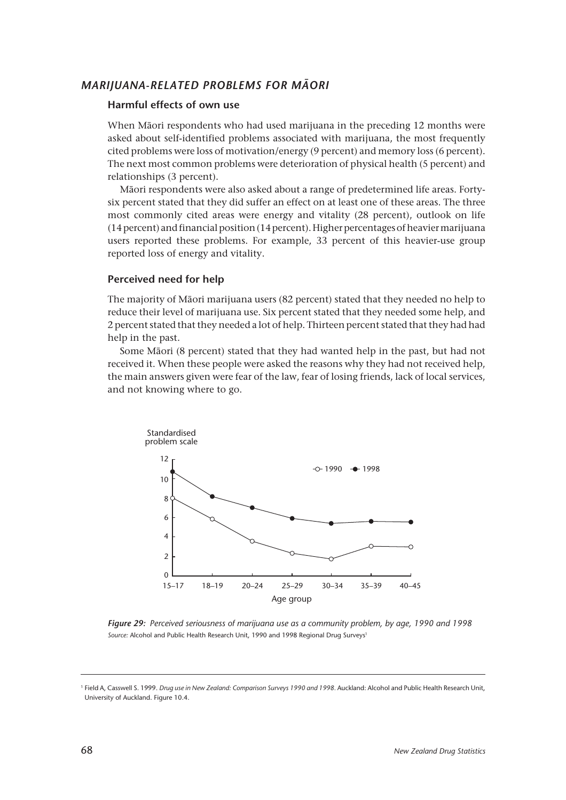# *MARIJUANA-RELATED PROBLEMS FOR MÂORI*

## **Harmful effects of own use**

When Mâori respondents who had used marijuana in the preceding 12 months were asked about self-identified problems associated with marijuana, the most frequently cited problems were loss of motivation/energy (9 percent) and memory loss (6 percent). The next most common problems were deterioration of physical health (5 percent) and relationships (3 percent).

Mâori respondents were also asked about a range of predetermined life areas. Fortysix percent stated that they did suffer an effect on at least one of these areas. The three most commonly cited areas were energy and vitality (28 percent), outlook on life (14 percent) and financial position (14 percent). Higher percentages of heavier marijuana users reported these problems. For example, 33 percent of this heavier-use group reported loss of energy and vitality.

## **Perceived need for help**

The majority of Mâori marijuana users (82 percent) stated that they needed no help to reduce their level of marijuana use. Six percent stated that they needed some help, and 2 percent stated that they needed a lot of help. Thirteen percent stated that they had had help in the past.

Some Mâori (8 percent) stated that they had wanted help in the past, but had not received it. When these people were asked the reasons why they had not received help, the main answers given were fear of the law, fear of losing friends, lack of local services, and not knowing where to go.



*Figure 29: Perceived seriousness of marijuana use as a community problem, by age, 1990 and 1998* Source: Alcohol and Public Health Research Unit, 1990 and 1998 Regional Drug Surveys<sup>1</sup>

<sup>1</sup> Field A, Casswell S. 1999. *Drug use in New Zealand: Comparison Surveys 1990 and 1998.* Auckland: Alcohol and Public Health Research Unit, University of Auckland. Figure 10.4.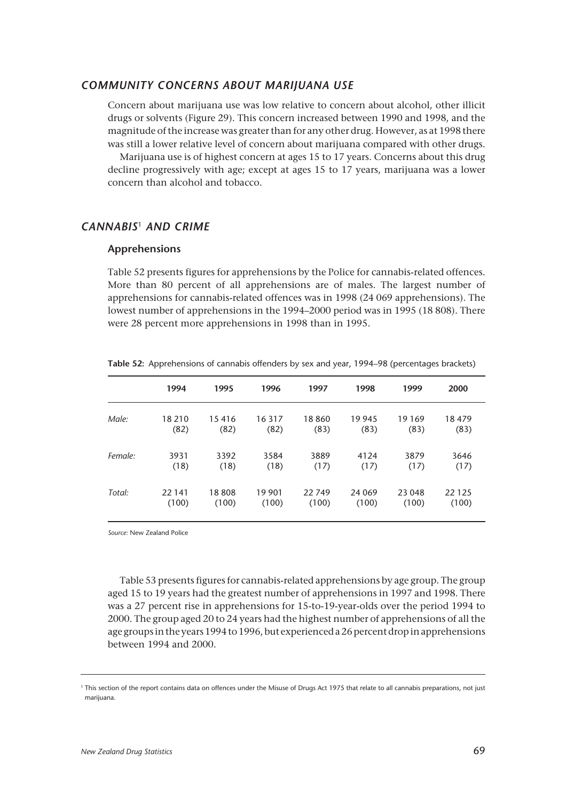#### *COMMUNITY CONCERNS ABOUT MARIJUANA USE*

Concern about marijuana use was low relative to concern about alcohol, other illicit drugs or solvents (Figure 29). This concern increased between 1990 and 1998, and the magnitude of the increase was greater than for any other drug. However, as at 1998 there was still a lower relative level of concern about marijuana compared with other drugs.

Marijuana use is of highest concern at ages 15 to 17 years. Concerns about this drug decline progressively with age; except at ages 15 to 17 years, marijuana was a lower concern than alcohol and tobacco.

# *CANNABIS*<sup>1</sup> *AND CRIME*

#### **Apprehensions**

Table 52 presents figures for apprehensions by the Police for cannabis-related offences. More than 80 percent of all apprehensions are of males. The largest number of apprehensions for cannabis-related offences was in 1998 (24 069 apprehensions). The lowest number of apprehensions in the 1994–2000 period was in 1995 (18 808). There were 28 percent more apprehensions in 1998 than in 1995.

|         | 1994   | 1995  | 1996   | 1997  | 1998    | 1999    | 2000    |
|---------|--------|-------|--------|-------|---------|---------|---------|
| Male:   | 18 210 | 15416 | 16 317 | 18860 | 19 945  | 19 1 69 | 18479   |
|         | (82)   | (82)  | (82)   | (83)  | (83)    | (83)    | (83)    |
| Female: | 3931   | 3392  | 3584   | 3889  | 4124    | 3879    | 3646    |
|         | (18)   | (18)  | (18)   | (17)  | (17)    | (17)    | (17)    |
| Total:  | 22 141 | 18808 | 19 901 | 22749 | 24 0 69 | 23 048  | 22 1 25 |
|         | (100)  | (100) | (100)  | (100) | (100)   | (100)   | (100)   |

**Table 52:** Apprehensions of cannabis offenders by sex and year, 1994–98 (percentages brackets)

*Source:* New Zealand Police

Table 53 presents figures for cannabis-related apprehensions by age group. The group aged 15 to 19 years had the greatest number of apprehensions in 1997 and 1998. There was a 27 percent rise in apprehensions for 15-to-19-year-olds over the period 1994 to 2000. The group aged 20 to 24 years had the highest number of apprehensions of all the age groups in the years 1994 to 1996, but experienced a 26 percent drop in apprehensions between 1994 and 2000.

<sup>&</sup>lt;sup>1</sup> This section of the report contains data on offences under the Misuse of Drugs Act 1975 that relate to all cannabis preparations, not just marijuana.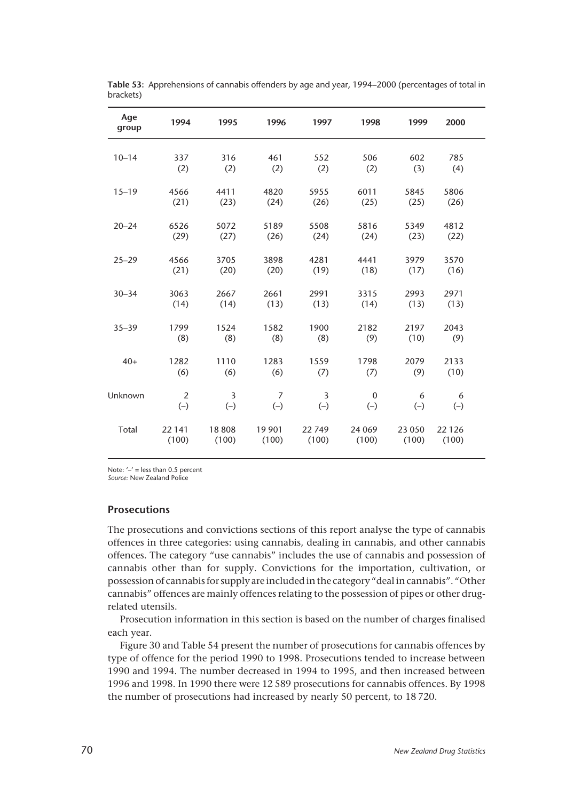| Age<br>group | 1994                    | 1995                    | 1996                    | 1997                    | 1998                      | 1999             | 2000             |  |
|--------------|-------------------------|-------------------------|-------------------------|-------------------------|---------------------------|------------------|------------------|--|
| $10 - 14$    | 337<br>(2)              | 316<br>(2)              | 461<br>(2)              | 552<br>(2)              | 506<br>(2)                | 602<br>(3)       | 785<br>(4)       |  |
| $15 - 19$    | 4566<br>(21)            | 4411<br>(23)            | 4820<br>(24)            | 5955<br>(26)            | 6011<br>(25)              | 5845<br>(25)     | 5806<br>(26)     |  |
| $20 - 24$    | 6526<br>(29)            | 5072<br>(27)            | 5189<br>(26)            | 5508<br>(24)            | 5816<br>(24)              | 5349<br>(23)     | 4812<br>(22)     |  |
| $25 - 29$    | 4566<br>(21)            | 3705<br>(20)            | 3898<br>(20)            | 4281<br>(19)            | 4441<br>(18)              | 3979<br>(17)     | 3570<br>(16)     |  |
| $30 - 34$    | 3063<br>(14)            | 2667<br>(14)            | 2661<br>(13)            | 2991<br>(13)            | 3315<br>(14)              | 2993<br>(13)     | 2971<br>(13)     |  |
| $35 - 39$    | 1799<br>(8)             | 1524<br>(8)             | 1582<br>(8)             | 1900<br>(8)             | 2182<br>(9)               | 2197<br>(10)     | 2043<br>(9)      |  |
| $40+$        | 1282<br>(6)             | 1110<br>(6)             | 1283<br>(6)             | 1559<br>(7)             | 1798<br>(7)               | 2079<br>(9)      | 2133<br>(10)     |  |
| Unknown      | $\overline{2}$<br>$(-)$ | $\overline{3}$<br>$(-)$ | $\overline{7}$<br>$(-)$ | $\overline{3}$<br>$(-)$ | $\boldsymbol{0}$<br>$(-)$ | 6<br>$(-)$       | 6<br>$(-)$       |  |
| Total        | 22 141<br>(100)         | 18808<br>(100)          | 19 901<br>(100)         | 22 749<br>(100)         | 24 069<br>(100)           | 23 0 50<br>(100) | 22 1 26<br>(100) |  |

**Table 53:** Apprehensions of cannabis offenders by age and year, 1994–2000 (percentages of total in brackets)

Note:  $\prime - \prime$  = less than 0.5 percent *Source:* New Zealand Police

**Prosecutions**

The prosecutions and convictions sections of this report analyse the type of cannabis offences in three categories: using cannabis, dealing in cannabis, and other cannabis offences. The category "use cannabis" includes the use of cannabis and possession of cannabis other than for supply. Convictions for the importation, cultivation, or possession of cannabis for supply are included in the category "deal in cannabis". "Other cannabis" offences are mainly offences relating to the possession of pipes or other drugrelated utensils.

Prosecution information in this section is based on the number of charges finalised each year.

Figure 30 and Table 54 present the number of prosecutions for cannabis offences by type of offence for the period 1990 to 1998. Prosecutions tended to increase between 1990 and 1994. The number decreased in 1994 to 1995, and then increased between 1996 and 1998. In 1990 there were 12 589 prosecutions for cannabis offences. By 1998 the number of prosecutions had increased by nearly 50 percent, to 18 720.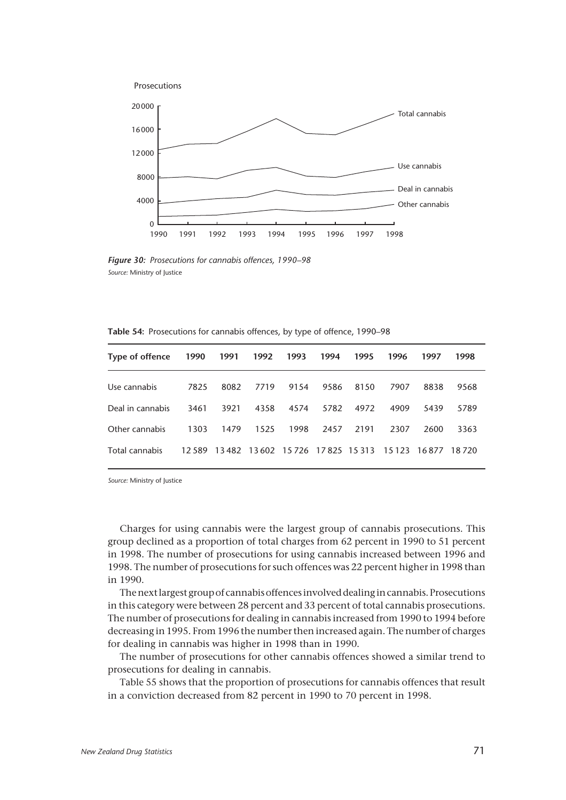

*Figure 30: Prosecutions for cannabis offences, 1990–98 Source:* Ministry of Justice

| <b>Table 54:</b> Prosecutions for cannabis offences, by type of offence, 1990–98 |  |  |  |  |  |  |
|----------------------------------------------------------------------------------|--|--|--|--|--|--|
|----------------------------------------------------------------------------------|--|--|--|--|--|--|

| Type of offence  | 1990 | 1991 | 1992 | 1993 | 1994 | 1995 | 1996                                                    | 1997 | 1998    |
|------------------|------|------|------|------|------|------|---------------------------------------------------------|------|---------|
| Use cannabis     | 7825 | 8082 | 7719 | 9154 | 9586 | 8150 | 7907                                                    | 8838 | 9568    |
| Deal in cannabis | 3461 | 3921 | 4358 | 4574 | 5782 | 4972 | 4909                                                    | 5439 | 5789    |
| Other cannabis   | 1303 | 1479 | 1525 | 1998 | 2457 | 2191 | 2307                                                    | 2600 | 3363    |
| Total cannabis   |      |      |      |      |      |      | 12 589 13 482 13 602 15 726 17 825 15 313 15 123 16 877 |      | 18 7 20 |

*Source:* Ministry of Justice

Charges for using cannabis were the largest group of cannabis prosecutions. This group declined as a proportion of total charges from 62 percent in 1990 to 51 percent in 1998. The number of prosecutions for using cannabis increased between 1996 and 1998. The number of prosecutions for such offences was 22 percent higher in 1998 than in 1990.

The next largest group of cannabis offences involved dealing in cannabis. Prosecutions in this category were between 28 percent and 33 percent of total cannabis prosecutions. The number of prosecutions for dealing in cannabis increased from 1990 to 1994 before decreasing in 1995. From 1996 the number then increased again. The number of charges for dealing in cannabis was higher in 1998 than in 1990.

The number of prosecutions for other cannabis offences showed a similar trend to prosecutions for dealing in cannabis.

Table 55 shows that the proportion of prosecutions for cannabis offences that result in a conviction decreased from 82 percent in 1990 to 70 percent in 1998.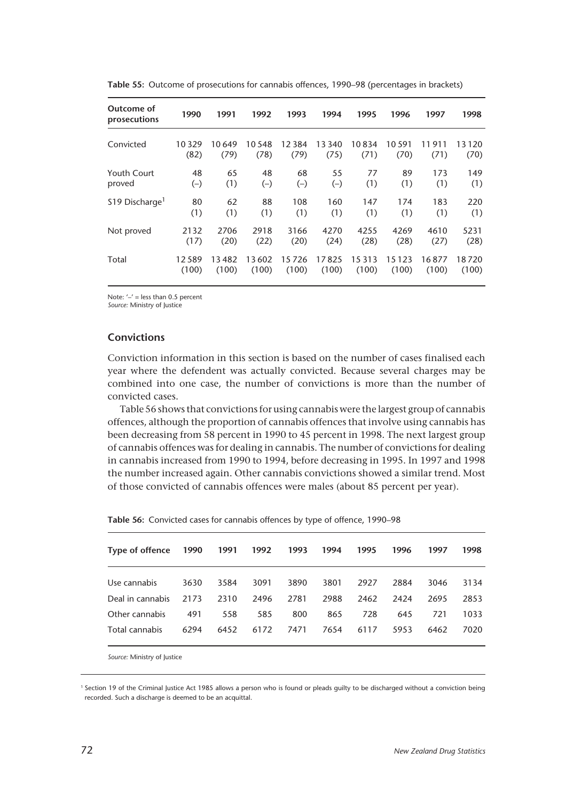| Outcome of<br>prosecutions  | 1990  | 1991   | 1992   | 1993  | 1994   | 1995    | 1996    | 1997  | 1998  |
|-----------------------------|-------|--------|--------|-------|--------|---------|---------|-------|-------|
| Convicted                   | 10329 | 10 649 | 10 548 | 12384 | 13 340 | 10834   | 10 591  | 911   | 13120 |
|                             | (82)  | (79)   | (78)   | (79)  | (75)   | (71)    | (70)    | (71)  | (70)  |
| Youth Court                 | 48    | 65     | 48     | 68    | 55     | 77      | 89      | 173   | 149   |
| proved                      | $(-)$ | (1)    | $(-)$  | $(-)$ | $(-)$  | (1)     | (1)     | (1)   | (1)   |
| \$19 Discharge <sup>1</sup> | 80    | 62     | 88     | 108   | 160    | 147     | 174     | 183   | 220   |
|                             | (1)   | (1)    | (1)    | (1)   | (1)    | (1)     | (1)     | (1)   | (1)   |
| Not proved                  | 2132  | 2706   | 2918   | 3166  | 4270   | 4255    | 4269    | 4610  | 5231  |
|                             | (17)  | (20)   | (22)   | (20)  | (24)   | (28)    | (28)    | (27)  | (28)  |
| Total                       | 12589 | 13482  | 13602  | 15726 | 17825  | 15 3 13 | 15 1 23 | 16877 | 18720 |
|                             | (100) | (100)  | (100)  | (100) | (100)  | (100)   | (100)   | (100) | (100) |

**Table 55:** Outcome of prosecutions for cannabis offences, 1990–98 (percentages in brackets)

Note:  $-1$  = less than 0.5 percent

*Source:* Ministry of Justice

# **Convictions**

Conviction information in this section is based on the number of cases finalised each year where the defendent was actually convicted. Because several charges may be combined into one case, the number of convictions is more than the number of convicted cases.

Table 56 shows that convictions for using cannabis were the largest group of cannabis offences, although the proportion of cannabis offences that involve using cannabis has been decreasing from 58 percent in 1990 to 45 percent in 1998. The next largest group of cannabis offences was for dealing in cannabis. The number of convictions for dealing in cannabis increased from 1990 to 1994, before decreasing in 1995. In 1997 and 1998 the number increased again. Other cannabis convictions showed a similar trend. Most of those convicted of cannabis offences were males (about 85 percent per year).

| Type of offence  | 1990 | 1991 | 1992 | 1993 | 1994 | 1995 | 1996 | 1997 | 1998 |
|------------------|------|------|------|------|------|------|------|------|------|
| Use cannabis     | 3630 | 3584 | 3091 | 3890 | 3801 | 2927 | 2884 | 3046 | 3134 |
| Deal in cannabis | 2173 | 2310 | 2496 | 2781 | 2988 | 2462 | 2424 | 2695 | 2853 |
| Other cannabis   | 491  | 558  | 585  | 800  | 865  | 728  | 645  | 721  | 1033 |
| Total cannabis   | 6294 | 6452 | 6172 | 7471 | 7654 | 6117 | 5953 | 6462 | 7020 |
|                  |      |      |      |      |      |      |      |      |      |

| Table 56: Convicted cases for cannabis offences by type of offence, 1990-98 |  |
|-----------------------------------------------------------------------------|--|
|-----------------------------------------------------------------------------|--|

*Source:* Ministry of Justice

<sup>1</sup> Section 19 of the Criminal Justice Act 1985 allows a person who is found or pleads guilty to be discharged without a conviction being recorded. Such a discharge is deemed to be an acquittal.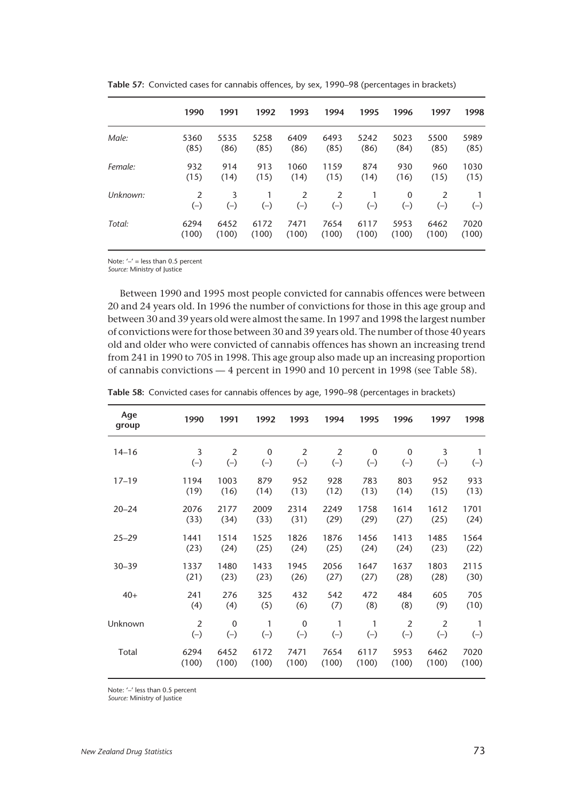|          | 1990       | 1991       | 1992       | 1993                   | 1994       | 1995              | 1996                  | 1997                    | 1998       |
|----------|------------|------------|------------|------------------------|------------|-------------------|-----------------------|-------------------------|------------|
| Male:    | 5360       | 5535       | 5258       | 6409                   | 6493       | 5242              | 5023                  | 5500                    | 5989       |
|          | (85)       | (86)       | (85)       | (86)                   | (85)       | (86)              | (84)                  | (85)                    | (85)       |
| Female:  | 932        | 914        | 913        | 1060                   | 1159       | 874               | 930                   | 960                     | 1030       |
|          | (15)       | (14)       | (15)       | (14)                   | (15)       | (14)              | (16)                  | (15)                    | (15)       |
| Unknown: | 2<br>$(-)$ | 3<br>$(-)$ | 1<br>$(-)$ | $\mathcal{P}$<br>$(-)$ | 2<br>$(-)$ | $\left( -\right)$ | $\mathbf{0}$<br>$(-)$ | $\mathfrak{p}$<br>$(-)$ | 1<br>$(-)$ |
| Total:   | 6294       | 6452       | 6172       | 7471                   | 7654       | 6117              | 5953                  | 6462                    | 7020       |
|          | (100)      | (100)      | (100)      | (100)                  | (100)      | (100)             | (100)                 | (100)                   | (100)      |

**Table 57:** Convicted cases for cannabis offences, by sex, 1990–98 (percentages in brackets)

Note:  $\prime - \prime$  = less than 0.5 percent

*Source:* Ministry of Justice

Between 1990 and 1995 most people convicted for cannabis offences were between 20 and 24 years old. In 1996 the number of convictions for those in this age group and between 30 and 39 years old were almost the same. In 1997 and 1998 the largest number of convictions were for those between 30 and 39 years old. The number of those 40 years old and older who were convicted of cannabis offences has shown an increasing trend from 241 in 1990 to 705 in 1998. This age group also made up an increasing proportion of cannabis convictions — 4 percent in 1990 and 10 percent in 1998 (see Table 58).

| Age<br>group | 1990           | 1991           | 1992        | 1993           | 1994           | 1995        | 1996           | 1997           | 1998         |
|--------------|----------------|----------------|-------------|----------------|----------------|-------------|----------------|----------------|--------------|
| $14 - 16$    | 3              | $\overline{2}$ | $\mathbf 0$ | $\overline{2}$ | $\overline{2}$ | $\mathbf 0$ | $\mathbf 0$    | 3              | $\mathbf{1}$ |
|              | $(-)$          | $(-)$          | $(-)$       | $(-)$          | $(-)$          | $(-)$       | $(-)$          | $(-)$          | $(-)$        |
| $17 - 19$    | 1194           | 1003           | 879         | 952            | 928            | 783         | 803            | 952            | 933          |
|              | (19)           | (16)           | (14)        | (13)           | (12)           | (13)        | (14)           | (15)           | (13)         |
| $20 - 24$    | 2076           | 2177           | 2009        | 2314           | 2249           | 1758        | 1614           | 1612           | 1701         |
|              | (33)           | (34)           | (33)        | (31)           | (29)           | (29)        | (27)           | (25)           | (24)         |
| $25 - 29$    | 1441           | 1514           | 1525        | 1826           | 1876           | 1456        | 1413           | 1485           | 1564         |
|              | (23)           | (24)           | (25)        | (24)           | (25)           | (24)        | (24)           | (23)           | (22)         |
| $30 - 39$    | 1337           | 1480           | 1433        | 1945           | 2056           | 1647        | 1637           | 1803           | 2115         |
|              | (21)           | (23)           | (23)        | (26)           | (27)           | (27)        | (28)           | (28)           | (30)         |
| $40+$        | 241            | 276            | 325         | 432            | 542            | 472         | 484            | 605            | 705          |
|              | (4)            | (4)            | (5)         | (6)            | (7)            | (8)         | (8)            | (9)            | (10)         |
| Unknown      | $\overline{2}$ | $\mathbf{0}$   | 1           | $\mathbf{0}$   | $\mathbf{1}$   | 1           | $\overline{2}$ | $\overline{2}$ | $\mathbf{1}$ |
|              | $(-)$          | $(-)$          | $(-)$       | $(-)$          | $(-)$          | $(-)$       | $(-)$          | $(-)$          | $(-)$        |
| Total        | 6294           | 6452           | 6172        | 7471           | 7654           | 6117        | 5953           | 6462           | 7020         |
|              | (100)          | (100)          | (100)       | (100)          | (100)          | (100)       | (100)          | (100)          | (100)        |

|  |  |  |  |  |  |  | Table 58: Convicted cases for cannabis offences by age, 1990-98 (percentages in brackets) |  |
|--|--|--|--|--|--|--|-------------------------------------------------------------------------------------------|--|
|--|--|--|--|--|--|--|-------------------------------------------------------------------------------------------|--|

Note: '–' less than 0.5 percent

*Source:* Ministry of Justice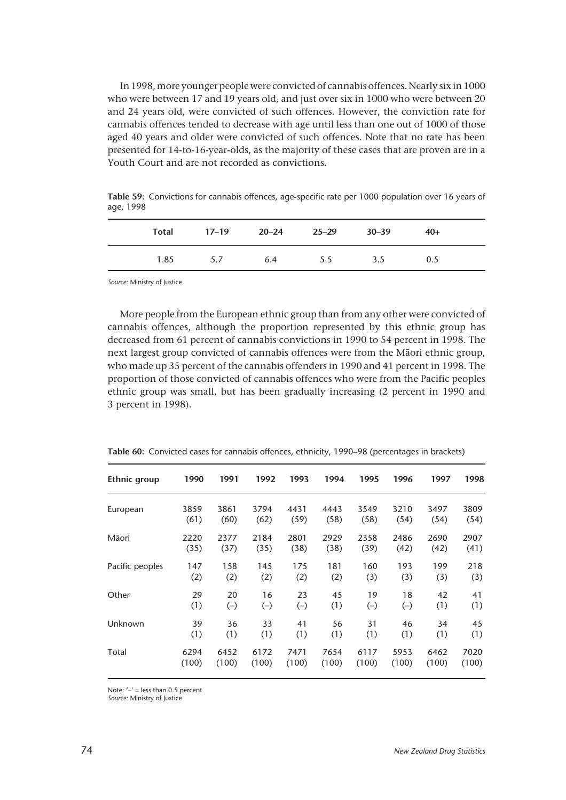In 1998, more younger people were convicted of cannabis offences. Nearly six in 1000 who were between 17 and 19 years old, and just over six in 1000 who were between 20 and 24 years old, were convicted of such offences. However, the conviction rate for cannabis offences tended to decrease with age until less than one out of 1000 of those aged 40 years and older were convicted of such offences. Note that no rate has been presented for 14-to-16-year-olds, as the majority of these cases that are proven are in a Youth Court and are not recorded as convictions.

**Table 59:** Convictions for cannabis offences, age-specific rate per 1000 population over 16 years of age, 1998

|      |     |     | Total 17-19 20-24 25-29 30-39 |     | $40+$ |  |
|------|-----|-----|-------------------------------|-----|-------|--|
| 1.85 | 5.7 | 6.4 | 5.5                           | 3.5 | 0.5   |  |

*Source:* Ministry of Justice

More people from the European ethnic group than from any other were convicted of cannabis offences, although the proportion represented by this ethnic group has decreased from 61 percent of cannabis convictions in 1990 to 54 percent in 1998. The next largest group convicted of cannabis offences were from the Mâori ethnic group, who made up 35 percent of the cannabis offenders in 1990 and 41 percent in 1998. The proportion of those convicted of cannabis offences who were from the Pacific peoples ethnic group was small, but has been gradually increasing (2 percent in 1990 and 3 percent in 1998).

| Ethnic group    | 1990  | 1991  | 1992  | 1993  | 1994  | 1995  | 1996  | 1997  | 1998  |
|-----------------|-------|-------|-------|-------|-------|-------|-------|-------|-------|
| European        | 3859  | 3861  | 3794  | 4431  | 4443  | 3549  | 3210  | 3497  | 3809  |
|                 | (61)  | (60)  | (62)  | (59)  | (58)  | (58)  | (54)  | (54)  | (54)  |
| Māori           | 2220  | 2377  | 2184  | 2801  | 2929  | 2358  | 2486  | 2690  | 2907  |
|                 | (35)  | (37)  | (35)  | (38)  | (38)  | (39)  | (42)  | (42)  | (41)  |
| Pacific peoples | 147   | 158   | 145   | 175   | 181   | 160   | 193   | 199   | 218   |
|                 | (2)   | (2)   | (2)   | (2)   | (2)   | (3)   | (3)   | (3)   | (3)   |
| Other           | 29    | 20    | 16    | 23    | 45    | 19    | 18    | 42    | 41    |
|                 | (1)   | $(-)$ | $(-)$ | $(-)$ | (1)   | $(-)$ | $(-)$ | (1)   | (1)   |
| Unknown         | 39    | 36    | 33    | 41    | 56    | 31    | 46    | 34    | 45    |
|                 | (1)   | (1)   | (1)   | (1)   | (1)   | (1)   | (1)   | (1)   | (1)   |
| Total           | 6294  | 6452  | 6172  | 7471  | 7654  | 6117  | 5953  | 6462  | 7020  |
|                 | (100) | (100) | (100) | (100) | (100) | (100) | (100) | (100) | (100) |

**Table 60:** Convicted cases for cannabis offences, ethnicity, 1990–98 (percentages in brackets)

Note:  $'$  –' = less than 0.5 percent

*Source:* Ministry of Justice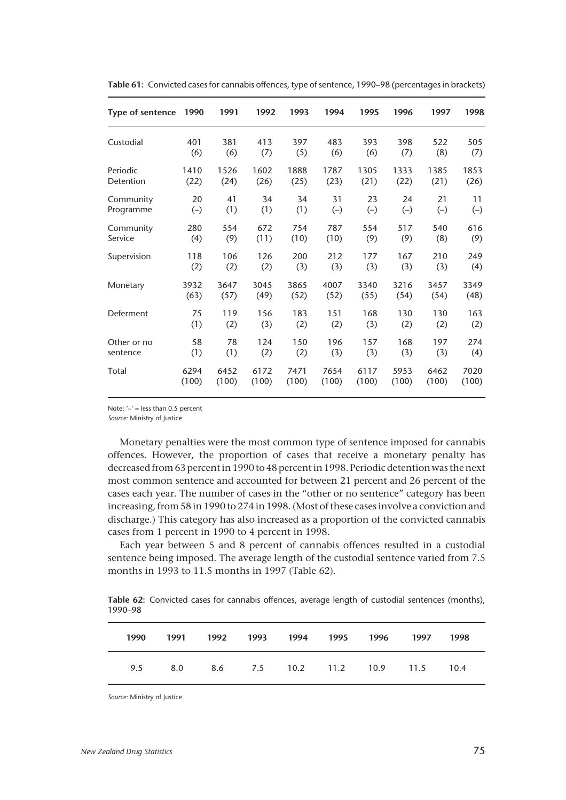| Type of sentence | 1990  | 1991  | 1992  | 1993  | 1994  | 1995  | 1996  | 1997  | 1998  |
|------------------|-------|-------|-------|-------|-------|-------|-------|-------|-------|
| Custodial        | 401   | 381   | 413   | 397   | 483   | 393   | 398   | 522   | 505   |
|                  | (6)   | (6)   | (7)   | (5)   | (6)   | (6)   | (7)   | (8)   | (7)   |
| Periodic         | 1410  | 1526  | 1602  | 1888  | 1787  | 1305  | 1333  | 1385  | 1853  |
| Detention        | (22)  | (24)  | (26)  | (25)  | (23)  | (21)  | (22)  | (21)  | (26)  |
| Community        | 20    | 41    | 34    | 34    | 31    | 23    | 24    | 21    | 11    |
| Programme        | $(-)$ | (1)   | (1)   | (1)   | $(-)$ | $(-)$ | $(-)$ | $(-)$ | $(-)$ |
| Community        | 280   | 554   | 672   | 754   | 787   | 554   | 517   | 540   | 616   |
| Service          | (4)   | (9)   | (11)  | (10)  | (10)  | (9)   | (9)   | (8)   | (9)   |
| Supervision      | 118   | 106   | 126   | 200   | 212   | 177   | 167   | 210   | 249   |
|                  | (2)   | (2)   | (2)   | (3)   | (3)   | (3)   | (3)   | (3)   | (4)   |
| Monetary         | 3932  | 3647  | 3045  | 3865  | 4007  | 3340  | 3216  | 3457  | 3349  |
|                  | (63)  | (57)  | (49)  | (52)  | (52)  | (55)  | (54)  | (54)  | (48)  |
| Deferment        | 75    | 119   | 156   | 183   | 151   | 168   | 130   | 130   | 163   |
|                  | (1)   | (2)   | (3)   | (2)   | (2)   | (3)   | (2)   | (2)   | (2)   |
| Other or no      | 58    | 78    | 124   | 150   | 196   | 157   | 168   | 197   | 274   |
| sentence         | (1)   | (1)   | (2)   | (2)   | (3)   | (3)   | (3)   | (3)   | (4)   |
| Total            | 6294  | 6452  | 6172  | 7471  | 7654  | 6117  | 5953  | 6462  | 7020  |
|                  | (100) | (100) | (100) | (100) | (100) | (100) | (100) | (100) | (100) |

**Table 61:** Convicted cases for cannabis offences, type of sentence, 1990–98 (percentages in brackets)

Note:  $\prime - \prime$  = less than 0.5 percent

*Source:* Ministry of Justice

Monetary penalties were the most common type of sentence imposed for cannabis offences. However, the proportion of cases that receive a monetary penalty has decreased from 63 percent in 1990 to 48 percent in 1998. Periodic detention was the next most common sentence and accounted for between 21 percent and 26 percent of the cases each year. The number of cases in the "other or no sentence" category has been increasing, from 58 in 1990 to 274 in 1998. (Most of these cases involve a conviction and discharge.) This category has also increased as a proportion of the convicted cannabis cases from 1 percent in 1990 to 4 percent in 1998.

Each year between 5 and 8 percent of cannabis offences resulted in a custodial sentence being imposed. The average length of the custodial sentence varied from 7.5 months in 1993 to 11.5 months in 1997 (Table 62).

**Table 62:** Convicted cases for cannabis offences, average length of custodial sentences (months), 1990–98

| 1990 | 1991 1992 1993 1994 1995 1996 |  |  | 1997                                     | 1998 |  |
|------|-------------------------------|--|--|------------------------------------------|------|--|
|      |                               |  |  | 9.5 8.0 8.6 7.5 10.2 11.2 10.9 11.5 10.4 |      |  |

*Source:* Ministry of Justice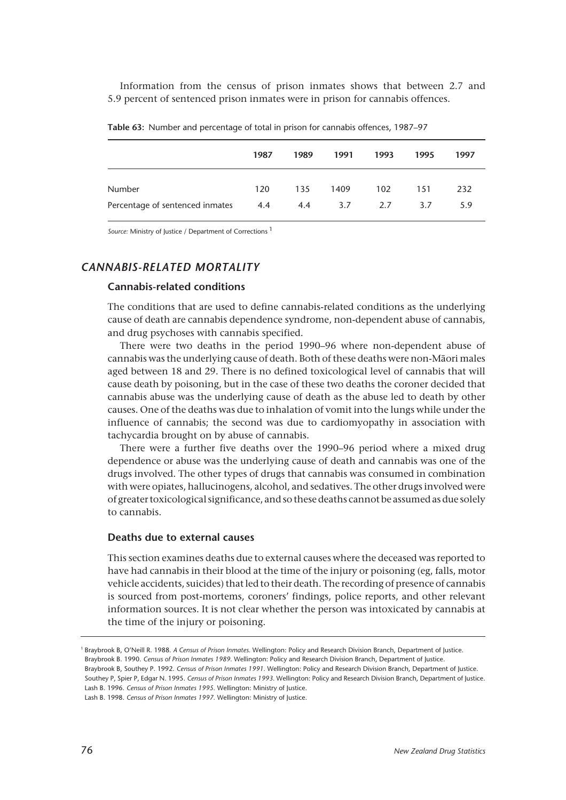Information from the census of prison inmates shows that between 2.7 and 5.9 percent of sentenced prison inmates were in prison for cannabis offences.

|                                 | 1987 | 1989 | 1991 | 1993 | 1995 | 1997 |
|---------------------------------|------|------|------|------|------|------|
| <b>Number</b>                   | 120  | 135  | 1409 | 102  | 151  | 232  |
| Percentage of sentenced inmates | 4.4  | 4.4  | 3.7  | 2.7  | 3.7  | 5.9  |

**Table 63:** Number and percentage of total in prison for cannabis offences, 1987–97

*Source:* Ministry of Justice / Department of Corrections 1

## *CANNABIS-RELATED MORTALITY*

## **Cannabis-related conditions**

The conditions that are used to define cannabis-related conditions as the underlying cause of death are cannabis dependence syndrome, non-dependent abuse of cannabis, and drug psychoses with cannabis specified.

There were two deaths in the period 1990–96 where non-dependent abuse of cannabis was the underlying cause of death. Both of these deaths were non-Mâori males aged between 18 and 29. There is no defined toxicological level of cannabis that will cause death by poisoning, but in the case of these two deaths the coroner decided that cannabis abuse was the underlying cause of death as the abuse led to death by other causes. One of the deaths was due to inhalation of vomit into the lungs while under the influence of cannabis; the second was due to cardiomyopathy in association with tachycardia brought on by abuse of cannabis.

There were a further five deaths over the 1990–96 period where a mixed drug dependence or abuse was the underlying cause of death and cannabis was one of the drugs involved. The other types of drugs that cannabis was consumed in combination with were opiates, hallucinogens, alcohol, and sedatives. The other drugs involved were of greater toxicological significance, and so these deaths cannot be assumed as due solely to cannabis.

#### **Deaths due to external causes**

This section examines deaths due to external causes where the deceased was reported to have had cannabis in their blood at the time of the injury or poisoning (eg, falls, motor vehicle accidents, suicides) that led to their death. The recording of presence of cannabis is sourced from post-mortems, coroners' findings, police reports, and other relevant information sources. It is not clear whether the person was intoxicated by cannabis at the time of the injury or poisoning.

<sup>1</sup> Braybrook B, O'Neill R. 1988. *A Census of Prison Inmates.* Wellington: Policy and Research Division Branch, Department of Justice. Braybrook B. 1990. *Census of Prison Inmates 1989.* Wellington: Policy and Research Division Branch, Department of Justice. Braybrook B, Southey P. 1992. *Census of Prison Inmates 1991.* Wellington: Policy and Research Division Branch, Department of Justice.

Southey P, Spier P, Edgar N. 1995. *Census of Prison Inmates 1993.* Wellington: Policy and Research Division Branch, Department of Justice. Lash B. 1996. *Census of Prison Inmates 1995.* Wellington: Ministry of Justice.

Lash B. 1998. *Census of Prison Inmates 1997.* Wellington: Ministry of Justice.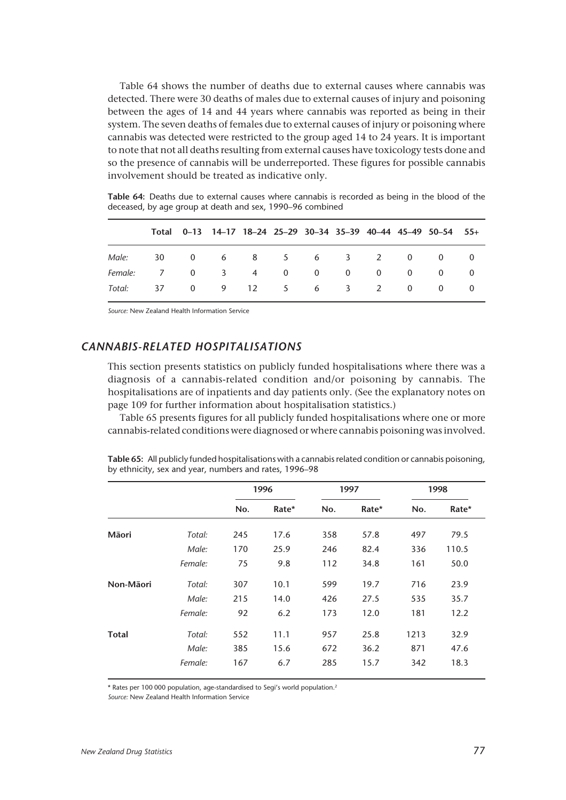Table 64 shows the number of deaths due to external causes where cannabis was detected. There were 30 deaths of males due to external causes of injury and poisoning between the ages of 14 and 44 years where cannabis was reported as being in their system. The seven deaths of females due to external causes of injury or poisoning where cannabis was detected were restricted to the group aged 14 to 24 years. It is important to note that not all deaths resulting from external causes have toxicology tests done and so the presence of cannabis will be underreported. These figures for possible cannabis involvement should be treated as indicative only.

**Table 64:** Deaths due to external causes where cannabis is recorded as being in the blood of the deceased, by age group at death and sex, 1990–96 combined

|                                |  |  |  |  | Total 0-13 14-17 18-24 25-29 30-34 35-39 40-44 45-49 50-54 55+ |  |
|--------------------------------|--|--|--|--|----------------------------------------------------------------|--|
| Male: 30 0 6 8 5 6 3 2 0 0 0   |  |  |  |  |                                                                |  |
| Female: 7 0 3 4 0 0 0 0 0 0 0  |  |  |  |  |                                                                |  |
| Total: 37 0 9 12 5 6 3 2 0 0 0 |  |  |  |  |                                                                |  |

*Source:* New Zealand Health Information Service

## *CANNABIS-RELATED HOSPITALISATIONS*

This section presents statistics on publicly funded hospitalisations where there was a diagnosis of a cannabis-related condition and/or poisoning by cannabis. The hospitalisations are of inpatients and day patients only. (See the explanatory notes on page 109 for further information about hospitalisation statistics.)

Table 65 presents figures for all publicly funded hospitalisations where one or more cannabis-related conditions were diagnosed or where cannabis poisoning was involved.

|              |         |     | 1996  |     | 1997  |      | 1998  |
|--------------|---------|-----|-------|-----|-------|------|-------|
|              |         | No. | Rate* | No. | Rate* | No.  | Rate* |
| Māori        | Total:  | 245 | 17.6  | 358 | 57.8  | 497  | 79.5  |
|              | Male:   | 170 | 25.9  | 246 | 82.4  | 336  | 110.5 |
|              | Female: | 75  | 9.8   | 112 | 34.8  | 161  | 50.0  |
| Non-Māori    | Total:  | 307 | 10.1  | 599 | 19.7  | 716  | 23.9  |
|              | Male:   | 215 | 14.0  | 426 | 27.5  | 535  | 35.7  |
|              | Female: | 92  | 6.2   | 173 | 12.0  | 181  | 12.2  |
| <b>Total</b> | Total:  | 552 | 11.1  | 957 | 25.8  | 1213 | 32.9  |
|              | Male:   | 385 | 15.6  | 672 | 36.2  | 871  | 47.6  |
|              | Female: | 167 | 6.7   | 285 | 15.7  | 342  | 18.3  |

**Table 65:** All publicly funded hospitalisations with a cannabis related condition or cannabis poisoning, by ethnicity, sex and year, numbers and rates, 1996–98

\* Rates per 100 000 population, age-standardised to Segi's world population.2

*Source:* New Zealand Health Information Service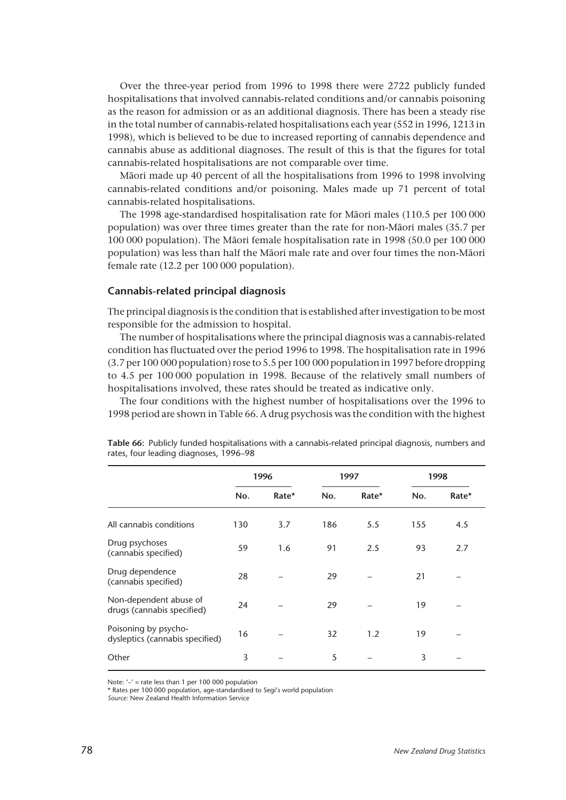Over the three-year period from 1996 to 1998 there were 2722 publicly funded hospitalisations that involved cannabis-related conditions and/or cannabis poisoning as the reason for admission or as an additional diagnosis. There has been a steady rise in the total number of cannabis-related hospitalisations each year (552 in 1996, 1213 in 1998), which is believed to be due to increased reporting of cannabis dependence and cannabis abuse as additional diagnoses. The result of this is that the figures for total cannabis-related hospitalisations are not comparable over time.

Mâori made up 40 percent of all the hospitalisations from 1996 to 1998 involving cannabis-related conditions and/or poisoning. Males made up 71 percent of total cannabis-related hospitalisations.

The 1998 age-standardised hospitalisation rate for Mâori males (110.5 per 100 000 population) was over three times greater than the rate for non-Mâori males (35.7 per 100 000 population). The Mâori female hospitalisation rate in 1998 (50.0 per 100 000 population) was less than half the Mâori male rate and over four times the non-Mâori female rate (12.2 per 100 000 population).

#### **Cannabis-related principal diagnosis**

The principal diagnosis is the condition that is established after investigation to be most responsible for the admission to hospital.

The number of hospitalisations where the principal diagnosis was a cannabis-related condition has fluctuated over the period 1996 to 1998. The hospitalisation rate in 1996 (3.7 per 100 000 population) rose to 5.5 per 100 000 population in 1997 before dropping to 4.5 per 100 000 population in 1998. Because of the relatively small numbers of hospitalisations involved, these rates should be treated as indicative only.

The four conditions with the highest number of hospitalisations over the 1996 to 1998 period are shown in Table 66. A drug psychosis was the condition with the highest

|                                                         |     | 1996  |     | 1997  | 1998 |       |
|---------------------------------------------------------|-----|-------|-----|-------|------|-------|
|                                                         | No. | Rate* | No. | Rate* | No.  | Rate* |
| All cannabis conditions                                 | 130 | 3.7   | 186 | 5.5   | 155  | 4.5   |
| Drug psychoses<br>(cannabis specified)                  | 59  | 1.6   | 91  | 2.5   | 93   | 2.7   |
| Drug dependence<br>(cannabis specified)                 | 28  |       | 29  |       | 21   |       |
| Non-dependent abuse of<br>drugs (cannabis specified)    | 24  |       | 29  |       | 19   |       |
| Poisoning by psycho-<br>dysleptics (cannabis specified) | 16  |       | 32  | 1.2   | 19   |       |
| Other                                                   | 3   |       | 5   |       | 3    |       |

**Table 66:** Publicly funded hospitalisations with a cannabis-related principal diagnosis, numbers and rates, four leading diagnoses, 1996–98

Note: '–' = rate less than 1 per 100 000 population

\* Rates per 100 000 population, age-standardised to Segi's world population

*Source:* New Zealand Health Information Service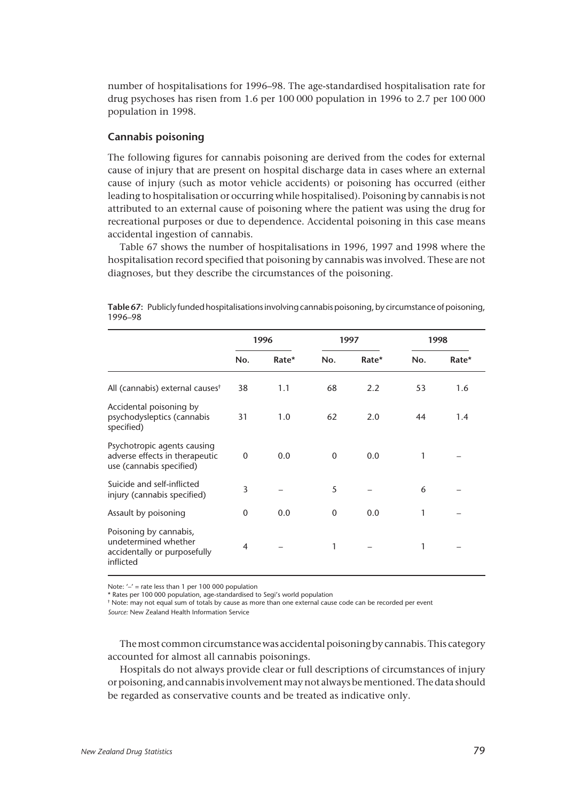number of hospitalisations for 1996–98. The age-standardised hospitalisation rate for drug psychoses has risen from 1.6 per 100 000 population in 1996 to 2.7 per 100 000 population in 1998.

#### **Cannabis poisoning**

The following figures for cannabis poisoning are derived from the codes for external cause of injury that are present on hospital discharge data in cases where an external cause of injury (such as motor vehicle accidents) or poisoning has occurred (either leading to hospitalisation or occurring while hospitalised). Poisoning by cannabis is not attributed to an external cause of poisoning where the patient was using the drug for recreational purposes or due to dependence. Accidental poisoning in this case means accidental ingestion of cannabis.

Table 67 shows the number of hospitalisations in 1996, 1997 and 1998 where the hospitalisation record specified that poisoning by cannabis was involved. These are not diagnoses, but they describe the circumstances of the poisoning.

|                                                                                             |              | 1996  |              | 1997  |     | 1998  |
|---------------------------------------------------------------------------------------------|--------------|-------|--------------|-------|-----|-------|
|                                                                                             | No.          | Rate* | No.          | Rate* | No. | Rate* |
| All (cannabis) external causes <sup>†</sup>                                                 | 38           | 1.1   | 68           | 2.2   | 53  | 1.6   |
| Accidental poisoning by<br>psychodysleptics (cannabis<br>specified)                         | 31           | 1.0   | 62           | 2.0   | 44  | 1.4   |
| Psychotropic agents causing<br>adverse effects in therapeutic<br>use (cannabis specified)   | 0            | 0.0   | $\mathbf{0}$ | 0.0   | 1   |       |
| Suicide and self-inflicted<br>injury (cannabis specified)                                   | 3            |       | 5            |       | 6   |       |
| Assault by poisoning                                                                        | $\mathbf{0}$ | 0.0   | $\mathbf{0}$ | 0.0   | 1   |       |
| Poisoning by cannabis,<br>undetermined whether<br>accidentally or purposefully<br>inflicted | 4            |       | 1            |       | 1   |       |

**Table 67:** Publicly funded hospitalisations involving cannabis poisoning, by circumstance of poisoning, 1996–98

Note: '–' = rate less than 1 per 100 000 population

\* Rates per 100 000 population, age-standardised to Segi's world population

† Note: may not equal sum of totals by cause as more than one external cause code can be recorded per event *Source:* New Zealand Health Information Service

The most common circumstance was accidental poisoning by cannabis. This category accounted for almost all cannabis poisonings.

Hospitals do not always provide clear or full descriptions of circumstances of injury or poisoning, and cannabis involvement may not always be mentioned. The data should be regarded as conservative counts and be treated as indicative only.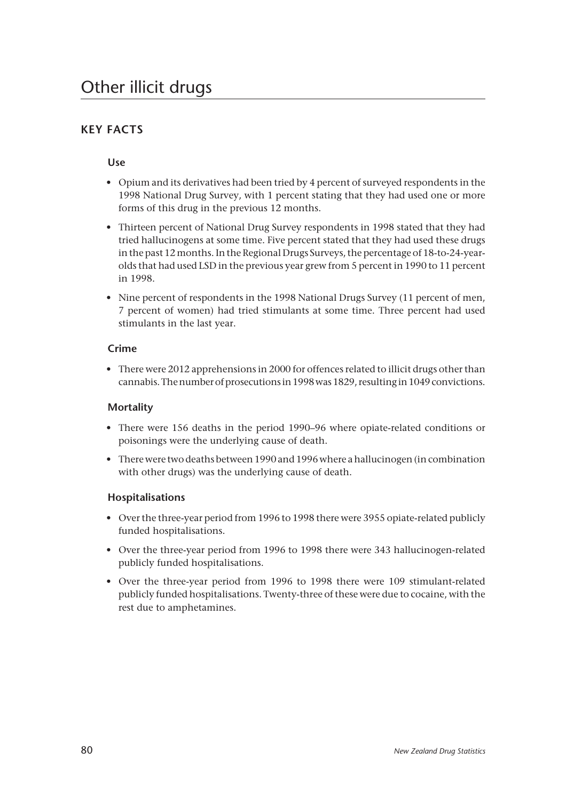# **KEY FACTS**

## **Use**

- Opium and its derivatives had been tried by 4 percent of surveyed respondents in the 1998 National Drug Survey, with 1 percent stating that they had used one or more forms of this drug in the previous 12 months.
- Thirteen percent of National Drug Survey respondents in 1998 stated that they had tried hallucinogens at some time. Five percent stated that they had used these drugs in the past 12 months. In the Regional Drugs Surveys, the percentage of 18-to-24-yearolds that had used LSD in the previous year grew from 5 percent in 1990 to 11 percent in 1998.
- Nine percent of respondents in the 1998 National Drugs Survey (11 percent of men, 7 percent of women) had tried stimulants at some time. Three percent had used stimulants in the last year.

## **Crime**

• There were 2012 apprehensions in 2000 for offences related to illicit drugs other than cannabis. The number of prosecutions in 1998 was 1829, resulting in 1049 convictions.

## **Mortality**

- There were 156 deaths in the period 1990–96 where opiate-related conditions or poisonings were the underlying cause of death.
- There were two deaths between 1990 and 1996 where a hallucinogen (in combination with other drugs) was the underlying cause of death.

## **Hospitalisations**

- Over the three-year period from 1996 to 1998 there were 3955 opiate-related publicly funded hospitalisations.
- Over the three-year period from 1996 to 1998 there were 343 hallucinogen-related publicly funded hospitalisations.
- Over the three-year period from 1996 to 1998 there were 109 stimulant-related publicly funded hospitalisations. Twenty-three of these were due to cocaine, with the rest due to amphetamines.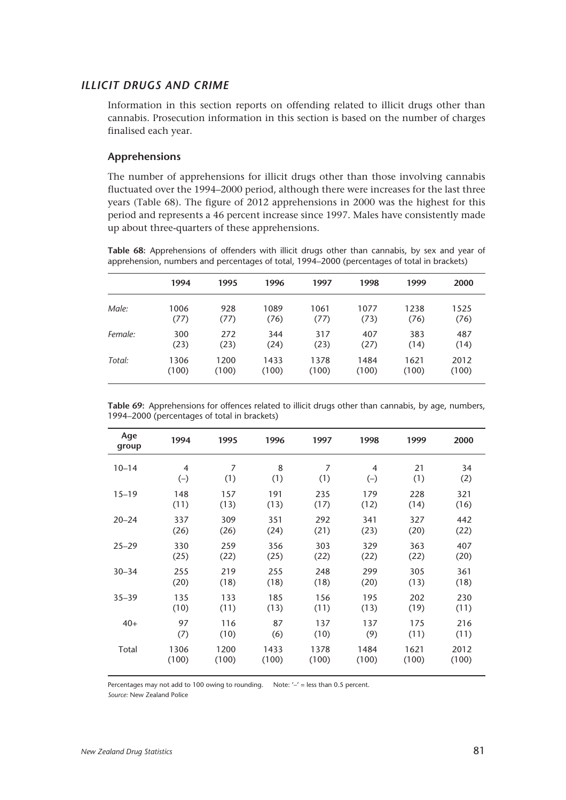#### *ILLICIT DRUGS AND CRIME*

Information in this section reports on offending related to illicit drugs other than cannabis. Prosecution information in this section is based on the number of charges finalised each year.

#### **Apprehensions**

The number of apprehensions for illicit drugs other than those involving cannabis fluctuated over the 1994–2000 period, although there were increases for the last three years (Table 68). The figure of 2012 apprehensions in 2000 was the highest for this period and represents a 46 percent increase since 1997. Males have consistently made up about three-quarters of these apprehensions.

**Table 68:** Apprehensions of offenders with illicit drugs other than cannabis, by sex and year of apprehension, numbers and percentages of total, 1994–2000 (percentages of total in brackets)

|         | 1994  | 1995  | 1996  | 1997  | 1998  | 1999  | 2000  |
|---------|-------|-------|-------|-------|-------|-------|-------|
| Male:   | 1006  | 928   | 1089  | 1061  | 1077  | 1238  | 1525  |
|         | (77)  | (77)  | (76)  | (77)  | (73)  | (76)  | (76)  |
| Female: | 300   | 272   | 344   | 317   | 407   | 383   | 487   |
|         | (23)  | (23)  | (24)  | (23)  | (27)  | (14)  | (14)  |
| Total:  | 1306  | 1200  | 1433  | 1378  | 1484  | 1621  | 2012  |
|         | (100) | (100) | (100) | (100) | (100) | (100) | (100) |

| Table 69: Apprehensions for offences related to illicit drugs other than cannabis, by age, numbers, |  |  |  |  |  |
|-----------------------------------------------------------------------------------------------------|--|--|--|--|--|
| 1994–2000 (percentages of total in brackets)                                                        |  |  |  |  |  |

| Age<br>group | 1994           | 1995           | 1996  | 1997  | 1998  | 1999  | 2000  |
|--------------|----------------|----------------|-------|-------|-------|-------|-------|
| $10 - 14$    | $\overline{4}$ | $\overline{7}$ | 8     | 7     | 4     | 21    | 34    |
|              | $(-)$          | (1)            | (1)   | (1)   | $(-)$ | (1)   | (2)   |
| $15 - 19$    | 148            | 157            | 191   | 235   | 179   | 228   | 321   |
|              | (11)           | (13)           | (13)  | (17)  | (12)  | (14)  | (16)  |
| $20 - 24$    | 337            | 309            | 351   | 292   | 341   | 327   | 442   |
|              | (26)           | (26)           | (24)  | (21)  | (23)  | (20)  | (22)  |
| $25 - 29$    | 330            | 259            | 356   | 303   | 329   | 363   | 407   |
|              | (25)           | (22)           | (25)  | (22)  | (22)  | (22)  | (20)  |
| $30 - 34$    | 255            | 219            | 255   | 248   | 299   | 305   | 361   |
|              | (20)           | (18)           | (18)  | (18)  | (20)  | (13)  | (18)  |
| $35 - 39$    | 135            | 133            | 185   | 156   | 195   | 202   | 230   |
|              | (10)           | (11)           | (13)  | (11)  | (13)  | (19)  | (11)  |
| $40+$        | 97             | 116            | 87    | 137   | 137   | 175   | 216   |
|              | (7)            | (10)           | (6)   | (10)  | (9)   | (11)  | (11)  |
| Total        | 1306           | 1200           | 1433  | 1378  | 1484  | 1621  | 2012  |
|              | (100)          | (100)          | (100) | (100) | (100) | (100) | (100) |

Percentages may not add to 100 owing to rounding. Note:  $-/-$  = less than 0.5 percent.

*Source:* New Zealand Police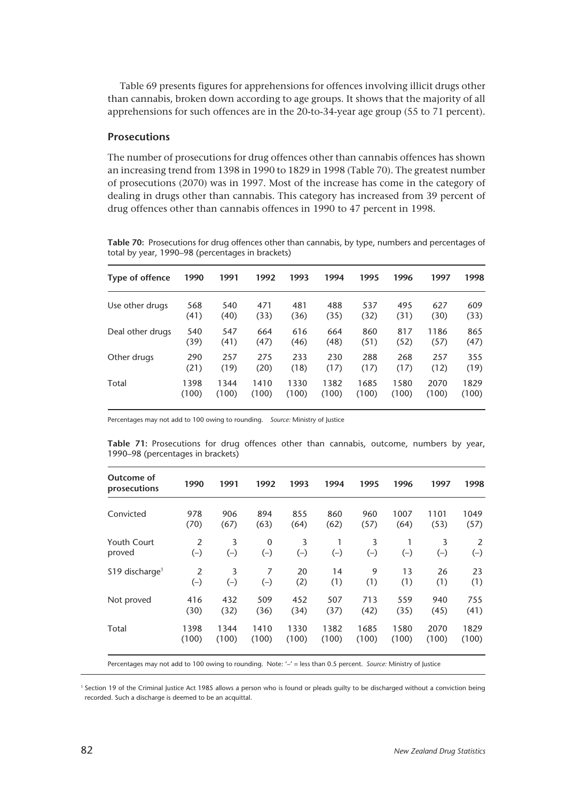Table 69 presents figures for apprehensions for offences involving illicit drugs other than cannabis, broken down according to age groups. It shows that the majority of all apprehensions for such offences are in the 20-to-34-year age group (55 to 71 percent).

#### **Prosecutions**

The number of prosecutions for drug offences other than cannabis offences has shown an increasing trend from 1398 in 1990 to 1829 in 1998 (Table 70). The greatest number of prosecutions (2070) was in 1997. Most of the increase has come in the category of dealing in drugs other than cannabis. This category has increased from 39 percent of drug offences other than cannabis offences in 1990 to 47 percent in 1998.

**Table 70:** Prosecutions for drug offences other than cannabis, by type, numbers and percentages of total by year, 1990–98 (percentages in brackets)

| Type of offence  | 1990  | 1991  | 1992  | 1993  | 1994  | 1995  | 1996  | 1997  | 1998  |
|------------------|-------|-------|-------|-------|-------|-------|-------|-------|-------|
| Use other drugs  | 568   | 540   | 471   | 481   | 488   | 537   | 495   | 627   | 609   |
|                  | (41)  | (40)  | (33)  | (36)  | (35)  | (32)  | (31)  | (30)  | (33)  |
| Deal other drugs | 540   | 547   | 664   | 616   | 664   | 860   | 817   | 1186  | 865   |
|                  | (39)  | (41)  | (47)  | (46)  | (48)  | (51)  | (52)  | (57)  | (47)  |
| Other drugs      | 290   | 257   | 275   | 233   | 230   | 288   | 268   | 257   | 355   |
|                  | (21)  | (19)  | (20)  | (18)  | (17)  | (17)  | (17)  | (12)  | (19)  |
| Total            | 1398  | 1344  | 1410  | 1330  | 1382  | 1685  | 1580  | 2070  | 1829  |
|                  | (100) | (100) | (100) | (100) | (100) | (100) | (100) | (100) | (100) |

Percentages may not add to 100 owing to rounding. *Source:* Ministry of Justice

**Table 71:** Prosecutions for drug offences other than cannabis, outcome, numbers by year, 1990–98 (percentages in brackets)

| Outcome of<br>prosecutions  | 1990           | 1991  | 1992        | 1993  | 1994  | 1995     | 1996  | 1997  | 1998  |
|-----------------------------|----------------|-------|-------------|-------|-------|----------|-------|-------|-------|
| Convicted                   | 978            | 906   | 894         | 855   | 860   | 960      | 1007  | 1101  | 1049  |
|                             | (70)           | (67)  | (63)        | (64)  | (62)  | (57)     | (64)  | (53)  | (57)  |
| <b>Youth Court</b>          | $\overline{2}$ | 3     | $\mathbf 0$ | 3     | 1     | 3        | 1     | 3     | 2     |
| proved                      | $(-)$          | $(-)$ | $(-)$       | $(-)$ | $(-)$ | $_{(-)}$ | $(-)$ | $(-)$ | $(-)$ |
| \$19 discharge <sup>1</sup> | $\overline{2}$ | 3     | 7           | 20    | 14    | 9        | 13    | 26    | 23    |
|                             | $(-)$          | $(-)$ | $(-)$       | (2)   | (1)   | (1)      | (1)   | (1)   | (1)   |
| Not proved                  | 416            | 432   | 509         | 452   | 507   | 713      | 559   | 940   | 755   |
|                             | (30)           | (32)  | (36)        | (34)  | (37)  | (42)     | (35)  | (45)  | (41)  |
| Total                       | 1398           | 1344  | 1410        | 1330  | 1382  | 1685     | 1580  | 2070  | 1829  |
|                             | (100)          | (100) | (100)       | (100) | (100) | (100)    | (100) | (100) | (100) |

Percentages may not add to 100 owing to rounding. Note: '–' = less than 0.5 percent. *Source:* Ministry of Justice

<sup>1</sup> Section 19 of the Criminal Justice Act 1985 allows a person who is found or pleads guilty to be discharged without a conviction being recorded. Such a discharge is deemed to be an acquittal.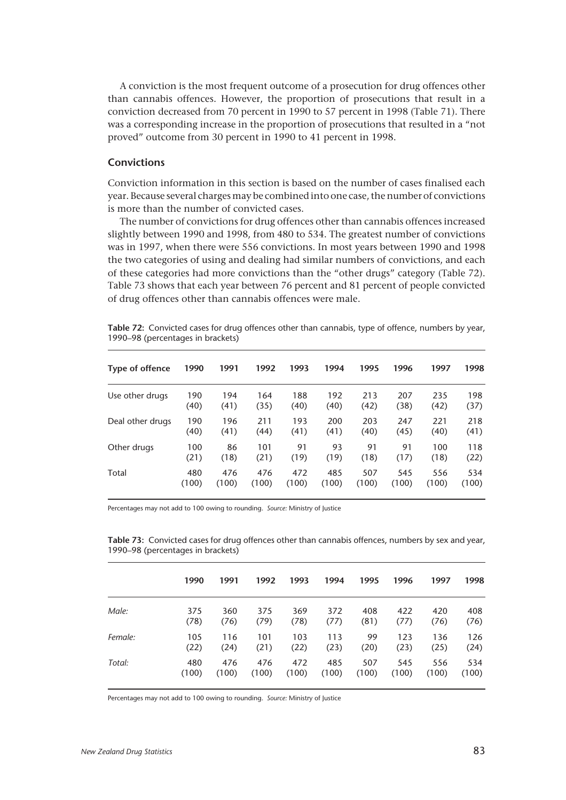A conviction is the most frequent outcome of a prosecution for drug offences other than cannabis offences. However, the proportion of prosecutions that result in a conviction decreased from 70 percent in 1990 to 57 percent in 1998 (Table 71). There was a corresponding increase in the proportion of prosecutions that resulted in a "not proved" outcome from 30 percent in 1990 to 41 percent in 1998.

#### **Convictions**

Conviction information in this section is based on the number of cases finalised each year. Because several charges may be combined into one case, the number of convictions is more than the number of convicted cases.

The number of convictions for drug offences other than cannabis offences increased slightly between 1990 and 1998, from 480 to 534. The greatest number of convictions was in 1997, when there were 556 convictions. In most years between 1990 and 1998 the two categories of using and dealing had similar numbers of convictions, and each of these categories had more convictions than the "other drugs" category (Table 72). Table 73 shows that each year between 76 percent and 81 percent of people convicted of drug offences other than cannabis offences were male.

| <b>Type of offence</b> | 1990  | 1991  | 1992  | 1993  | 1994  | 1995  | 1996  | 1997  | 1998  |
|------------------------|-------|-------|-------|-------|-------|-------|-------|-------|-------|
| Use other drugs        | 190   | 194   | 164   | 188   | 192   | 213   | 207   | 235   | 198   |
|                        | (40)  | (41)  | (35)  | (40)  | (40)  | (42)  | (38)  | (42)  | (37)  |
| Deal other drugs       | 190   | 196   | 211   | 193   | 200   | 203   | 247   | 221   | 218   |
|                        | (40)  | (41)  | (44)  | (41)  | (41)  | (40)  | (45)  | (40)  | (41)  |
| Other drugs            | 100   | 86    | 101   | 91    | 93    | 91    | 91    | 100   | 118   |
|                        | (21)  | (18)  | (21)  | (19)  | (19)  | (18)  | (17)  | (18)  | (22)  |
| Total                  | 480   | 476   | 476   | 472   | 485   | 507   | 545   | 556   | 534   |
|                        | (100) | (100) | (100) | (100) | (100) | (100) | (100) | (100) | (100) |

**Table 72:** Convicted cases for drug offences other than cannabis, type of offence, numbers by year, 1990–98 (percentages in brackets)

Percentages may not add to 100 owing to rounding. *Source:* Ministry of Justice

**Table 73:** Convicted cases for drug offences other than cannabis offences, numbers by sex and year, 1990–98 (percentages in brackets)

|         | 1990  | 1991  | 1992  | 1993  | 1994  | 1995  | 1996  | 1997  | 1998  |
|---------|-------|-------|-------|-------|-------|-------|-------|-------|-------|
| Male:   | 375   | 360   | 375   | 369   | 372   | 408   | 422   | 420   | 408   |
|         | (78)  | (76)  | (79)  | (78)  | (77)  | (81)  | (77)  | (76)  | (76)  |
| Female: | 105   | 116   | 101   | 103   | 113   | 99    | 123   | 136   | 126   |
|         | (22)  | (24)  | (21)  | (22)  | (23)  | (20)  | (23)  | (25)  | (24)  |
| Total:  | 480   | 476   | 476   | 472   | 485   | 507   | 545   | 556   | 534   |
|         | (100) | (100) | (100) | (100) | (100) | (100) | (100) | (100) | (100) |

Percentages may not add to 100 owing to rounding. *Source:* Ministry of Justice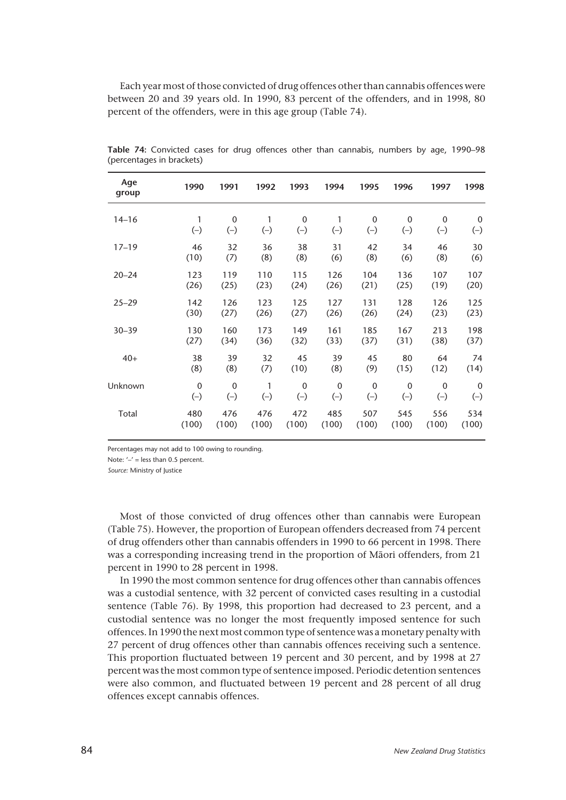Each year most of those convicted of drug offences other than cannabis offences were between 20 and 39 years old. In 1990, 83 percent of the offenders, and in 1998, 80 percent of the offenders, were in this age group (Table 74).

| Age<br>group | 1990         | 1991        | 1992  | 1993         | 1994        | 1995         | 1996        | 1997        | 1998        |
|--------------|--------------|-------------|-------|--------------|-------------|--------------|-------------|-------------|-------------|
| $14 - 16$    | 1            | $\mathbf 0$ | 1     | $\mathbf{0}$ | 1           | 0            | 0           | $\mathbf 0$ | 0           |
|              | $(-)$        | $(-)$       | $(-)$ | $(-)$        | $(-)$       | $(-)$        | $(-)$       | $(-)$       | $(-)$       |
| $17 - 19$    | 46           | 32          | 36    | 38           | 31          | 42           | 34          | 46          | 30          |
|              | (10)         | (7)         | (8)   | (8)          | (6)         | (8)          | (6)         | (8)         | (6)         |
| $20 - 24$    | 123          | 119         | 110   | 115          | 126         | 104          | 136         | 107         | 107         |
|              | (26)         | (25)        | (23)  | (24)         | (26)        | (21)         | (25)        | (19)        | (20)        |
| $25 - 29$    | 142          | 126         | 123   | 125          | 127         | 131          | 128         | 126         | 125         |
|              | (30)         | (27)        | (26)  | (27)         | (26)        | (26)         | (24)        | (23)        | (23)        |
| $30 - 39$    | 130          | 160         | 173   | 149          | 161         | 185          | 167         | 213         | 198         |
|              | (27)         | (34)        | (36)  | (32)         | (33)        | (37)         | (31)        | (38)        | (37)        |
| $40+$        | 38           | 39          | 32    | 45           | 39          | 45           | 80          | 64          | 74          |
|              | (8)          | (8)         | (7)   | (10)         | (8)         | (9)          | (15)        | (12)        | (14)        |
| Unknown      | $\mathbf{0}$ | $\mathbf 0$ | 1     | $\mathbf{0}$ | $\mathbf 0$ | $\mathbf{0}$ | $\mathbf 0$ | $\mathbf 0$ | $\mathbf 0$ |
|              | $(-)$        | $(-)$       | $(-)$ | $(-)$        | $(-)$       | $(-)$        | $(-)$       | $(-)$       | $(-)$       |
| Total        | 480          | 476         | 476   | 472          | 485         | 507          | 545         | 556         | 534         |
|              | (100)        | (100)       | (100) | (100)        | (100)       | (100)        | (100)       | (100)       | (100)       |

**Table 74:** Convicted cases for drug offences other than cannabis, numbers by age, 1990–98 (percentages in brackets)

Percentages may not add to 100 owing to rounding.

Note: '-' = less than 0.5 percent.

*Source:* Ministry of Justice

Most of those convicted of drug offences other than cannabis were European (Table 75). However, the proportion of European offenders decreased from 74 percent of drug offenders other than cannabis offenders in 1990 to 66 percent in 1998. There was a corresponding increasing trend in the proportion of Mâori offenders, from 21 percent in 1990 to 28 percent in 1998.

In 1990 the most common sentence for drug offences other than cannabis offences was a custodial sentence, with 32 percent of convicted cases resulting in a custodial sentence (Table 76). By 1998, this proportion had decreased to 23 percent, and a custodial sentence was no longer the most frequently imposed sentence for such offences. In 1990 the next most common type of sentence was a monetary penalty with 27 percent of drug offences other than cannabis offences receiving such a sentence. This proportion fluctuated between 19 percent and 30 percent, and by 1998 at 27 percent was the most common type of sentence imposed. Periodic detention sentences were also common, and fluctuated between 19 percent and 28 percent of all drug offences except cannabis offences.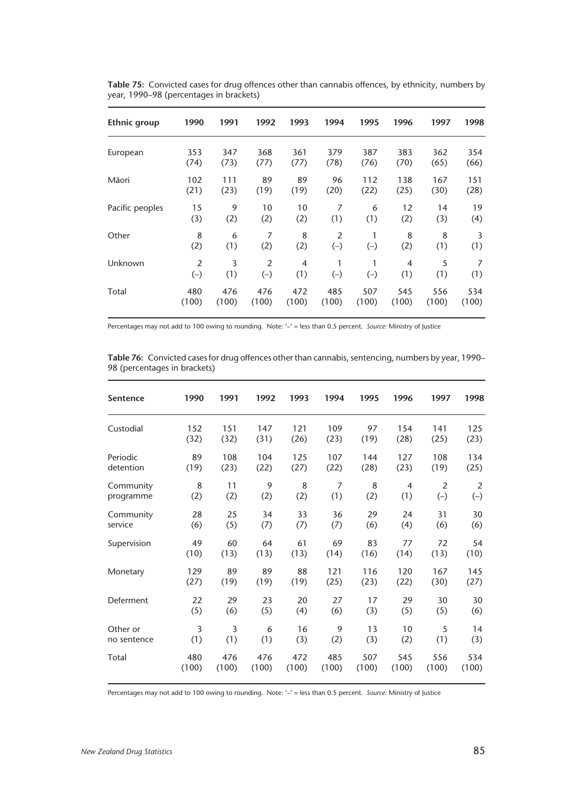| <b>Ethnic group</b> | 1990           | 1991  | 1992  | 1993           | 1994           | 1995  | 1996           | 1997  | 1998  |
|---------------------|----------------|-------|-------|----------------|----------------|-------|----------------|-------|-------|
| European            | 353            | 347   | 368   | 361            | 379            | 387   | 383            | 362   | 354   |
|                     | (74)           | (73)  | (77)  | (77)           | (78)           | (76)  | (70)           | (65)  | (66)  |
| Māori               | 102            | 111   | 89    | 89             | 96             | 112   | 138            | 167   | 151   |
|                     | (21)           | (23)  | (19)  | (19)           | (20)           | (22)  | (25)           | (30)  | (28)  |
| Pacific peoples     | 15             | 9     | 10    | 10             | 7              | 6     | 12             | 14    | 19    |
|                     | (3)            | (2)   | (2)   | (2)            | (1)            | (1)   | (2)            | (3)   | (4)   |
| Other               | 8              | 6     | 7     | 8              | $\overline{2}$ | 1     | 8              | 8     | 3     |
|                     | (2)            | (1)   | (2)   | (2)            | $(-)$          | $(-)$ | (2)            | (1)   | (1)   |
| Unknown             | $\overline{2}$ | 3     | 2     | $\overline{4}$ | 1              | 1     | $\overline{4}$ | 5     | 7     |
|                     | $(-)$          | (1)   | $(-)$ | (1)            | $(-)$          | $(-)$ | (1)            | (1)   | (1)   |
| Total               | 480            | 476   | 476   | 472            | 485            | 507   | 545            | 556   | 534   |
|                     | (100)          | (100) | (100) | (100)          | (100)          | (100) | (100)          | (100) | (100) |

**Table 75:** Convicted cases for drug offences other than cannabis offences, by ethnicity, numbers by year, 1990–98 (percentages in brackets)

Percentages may not add to 100 owing to rounding. Note: '–' = less than 0.5 percent. *Source:* Ministry of Justice

**Table 76:** Convicted cases for drug offences other than cannabis, sentencing, numbers by year, 1990– 98 (percentages in brackets)

| <b>Sentence</b> | 1990  | 1991  | 1992  | 1993  | 1994  | 1995  | 1996  | 1997  | 1998  |
|-----------------|-------|-------|-------|-------|-------|-------|-------|-------|-------|
| Custodial       | 152   | 151   | 147   | 121   | 109   | 97    | 154   | 141   | 125   |
|                 | (32)  | (32)  | (31)  | (26)  | (23)  | (19)  | (28)  | (25)  | (23)  |
| Periodic        | 89    | 108   | 104   | 125   | 107   | 144   | 127   | 108   | 134   |
| detention       | (19)  | (23)  | (22)  | (27)  | (22)  | (28)  | (23)  | (19)  | (25)  |
| Community       | 8     | 11    | 9     | 8     | 7     | 8     | 4     | 2     | 2     |
| programme       | (2)   | (2)   | (2)   | (2)   | (1)   | (2)   | (1)   | $(-)$ | $(-)$ |
| Community       | 28    | 25    | 34    | 33    | 36    | 29    | 24    | 31    | 30    |
| service         | (6)   | (5)   | (7)   | (7)   | (7)   | (6)   | (4)   | (6)   | (6)   |
| Supervision     | 49    | 60    | 64    | 61    | 69    | 83    | 77    | 72    | 54    |
|                 | (10)  | (13)  | (13)  | (13)  | (14)  | (16)  | (14)  | (13)  | (10)  |
| Monetary        | 129   | 89    | 89    | 88    | 121   | 116   | 120   | 167   | 145   |
|                 | (27)  | (19)  | (19)  | (19)  | (25)  | (23)  | (22)  | (30)  | (27)  |
| Deferment       | 22    | 29    | 23    | 20    | 27    | 17    | 29    | 30    | 30    |
|                 | (5)   | (6)   | (5)   | (4)   | (6)   | (3)   | (5)   | (5)   | (6)   |
| Other or        | 3     | 3     | 6     | 16    | 9     | 13    | 10    | 5     | 14    |
| no sentence     | (1)   | (1)   | (1)   | (3)   | (2)   | (3)   | (2)   | (1)   | (3)   |
| Total           | 480   | 476   | 476   | 472   | 485   | 507   | 545   | 556   | 534   |
|                 | (100) | (100) | (100) | (100) | (100) | (100) | (100) | (100) | (100) |

Percentages may not add to 100 owing to rounding. Note: '–' = less than 0.5 percent. *Source:* Ministry of Justice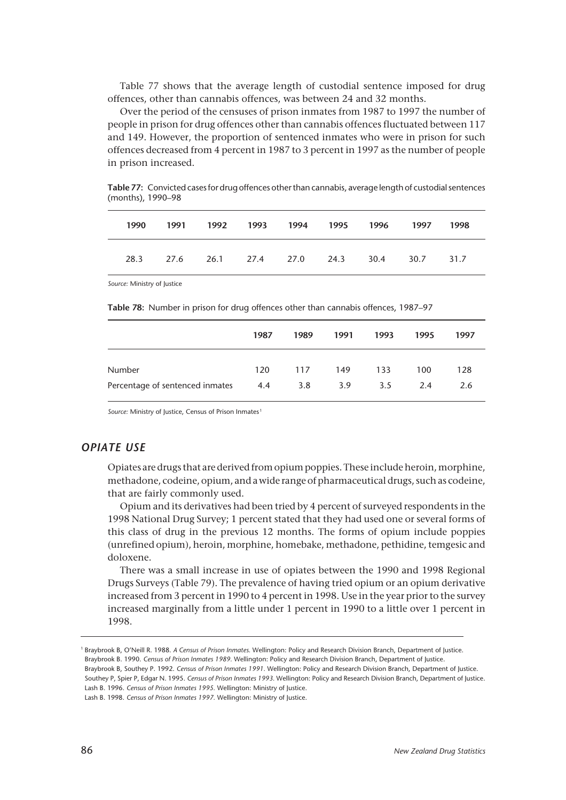Table 77 shows that the average length of custodial sentence imposed for drug offences, other than cannabis offences, was between 24 and 32 months.

Over the period of the censuses of prison inmates from 1987 to 1997 the number of people in prison for drug offences other than cannabis offences fluctuated between 117 and 149. However, the proportion of sentenced inmates who were in prison for such offences decreased from 4 percent in 1987 to 3 percent in 1997 as the number of people in prison increased.

**Table 77:** Convicted cases for drug offences other than cannabis, average length of custodial sentences (months), 1990–98

| 1990 | 1991 1992 1993 1994 1995 1996 1997           |  |  | 1998 |
|------|----------------------------------------------|--|--|------|
|      | 28.3 27.6 26.1 27.4 27.0 24.3 30.4 30.7 31.7 |  |  |      |

*Source:* Ministry of Justice

**Table 78:** Number in prison for drug offences other than cannabis offences, 1987–97

|                                 | 1987 | 1989 | 1991 | 1993          | 1995 | 1997 |
|---------------------------------|------|------|------|---------------|------|------|
| Number                          | 120  | 117  | 149  | 133           | 100  | 128  |
| Percentage of sentenced inmates | 4.4  | 3.8  | 3.9  | $3.5^{\circ}$ | 2.4  | 2.6  |

Source: Ministry of Justice, Census of Prison Inmates<sup>1</sup>

## *OPIATE USE*

Opiates are drugs that are derived from opium poppies. These include heroin, morphine, methadone, codeine, opium, and a wide range of pharmaceutical drugs, such as codeine, that are fairly commonly used.

Opium and its derivatives had been tried by 4 percent of surveyed respondents in the 1998 National Drug Survey; 1 percent stated that they had used one or several forms of this class of drug in the previous 12 months. The forms of opium include poppies (unrefined opium), heroin, morphine, homebake, methadone, pethidine, temgesic and doloxene.

There was a small increase in use of opiates between the 1990 and 1998 Regional Drugs Surveys (Table 79). The prevalence of having tried opium or an opium derivative increased from 3 percent in 1990 to 4 percent in 1998. Use in the year prior to the survey increased marginally from a little under 1 percent in 1990 to a little over 1 percent in 1998.

Southey P, Spier P, Edgar N. 1995. *Census of Prison Inmates 1993.* Wellington: Policy and Research Division Branch, Department of Justice.

<sup>1</sup> Braybrook B, O'Neill R. 1988. *A Census of Prison Inmates.* Wellington: Policy and Research Division Branch, Department of Justice. Braybrook B. 1990. *Census of Prison Inmates 1989.* Wellington: Policy and Research Division Branch, Department of Justice. Braybrook B, Southey P. 1992. *Census of Prison Inmates 1991.* Wellington: Policy and Research Division Branch, Department of Justice.

Lash B. 1996. *Census of Prison Inmates 1995.* Wellington: Ministry of Justice.

Lash B. 1998. *Census of Prison Inmates 1997.* Wellington: Ministry of Justice.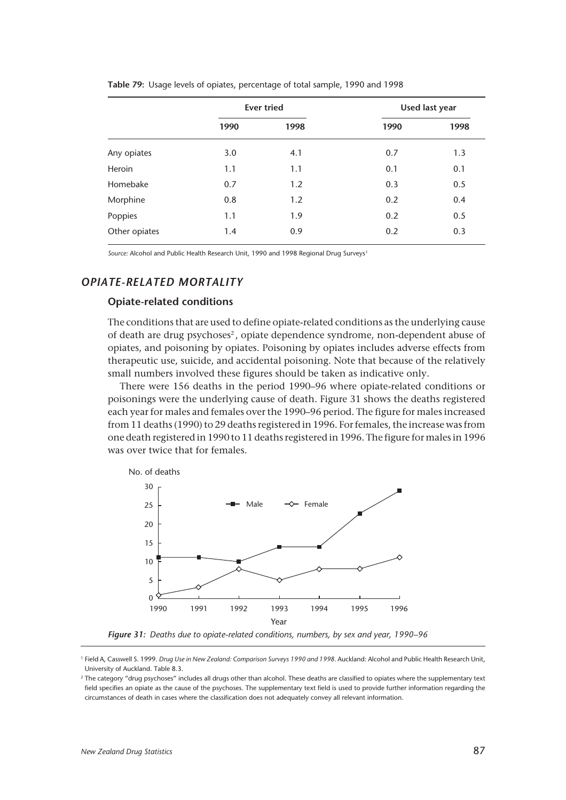|               |      | <b>Ever tried</b> | Used last year |      |  |
|---------------|------|-------------------|----------------|------|--|
|               | 1990 | 1998              | 1990           | 1998 |  |
| Any opiates   | 3.0  | 4.1               | 0.7            | 1.3  |  |
| Heroin        | 1.1  | 1.1               | 0.1            | 0.1  |  |
| Homebake      | 0.7  | 1.2               | 0.3            | 0.5  |  |
| Morphine      | 0.8  | 1.2               | 0.2            | 0.4  |  |
| Poppies       | 1.1  | 1.9               | 0.2            | 0.5  |  |
| Other opiates | 1.4  | 0.9               | 0.2            | 0.3  |  |

**Table 79:** Usage levels of opiates, percentage of total sample, 1990 and 1998

Source: Alcohol and Public Health Research Unit, 1990 and 1998 Regional Drug Surveys<sup>1</sup>

## *OPIATE-RELATED MORTALITY*

#### **Opiate-related conditions**

The conditions that are used to define opiate-related conditions as the underlying cause of death are drug psychoses2 , opiate dependence syndrome, non-dependent abuse of opiates, and poisoning by opiates. Poisoning by opiates includes adverse effects from therapeutic use, suicide, and accidental poisoning. Note that because of the relatively small numbers involved these figures should be taken as indicative only.

There were 156 deaths in the period 1990–96 where opiate-related conditions or poisonings were the underlying cause of death. Figure 31 shows the deaths registered each year for males and females over the 1990–96 period. The figure for males increased from 11 deaths (1990) to 29 deaths registered in 1996. For females, the increase was from one death registered in 1990 to 11 deaths registered in 1996. The figure for males in 1996 was over twice that for females.



*Figure 31: Deaths due to opiate-related conditions, numbers, by sex and year, 1990–96*

<sup>1</sup> Field A, Casswell S. 1999. *Drug Use in New Zealand: Comparison Surveys 1990 and 1998.* Auckland: Alcohol and Public Health Research Unit, University of Auckland. Table 8.3.

<sup>2</sup> The category "drug psychoses" includes all drugs other than alcohol. These deaths are classified to opiates where the supplementary text field specifies an opiate as the cause of the psychoses. The supplementary text field is used to provide further information regarding the circumstances of death in cases where the classification does not adequately convey all relevant information.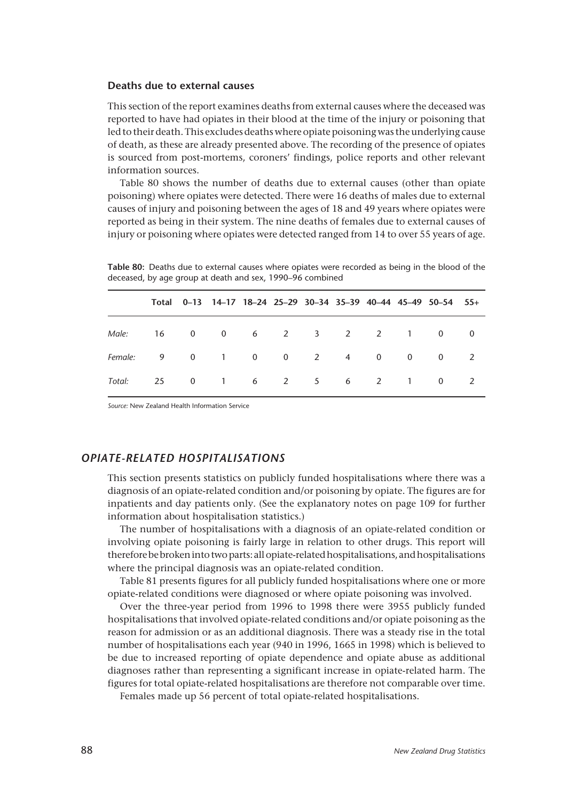#### **Deaths due to external causes**

This section of the report examines deaths from external causes where the deceased was reported to have had opiates in their blood at the time of the injury or poisoning that led to their death. This excludes deaths where opiate poisoning was the underlying cause of death, as these are already presented above. The recording of the presence of opiates is sourced from post-mortems, coroners' findings, police reports and other relevant information sources.

Table 80 shows the number of deaths due to external causes (other than opiate poisoning) where opiates were detected. There were 16 deaths of males due to external causes of injury and poisoning between the ages of 18 and 49 years where opiates were reported as being in their system. The nine deaths of females due to external causes of injury or poisoning where opiates were detected ranged from 14 to over 55 years of age.

**Table 80:** Deaths due to external causes where opiates were recorded as being in the blood of the deceased, by age group at death and sex, 1990–96 combined

|                               |  |  |  |  | Total 0-13 14-17 18-24 25-29 30-34 35-39 40-44 45-49 50-54 55+ |  |
|-------------------------------|--|--|--|--|----------------------------------------------------------------|--|
| Male: 16 0 0 6 2 3 2 2 1 0 0  |  |  |  |  |                                                                |  |
| Female: 9 0 1 0 0 2 4 0 0 0 2 |  |  |  |  |                                                                |  |
| Total: 25 0 1 6 2 5 6 2 1 0 2 |  |  |  |  |                                                                |  |

*Source:* New Zealand Health Information Service

#### *OPIATE-RELATED HOSPITALISATIONS*

This section presents statistics on publicly funded hospitalisations where there was a diagnosis of an opiate-related condition and/or poisoning by opiate. The figures are for inpatients and day patients only. (See the explanatory notes on page 109 for further information about hospitalisation statistics.)

The number of hospitalisations with a diagnosis of an opiate-related condition or involving opiate poisoning is fairly large in relation to other drugs. This report will therefore be broken into two parts: all opiate-related hospitalisations, and hospitalisations where the principal diagnosis was an opiate-related condition.

Table 81 presents figures for all publicly funded hospitalisations where one or more opiate-related conditions were diagnosed or where opiate poisoning was involved.

Over the three-year period from 1996 to 1998 there were 3955 publicly funded hospitalisations that involved opiate-related conditions and/or opiate poisoning as the reason for admission or as an additional diagnosis. There was a steady rise in the total number of hospitalisations each year (940 in 1996, 1665 in 1998) which is believed to be due to increased reporting of opiate dependence and opiate abuse as additional diagnoses rather than representing a significant increase in opiate-related harm. The figures for total opiate-related hospitalisations are therefore not comparable over time.

Females made up 56 percent of total opiate-related hospitalisations.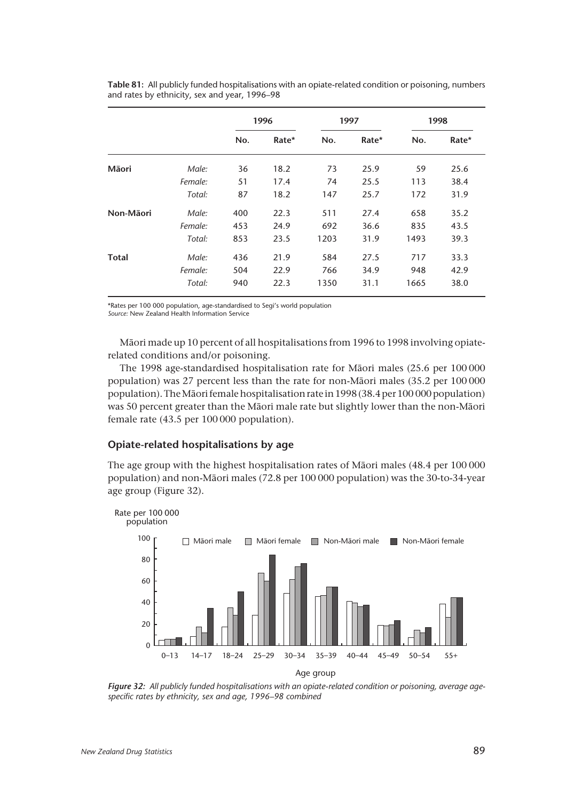|              |         | 1996 |       | 1997 |       | 1998 |       |
|--------------|---------|------|-------|------|-------|------|-------|
|              |         | No.  | Rate* | No.  | Rate* | No.  | Rate* |
| Māori        | Male:   | 36   | 18.2  | 73   | 25.9  | 59   | 25.6  |
|              | Female: | 51   | 17.4  | 74   | 25.5  | 113  | 38.4  |
|              | Total:  | 87   | 18.2  | 147  | 25.7  | 172  | 31.9  |
| Non-Māori    | Male:   | 400  | 22.3  | 511  | 27.4  | 658  | 35.2  |
|              | Female: | 453  | 24.9  | 692  | 36.6  | 835  | 43.5  |
|              | Total:  | 853  | 23.5  | 1203 | 31.9  | 1493 | 39.3  |
| <b>Total</b> | Male:   | 436  | 21.9  | 584  | 27.5  | 717  | 33.3  |
|              | Female: | 504  | 22.9  | 766  | 34.9  | 948  | 42.9  |
|              | Total:  | 940  | 22.3  | 1350 | 31.1  | 1665 | 38.0  |

**Table 81:** All publicly funded hospitalisations with an opiate-related condition or poisoning, numbers and rates by ethnicity, sex and year, 1996–98

\*Rates per 100 000 population, age-standardised to Segi's world population *Source:* New Zealand Health Information Service

Mâori made up 10 percent of all hospitalisations from 1996 to 1998 involving opiaterelated conditions and/or poisoning.

The 1998 age-standardised hospitalisation rate for Mâori males (25.6 per 100 000 population) was 27 percent less than the rate for non-Mâori males (35.2 per 100 000 population). The Mâori female hospitalisation rate in 1998 (38.4 per 100 000 population) was 50 percent greater than the Mâori male rate but slightly lower than the non-Mâori female rate (43.5 per 100 000 population).

## **Opiate-related hospitalisations by age**

The age group with the highest hospitalisation rates of Mâori males (48.4 per 100 000 population) and non-Mâori males (72.8 per 100 000 population) was the 30-to-34-year age group (Figure 32).



*Figure 32: All publicly funded hospitalisations with an opiate-related condition or poisoning, average agespecific rates by ethnicity, sex and age, 1996–98 combined*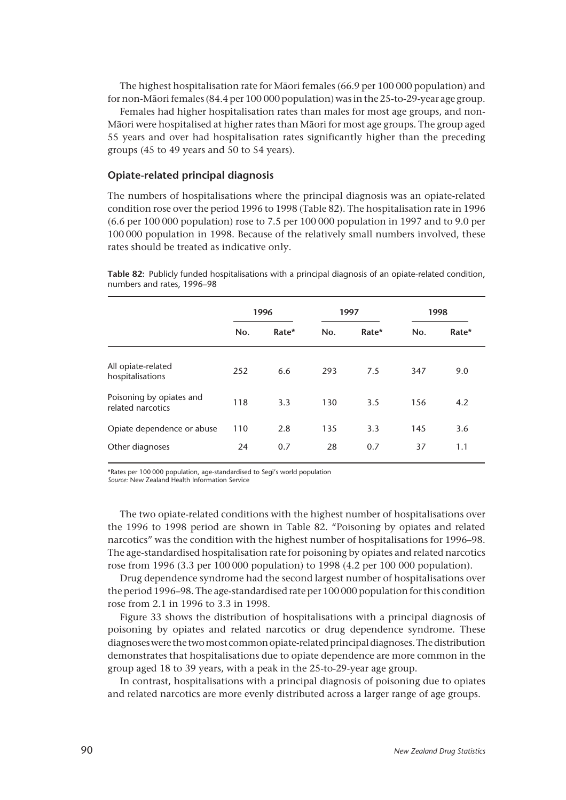The highest hospitalisation rate for Mâori females (66.9 per 100 000 population) and for non-Mâori females (84.4 per 100 000 population) was in the 25-to-29-year age group.

Females had higher hospitalisation rates than males for most age groups, and non-Mâori were hospitalised at higher rates than Mâori for most age groups. The group aged 55 years and over had hospitalisation rates significantly higher than the preceding groups (45 to 49 years and 50 to 54 years).

#### **Opiate-related principal diagnosis**

The numbers of hospitalisations where the principal diagnosis was an opiate-related condition rose over the period 1996 to 1998 (Table 82). The hospitalisation rate in 1996 (6.6 per 100 000 population) rose to 7.5 per 100 000 population in 1997 and to 9.0 per 100 000 population in 1998. Because of the relatively small numbers involved, these rates should be treated as indicative only.

|                                               | 1996 |       |     | 1997  | 1998 |       |
|-----------------------------------------------|------|-------|-----|-------|------|-------|
|                                               | No.  | Rate* | No. | Rate* | No.  | Rate* |
| All opiate-related<br>hospitalisations        | 252  | 6.6   | 293 | 7.5   | 347  | 9.0   |
| Poisoning by opiates and<br>related narcotics | 118  | 3.3   | 130 | 3.5   | 156  | 4.2   |
| Opiate dependence or abuse                    | 110  | 2.8   | 135 | 3.3   | 145  | 3.6   |
| Other diagnoses                               | 24   | 0.7   | 28  | 0.7   | 37   | 1.1   |

**Table 82:** Publicly funded hospitalisations with a principal diagnosis of an opiate-related condition, numbers and rates, 1996–98

\*Rates per 100 000 population, age-standardised to Segi's world population

*Source:* New Zealand Health Information Service

The two opiate-related conditions with the highest number of hospitalisations over the 1996 to 1998 period are shown in Table 82. "Poisoning by opiates and related narcotics" was the condition with the highest number of hospitalisations for 1996–98. The age-standardised hospitalisation rate for poisoning by opiates and related narcotics rose from 1996 (3.3 per 100 000 population) to 1998 (4.2 per 100 000 population).

Drug dependence syndrome had the second largest number of hospitalisations over the period 1996–98. The age-standardised rate per 100 000 population for this condition rose from 2.1 in 1996 to 3.3 in 1998.

Figure 33 shows the distribution of hospitalisations with a principal diagnosis of poisoning by opiates and related narcotics or drug dependence syndrome. These diagnoses were the two most common opiate-related principal diagnoses. The distribution demonstrates that hospitalisations due to opiate dependence are more common in the group aged 18 to 39 years, with a peak in the 25-to-29-year age group.

In contrast, hospitalisations with a principal diagnosis of poisoning due to opiates and related narcotics are more evenly distributed across a larger range of age groups.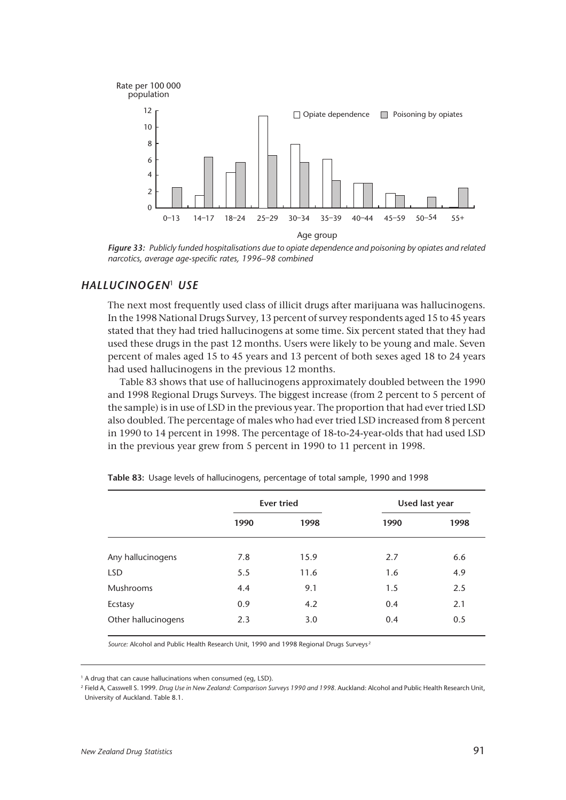

*Figure 33: Publicly funded hospitalisations due to opiate dependence and poisoning by opiates and related narcotics, average age-specific rates, 1996–98 combined*

## *HALLUCINOGEN*<sup>1</sup> *USE*

The next most frequently used class of illicit drugs after marijuana was hallucinogens. In the 1998 National Drugs Survey, 13 percent of survey respondents aged 15 to 45 years stated that they had tried hallucinogens at some time. Six percent stated that they had used these drugs in the past 12 months. Users were likely to be young and male. Seven percent of males aged 15 to 45 years and 13 percent of both sexes aged 18 to 24 years had used hallucinogens in the previous 12 months.

Table 83 shows that use of hallucinogens approximately doubled between the 1990 and 1998 Regional Drugs Surveys. The biggest increase (from 2 percent to 5 percent of the sample) is in use of LSD in the previous year. The proportion that had ever tried LSD also doubled. The percentage of males who had ever tried LSD increased from 8 percent in 1990 to 14 percent in 1998. The percentage of 18-to-24-year-olds that had used LSD in the previous year grew from 5 percent in 1990 to 11 percent in 1998.

|                     |      | <b>Ever tried</b> | Used last year |      |  |
|---------------------|------|-------------------|----------------|------|--|
|                     | 1990 | 1998              | 1990           | 1998 |  |
| Any hallucinogens   | 7.8  | 15.9              | 2.7            | 6.6  |  |
| <b>LSD</b>          | 5.5  | 11.6              | 1.6            | 4.9  |  |
| Mushrooms           | 4.4  | 9.1               | 1.5            | 2.5  |  |
| Ecstasy             | 0.9  | 4.2               | 0.4            | 2.1  |  |
| Other hallucinogens | 2.3  | 3.0               | 0.4            | 0.5  |  |

**Table 83:** Usage levels of hallucinogens, percentage of total sample, 1990 and 1998

*Source:* Alcohol and Public Health Research Unit, 1990 and 1998 Regional Drugs Surveys <sup>2</sup>

<sup>2</sup> Field A, Casswell S. 1999. *Drug Use in New Zealand: Comparison Surveys 1990 and 1998.* Auckland: Alcohol and Public Health Research Unit, University of Auckland. Table 8.1.

<sup>&</sup>lt;sup>1</sup> A drug that can cause hallucinations when consumed (eg, LSD).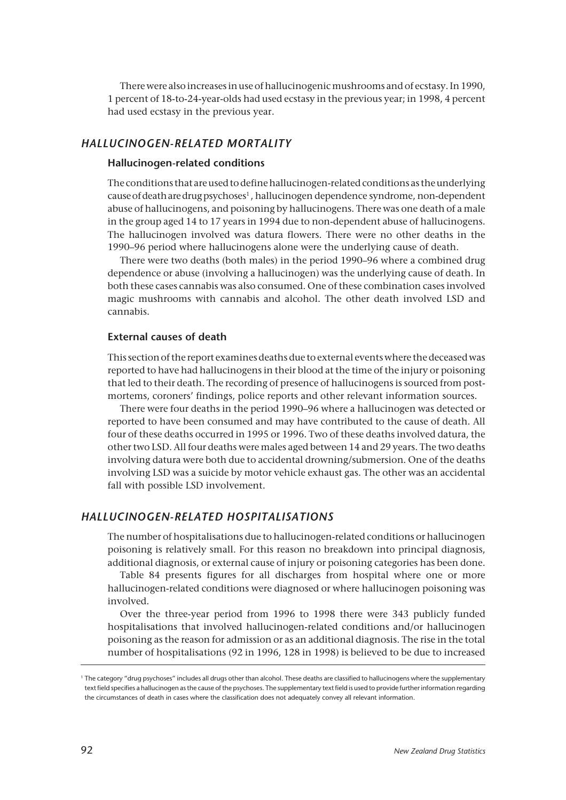There were also increases in use of hallucinogenic mushrooms and of ecstasy. In 1990, 1 percent of 18-to-24-year-olds had used ecstasy in the previous year; in 1998, 4 percent had used ecstasy in the previous year.

## *HALLUCINOGEN-RELATED MORTALITY*

#### **Hallucinogen-related conditions**

The conditions that are used to define hallucinogen-related conditions as the underlying cause of death are drug psychoses<sup>1</sup>, hallucinogen dependence syndrome, non-dependent abuse of hallucinogens, and poisoning by hallucinogens. There was one death of a male in the group aged 14 to 17 years in 1994 due to non-dependent abuse of hallucinogens. The hallucinogen involved was datura flowers. There were no other deaths in the 1990–96 period where hallucinogens alone were the underlying cause of death.

There were two deaths (both males) in the period 1990–96 where a combined drug dependence or abuse (involving a hallucinogen) was the underlying cause of death. In both these cases cannabis was also consumed. One of these combination cases involved magic mushrooms with cannabis and alcohol. The other death involved LSD and cannabis.

#### **External causes of death**

This section of the report examines deaths due to external events where the deceased was reported to have had hallucinogens in their blood at the time of the injury or poisoning that led to their death. The recording of presence of hallucinogens is sourced from postmortems, coroners' findings, police reports and other relevant information sources.

There were four deaths in the period 1990–96 where a hallucinogen was detected or reported to have been consumed and may have contributed to the cause of death. All four of these deaths occurred in 1995 or 1996. Two of these deaths involved datura, the other two LSD. All four deaths were males aged between 14 and 29 years. The two deaths involving datura were both due to accidental drowning/submersion. One of the deaths involving LSD was a suicide by motor vehicle exhaust gas. The other was an accidental fall with possible LSD involvement.

#### *HALLUCINOGEN-RELATED HOSPITALISATIONS*

The number of hospitalisations due to hallucinogen-related conditions or hallucinogen poisoning is relatively small. For this reason no breakdown into principal diagnosis, additional diagnosis, or external cause of injury or poisoning categories has been done.

Table 84 presents figures for all discharges from hospital where one or more hallucinogen-related conditions were diagnosed or where hallucinogen poisoning was involved.

Over the three-year period from 1996 to 1998 there were 343 publicly funded hospitalisations that involved hallucinogen-related conditions and/or hallucinogen poisoning as the reason for admission or as an additional diagnosis. The rise in the total number of hospitalisations (92 in 1996, 128 in 1998) is believed to be due to increased

<sup>1</sup> The category "drug psychoses" includes all drugs other than alcohol. These deaths are classified to hallucinogens where the supplementary text field specifies a hallucinogen as the cause of the psychoses. The supplementary text field is used to provide further information regarding the circumstances of death in cases where the classification does not adequately convey all relevant information.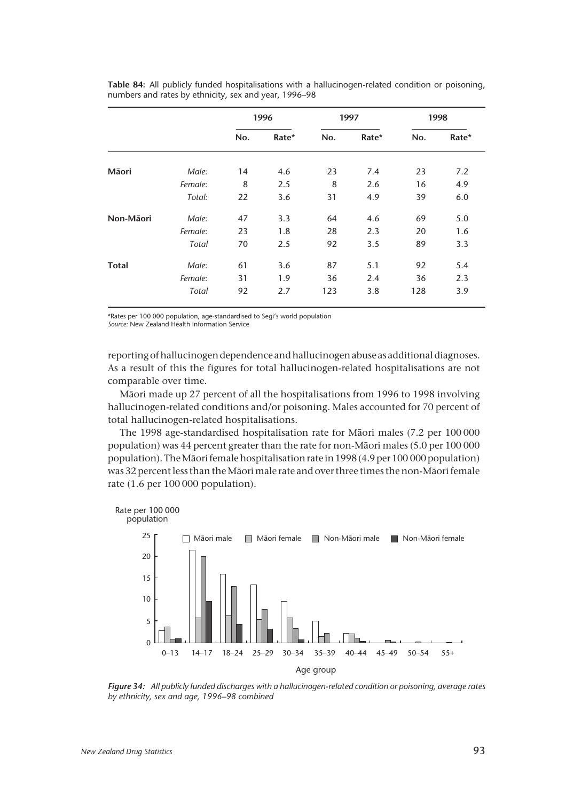|              |         | 1996 |       | 1997 |       | 1998 |       |
|--------------|---------|------|-------|------|-------|------|-------|
|              |         | No.  | Rate* | No.  | Rate* | No.  | Rate* |
| Māori        | Male:   | 14   | 4.6   | 23   | 7.4   | 23   | 7.2   |
|              | Female: | 8    | 2.5   | 8    | 2.6   | 16   | 4.9   |
|              | Total:  | 22   | 3.6   | 31   | 4.9   | 39   | 6.0   |
| Non-Māori    | Male:   | 47   | 3.3   | 64   | 4.6   | 69   | 5.0   |
|              | Female: | 23   | 1.8   | 28   | 2.3   | 20   | 1.6   |
|              | Total   | 70   | 2.5   | 92   | 3.5   | 89   | 3.3   |
| <b>Total</b> | Male:   | 61   | 3.6   | 87   | 5.1   | 92   | 5.4   |
|              | Female: | 31   | 1.9   | 36   | 2.4   | 36   | 2.3   |
|              | Total   | 92   | 2.7   | 123  | 3.8   | 128  | 3.9   |

**Table 84:** All publicly funded hospitalisations with a hallucinogen-related condition or poisoning, numbers and rates by ethnicity, sex and year, 1996–98

\*Rates per 100 000 population, age-standardised to Segi's world population

*Source:* New Zealand Health Information Service

reporting of hallucinogen dependence and hallucinogen abuse as additional diagnoses. As a result of this the figures for total hallucinogen-related hospitalisations are not comparable over time.

Mâori made up 27 percent of all the hospitalisations from 1996 to 1998 involving hallucinogen-related conditions and/or poisoning. Males accounted for 70 percent of total hallucinogen-related hospitalisations.

The 1998 age-standardised hospitalisation rate for Mâori males (7.2 per 100 000 population) was 44 percent greater than the rate for non-Mâori males (5.0 per 100 000 population). The Mâori female hospitalisation rate in 1998 (4.9 per 100 000 population) was 32 percent less than the Mâori male rate and over three times the non-Mâori female rate (1.6 per 100 000 population).



*Figure 34: All publicly funded discharges with a hallucinogen-related condition or poisoning, average rates by ethnicity, sex and age, 1996–98 combined*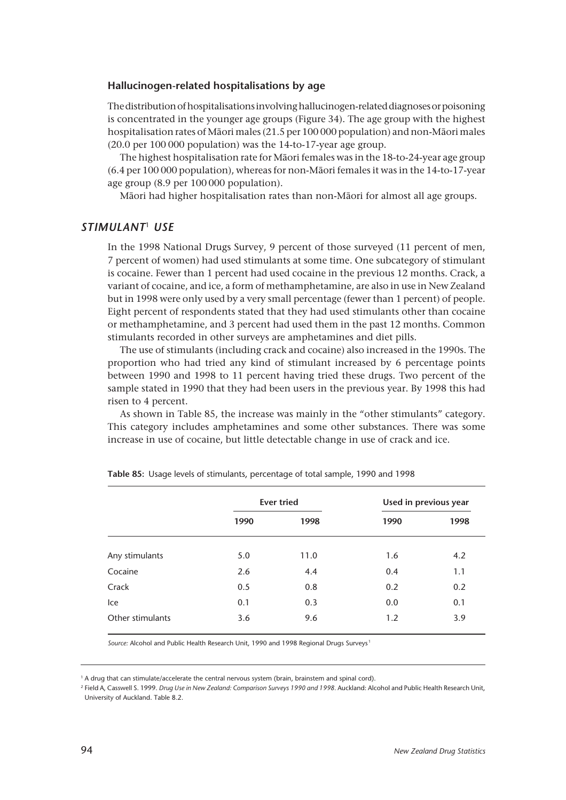#### **Hallucinogen-related hospitalisations by age**

The distribution of hospitalisations involving hallucinogen-related diagnoses or poisoning is concentrated in the younger age groups (Figure 34). The age group with the highest hospitalisation rates of Mâori males (21.5 per 100 000 population) and non-Mâori males (20.0 per 100 000 population) was the 14-to-17-year age group.

The highest hospitalisation rate for Mâori females was in the 18-to-24-year age group (6.4 per 100 000 population), whereas for non-Mâori females it was in the 14-to-17-year age group (8.9 per 100 000 population).

Mâori had higher hospitalisation rates than non-Mâori for almost all age groups.

#### *STIMULANT*<sup>1</sup> *USE*

In the 1998 National Drugs Survey, 9 percent of those surveyed (11 percent of men, 7 percent of women) had used stimulants at some time. One subcategory of stimulant is cocaine. Fewer than 1 percent had used cocaine in the previous 12 months. Crack, a variant of cocaine, and ice, a form of methamphetamine, are also in use in New Zealand but in 1998 were only used by a very small percentage (fewer than 1 percent) of people. Eight percent of respondents stated that they had used stimulants other than cocaine or methamphetamine, and 3 percent had used them in the past 12 months. Common stimulants recorded in other surveys are amphetamines and diet pills.

The use of stimulants (including crack and cocaine) also increased in the 1990s. The proportion who had tried any kind of stimulant increased by 6 percentage points between 1990 and 1998 to 11 percent having tried these drugs. Two percent of the sample stated in 1990 that they had been users in the previous year. By 1998 this had risen to 4 percent.

As shown in Table 85, the increase was mainly in the "other stimulants" category. This category includes amphetamines and some other substances. There was some increase in use of cocaine, but little detectable change in use of crack and ice.

|                  |      | <b>Ever tried</b> | Used in previous year |      |  |
|------------------|------|-------------------|-----------------------|------|--|
|                  | 1990 | 1998              | 1990                  | 1998 |  |
| Any stimulants   | 5.0  | 11.0              | 1.6                   | 4.2  |  |
| Cocaine          | 2.6  | 4.4               | 0.4                   | 1.1  |  |
| Crack            | 0.5  | 0.8               | 0.2                   | 0.2  |  |
| Ice              | 0.1  | 0.3               | 0.0                   | 0.1  |  |
| Other stimulants | 3.6  | 9.6               | 1.2                   | 3.9  |  |

**Table 85:** Usage levels of stimulants, percentage of total sample, 1990 and 1998

*Source:* Alcohol and Public Health Research Unit, 1990 and 1998 Regional Drugs Surveys <sup>1</sup>

<sup>2</sup> Field A, Casswell S. 1999. *Drug Use in New Zealand: Comparison Surveys 1990 and 1998.* Auckland: Alcohol and Public Health Research Unit, University of Auckland. Table 8.2.

<sup>&</sup>lt;sup>1</sup> A drug that can stimulate/accelerate the central nervous system (brain, brainstem and spinal cord).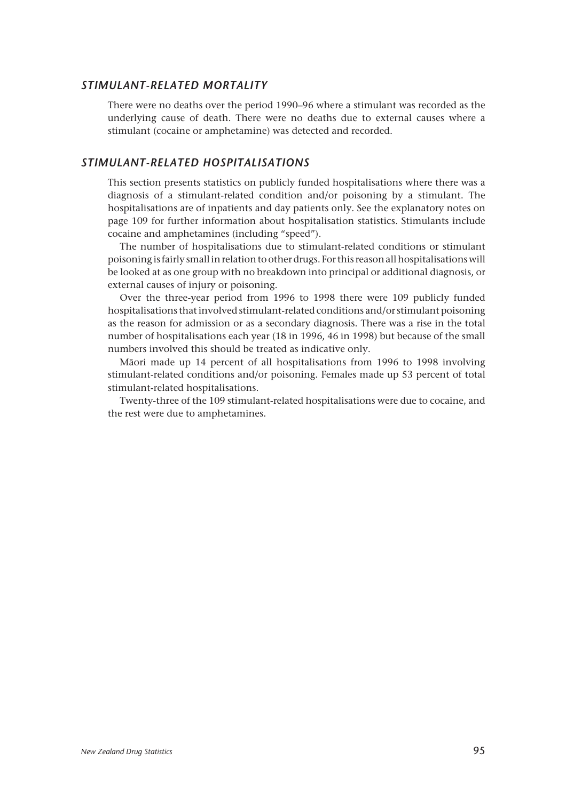#### *STIMULANT-RELATED MORTALITY*

There were no deaths over the period 1990–96 where a stimulant was recorded as the underlying cause of death. There were no deaths due to external causes where a stimulant (cocaine or amphetamine) was detected and recorded.

## *STIMULANT-RELATED HOSPITALISATIONS*

This section presents statistics on publicly funded hospitalisations where there was a diagnosis of a stimulant-related condition and/or poisoning by a stimulant. The hospitalisations are of inpatients and day patients only. See the explanatory notes on page 109 for further information about hospitalisation statistics. Stimulants include cocaine and amphetamines (including "speed").

The number of hospitalisations due to stimulant-related conditions or stimulant poisoning is fairly small in relation to other drugs. For this reason all hospitalisations will be looked at as one group with no breakdown into principal or additional diagnosis, or external causes of injury or poisoning.

Over the three-year period from 1996 to 1998 there were 109 publicly funded hospitalisations that involved stimulant-related conditions and/or stimulant poisoning as the reason for admission or as a secondary diagnosis. There was a rise in the total number of hospitalisations each year (18 in 1996, 46 in 1998) but because of the small numbers involved this should be treated as indicative only.

Mâori made up 14 percent of all hospitalisations from 1996 to 1998 involving stimulant-related conditions and/or poisoning. Females made up 53 percent of total stimulant-related hospitalisations.

Twenty-three of the 109 stimulant-related hospitalisations were due to cocaine, and the rest were due to amphetamines.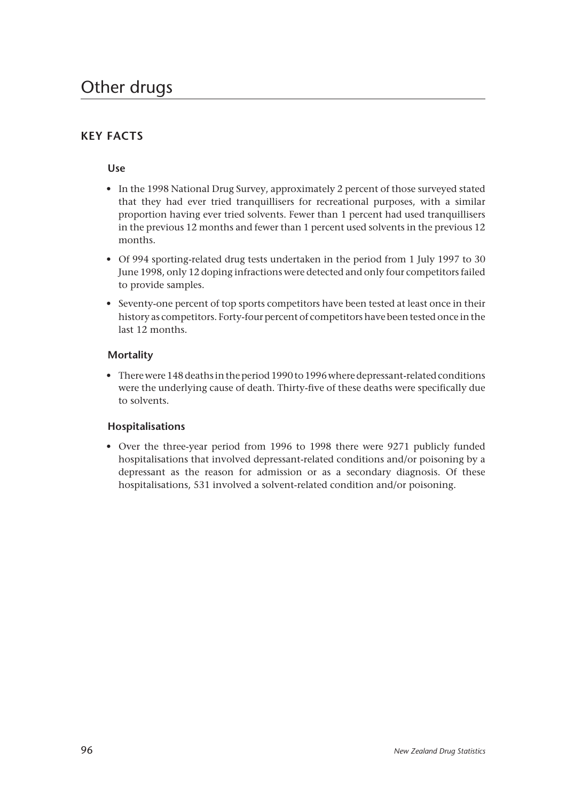## **KEY FACTS**

## **Use**

- In the 1998 National Drug Survey, approximately 2 percent of those surveyed stated that they had ever tried tranquillisers for recreational purposes, with a similar proportion having ever tried solvents. Fewer than 1 percent had used tranquillisers in the previous 12 months and fewer than 1 percent used solvents in the previous 12 months.
- Of 994 sporting-related drug tests undertaken in the period from 1 July 1997 to 30 June 1998, only 12 doping infractions were detected and only four competitors failed to provide samples.
- Seventy-one percent of top sports competitors have been tested at least once in their history as competitors. Forty-four percent of competitors have been tested once in the last 12 months.

## **Mortality**

• There were 148 deaths in the period 1990 to 1996 where depressant-related conditions were the underlying cause of death. Thirty-five of these deaths were specifically due to solvents.

## **Hospitalisations**

• Over the three-year period from 1996 to 1998 there were 9271 publicly funded hospitalisations that involved depressant-related conditions and/or poisoning by a depressant as the reason for admission or as a secondary diagnosis. Of these hospitalisations, 531 involved a solvent-related condition and/or poisoning.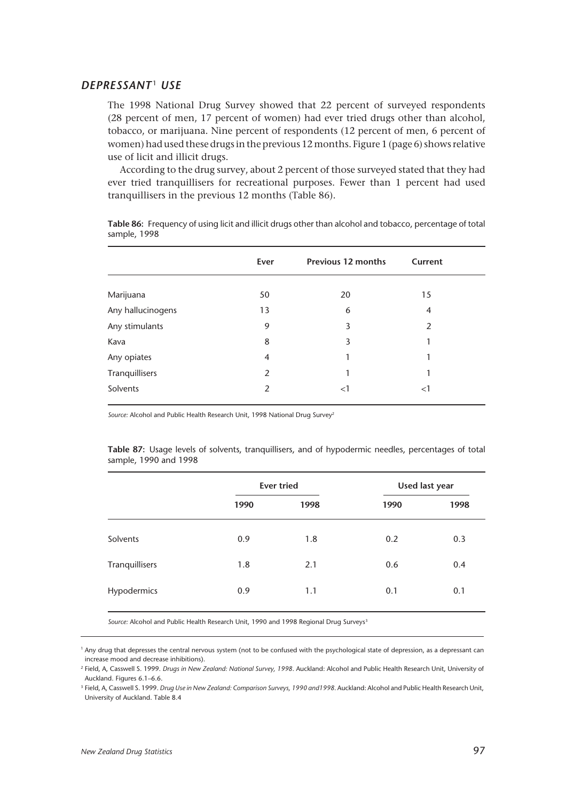## *DEPRESSANT* <sup>1</sup> *USE*

The 1998 National Drug Survey showed that 22 percent of surveyed respondents (28 percent of men, 17 percent of women) had ever tried drugs other than alcohol, tobacco, or marijuana. Nine percent of respondents (12 percent of men, 6 percent of women) had used these drugs in the previous 12 months. Figure 1 (page 6) shows relative use of licit and illicit drugs.

According to the drug survey, about 2 percent of those surveyed stated that they had ever tried tranquillisers for recreational purposes. Fewer than 1 percent had used tranquillisers in the previous 12 months (Table 86).

|                   | Ever           | <b>Previous 12 months</b> | Current        |  |
|-------------------|----------------|---------------------------|----------------|--|
| Marijuana         | 50             | 20                        | 15             |  |
| Any hallucinogens | 13             | 6                         | $\overline{4}$ |  |
| Any stimulants    | 9              | 3                         | $\overline{2}$ |  |
| Kava              | 8              | 3                         | 1              |  |
| Any opiates       | $\overline{4}$ | 1                         | 1              |  |
| Tranquillisers    | 2              | 1                         | 1              |  |
| Solvents          | 2              | <1                        | $\leq$         |  |

**Table 86:** Frequency of using licit and illicit drugs other than alcohol and tobacco, percentage of total sample, 1998

Source: Alcohol and Public Health Research Unit, 1998 National Drug Survey<sup>2</sup>

**Table 87:** Usage levels of solvents, tranquillisers, and of hypodermic needles, percentages of total sample, 1990 and 1998

|                |      | <b>Ever tried</b> | Used last year |      |  |
|----------------|------|-------------------|----------------|------|--|
|                | 1990 | 1998              | 1990           | 1998 |  |
| Solvents       | 0.9  | 1.8               | 0.2            | 0.3  |  |
| Tranquillisers | 1.8  | 2.1               | 0.6            | 0.4  |  |
| Hypodermics    | 0.9  | 1.1               | 0.1            | 0.1  |  |

Source: Alcohol and Public Health Research Unit, 1990 and 1998 Regional Drug Surveys<sup>3</sup>

<sup>1</sup> Any drug that depresses the central nervous system (not to be confused with the psychological state of depression, as a depressant can increase mood and decrease inhibitions).

<sup>2</sup> Field, A, Casswell S. 1999. *Drugs in New Zealand: National Survey, 1998*. Auckland: Alcohol and Public Health Research Unit, University of Auckland. Figures 6.1–6.6.

<sup>3</sup> Field, A, Casswell S. 1999. *Drug Use in New Zealand: Comparison Surveys, 1990 and1998*. Auckland: Alcohol and Public Health Research Unit, University of Auckland. Table 8.4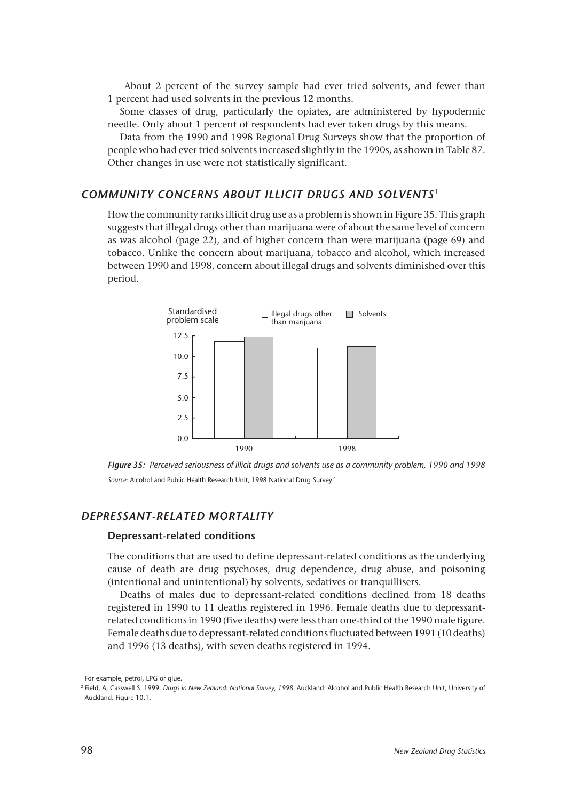About 2 percent of the survey sample had ever tried solvents, and fewer than 1 percent had used solvents in the previous 12 months.

Some classes of drug, particularly the opiates, are administered by hypodermic needle. Only about 1 percent of respondents had ever taken drugs by this means.

Data from the 1990 and 1998 Regional Drug Surveys show that the proportion of people who had ever tried solvents increased slightly in the 1990s, as shown in Table 87. Other changes in use were not statistically significant.

#### *COMMUNITY CONCERNS ABOUT ILLICIT DRUGS AND SOLVENTS* <sup>1</sup>

How the community ranks illicit drug use as a problem is shown in Figure 35. This graph suggests that illegal drugs other than marijuana were of about the same level of concern as was alcohol (page 22), and of higher concern than were marijuana (page 69) and tobacco. Unlike the concern about marijuana, tobacco and alcohol, which increased between 1990 and 1998, concern about illegal drugs and solvents diminished over this period.



*Figure 35: Perceived seriousness of illicit drugs and solvents use as a community problem, 1990 and 1998 Source:* Alcohol and Public Health Research Unit, 1998 National Drug Survey <sup>2</sup>

## *DEPRESSANT-RELATED MORTALITY*

#### **Depressant-related conditions**

The conditions that are used to define depressant-related conditions as the underlying cause of death are drug psychoses, drug dependence, drug abuse, and poisoning (intentional and unintentional) by solvents, sedatives or tranquillisers.

Deaths of males due to depressant-related conditions declined from 18 deaths registered in 1990 to 11 deaths registered in 1996. Female deaths due to depressantrelated conditions in 1990 (five deaths) were less than one-third of the 1990 male figure. Female deaths due to depressant-related conditions fluctuated between 1991 (10 deaths) and 1996 (13 deaths), with seven deaths registered in 1994.

<sup>&</sup>lt;sup>1</sup> For example, petrol, LPG or glue.

<sup>2</sup> Field, A, Casswell S. 1999. *Drugs in New Zealand: National Survey, 1998*. Auckland: Alcohol and Public Health Research Unit, University of Auckland. Figure 10.1.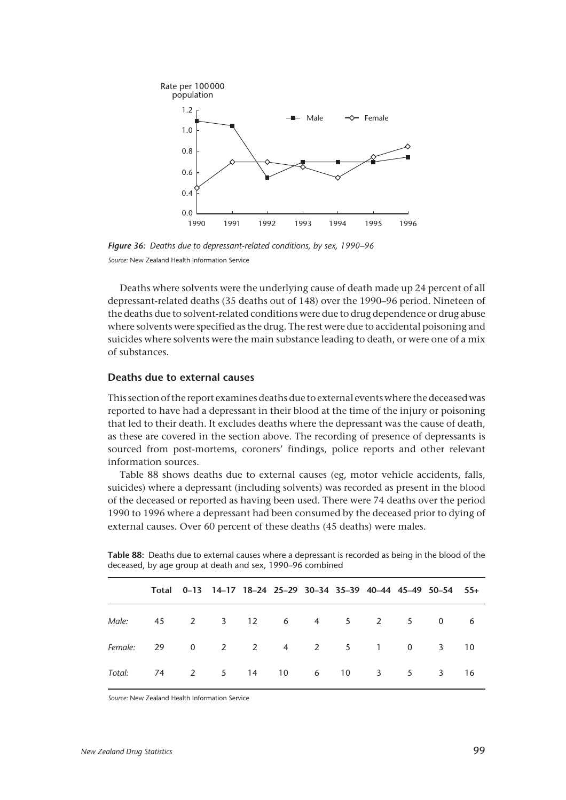

*Figure 36: Deaths due to depressant-related conditions, by sex, 1990–96 Source:* New Zealand Health Information Service

Deaths where solvents were the underlying cause of death made up 24 percent of all depressant-related deaths (35 deaths out of 148) over the 1990–96 period. Nineteen of the deaths due to solvent-related conditions were due to drug dependence or drug abuse where solvents were specified as the drug. The rest were due to accidental poisoning and suicides where solvents were the main substance leading to death, or were one of a mix of substances.

#### **Deaths due to external causes**

This section of the report examines deaths due to external events where the deceased was reported to have had a depressant in their blood at the time of the injury or poisoning that led to their death. It excludes deaths where the depressant was the cause of death, as these are covered in the section above. The recording of presence of depressants is sourced from post-mortems, coroners' findings, police reports and other relevant information sources.

Table 88 shows deaths due to external causes (eg, motor vehicle accidents, falls, suicides) where a depressant (including solvents) was recorded as present in the blood of the deceased or reported as having been used. There were 74 deaths over the period 1990 to 1996 where a depressant had been consumed by the deceased prior to dying of external causes. Over 60 percent of these deaths (45 deaths) were males.

|                                                       |  |  |  |  | Total 0-13 14-17 18-24 25-29 30-34 35-39 40-44 45-49 50-54 55+ |  |
|-------------------------------------------------------|--|--|--|--|----------------------------------------------------------------|--|
| Male: 45 2 3 12 6 4 5 2 5 0 6                         |  |  |  |  |                                                                |  |
| Female: 29 0 2 2 4 2 5 1 0 3 10                       |  |  |  |  |                                                                |  |
| Total: 74   2   5   14   10   6   10   3   5   3   16 |  |  |  |  |                                                                |  |

**Table 88:** Deaths due to external causes where a depressant is recorded as being in the blood of the deceased, by age group at death and sex, 1990–96 combined

*Source:* New Zealand Health Information Service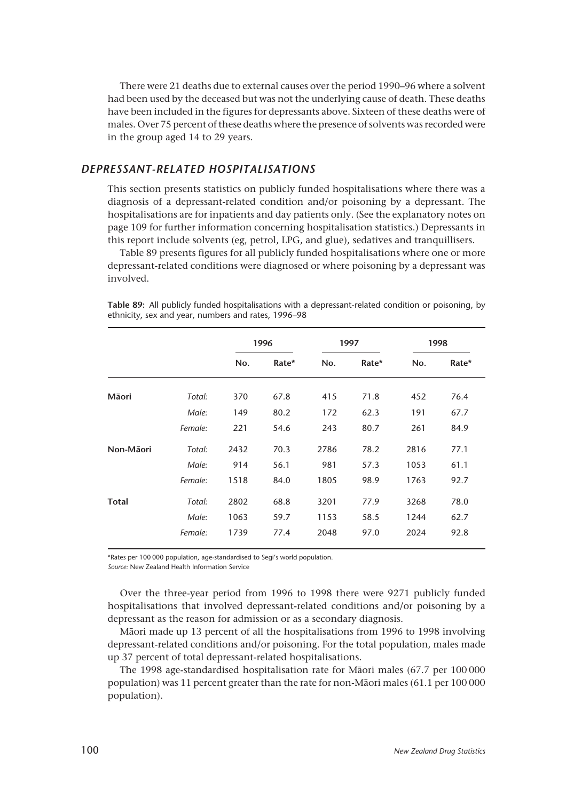There were 21 deaths due to external causes over the period 1990–96 where a solvent had been used by the deceased but was not the underlying cause of death. These deaths have been included in the figures for depressants above. Sixteen of these deaths were of males. Over 75 percent of these deaths where the presence of solvents was recorded were in the group aged 14 to 29 years.

## *DEPRESSANT-RELATED HOSPITALISATIONS*

This section presents statistics on publicly funded hospitalisations where there was a diagnosis of a depressant-related condition and/or poisoning by a depressant. The hospitalisations are for inpatients and day patients only. (See the explanatory notes on page 109 for further information concerning hospitalisation statistics.) Depressants in this report include solvents (eg, petrol, LPG, and glue), sedatives and tranquillisers.

Table 89 presents figures for all publicly funded hospitalisations where one or more depressant-related conditions were diagnosed or where poisoning by a depressant was involved.

|              |         | 1996 |       | 1997 |       | 1998 |       |
|--------------|---------|------|-------|------|-------|------|-------|
|              |         | No.  | Rate* | No.  | Rate* | No.  | Rate* |
| Māori        | Total:  | 370  | 67.8  | 415  | 71.8  | 452  | 76.4  |
|              | Male:   | 149  | 80.2  | 172  | 62.3  | 191  | 67.7  |
|              | Female: | 221  | 54.6  | 243  | 80.7  | 261  | 84.9  |
| Non-Māori    | Total:  | 2432 | 70.3  | 2786 | 78.2  | 2816 | 77.1  |
|              | Male:   | 914  | 56.1  | 981  | 57.3  | 1053 | 61.1  |
|              | Female: | 1518 | 84.0  | 1805 | 98.9  | 1763 | 92.7  |
| <b>Total</b> | Total:  | 2802 | 68.8  | 3201 | 77.9  | 3268 | 78.0  |
|              | Male:   | 1063 | 59.7  | 1153 | 58.5  | 1244 | 62.7  |
|              | Female: | 1739 | 77.4  | 2048 | 97.0  | 2024 | 92.8  |

**Table 89:** All publicly funded hospitalisations with a depressant-related condition or poisoning, by ethnicity, sex and year, numbers and rates, 1996–98

\*Rates per 100 000 population, age-standardised to Segi's world population.

*Source:* New Zealand Health Information Service

Over the three-year period from 1996 to 1998 there were 9271 publicly funded hospitalisations that involved depressant-related conditions and/or poisoning by a depressant as the reason for admission or as a secondary diagnosis.

Mâori made up 13 percent of all the hospitalisations from 1996 to 1998 involving depressant-related conditions and/or poisoning. For the total population, males made up 37 percent of total depressant-related hospitalisations.

The 1998 age-standardised hospitalisation rate for Mâori males (67.7 per 100 000 population) was 11 percent greater than the rate for non-Mâori males (61.1 per 100 000 population).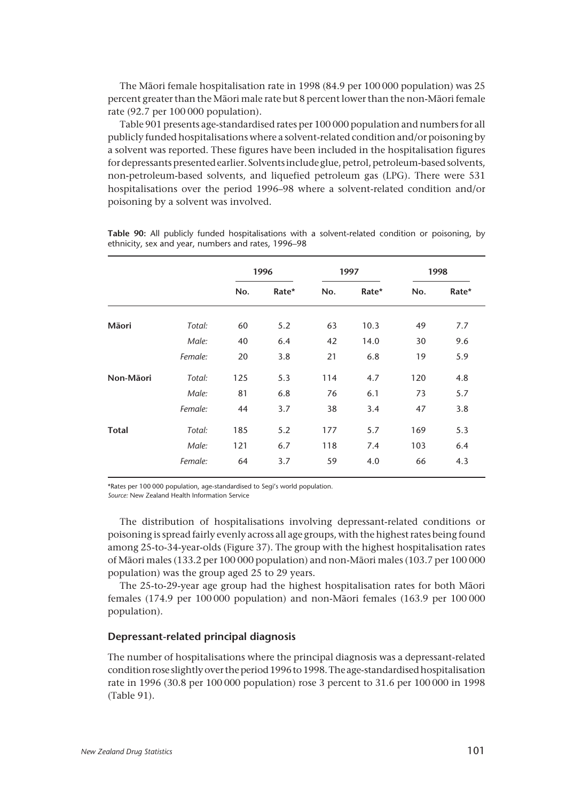The Mâori female hospitalisation rate in 1998 (84.9 per 100 000 population) was 25 percent greater than the Mâori male rate but 8 percent lower than the non-Mâori female rate (92.7 per 100 000 population).

Table 901 presents age-standardised rates per 100 000 population and numbers for all publicly funded hospitalisations where a solvent-related condition and/or poisoning by a solvent was reported. These figures have been included in the hospitalisation figures for depressants presented earlier. Solvents include glue, petrol, petroleum-based solvents, non-petroleum-based solvents, and liquefied petroleum gas (LPG). There were 531 hospitalisations over the period 1996–98 where a solvent-related condition and/or poisoning by a solvent was involved.

|              |         | 1996 |       | 1997 |       | 1998 |       |
|--------------|---------|------|-------|------|-------|------|-------|
|              |         | No.  | Rate* | No.  | Rate* | No.  | Rate* |
| Māori        | Total:  | 60   | 5.2   | 63   | 10.3  | 49   | 7.7   |
|              | Male:   | 40   | 6.4   | 42   | 14.0  | 30   | 9.6   |
|              | Female: | 20   | 3.8   | 21   | 6.8   | 19   | 5.9   |
| Non-Māori    | Total:  | 125  | 5.3   | 114  | 4.7   | 120  | 4.8   |
|              | Male:   | 81   | 6.8   | 76   | 6.1   | 73   | 5.7   |
|              | Female: | 44   | 3.7   | 38   | 3.4   | 47   | 3.8   |
| <b>Total</b> | Total:  | 185  | 5.2   | 177  | 5.7   | 169  | 5.3   |
|              | Male:   | 121  | 6.7   | 118  | 7.4   | 103  | 6.4   |
|              | Female: | 64   | 3.7   | 59   | 4.0   | 66   | 4.3   |

**Table 90:** All publicly funded hospitalisations with a solvent-related condition or poisoning, by ethnicity, sex and year, numbers and rates, 1996–98

\*Rates per 100 000 population, age-standardised to Segi's world population.

*Source:* New Zealand Health Information Service

The distribution of hospitalisations involving depressant-related conditions or poisoning is spread fairly evenly across all age groups, with the highest rates being found among 25-to-34-year-olds (Figure 37). The group with the highest hospitalisation rates of Mâori males (133.2 per 100 000 population) and non-Mâori males (103.7 per 100 000 population) was the group aged 25 to 29 years.

The 25-to-29-year age group had the highest hospitalisation rates for both Mâori females (174.9 per 100 000 population) and non-Mâori females (163.9 per 100 000 population).

#### **Depressant-related principal diagnosis**

The number of hospitalisations where the principal diagnosis was a depressant-related condition rose slightly over the period 1996 to 1998. The age-standardised hospitalisation rate in 1996 (30.8 per 100 000 population) rose 3 percent to 31.6 per 100 000 in 1998 (Table 91).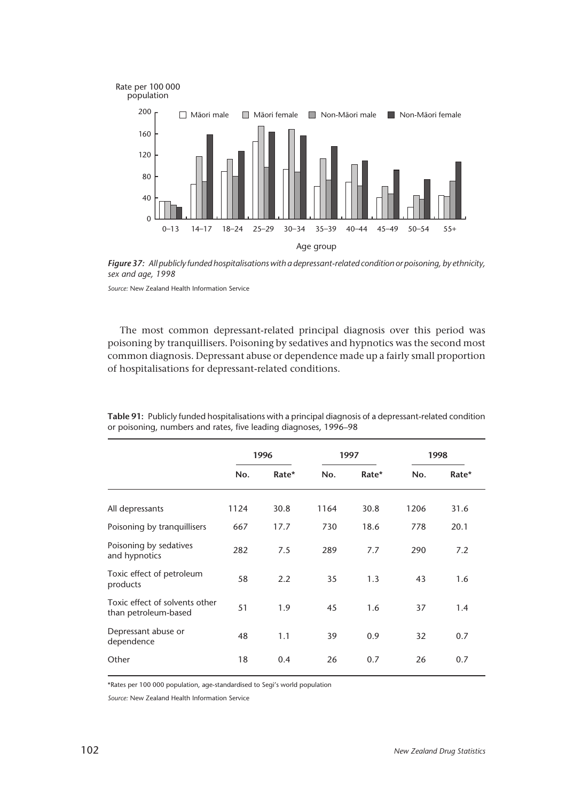

*Figure 37: All publicly funded hospitalisations with a depressant-related condition or poisoning, by ethnicity, sex and age, 1998*

*Source:* New Zealand Health Information Service

The most common depressant-related principal diagnosis over this period was poisoning by tranquillisers. Poisoning by sedatives and hypnotics was the second most common diagnosis. Depressant abuse or dependence made up a fairly small proportion of hospitalisations for depressant-related conditions.

|                                                        | 1996 |       | 1997 |       | 1998 |       |
|--------------------------------------------------------|------|-------|------|-------|------|-------|
|                                                        | No.  | Rate* | No.  | Rate* | No.  | Rate* |
| All depressants                                        | 1124 | 30.8  | 1164 | 30.8  | 1206 | 31.6  |
| Poisoning by tranquillisers                            | 667  | 17.7  | 730  | 18.6  | 778  | 20.1  |
| Poisoning by sedatives<br>and hypnotics                | 282  | 7.5   | 289  | 7.7   | 290  | 7.2   |
| Toxic effect of petroleum<br>products                  | 58   | 2.2   | 35   | 1.3   | 43   | 1.6   |
| Toxic effect of solvents other<br>than petroleum-based | 51   | 1.9   | 45   | 1.6   | 37   | 1.4   |
| Depressant abuse or<br>dependence                      | 48   | 1.1   | 39   | 0.9   | 32   | 0.7   |
| Other                                                  | 18   | 0.4   | 26   | 0.7   | 26   | 0.7   |

**Table 91:** Publicly funded hospitalisations with a principal diagnosis of a depressant-related condition or poisoning, numbers and rates, five leading diagnoses, 1996–98

\*Rates per 100 000 population, age-standardised to Segi's world population

*Source:* New Zealand Health Information Service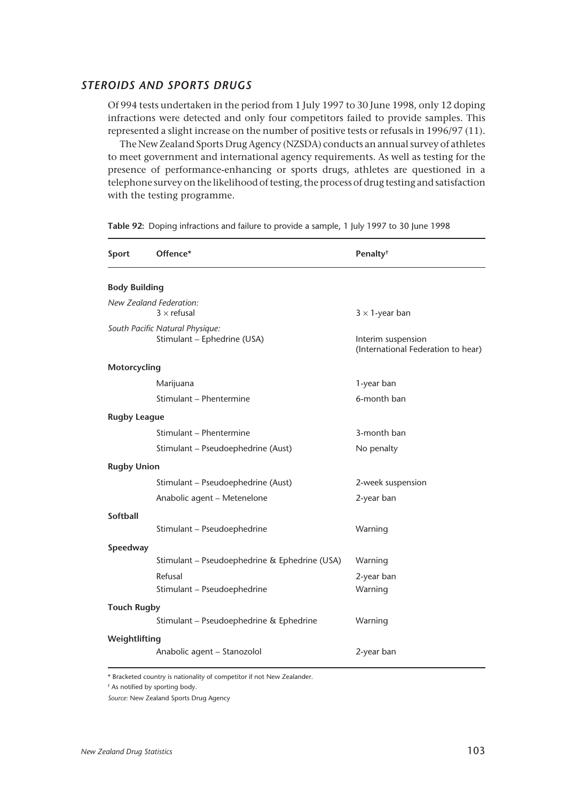#### *STEROIDS AND SPORTS DRUGS*

Of 994 tests undertaken in the period from 1 July 1997 to 30 June 1998, only 12 doping infractions were detected and only four competitors failed to provide samples. This represented a slight increase on the number of positive tests or refusals in 1996/97 (11).

The New Zealand Sports Drug Agency (NZSDA) conducts an annual survey of athletes to meet government and international agency requirements. As well as testing for the presence of performance-enhancing or sports drugs, athletes are questioned in a telephone survey on the likelihood of testing, the process of drug testing and satisfaction with the testing programme.

| Sport                                                          | Offence*                                      | Penalty <sup>†</sup>                                     |  |  |  |
|----------------------------------------------------------------|-----------------------------------------------|----------------------------------------------------------|--|--|--|
| <b>Body Building</b>                                           |                                               |                                                          |  |  |  |
|                                                                | New Zealand Federation:<br>$3 \times$ refusal | $3 \times 1$ -year ban                                   |  |  |  |
| South Pacific Natural Physique:<br>Stimulant - Ephedrine (USA) |                                               | Interim suspension<br>(International Federation to hear) |  |  |  |
| Motorcycling                                                   |                                               |                                                          |  |  |  |
|                                                                | Marijuana                                     | 1-year ban                                               |  |  |  |
|                                                                | Stimulant - Phentermine                       | 6-month ban                                              |  |  |  |
| <b>Rugby League</b>                                            |                                               |                                                          |  |  |  |
|                                                                | Stimulant - Phentermine                       | 3-month ban                                              |  |  |  |
|                                                                | Stimulant - Pseudoephedrine (Aust)            | No penalty                                               |  |  |  |
| <b>Rugby Union</b>                                             |                                               |                                                          |  |  |  |
|                                                                | Stimulant - Pseudoephedrine (Aust)            | 2-week suspension                                        |  |  |  |
|                                                                | Anabolic agent - Metenelone                   | 2-year ban                                               |  |  |  |
| <b>Softball</b>                                                |                                               |                                                          |  |  |  |
|                                                                | Stimulant - Pseudoephedrine                   | Warning                                                  |  |  |  |
| Speedway                                                       |                                               |                                                          |  |  |  |
|                                                                | Stimulant - Pseudoephedrine & Ephedrine (USA) | Warning                                                  |  |  |  |
|                                                                | Refusal                                       | 2-year ban                                               |  |  |  |
|                                                                | Stimulant - Pseudoephedrine                   | Warning                                                  |  |  |  |
| <b>Touch Rugby</b>                                             |                                               |                                                          |  |  |  |
|                                                                | Stimulant - Pseudoephedrine & Ephedrine       | Warning                                                  |  |  |  |
| Weightlifting<br>Anabolic agent - Stanozolol                   |                                               | 2-year ban                                               |  |  |  |

**Table 92:** Doping infractions and failure to provide a sample, 1 July 1997 to 30 June 1998

\* Bracketed country is nationality of competitor if not New Zealander.

† As notified by sporting body.

*Source:* New Zealand Sports Drug Agency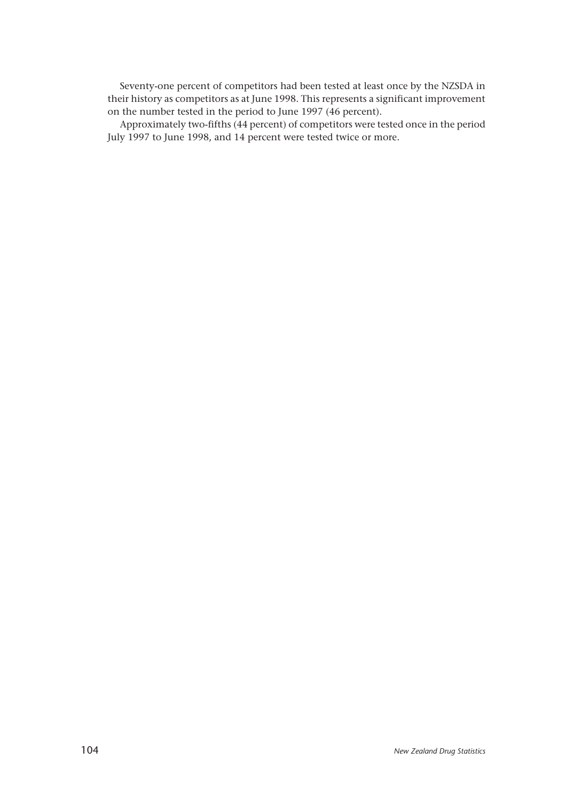Seventy-one percent of competitors had been tested at least once by the NZSDA in their history as competitors as at June 1998. This represents a significant improvement on the number tested in the period to June 1997 (46 percent).

Approximately two-fifths (44 percent) of competitors were tested once in the period July 1997 to June 1998, and 14 percent were tested twice or more.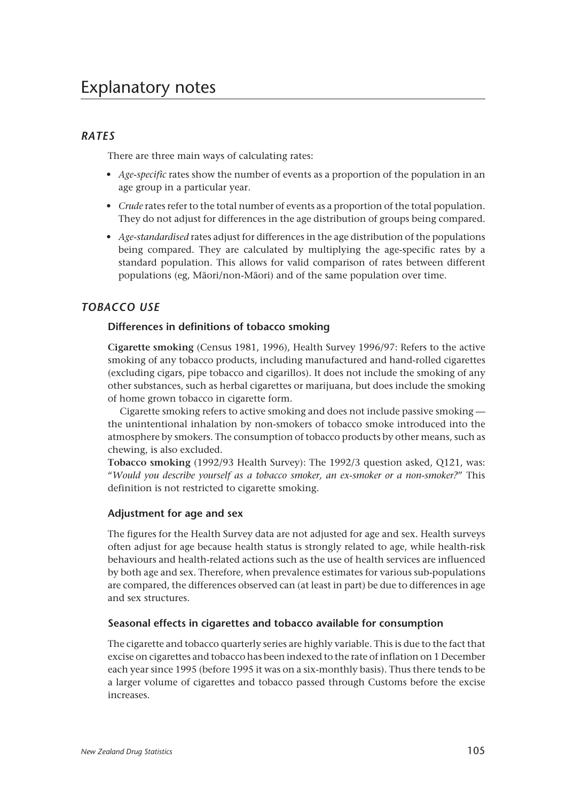# Explanatory notes

## *RATES*

There are three main ways of calculating rates:

- *Age-specific* rates show the number of events as a proportion of the population in an age group in a particular year.
- *Crude* rates refer to the total number of events as a proportion of the total population. They do not adjust for differences in the age distribution of groups being compared.
- *Age-standardised* rates adjust for differences in the age distribution of the populations being compared. They are calculated by multiplying the age-specific rates by a standard population. This allows for valid comparison of rates between different populations (eg, Mâori/non-Mâori) and of the same population over time.

## *TOBACCO USE*

#### **Differences in definitions of tobacco smoking**

**Cigarette smoking** (Census 1981, 1996), Health Survey 1996/97: Refers to the active smoking of any tobacco products, including manufactured and hand-rolled cigarettes (excluding cigars, pipe tobacco and cigarillos). It does not include the smoking of any other substances, such as herbal cigarettes or marijuana, but does include the smoking of home grown tobacco in cigarette form.

Cigarette smoking refers to active smoking and does not include passive smoking the unintentional inhalation by non-smokers of tobacco smoke introduced into the atmosphere by smokers. The consumption of tobacco products by other means, such as chewing, is also excluded.

**Tobacco smoking** (1992/93 Health Survey): The 1992/3 question asked, Q121, was: "*Would you describe yourself as a tobacco smoker, an ex-smoker or a non-smoker?*" This definition is not restricted to cigarette smoking.

#### **Adjustment for age and sex**

The figures for the Health Survey data are not adjusted for age and sex. Health surveys often adjust for age because health status is strongly related to age, while health-risk behaviours and health-related actions such as the use of health services are influenced by both age and sex. Therefore, when prevalence estimates for various sub-populations are compared, the differences observed can (at least in part) be due to differences in age and sex structures.

#### **Seasonal effects in cigarettes and tobacco available for consumption**

The cigarette and tobacco quarterly series are highly variable. This is due to the fact that excise on cigarettes and tobacco has been indexed to the rate of inflation on 1 December each year since 1995 (before 1995 it was on a six-monthly basis). Thus there tends to be a larger volume of cigarettes and tobacco passed through Customs before the excise increases.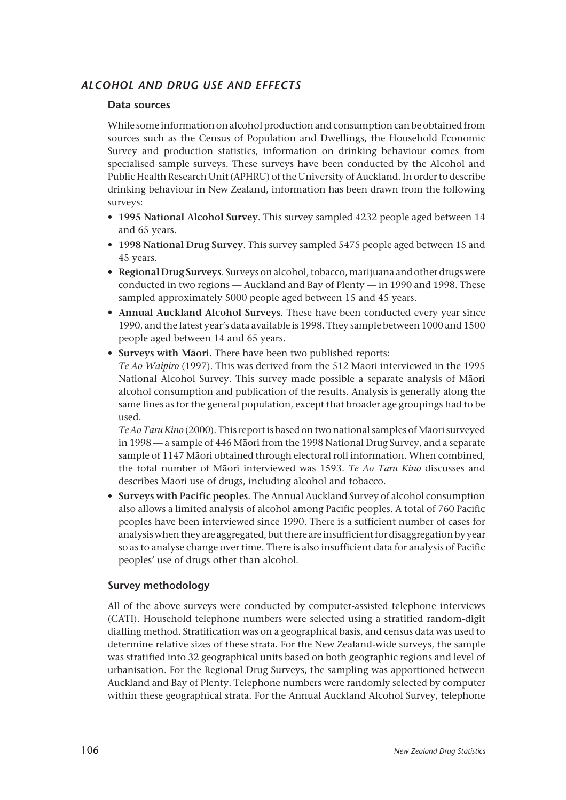## *ALCOHOL AND DRUG USE AND EFFECTS*

## **Data sources**

While some information on alcohol production and consumption can be obtained from sources such as the Census of Population and Dwellings, the Household Economic Survey and production statistics, information on drinking behaviour comes from specialised sample surveys. These surveys have been conducted by the Alcohol and Public Health Research Unit (APHRU) of the University of Auckland. In order to describe drinking behaviour in New Zealand, information has been drawn from the following surveys:

- **1995 National Alcohol Survey**. This survey sampled 4232 people aged between 14 and 65 years.
- **1998 National Drug Survey**. This survey sampled 5475 people aged between 15 and 45 years.
- **Regional Drug Surveys**. Surveys on alcohol, tobacco, marijuana and other drugs were conducted in two regions — Auckland and Bay of Plenty — in 1990 and 1998. These sampled approximately 5000 people aged between 15 and 45 years.
- **Annual Auckland Alcohol Surveys**. These have been conducted every year since 1990, and the latest year's data available is 1998. They sample between 1000 and 1500 people aged between 14 and 65 years.
- **Surveys with Mâori**. There have been two published reports:

*Te Ao Waipiro* (1997). This was derived from the 512 Mâori interviewed in the 1995 National Alcohol Survey. This survey made possible a separate analysis of Mâori alcohol consumption and publication of the results. Analysis is generally along the same lines as for the general population, except that broader age groupings had to be used.

*Te Ao Taru Kino* (2000). This report is based on two national samples of Mâori surveyed in 1998 — a sample of 446 Mâori from the 1998 National Drug Survey, and a separate sample of 1147 Mâori obtained through electoral roll information. When combined, the total number of Mâori interviewed was 1593. *Te Ao Taru Kino* discusses and describes Mâori use of drugs, including alcohol and tobacco.

• **Surveys with Pacific peoples**. The Annual Auckland Survey of alcohol consumption also allows a limited analysis of alcohol among Pacific peoples. A total of 760 Pacific peoples have been interviewed since 1990. There is a sufficient number of cases for analysis when they are aggregated, but there are insufficient for disaggregation by year so as to analyse change over time. There is also insufficient data for analysis of Pacific peoples' use of drugs other than alcohol.

## **Survey methodology**

All of the above surveys were conducted by computer-assisted telephone interviews (CATI). Household telephone numbers were selected using a stratified random-digit dialling method. Stratification was on a geographical basis, and census data was used to determine relative sizes of these strata. For the New Zealand-wide surveys, the sample was stratified into 32 geographical units based on both geographic regions and level of urbanisation. For the Regional Drug Surveys, the sampling was apportioned between Auckland and Bay of Plenty. Telephone numbers were randomly selected by computer within these geographical strata. For the Annual Auckland Alcohol Survey, telephone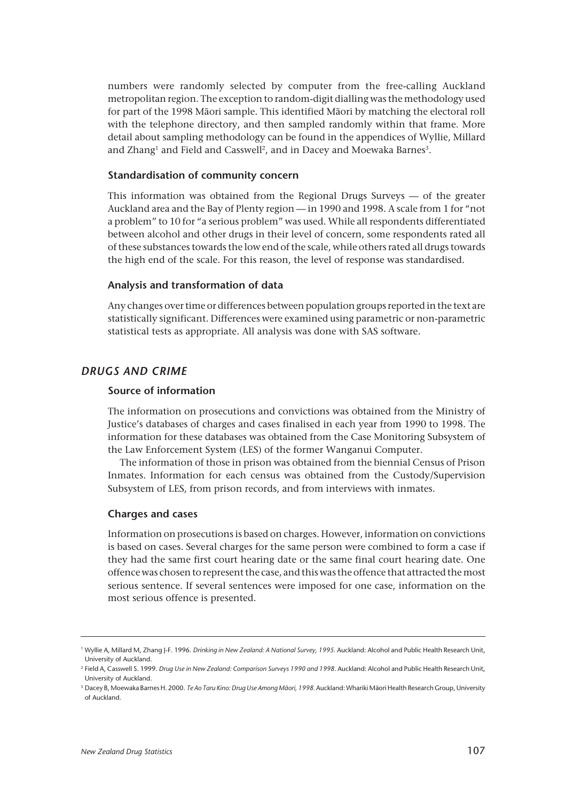numbers were randomly selected by computer from the free-calling Auckland metropolitan region. The exception to random-digit dialling was the methodology used for part of the 1998 Mâori sample. This identified Mâori by matching the electoral roll with the telephone directory, and then sampled randomly within that frame. More detail about sampling methodology can be found in the appendices of Wyllie, Millard and Zhang<sup>1</sup> and Field and Casswell<sup>2</sup>, and in Dacey and Moewaka Barnes<sup>3</sup>.

#### **Standardisation of community concern**

This information was obtained from the Regional Drugs Surveys — of the greater Auckland area and the Bay of Plenty region — in 1990 and 1998. A scale from 1 for "not a problem" to 10 for "a serious problem" was used. While all respondents differentiated between alcohol and other drugs in their level of concern, some respondents rated all of these substances towards the low end of the scale, while others rated all drugs towards the high end of the scale. For this reason, the level of response was standardised.

#### **Analysis and transformation of data**

Any changes over time or differences between population groups reported in the text are statistically significant. Differences were examined using parametric or non-parametric statistical tests as appropriate. All analysis was done with SAS software.

#### *DRUGS AND CRIME*

#### **Source of information**

The information on prosecutions and convictions was obtained from the Ministry of Justice's databases of charges and cases finalised in each year from 1990 to 1998. The information for these databases was obtained from the Case Monitoring Subsystem of the Law Enforcement System (LES) of the former Wanganui Computer.

The information of those in prison was obtained from the biennial Census of Prison Inmates. Information for each census was obtained from the Custody/Supervision Subsystem of LES, from prison records, and from interviews with inmates.

#### **Charges and cases**

Information on prosecutions is based on charges. However, information on convictions is based on cases. Several charges for the same person were combined to form a case if they had the same first court hearing date or the same final court hearing date. One offence was chosen to represent the case, and this was the offence that attracted the most serious sentence. If several sentences were imposed for one case, information on the most serious offence is presented.

<sup>1</sup> Wyllie A, Millard M, Zhang J-F. 1996. *Drinking in New Zealand: A National Survey, 1995.* Auckland: Alcohol and Public Health Research Unit, University of Auckland.

<sup>2</sup> Field A, Casswell S. 1999. *Drug Use in New Zealand: Comparison Surveys 1990 and 1998*. Auckland: Alcohol and Public Health Research Unit, University of Auckland.

<sup>3</sup> Dacey B, Moewaka Barnes H. 2000. *Te Ao Taru Kino: Drug Use Among Mâori, 1998.* Auckland: Whariki Mâori Health Research Group, University of Auckland.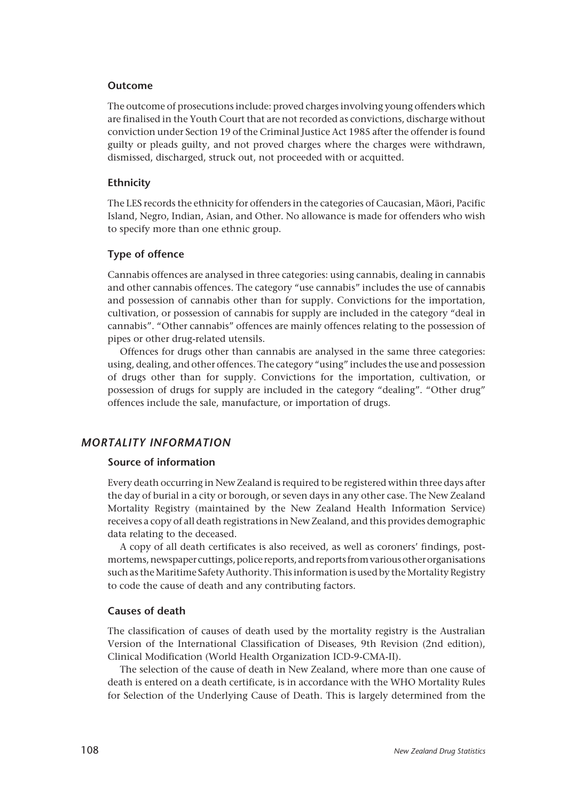#### **Outcome**

The outcome of prosecutions include: proved charges involving young offenders which are finalised in the Youth Court that are not recorded as convictions, discharge without conviction under Section 19 of the Criminal Justice Act 1985 after the offender is found guilty or pleads guilty, and not proved charges where the charges were withdrawn, dismissed, discharged, struck out, not proceeded with or acquitted.

#### **Ethnicity**

The LES records the ethnicity for offenders in the categories of Caucasian, Mâori, Pacific Island, Negro, Indian, Asian, and Other. No allowance is made for offenders who wish to specify more than one ethnic group.

#### **Type of offence**

Cannabis offences are analysed in three categories: using cannabis, dealing in cannabis and other cannabis offences. The category "use cannabis" includes the use of cannabis and possession of cannabis other than for supply. Convictions for the importation, cultivation, or possession of cannabis for supply are included in the category "deal in cannabis". "Other cannabis" offences are mainly offences relating to the possession of pipes or other drug-related utensils.

Offences for drugs other than cannabis are analysed in the same three categories: using, dealing, and other offences. The category "using" includes the use and possession of drugs other than for supply. Convictions for the importation, cultivation, or possession of drugs for supply are included in the category "dealing". "Other drug" offences include the sale, manufacture, or importation of drugs.

## *MORTALITY INFORMATION*

#### **Source of information**

Every death occurring in New Zealand is required to be registered within three days after the day of burial in a city or borough, or seven days in any other case. The New Zealand Mortality Registry (maintained by the New Zealand Health Information Service) receives a copy of all death registrations in New Zealand, and this provides demographic data relating to the deceased.

A copy of all death certificates is also received, as well as coroners' findings, postmortems, newspaper cuttings, police reports, and reports from various other organisations such as the Maritime Safety Authority. This information is used by the Mortality Registry to code the cause of death and any contributing factors.

#### **Causes of death**

The classification of causes of death used by the mortality registry is the Australian Version of the International Classification of Diseases, 9th Revision (2nd edition), Clinical Modification (World Health Organization ICD-9-CMA-II).

The selection of the cause of death in New Zealand, where more than one cause of death is entered on a death certificate, is in accordance with the WHO Mortality Rules for Selection of the Underlying Cause of Death. This is largely determined from the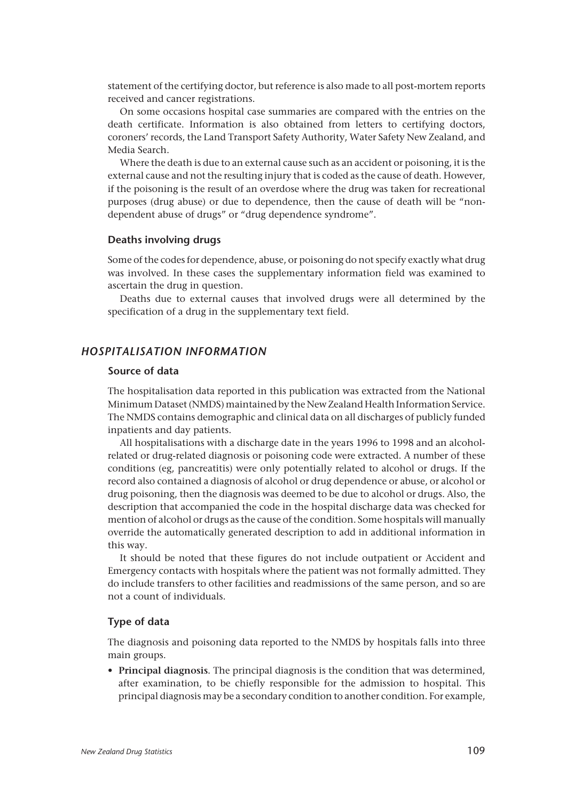statement of the certifying doctor, but reference is also made to all post-mortem reports received and cancer registrations.

On some occasions hospital case summaries are compared with the entries on the death certificate. Information is also obtained from letters to certifying doctors, coroners' records, the Land Transport Safety Authority, Water Safety New Zealand, and Media Search.

Where the death is due to an external cause such as an accident or poisoning, it is the external cause and not the resulting injury that is coded as the cause of death. However, if the poisoning is the result of an overdose where the drug was taken for recreational purposes (drug abuse) or due to dependence, then the cause of death will be "nondependent abuse of drugs" or "drug dependence syndrome".

#### **Deaths involving drugs**

Some of the codes for dependence, abuse, or poisoning do not specify exactly what drug was involved. In these cases the supplementary information field was examined to ascertain the drug in question.

Deaths due to external causes that involved drugs were all determined by the specification of a drug in the supplementary text field.

## *HOSPITALISATION INFORMATION*

#### **Source of data**

The hospitalisation data reported in this publication was extracted from the National Minimum Dataset (NMDS) maintained by the New Zealand Health Information Service. The NMDS contains demographic and clinical data on all discharges of publicly funded inpatients and day patients.

All hospitalisations with a discharge date in the years 1996 to 1998 and an alcoholrelated or drug-related diagnosis or poisoning code were extracted. A number of these conditions (eg, pancreatitis) were only potentially related to alcohol or drugs. If the record also contained a diagnosis of alcohol or drug dependence or abuse, or alcohol or drug poisoning, then the diagnosis was deemed to be due to alcohol or drugs. Also, the description that accompanied the code in the hospital discharge data was checked for mention of alcohol or drugs as the cause of the condition. Some hospitals will manually override the automatically generated description to add in additional information in this way.

It should be noted that these figures do not include outpatient or Accident and Emergency contacts with hospitals where the patient was not formally admitted. They do include transfers to other facilities and readmissions of the same person, and so are not a count of individuals.

### **Type of data**

The diagnosis and poisoning data reported to the NMDS by hospitals falls into three main groups.

• **Principal diagnosis**. The principal diagnosis is the condition that was determined, after examination, to be chiefly responsible for the admission to hospital. This principal diagnosis may be a secondary condition to another condition. For example,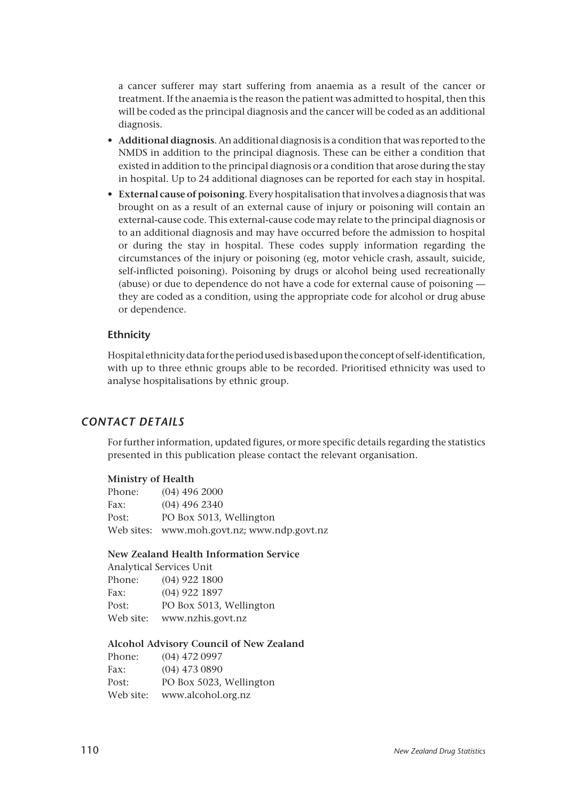a cancer sufferer may start suffering from anaemia as a result of the cancer or treatment. If the anaemia is the reason the patient was admitted to hospital, then this will be coded as the principal diagnosis and the cancer will be coded as an additional diagnosis.

- **Additional diagnosis**. An additional diagnosis is a condition that was reported to the NMDS in addition to the principal diagnosis. These can be either a condition that existed in addition to the principal diagnosis or a condition that arose during the stay in hospital. Up to 24 additional diagnoses can be reported for each stay in hospital.
- **External cause of poisoning**. Every hospitalisation that involves a diagnosis that was brought on as a result of an external cause of injury or poisoning will contain an external-cause code. This external-cause code may relate to the principal diagnosis or to an additional diagnosis and may have occurred before the admission to hospital or during the stay in hospital. These codes supply information regarding the circumstances of the injury or poisoning (eg, motor vehicle crash, assault, suicide, self-inflicted poisoning). Poisoning by drugs or alcohol being used recreationally (abuse) or due to dependence do not have a code for external cause of poisoning they are coded as a condition, using the appropriate code for alcohol or drug abuse or dependence.

#### **Ethnicity**

Hospital ethnicity data for the period used is based upon the concept of self-identification, with up to three ethnic groups able to be recorded. Prioritised ethnicity was used to analyse hospitalisations by ethnic group.

### *CONTACT DETAILS*

For further information, updated figures, or more specific details regarding the statistics presented in this publication please contact the relevant organisation.

#### **Ministry of Health**

| Phone: | $(04)$ 496 2000                             |
|--------|---------------------------------------------|
| Fax:   | $(04)$ 496 2340                             |
| Post:  | PO Box 5013, Wellington                     |
|        | Web sites: www.moh.govt.nz; www.ndp.govt.nz |

#### **New Zealand Health Information Service**

Analytical Services Unit

| Phone:    | $(04)$ 922 1800         |  |
|-----------|-------------------------|--|
| Fax:      | $(04)$ 922 1897         |  |
| Post:     | PO Box 5013, Wellington |  |
| Web site: | www.nzhis.govt.nz       |  |

#### **Alcohol Advisory Council of New Zealand**

| Phone:    | $(04)$ 472 0997         |
|-----------|-------------------------|
| Fax:      | $(04)$ 473 0890         |
| Post:     | PO Box 5023, Wellington |
| Web site: | www.alcohol.org.nz      |